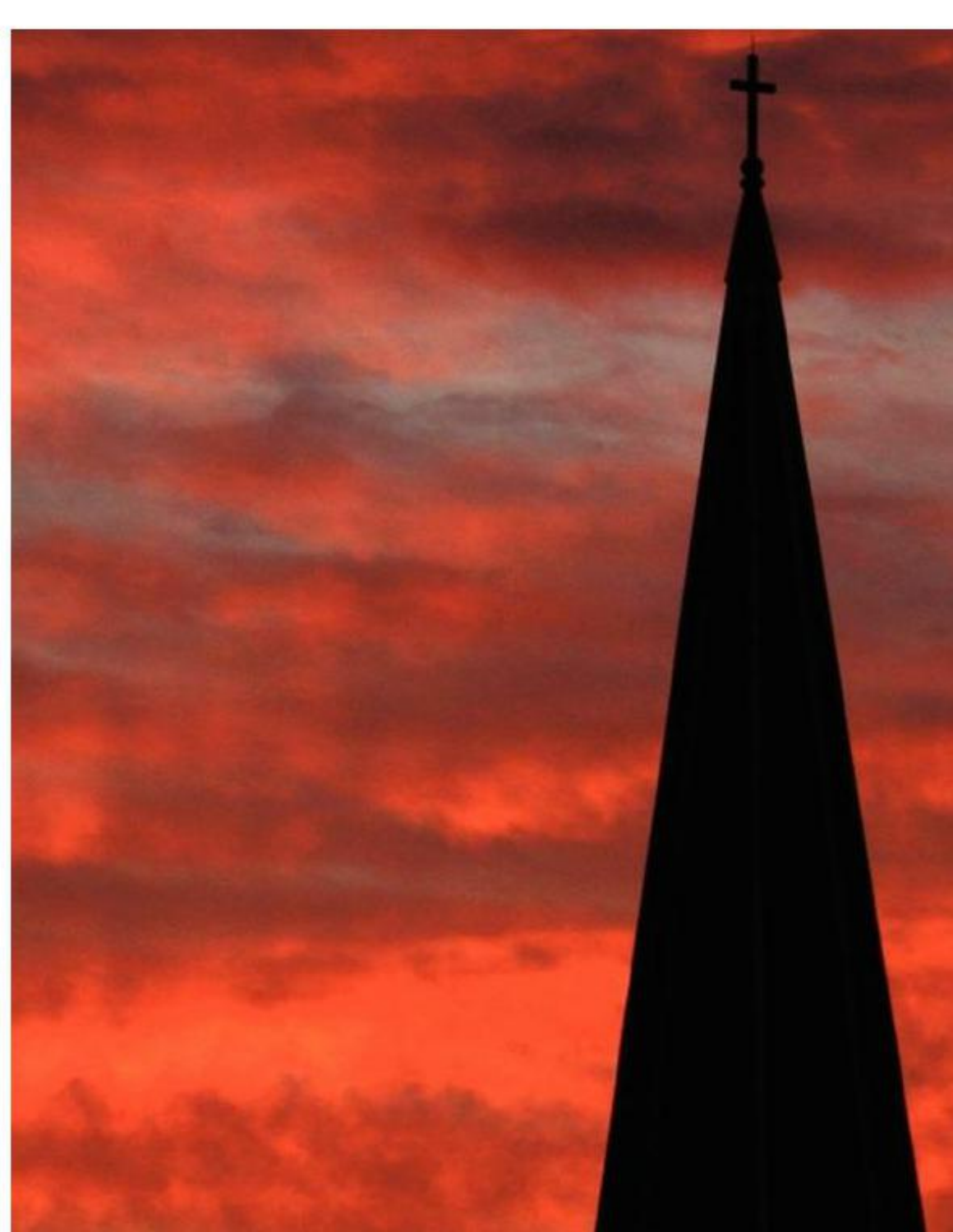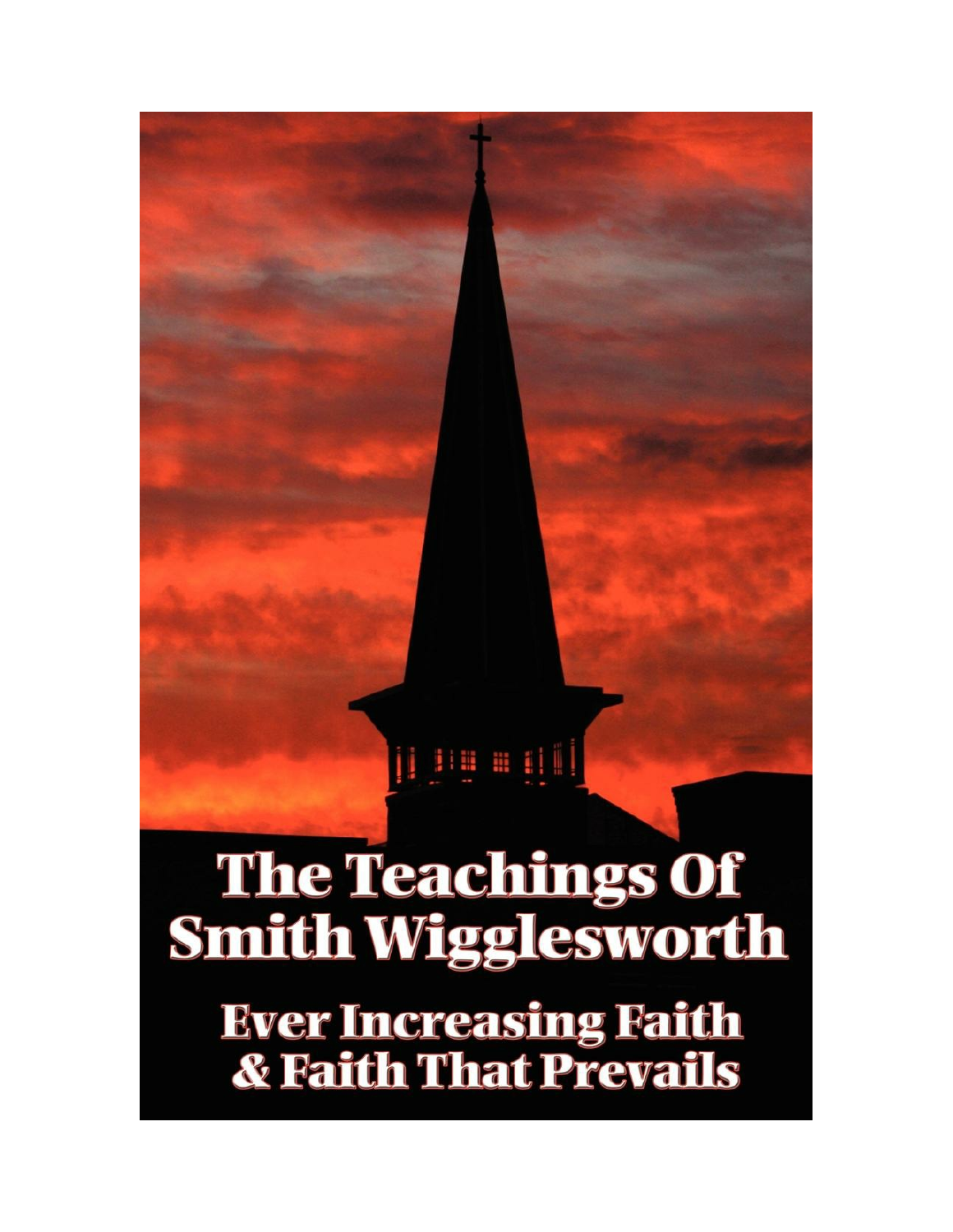# The Teachings Of<br>Smith Wigglesworth

**Ever Increasing Faith<br>& Faith That Prevails**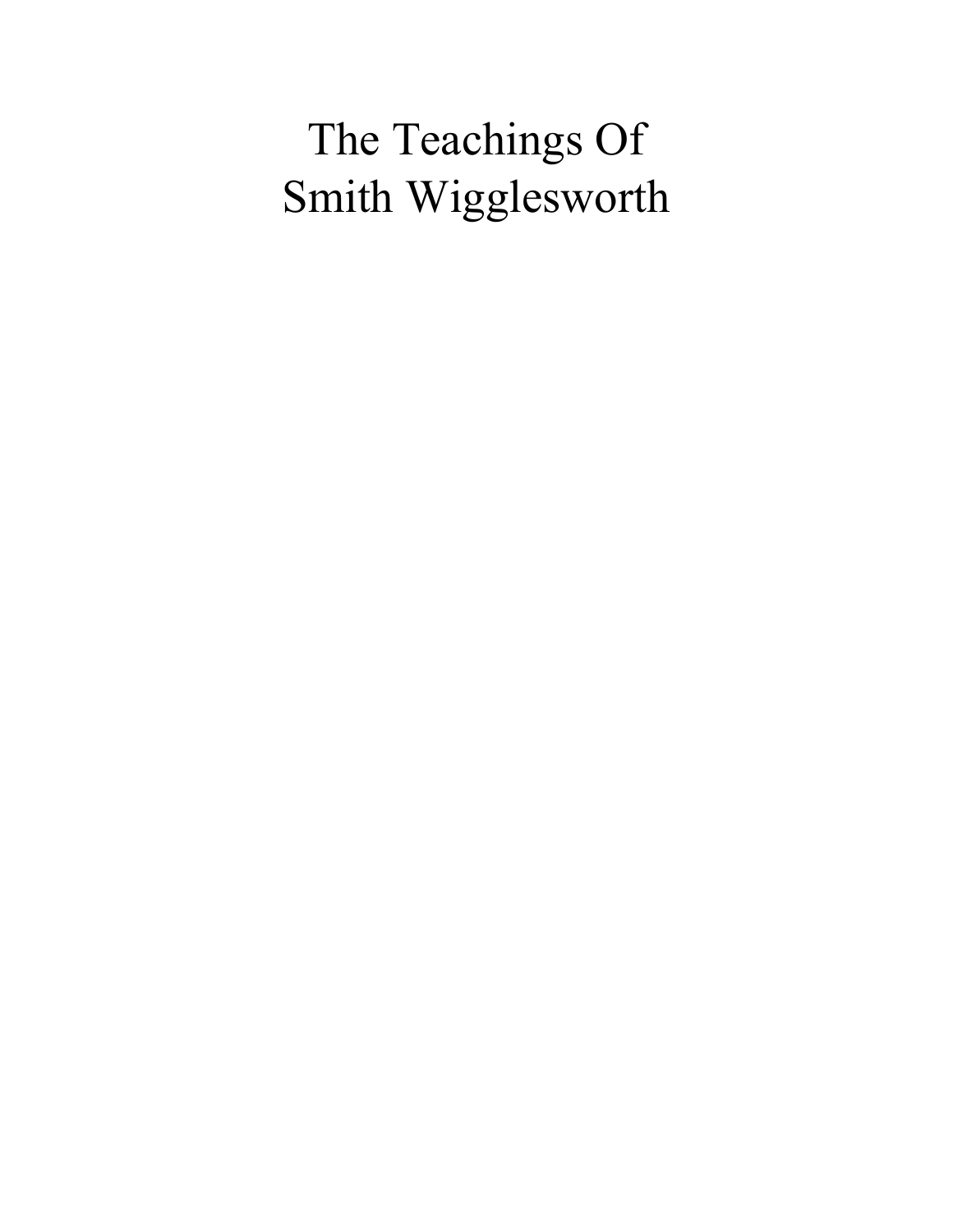# The Teachings Of Smith Wigglesworth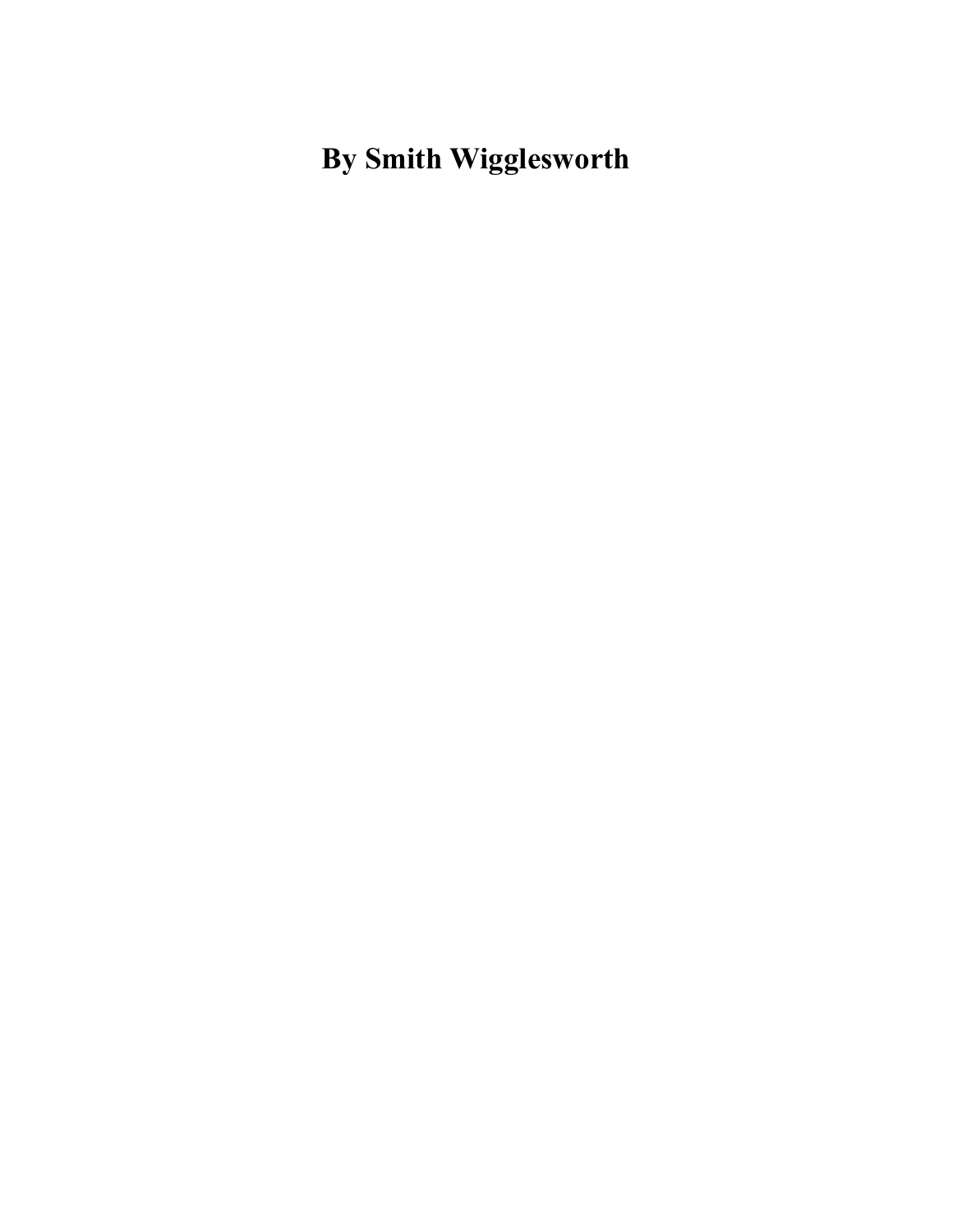## **By Smith Wigglesworth**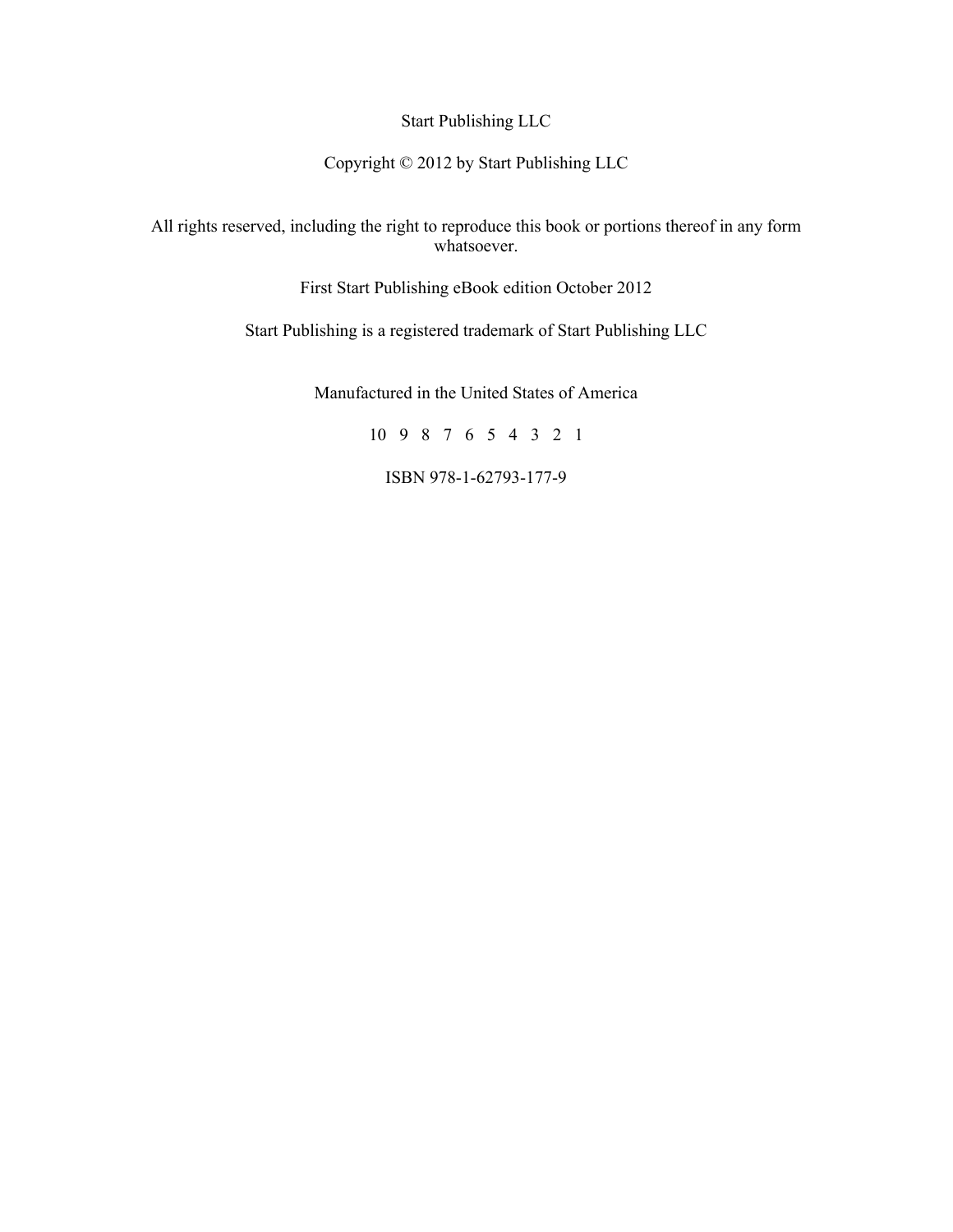Start Publishing LLC

Copyright © 2012 by Start Publishing LLC

All rights reserved, including the right to reproduce this book or portions thereof in any form whatsoever.

First Start Publishing eBook edition October 2012

Start Publishing is a registered trademark of Start Publishing LLC

Manufactured in the United States of America

10 9 8 7 6 5 4 3 2 1

ISBN 978-1-62793-177-9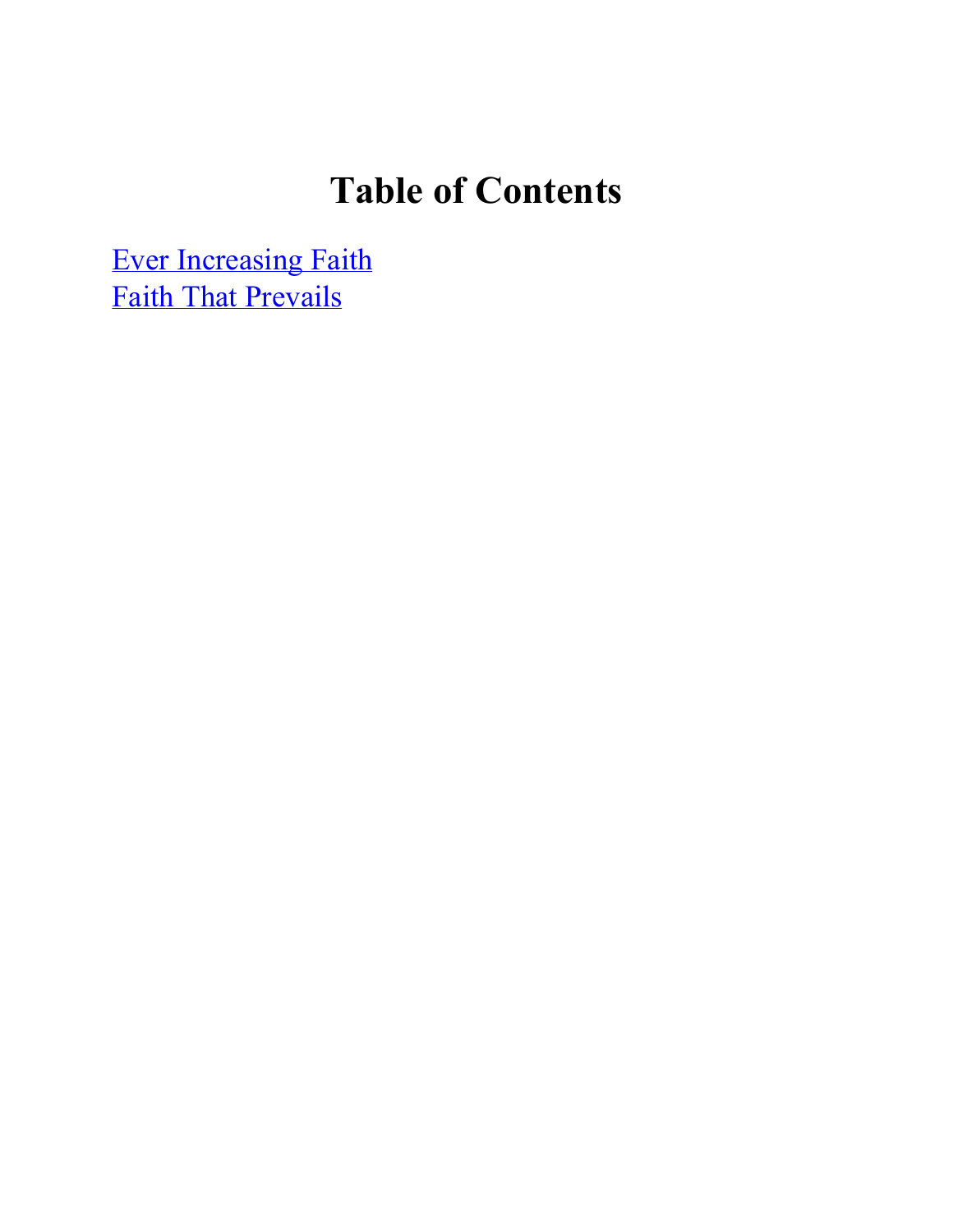## **Table of Contents**

Ever [Increasing](#page-7-0) Faith Faith That [Prevails](#page-121-0)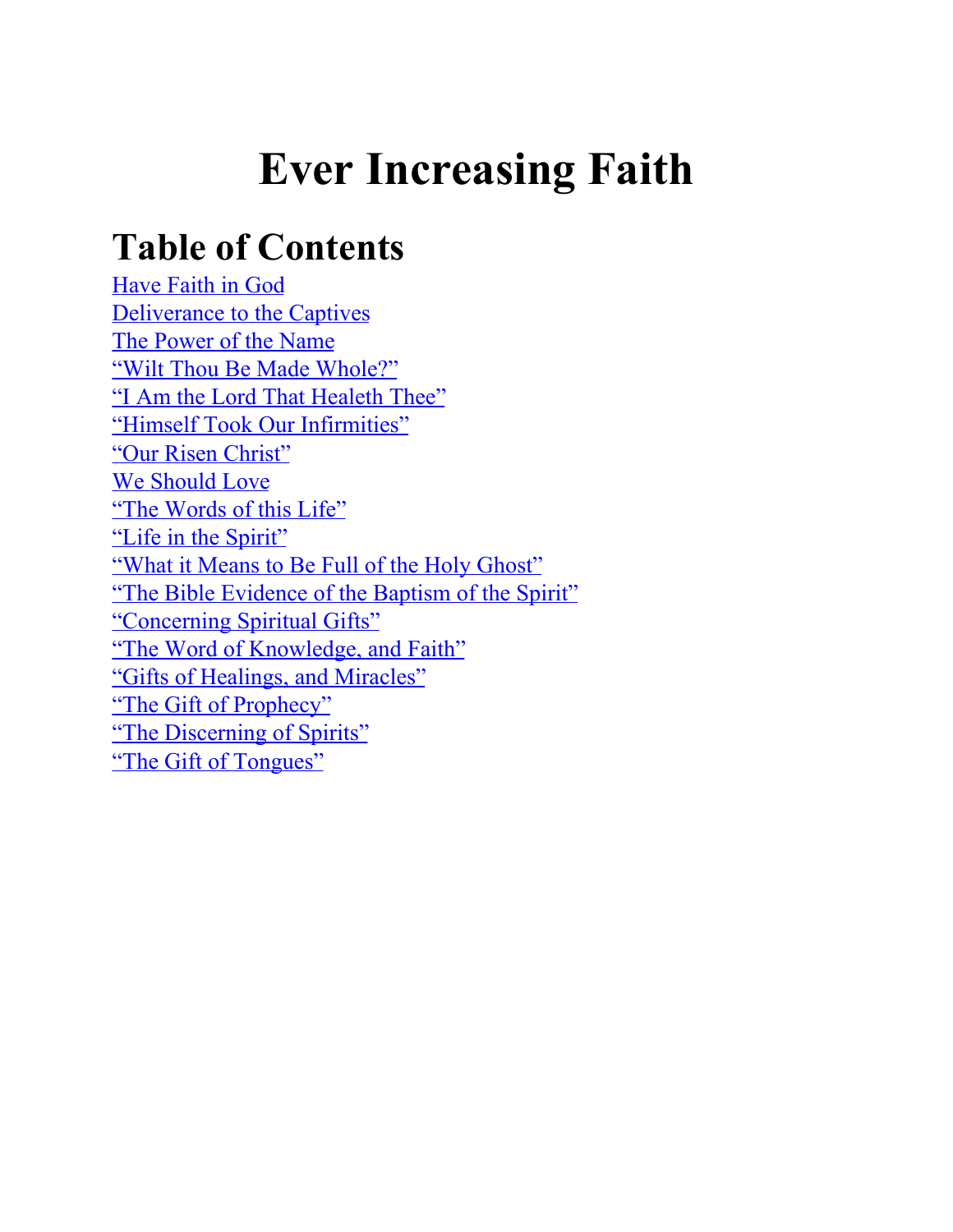## **Ever Increasing Faith**

## <span id="page-7-0"></span>**Table of Contents**

[Have](#page-8-0) Faith in God [Deliverance](#page-14-0) to the Captives The [Power](#page-21-0) of the Name "Wilt Thou Be Made [Whole?"](#page-30-0) "I Am the Lord That [Healeth](#page-37-0) Thee" "Himself Took Our [Infirmities"](#page-45-0) "Our Risen [Christ"](#page-50-0) We [Should](#page-55-0) Love "The [Words](#page-61-0) of this Life" "Life in the [Spirit"](#page-65-0) "What it Means to Be Full of the Holy [Ghost"](#page-72-0) "The Bible [Evidence](#page-78-0) of the Baptism of the Spirit" ["Concerning](#page-83-0) Spiritual Gifts" "The Word of [Knowledge,](#page-95-0) and Faith" "Gifts of Healings, and [Miracles"](#page-99-0) "The Gift of [Prophecy"](#page-105-0) "The [Discerning](#page-110-0) of Spirits" "The Gift of [Tongues"](#page-114-0)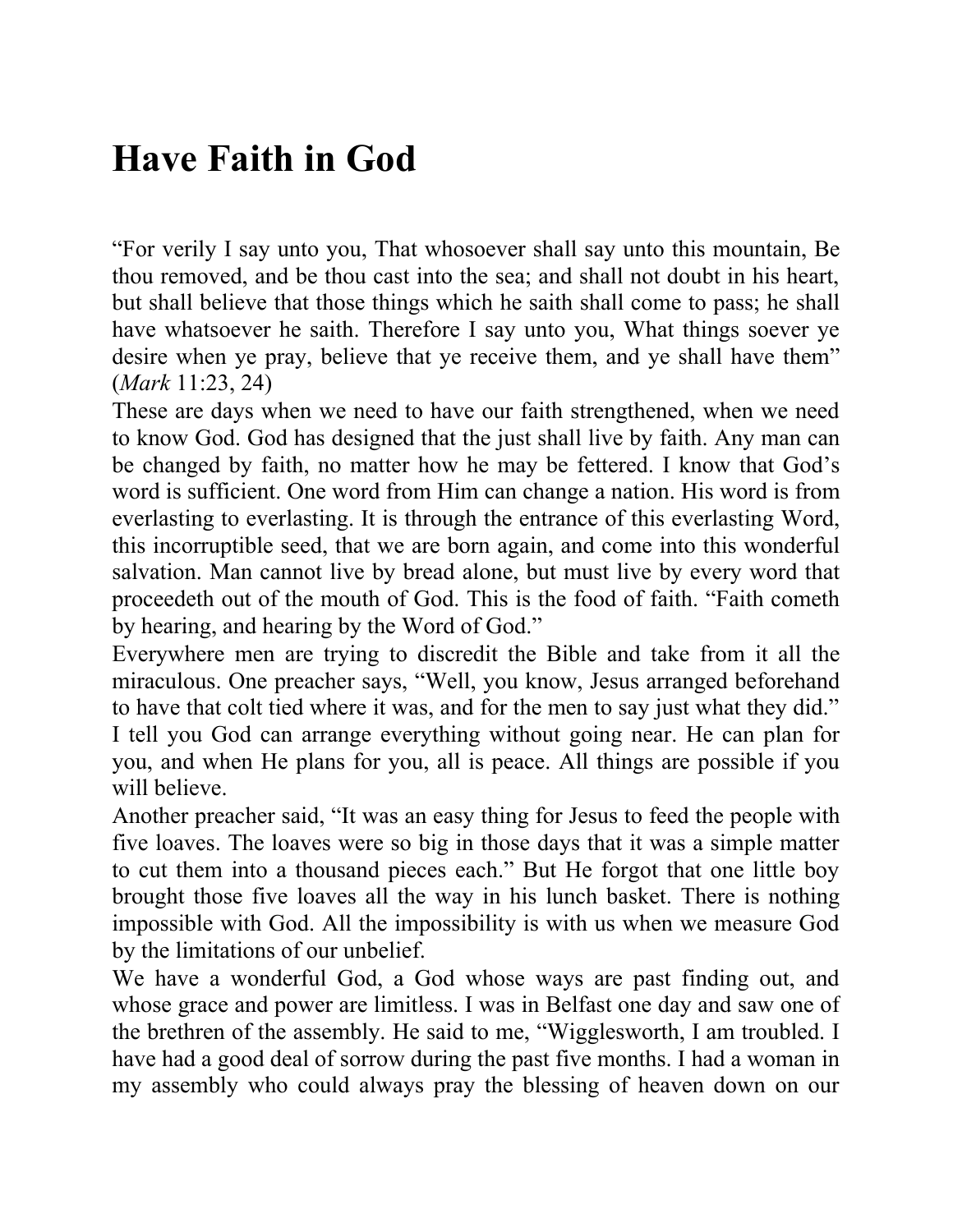## <span id="page-8-0"></span>**Have Faith in God**

"For verily I say unto you, That whosoever shall say unto this mountain, Be thou removed, and be thou cast into the sea; and shall not doubt in his heart, but shall believe that those things which he saith shall come to pass; he shall have whatsoever he saith. Therefore I say unto you, What things soever ye desire when ye pray, believe that ye receive them, and ye shall have them" (*Mark* 11:23, 24)

These are days when we need to have our faith strengthened, when we need to know God. God has designed that the just shall live by faith. Any man can be changed by faith, no matter how he may be fettered. I know that God's word is sufficient. One word from Him can change a nation. His word is from everlasting to everlasting. It is through the entrance of this everlasting Word, this incorruptible seed, that we are born again, and come into this wonderful salvation. Man cannot live by bread alone, but must live by every word that proceedeth out of the mouth of God. This is the food of faith. "Faith cometh by hearing, and hearing by the Word of God."

Everywhere men are trying to discredit the Bible and take from it all the miraculous. One preacher says, "Well, you know, Jesus arranged beforehand to have that colt tied where it was, and for the men to say just what they did." I tell you God can arrange everything without going near. He can plan for you, and when He plans for you, all is peace. All things are possible if you will believe.

Another preacher said, "It was an easy thing for Jesus to feed the people with five loaves. The loaves were so big in those days that it was a simple matter to cut them into a thousand pieces each." But He forgot that one little boy brought those five loaves all the way in his lunch basket. There is nothing impossible with God. All the impossibility is with us when we measure God by the limitations of our unbelief.

We have a wonderful God, a God whose ways are past finding out, and whose grace and power are limitless. I was in Belfast one day and saw one of the brethren of the assembly. He said to me, "Wigglesworth, I am troubled. I have had a good deal of sorrow during the past five months. I had a woman in my assembly who could always pray the blessing of heaven down on our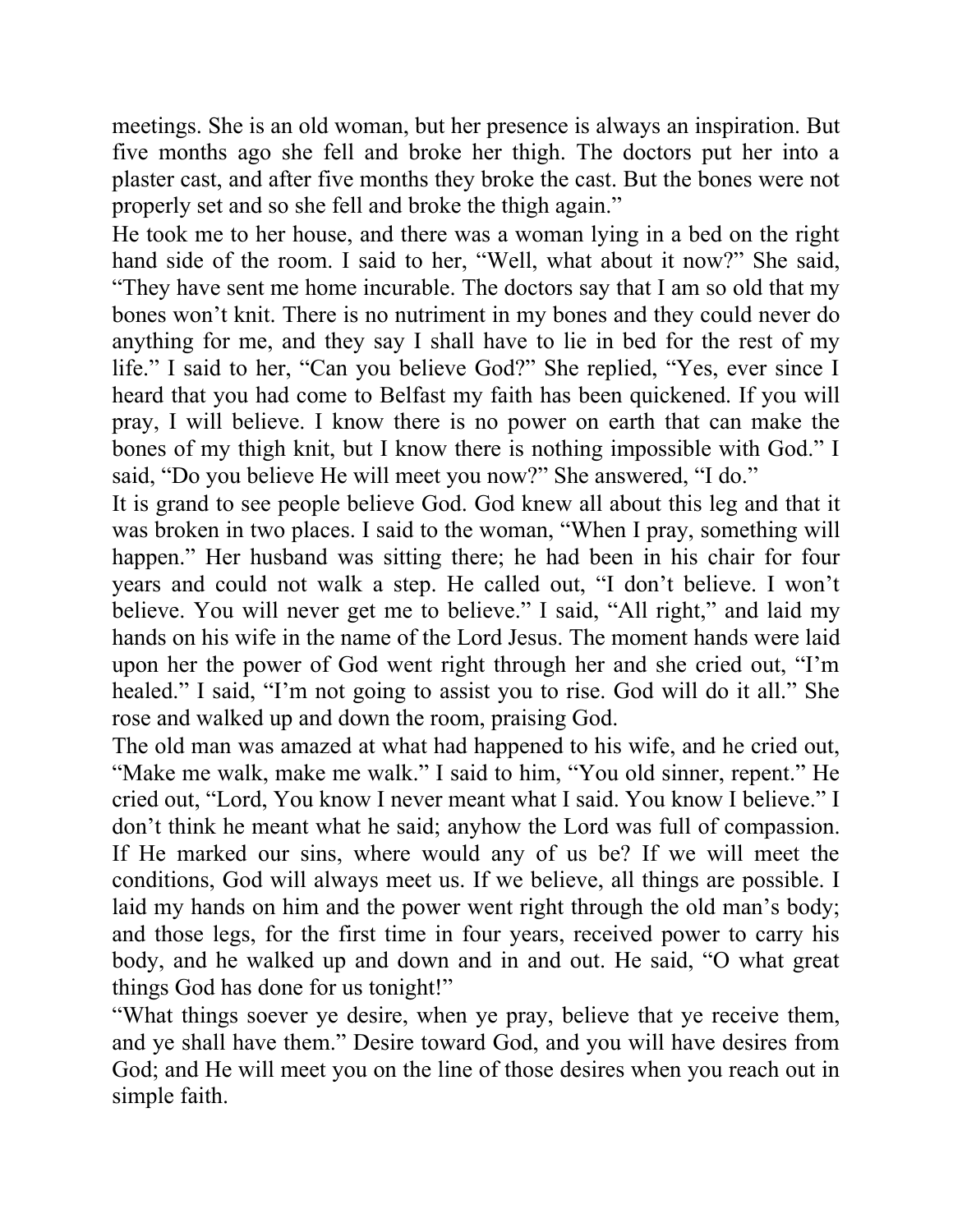meetings. She is an old woman, but her presence is always an inspiration. But five months ago she fell and broke her thigh. The doctors put her into a plaster cast, and after five months they broke the cast. But the bones were not properly set and so she fell and broke the thigh again."

He took me to her house, and there was a woman lying in a bed on the right hand side of the room. I said to her, "Well, what about it now?" She said, "They have sent me home incurable. The doctors say that I am so old that my bones won't knit. There is no nutriment in my bones and they could never do anything for me, and they say I shall have to lie in bed for the rest of my life." I said to her, "Can you believe God?" She replied, "Yes, ever since I heard that you had come to Belfast my faith has been quickened. If you will pray, I will believe. I know there is no power on earth that can make the bones of my thigh knit, but I know there is nothing impossible with God." I said, "Do you believe He will meet you now?" She answered, "I do."

It is grand to see people believe God. God knew all about this leg and that it was broken in two places. I said to the woman, "When I pray, something will happen." Her husband was sitting there; he had been in his chair for four years and could not walk a step. He called out, "I don't believe. I won't believe. You will never get me to believe." I said, "All right," and laid my hands on his wife in the name of the Lord Jesus. The moment hands were laid upon her the power of God went right through her and she cried out, "I'm healed." I said, "I'm not going to assist you to rise. God will do it all." She rose and walked up and down the room, praising God.

The old man was amazed at what had happened to his wife, and he cried out, "Make me walk, make me walk." I said to him, "You old sinner, repent." He cried out, "Lord, You know I never meant what I said. You know I believe." I don't think he meant what he said; anyhow the Lord was full of compassion. If He marked our sins, where would any of us be? If we will meet the conditions, God will always meet us. If we believe, all things are possible. I laid my hands on him and the power went right through the old man's body; and those legs, for the first time in four years, received power to carry his body, and he walked up and down and in and out. He said, "O what great things God has done for us tonight!"

"What things soever ye desire, when ye pray, believe that ye receive them, and ye shall have them." Desire toward God, and you will have desires from God; and He will meet you on the line of those desires when you reach out in simple faith.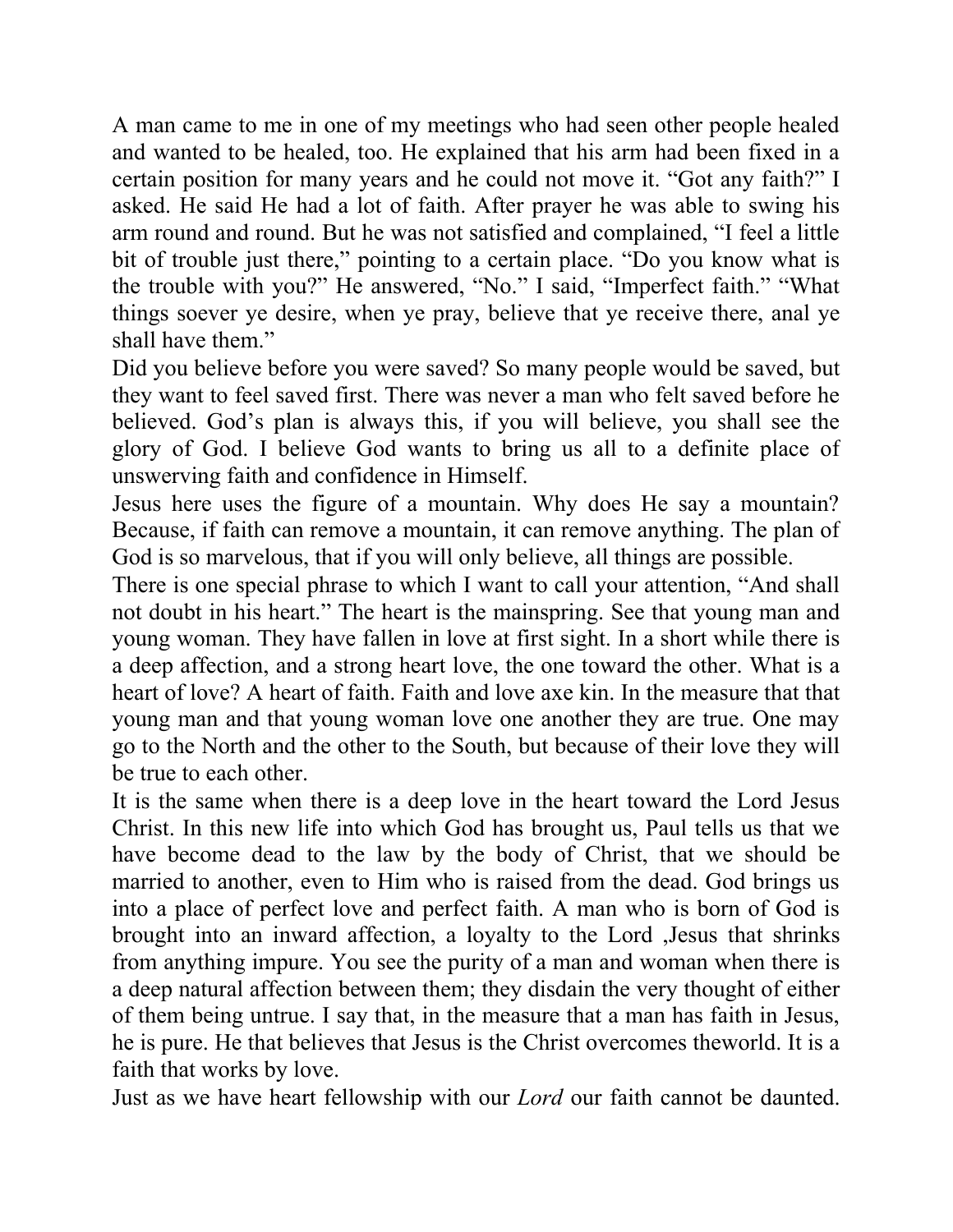A man came to me in one of my meetings who had seen other people healed and wanted to be healed, too. He explained that his arm had been fixed in a certain position for many years and he could not move it. "Got any faith?" I asked. He said He had a lot of faith. After prayer he was able to swing his arm round and round. But he was not satisfied and complained, "I feel a little bit of trouble just there," pointing to a certain place. "Do you know what is the trouble with you?" He answered, "No." I said, "Imperfect faith." "What things soever ye desire, when ye pray, believe that ye receive there, anal ye shall have them."

Did you believe before you were saved? So many people would be saved, but they want to feel saved first. There was never a man who felt saved before he believed. God's plan is always this, if you will believe, you shall see the glory of God. I believe God wants to bring us all to a definite place of unswerving faith and confidence in Himself.

Jesus here uses the figure of a mountain. Why does He say a mountain? Because, if faith can remove a mountain, it can remove anything. The plan of God is so marvelous, that if you will only believe, all things are possible.

There is one special phrase to which I want to call your attention, "And shall not doubt in his heart." The heart is the mainspring. See that young man and young woman. They have fallen in love at first sight. In a short while there is a deep affection, and a strong heart love, the one toward the other. What is a heart of love? A heart of faith. Faith and love axe kin. In the measure that that young man and that young woman love one another they are true. One may go to the North and the other to the South, but because of their love they will be true to each other.

It is the same when there is a deep love in the heart toward the Lord Jesus Christ. In this new life into which God has brought us, Paul tells us that we have become dead to the law by the body of Christ, that we should be married to another, even to Him who is raised from the dead. God brings us into a place of perfect love and perfect faith. A man who is born of God is brought into an inward affection, a loyalty to the Lord ,Jesus that shrinks from anything impure. You see the purity of a man and woman when there is a deep natural affection between them; they disdain the very thought of either of them being untrue. I say that, in the measure that a man has faith in Jesus, he is pure. He that believes that Jesus is the Christ overcomes theworld. It is a faith that works by love.

Just as we have heart fellowship with our *Lord* our faith cannot be daunted.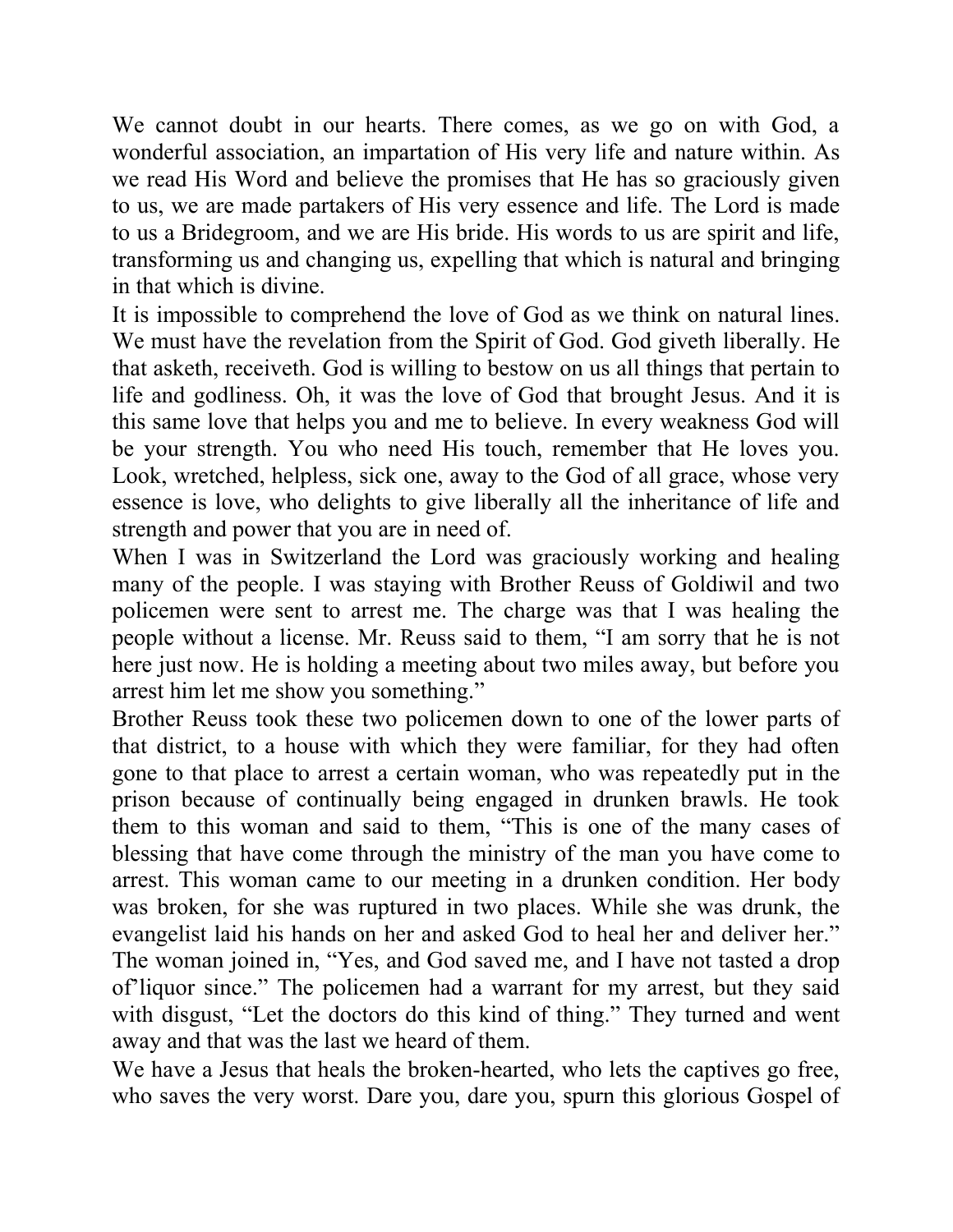We cannot doubt in our hearts. There comes, as we go on with God, a wonderful association, an impartation of His very life and nature within. As we read His Word and believe the promises that He has so graciously given to us, we are made partakers of His very essence and life. The Lord is made to us a Bridegroom, and we are His bride. His words to us are spirit and life, transforming us and changing us, expelling that which is natural and bringing in that which is divine.

It is impossible to comprehend the love of God as we think on natural lines. We must have the revelation from the Spirit of God. God giveth liberally. He that asketh, receiveth. God is willing to bestow on us all things that pertain to life and godliness. Oh, it was the love of God that brought Jesus. And it is this same love that helps you and me to believe. In every weakness God will be your strength. You who need His touch, remember that He loves you. Look, wretched, helpless, sick one, away to the God of all grace, whose very essence is love, who delights to give liberally all the inheritance of life and strength and power that you are in need of.

When I was in Switzerland the Lord was graciously working and healing many of the people. I was staying with Brother Reuss of Goldiwil and two policemen were sent to arrest me. The charge was that I was healing the people without a license. Mr. Reuss said to them, "I am sorry that he is not here just now. He is holding a meeting about two miles away, but before you arrest him let me show you something."

Brother Reuss took these two policemen down to one of the lower parts of that district, to a house with which they were familiar, for they had often gone to that place to arrest a certain woman, who was repeatedly put in the prison because of continually being engaged in drunken brawls. He took them to this woman and said to them, "This is one of the many cases of blessing that have come through the ministry of the man you have come to arrest. This woman came to our meeting in a drunken condition. Her body was broken, for she was ruptured in two places. While she was drunk, the evangelist laid his hands on her and asked God to heal her and deliver her." The woman joined in, "Yes, and God saved me, and I have not tasted a drop of'liquor since." The policemen had a warrant for my arrest, but they said with disgust, "Let the doctors do this kind of thing." They turned and went away and that was the last we heard of them.

We have a Jesus that heals the broken-hearted, who lets the captives go free, who saves the very worst. Dare you, dare you, spurn this glorious Gospel of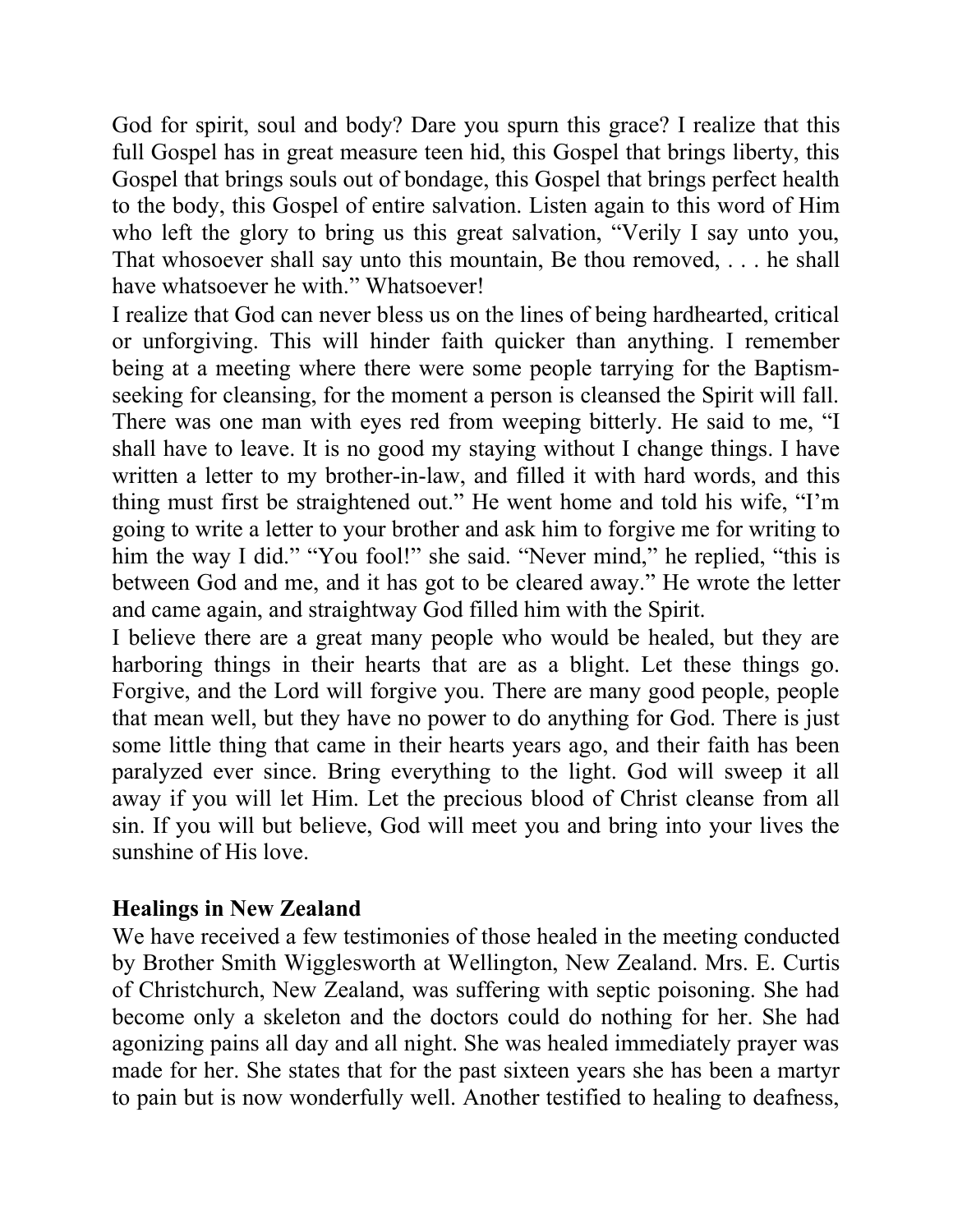God for spirit, soul and body? Dare you spurn this grace? I realize that this full Gospel has in great measure teen hid, this Gospel that brings liberty, this Gospel that brings souls out of bondage, this Gospel that brings perfect health to the body, this Gospel of entire salvation. Listen again to this word of Him who left the glory to bring us this great salvation, "Verily I say unto you, That whosoever shall say unto this mountain, Be thou removed, . . . he shall have whatsoever he with." Whatsoever!

I realize that God can never bless us on the lines of being hardhearted, critical or unforgiving. This will hinder faith quicker than anything. I remember being at a meeting where there were some people tarrying for the Baptismseeking for cleansing, for the moment a person is cleansed the Spirit will fall. There was one man with eyes red from weeping bitterly. He said to me, "I shall have to leave. It is no good my staying without I change things. I have written a letter to my brother-in-law, and filled it with hard words, and this thing must first be straightened out." He went home and told his wife, "I'm going to write a letter to your brother and ask him to forgive me for writing to him the way I did." "You fool!" she said. "Never mind," he replied, "this is between God and me, and it has got to be cleared away." He wrote the letter and came again, and straightway God filled him with the Spirit.

I believe there are a great many people who would be healed, but they are harboring things in their hearts that are as a blight. Let these things go. Forgive, and the Lord will forgive you. There are many good people, people that mean well, but they have no power to do anything for God. There is just some little thing that came in their hearts years ago, and their faith has been paralyzed ever since. Bring everything to the light. God will sweep it all away if you will let Him. Let the precious blood of Christ cleanse from all sin. If you will but believe, God will meet you and bring into your lives the sunshine of His love.

#### **Healings in New Zealand**

We have received a few testimonies of those healed in the meeting conducted by Brother Smith Wigglesworth at Wellington, New Zealand. Mrs. E. Curtis of Christchurch, New Zealand, was suffering with septic poisoning. She had become only a skeleton and the doctors could do nothing for her. She had agonizing pains all day and all night. She was healed immediately prayer was made for her. She states that for the past sixteen years she has been a martyr to pain but is now wonderfully well. Another testified to healing to deafness,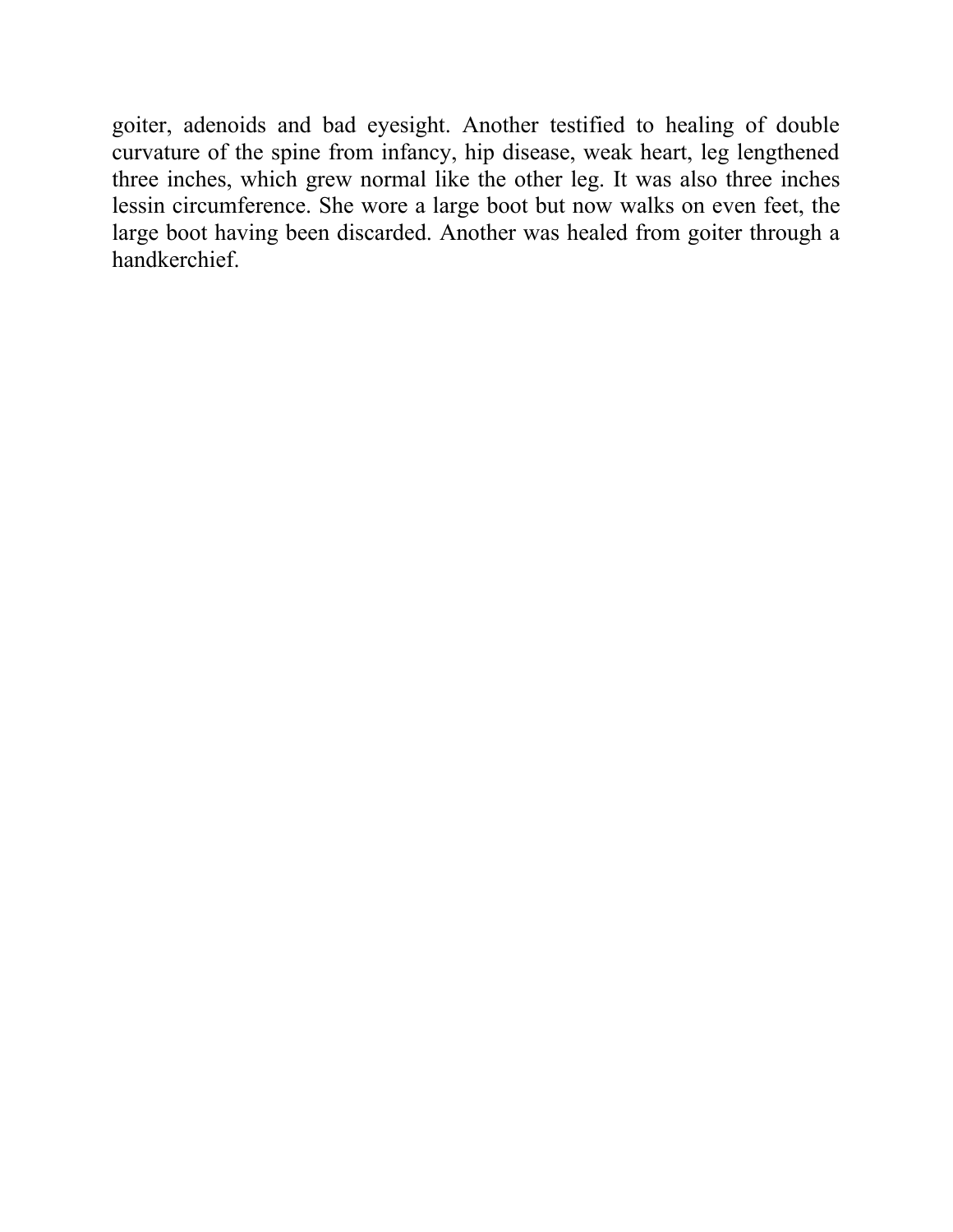goiter, adenoids and bad eyesight. Another testified to healing of double curvature of the spine from infancy, hip disease, weak heart, leg lengthened three inches, which grew normal like the other leg. It was also three inches lessin circumference. She wore a large boot but now walks on even feet, the large boot having been discarded. Another was healed from goiter through a handkerchief.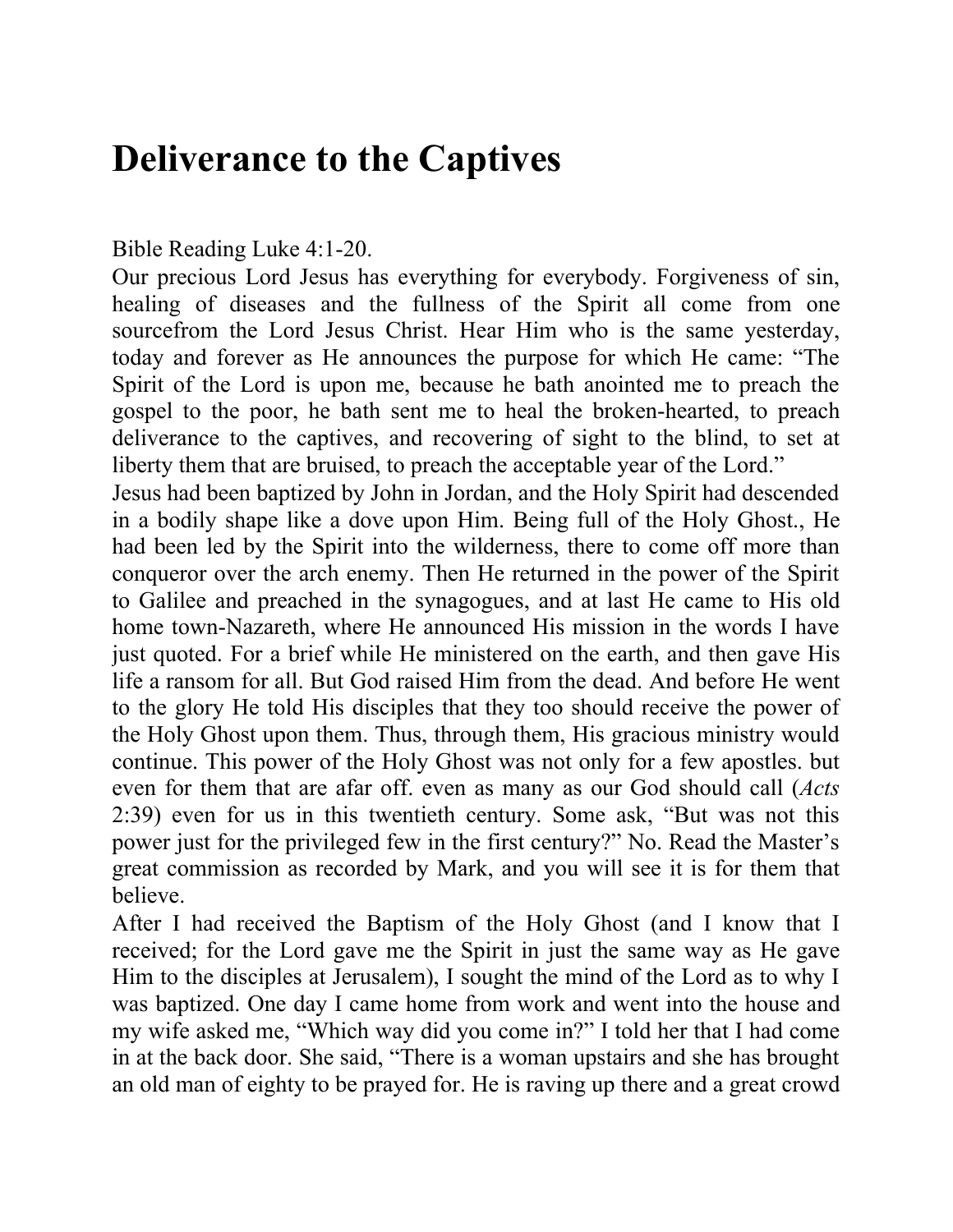#### <span id="page-14-0"></span>**Deliverance to the Captives**

Bible Reading Luke 4:1-20.

Our precious Lord Jesus has everything for everybody. Forgiveness of sin, healing of diseases and the fullness of the Spirit all come from one sourcefrom the Lord Jesus Christ. Hear Him who is the same yesterday, today and forever as He announces the purpose for which He came: "The Spirit of the Lord is upon me, because he bath anointed me to preach the gospel to the poor, he bath sent me to heal the broken-hearted, to preach deliverance to the captives, and recovering of sight to the blind, to set at liberty them that are bruised, to preach the acceptable year of the Lord."

Jesus had been baptized by John in Jordan, and the Holy Spirit had descended in a bodily shape like a dove upon Him. Being full of the Holy Ghost., He had been led by the Spirit into the wilderness, there to come off more than conqueror over the arch enemy. Then He returned in the power of the Spirit to Galilee and preached in the synagogues, and at last He came to His old home town-Nazareth, where He announced His mission in the words I have just quoted. For a brief while He ministered on the earth, and then gave His life a ransom for all. But God raised Him from the dead. And before He went to the glory He told His disciples that they too should receive the power of the Holy Ghost upon them. Thus, through them, His gracious ministry would continue. This power of the Holy Ghost was not only for a few apostles. but even for them that are afar off. even as many as our God should call (*Acts* 2:39) even for us in this twentieth century. Some ask, "But was not this power just for the privileged few in the first century?" No. Read the Master's great commission as recorded by Mark, and you will see it is for them that believe.

After I had received the Baptism of the Holy Ghost (and I know that I received; for the Lord gave me the Spirit in just the same way as He gave Him to the disciples at Jerusalem), I sought the mind of the Lord as to why I was baptized. One day I came home from work and went into the house and my wife asked me, "Which way did you come in?" I told her that I had come in at the back door. She said, "There is a woman upstairs and she has brought an old man of eighty to be prayed for. He is raving up there and a great crowd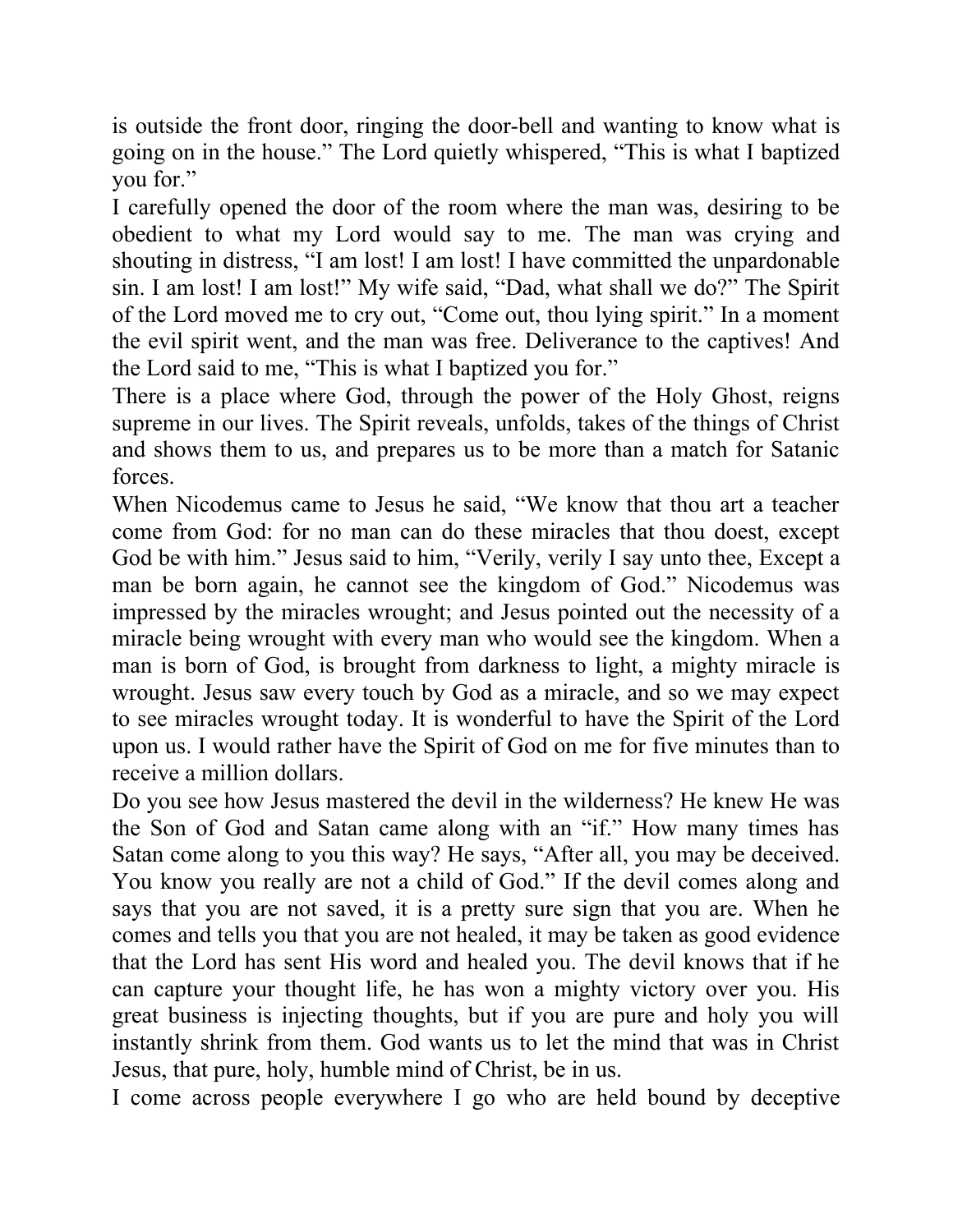is outside the front door, ringing the door-bell and wanting to know what is going on in the house." The Lord quietly whispered, "This is what I baptized you for."

I carefully opened the door of the room where the man was, desiring to be obedient to what my Lord would say to me. The man was crying and shouting in distress, "I am lost! I am lost! I have committed the unpardonable sin. I am lost! I am lost!" My wife said, "Dad, what shall we do?" The Spirit of the Lord moved me to cry out, "Come out, thou lying spirit." In a moment the evil spirit went, and the man was free. Deliverance to the captives! And the Lord said to me, "This is what I baptized you for."

There is a place where God, through the power of the Holy Ghost, reigns supreme in our lives. The Spirit reveals, unfolds, takes of the things of Christ and shows them to us, and prepares us to be more than a match for Satanic forces.

When Nicodemus came to Jesus he said, "We know that thou art a teacher come from God: for no man can do these miracles that thou doest, except God be with him." Jesus said to him, "Verily, verily I say unto thee, Except a man be born again, he cannot see the kingdom of God." Nicodemus was impressed by the miracles wrought; and Jesus pointed out the necessity of a miracle being wrought with every man who would see the kingdom. When a man is born of God, is brought from darkness to light, a mighty miracle is wrought. Jesus saw every touch by God as a miracle, and so we may expect to see miracles wrought today. It is wonderful to have the Spirit of the Lord upon us. I would rather have the Spirit of God on me for five minutes than to receive a million dollars.

Do you see how Jesus mastered the devil in the wilderness? He knew He was the Son of God and Satan came along with an "if." How many times has Satan come along to you this way? He says, "After all, you may be deceived. You know you really are not a child of God." If the devil comes along and says that you are not saved, it is a pretty sure sign that you are. When he comes and tells you that you are not healed, it may be taken as good evidence that the Lord has sent His word and healed you. The devil knows that if he can capture your thought life, he has won a mighty victory over you. His great business is injecting thoughts, but if you are pure and holy you will instantly shrink from them. God wants us to let the mind that was in Christ Jesus, that pure, holy, humble mind of Christ, be in us.

I come across people everywhere I go who are held bound by deceptive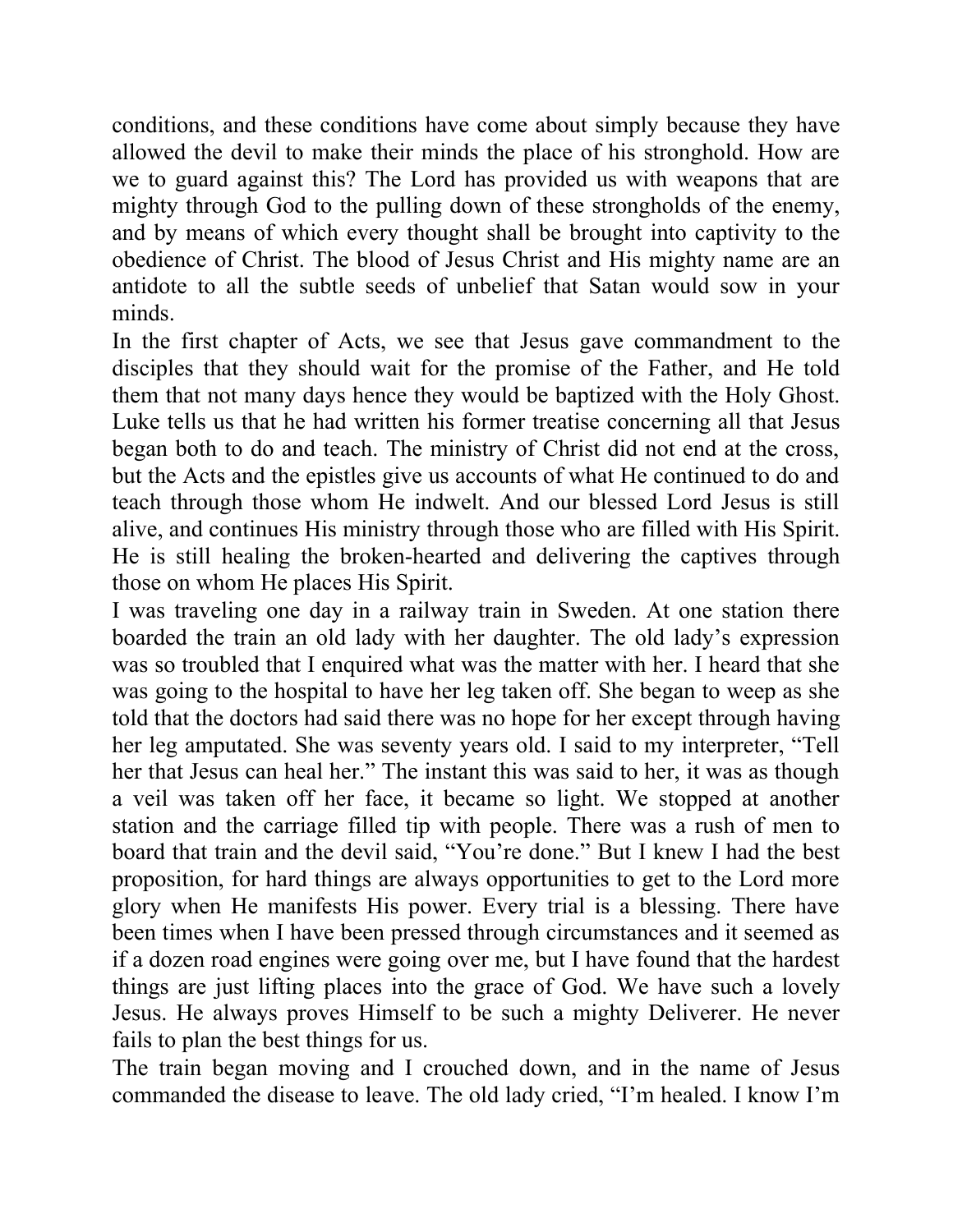conditions, and these conditions have come about simply because they have allowed the devil to make their minds the place of his stronghold. How are we to guard against this? The Lord has provided us with weapons that are mighty through God to the pulling down of these strongholds of the enemy, and by means of which every thought shall be brought into captivity to the obedience of Christ. The blood of Jesus Christ and His mighty name are an antidote to all the subtle seeds of unbelief that Satan would sow in your minds.

In the first chapter of Acts, we see that Jesus gave commandment to the disciples that they should wait for the promise of the Father, and He told them that not many days hence they would be baptized with the Holy Ghost. Luke tells us that he had written his former treatise concerning all that Jesus began both to do and teach. The ministry of Christ did not end at the cross, but the Acts and the epistles give us accounts of what He continued to do and teach through those whom He indwelt. And our blessed Lord Jesus is still alive, and continues His ministry through those who are filled with His Spirit. He is still healing the broken-hearted and delivering the captives through those on whom He places His Spirit.

I was traveling one day in a railway train in Sweden. At one station there boarded the train an old lady with her daughter. The old lady's expression was so troubled that I enquired what was the matter with her. I heard that she was going to the hospital to have her leg taken off. She began to weep as she told that the doctors had said there was no hope for her except through having her leg amputated. She was seventy years old. I said to my interpreter, "Tell her that Jesus can heal her." The instant this was said to her, it was as though a veil was taken off her face, it became so light. We stopped at another station and the carriage filled tip with people. There was a rush of men to board that train and the devil said, "You're done." But I knew I had the best proposition, for hard things are always opportunities to get to the Lord more glory when He manifests His power. Every trial is a blessing. There have been times when I have been pressed through circumstances and it seemed as if a dozen road engines were going over me, but I have found that the hardest things are just lifting places into the grace of God. We have such a lovely Jesus. He always proves Himself to be such a mighty Deliverer. He never fails to plan the best things for us.

The train began moving and I crouched down, and in the name of Jesus commanded the disease to leave. The old lady cried, "I'm healed. I know I'm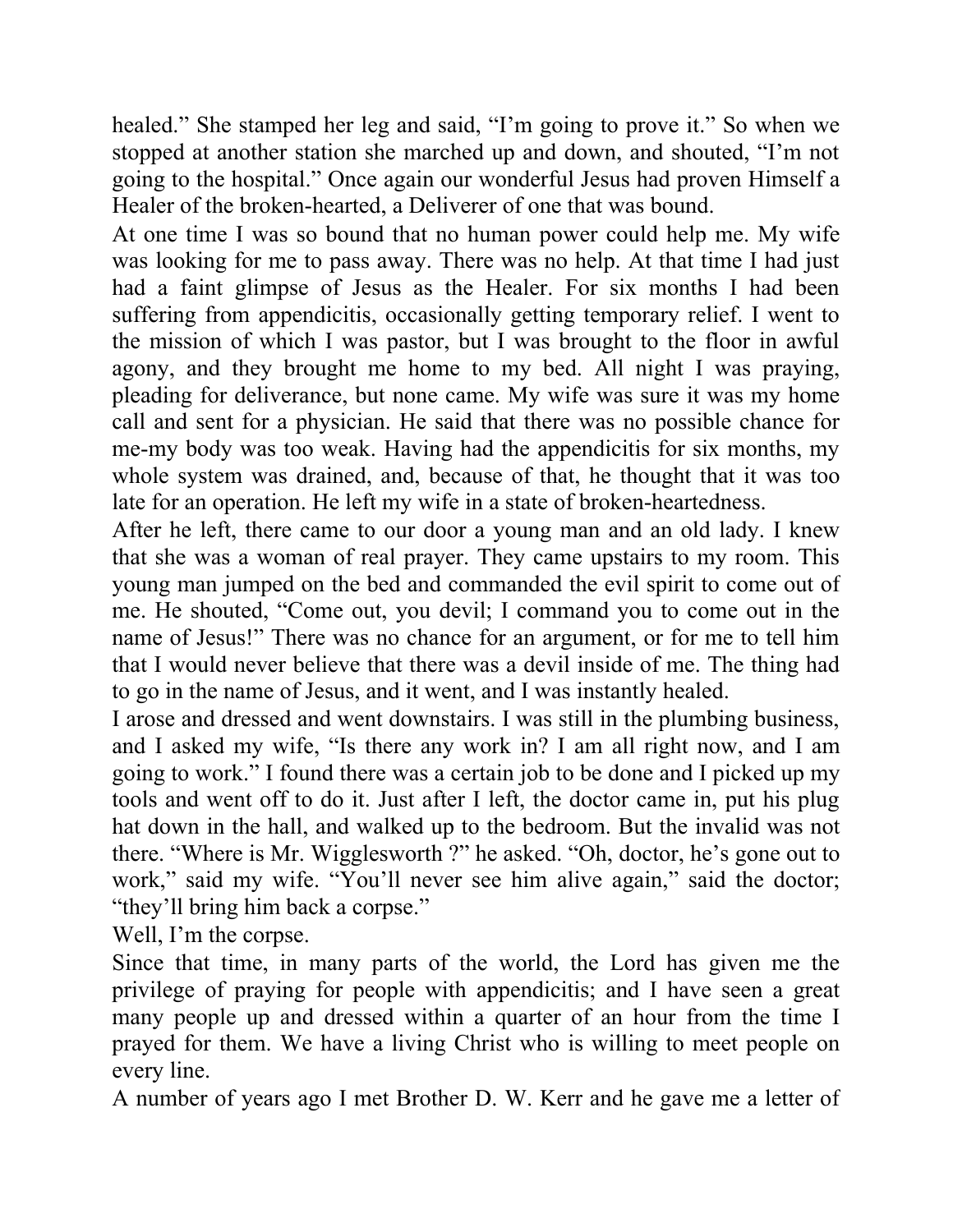healed." She stamped her leg and said, "I'm going to prove it." So when we stopped at another station she marched up and down, and shouted, "I'm not going to the hospital." Once again our wonderful Jesus had proven Himself a Healer of the broken-hearted, a Deliverer of one that was bound.

At one time I was so bound that no human power could help me. My wife was looking for me to pass away. There was no help. At that time I had just had a faint glimpse of Jesus as the Healer. For six months I had been suffering from appendicitis, occasionally getting temporary relief. I went to the mission of which I was pastor, but I was brought to the floor in awful agony, and they brought me home to my bed. All night I was praying, pleading for deliverance, but none came. My wife was sure it was my home call and sent for a physician. He said that there was no possible chance for me-my body was too weak. Having had the appendicitis for six months, my whole system was drained, and, because of that, he thought that it was too late for an operation. He left my wife in a state of broken-heartedness.

After he left, there came to our door a young man and an old lady. I knew that she was a woman of real prayer. They came upstairs to my room. This young man jumped on the bed and commanded the evil spirit to come out of me. He shouted, "Come out, you devil; I command you to come out in the name of Jesus!" There was no chance for an argument, or for me to tell him that I would never believe that there was a devil inside of me. The thing had to go in the name of Jesus, and it went, and I was instantly healed.

I arose and dressed and went downstairs. I was still in the plumbing business, and I asked my wife, "Is there any work in? I am all right now, and I am going to work." I found there was a certain job to be done and I picked up my tools and went off to do it. Just after I left, the doctor came in, put his plug hat down in the hall, and walked up to the bedroom. But the invalid was not there. "Where is Mr. Wigglesworth ?" he asked. "Oh, doctor, he's gone out to work," said my wife. "You'll never see him alive again," said the doctor; "they'll bring him back a corpse."

Well, I'm the corpse.

Since that time, in many parts of the world, the Lord has given me the privilege of praying for people with appendicitis; and I have seen a great many people up and dressed within a quarter of an hour from the time I prayed for them. We have a living Christ who is willing to meet people on every line.

A number of years ago I met Brother D. W. Kerr and he gave me a letter of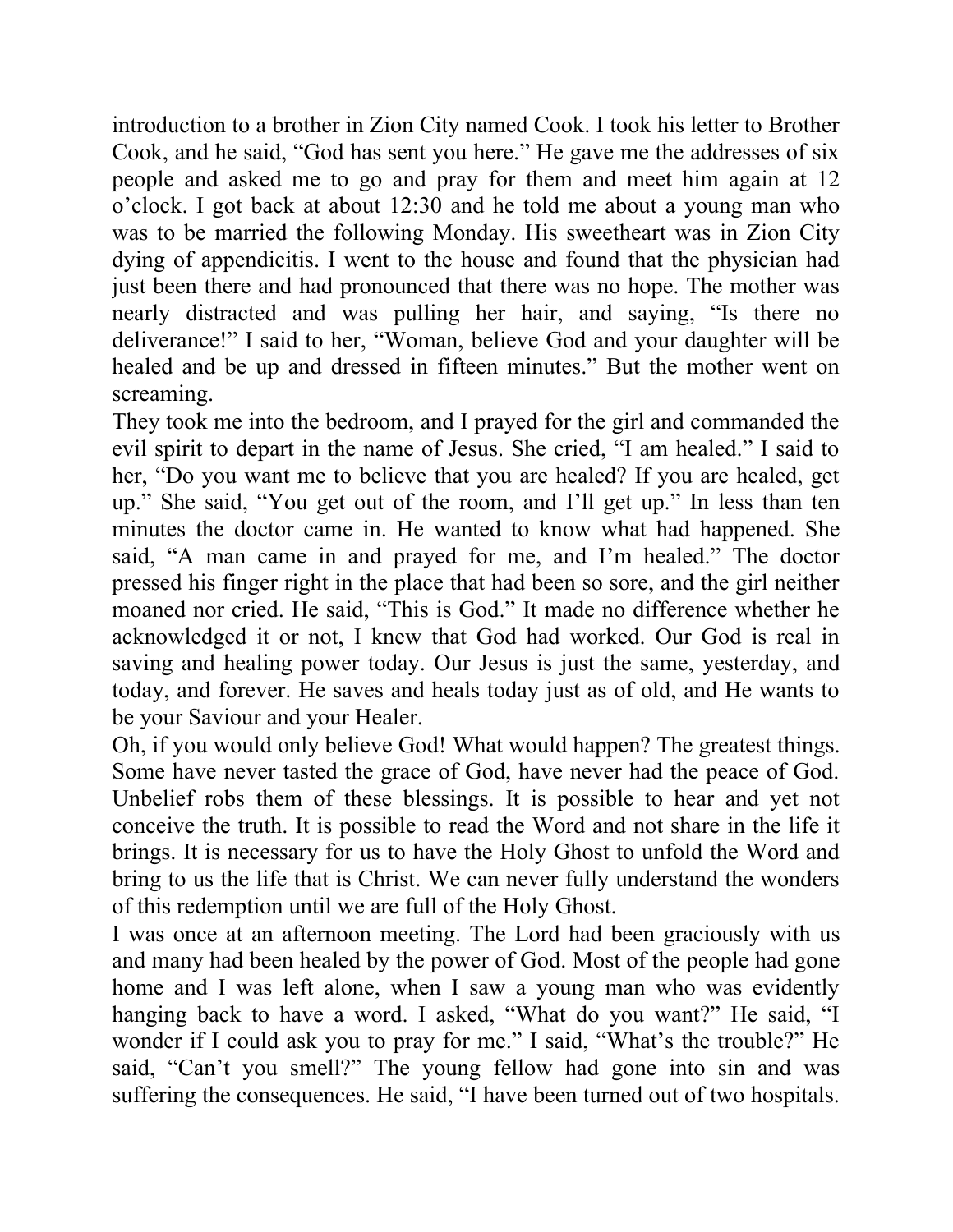introduction to a brother in Zion City named Cook. I took his letter to Brother Cook, and he said, "God has sent you here." He gave me the addresses of six people and asked me to go and pray for them and meet him again at 12 o'clock. I got back at about 12:30 and he told me about a young man who was to be married the following Monday. His sweetheart was in Zion City dying of appendicitis. I went to the house and found that the physician had just been there and had pronounced that there was no hope. The mother was nearly distracted and was pulling her hair, and saying, "Is there no deliverance!" I said to her, "Woman, believe God and your daughter will be healed and be up and dressed in fifteen minutes." But the mother went on screaming.

They took me into the bedroom, and I prayed for the girl and commanded the evil spirit to depart in the name of Jesus. She cried, "I am healed." I said to her, "Do you want me to believe that you are healed? If you are healed, get up." She said, "You get out of the room, and I'll get up." In less than ten minutes the doctor came in. He wanted to know what had happened. She said, "A man came in and prayed for me, and I'm healed." The doctor pressed his finger right in the place that had been so sore, and the girl neither moaned nor cried. He said, "This is God." It made no difference whether he acknowledged it or not, I knew that God had worked. Our God is real in saving and healing power today. Our Jesus is just the same, yesterday, and today, and forever. He saves and heals today just as of old, and He wants to be your Saviour and your Healer.

Oh, if you would only believe God! What would happen? The greatest things. Some have never tasted the grace of God, have never had the peace of God. Unbelief robs them of these blessings. It is possible to hear and yet not conceive the truth. It is possible to read the Word and not share in the life it brings. It is necessary for us to have the Holy Ghost to unfold the Word and bring to us the life that is Christ. We can never fully understand the wonders of this redemption until we are full of the Holy Ghost.

I was once at an afternoon meeting. The Lord had been graciously with us and many had been healed by the power of God. Most of the people had gone home and I was left alone, when I saw a young man who was evidently hanging back to have a word. I asked, "What do you want?" He said, "I wonder if I could ask you to pray for me." I said, "What's the trouble?" He said, "Can't you smell?" The young fellow had gone into sin and was suffering the consequences. He said, "I have been turned out of two hospitals.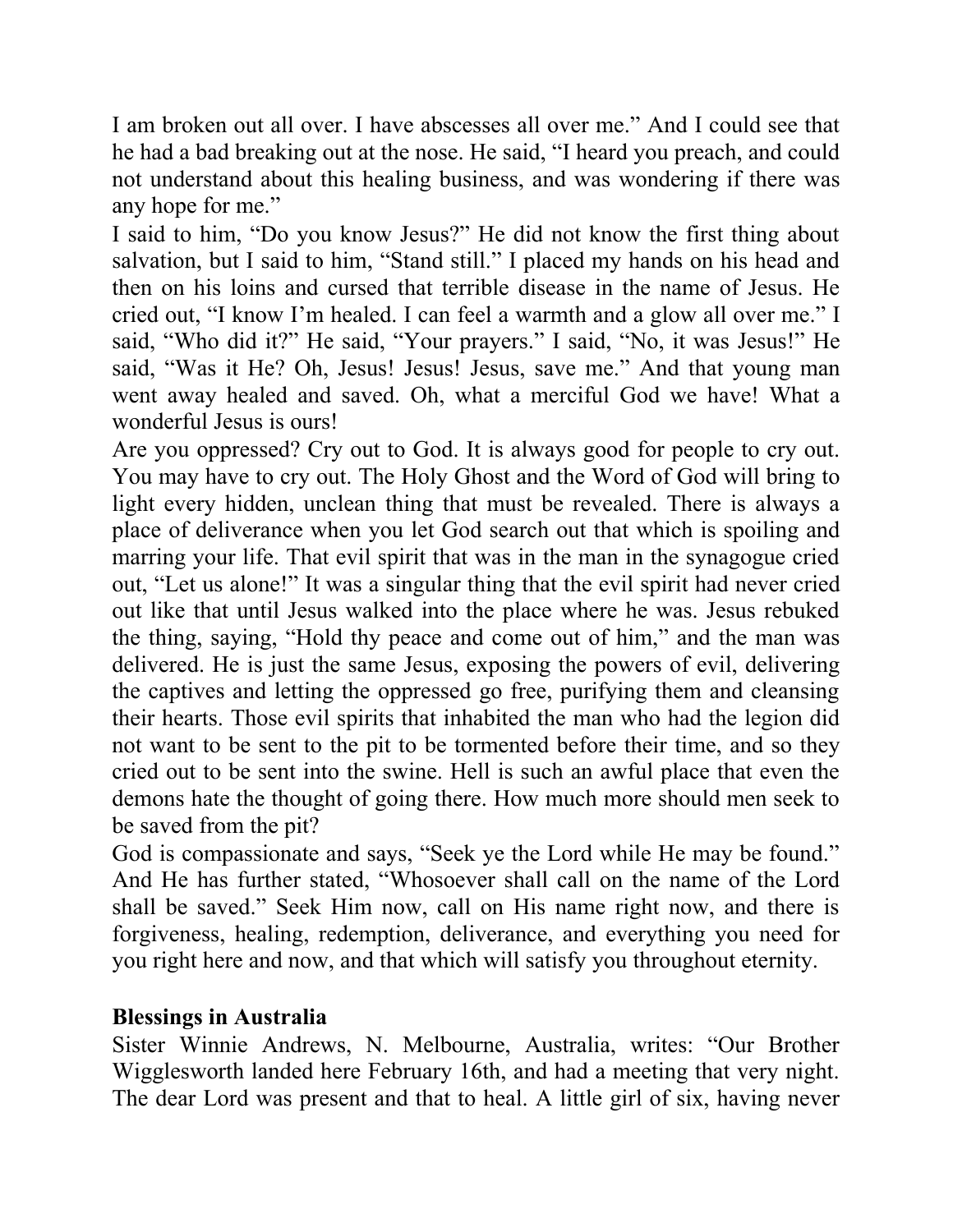I am broken out all over. I have abscesses all over me." And I could see that he had a bad breaking out at the nose. He said, "I heard you preach, and could not understand about this healing business, and was wondering if there was any hope for me."

I said to him, "Do you know Jesus?" He did not know the first thing about salvation, but I said to him, "Stand still." I placed my hands on his head and then on his loins and cursed that terrible disease in the name of Jesus. He cried out, "I know I'm healed. I can feel a warmth and a glow all over me." I said, "Who did it?" He said, "Your prayers." I said, "No, it was Jesus!" He said, "Was it He? Oh, Jesus! Jesus! Jesus, save me." And that young man went away healed and saved. Oh, what a merciful God we have! What a wonderful Jesus is ours!

Are you oppressed? Cry out to God. It is always good for people to cry out. You may have to cry out. The Holy Ghost and the Word of God will bring to light every hidden, unclean thing that must be revealed. There is always a place of deliverance when you let God search out that which is spoiling and marring your life. That evil spirit that was in the man in the synagogue cried out, "Let us alone!" It was a singular thing that the evil spirit had never cried out like that until Jesus walked into the place where he was. Jesus rebuked the thing, saying, "Hold thy peace and come out of him," and the man was delivered. He is just the same Jesus, exposing the powers of evil, delivering the captives and letting the oppressed go free, purifying them and cleansing their hearts. Those evil spirits that inhabited the man who had the legion did not want to be sent to the pit to be tormented before their time, and so they cried out to be sent into the swine. Hell is such an awful place that even the demons hate the thought of going there. How much more should men seek to be saved from the pit?

God is compassionate and says, "Seek ye the Lord while He may be found." And He has further stated, "Whosoever shall call on the name of the Lord shall be saved." Seek Him now, call on His name right now, and there is forgiveness, healing, redemption, deliverance, and everything you need for you right here and now, and that which will satisfy you throughout eternity.

#### **Blessings in Australia**

Sister Winnie Andrews, N. Melbourne, Australia, writes: "Our Brother Wigglesworth landed here February 16th, and had a meeting that very night. The dear Lord was present and that to heal. A little girl of six, having never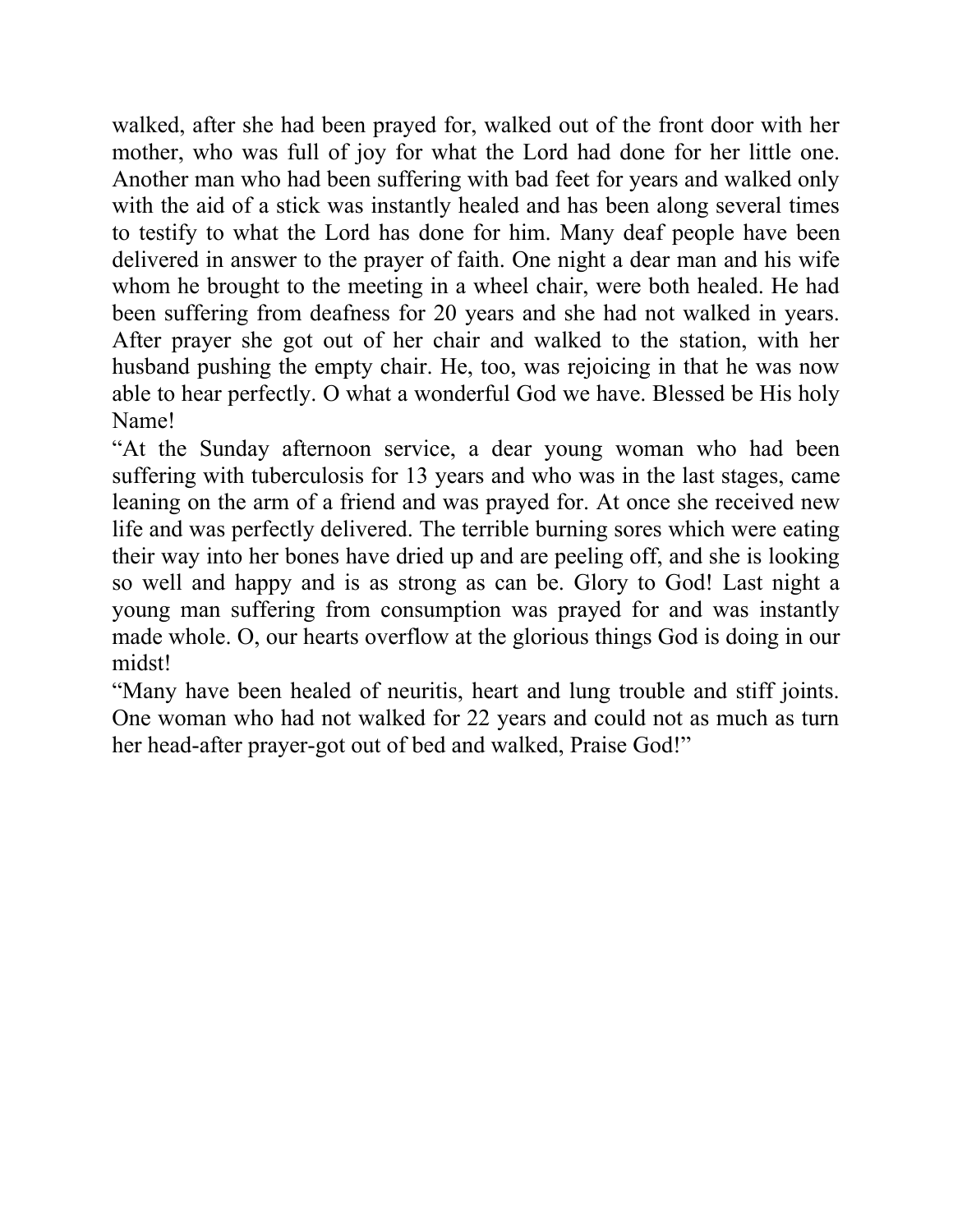walked, after she had been prayed for, walked out of the front door with her mother, who was full of joy for what the Lord had done for her little one. Another man who had been suffering with bad feet for years and walked only with the aid of a stick was instantly healed and has been along several times to testify to what the Lord has done for him. Many deaf people have been delivered in answer to the prayer of faith. One night a dear man and his wife whom he brought to the meeting in a wheel chair, were both healed. He had been suffering from deafness for 20 years and she had not walked in years. After prayer she got out of her chair and walked to the station, with her husband pushing the empty chair. He, too, was rejoicing in that he was now able to hear perfectly. O what a wonderful God we have. Blessed be His holy Name!

"At the Sunday afternoon service, a dear young woman who had been suffering with tuberculosis for 13 years and who was in the last stages, came leaning on the arm of a friend and was prayed for. At once she received new life and was perfectly delivered. The terrible burning sores which were eating their way into her bones have dried up and are peeling off, and she is looking so well and happy and is as strong as can be. Glory to God! Last night a young man suffering from consumption was prayed for and was instantly made whole. O, our hearts overflow at the glorious things God is doing in our midst!

"Many have been healed of neuritis, heart and lung trouble and stiff joints. One woman who had not walked for 22 years and could not as much as turn her head-after prayer-got out of bed and walked, Praise God!"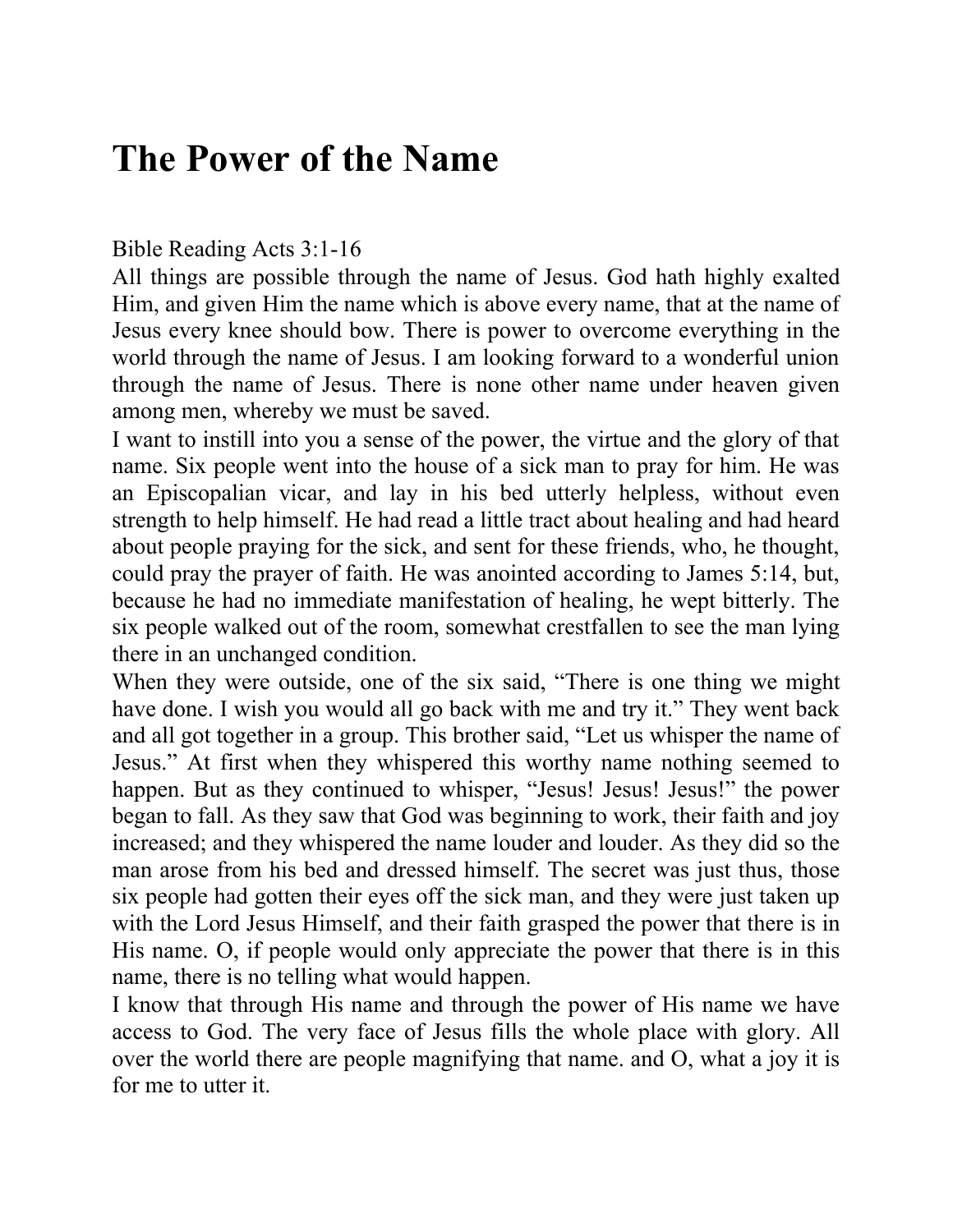## <span id="page-21-0"></span>**The Power of the Name**

#### Bible Reading Acts 3:1-16

All things are possible through the name of Jesus. God hath highly exalted Him, and given Him the name which is above every name, that at the name of Jesus every knee should bow. There is power to overcome everything in the world through the name of Jesus. I am looking forward to a wonderful union through the name of Jesus. There is none other name under heaven given among men, whereby we must be saved.

I want to instill into you a sense of the power, the virtue and the glory of that name. Six people went into the house of a sick man to pray for him. He was an Episcopalian vicar, and lay in his bed utterly helpless, without even strength to help himself. He had read a little tract about healing and had heard about people praying for the sick, and sent for these friends, who, he thought, could pray the prayer of faith. He was anointed according to James 5:14, but, because he had no immediate manifestation of healing, he wept bitterly. The six people walked out of the room, somewhat crestfallen to see the man lying there in an unchanged condition.

When they were outside, one of the six said, "There is one thing we might have done. I wish you would all go back with me and try it." They went back and all got together in a group. This brother said, "Let us whisper the name of Jesus." At first when they whispered this worthy name nothing seemed to happen. But as they continued to whisper, "Jesus! Jesus! Jesus!" the power began to fall. As they saw that God was beginning to work, their faith and joy increased; and they whispered the name louder and louder. As they did so the man arose from his bed and dressed himself. The secret was just thus, those six people had gotten their eyes off the sick man, and they were just taken up with the Lord Jesus Himself, and their faith grasped the power that there is in His name. O, if people would only appreciate the power that there is in this name, there is no telling what would happen.

I know that through His name and through the power of His name we have access to God. The very face of Jesus fills the whole place with glory. All over the world there are people magnifying that name. and O, what a joy it is for me to utter it.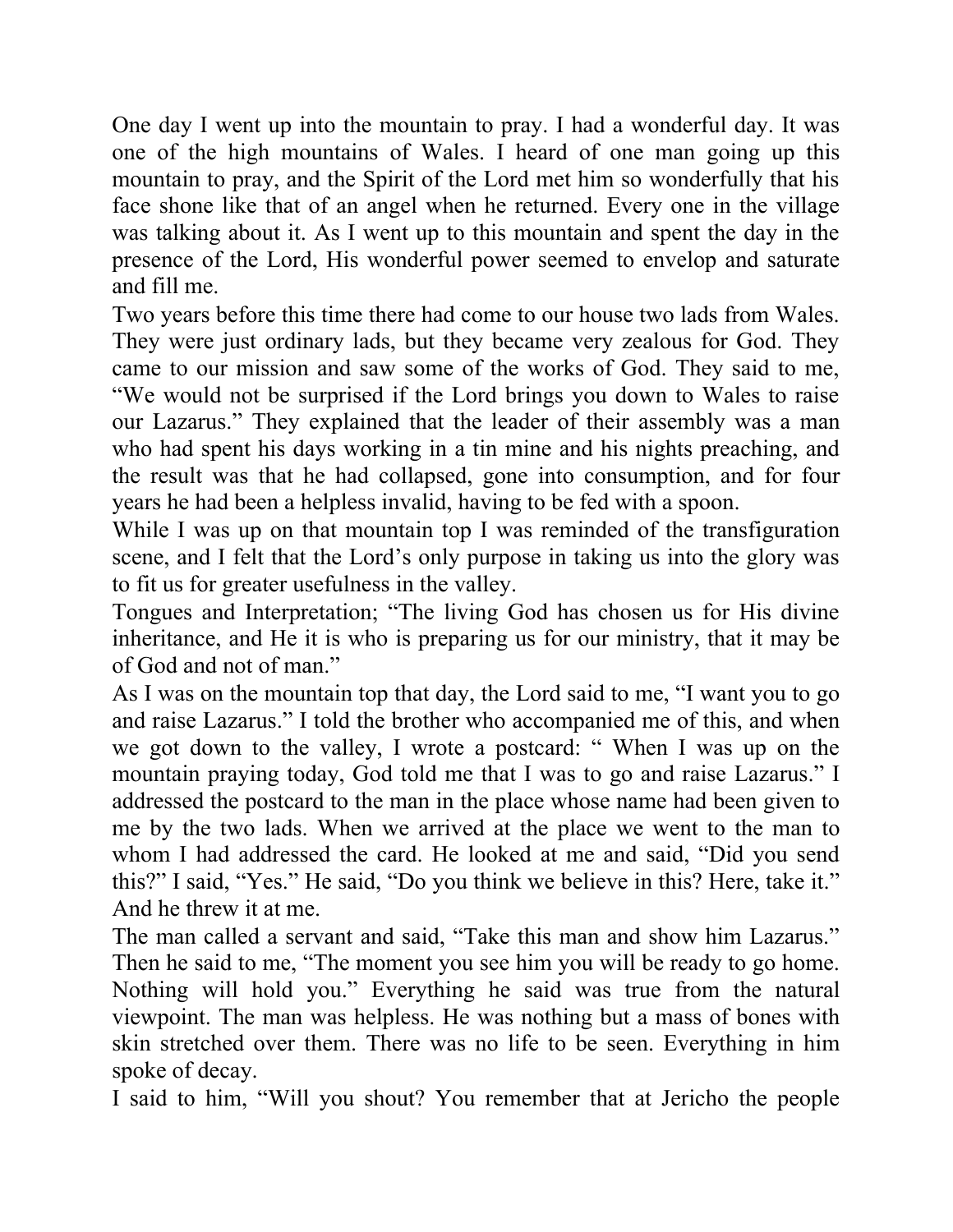One day I went up into the mountain to pray. I had a wonderful day. It was one of the high mountains of Wales. I heard of one man going up this mountain to pray, and the Spirit of the Lord met him so wonderfully that his face shone like that of an angel when he returned. Every one in the village was talking about it. As I went up to this mountain and spent the day in the presence of the Lord, His wonderful power seemed to envelop and saturate and fill me.

Two years before this time there had come to our house two lads from Wales. They were just ordinary lads, but they became very zealous for God. They came to our mission and saw some of the works of God. They said to me, "We would not be surprised if the Lord brings you down to Wales to raise our Lazarus." They explained that the leader of their assembly was a man who had spent his days working in a tin mine and his nights preaching, and the result was that he had collapsed, gone into consumption, and for four years he had been a helpless invalid, having to be fed with a spoon.

While I was up on that mountain top I was reminded of the transfiguration scene, and I felt that the Lord's only purpose in taking us into the glory was to fit us for greater usefulness in the valley.

Tongues and Interpretation; "The living God has chosen us for His divine inheritance, and He it is who is preparing us for our ministry, that it may be of God and not of man."

As I was on the mountain top that day, the Lord said to me, "I want you to go and raise Lazarus." I told the brother who accompanied me of this, and when we got down to the valley, I wrote a postcard: " When I was up on the mountain praying today, God told me that I was to go and raise Lazarus." I addressed the postcard to the man in the place whose name had been given to me by the two lads. When we arrived at the place we went to the man to whom I had addressed the card. He looked at me and said, "Did you send this?" I said, "Yes." He said, "Do you think we believe in this? Here, take it." And he threw it at me.

The man called a servant and said, "Take this man and show him Lazarus." Then he said to me, "The moment you see him you will be ready to go home. Nothing will hold you." Everything he said was true from the natural viewpoint. The man was helpless. He was nothing but a mass of bones with skin stretched over them. There was no life to be seen. Everything in him spoke of decay.

I said to him, "Will you shout? You remember that at Jericho the people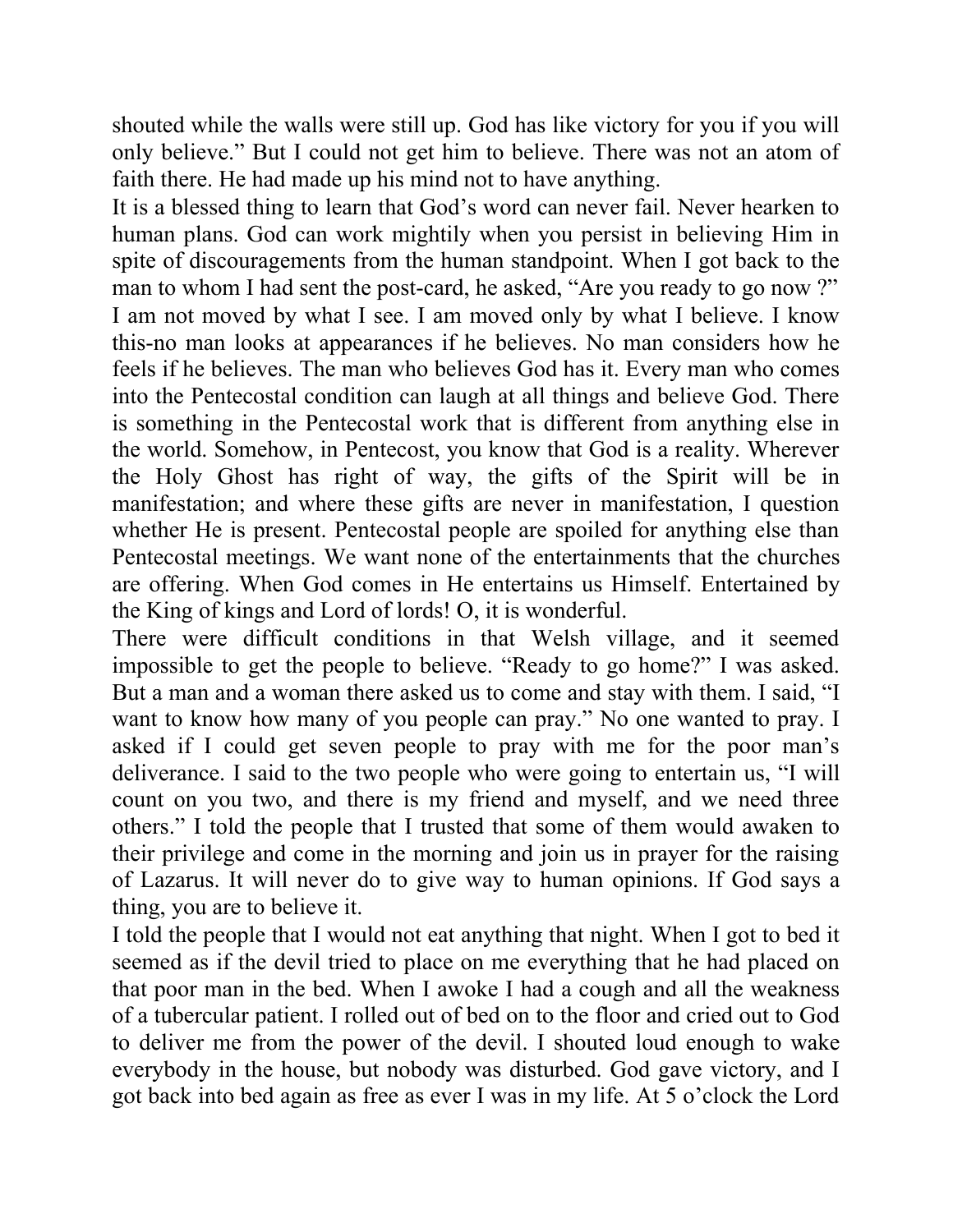shouted while the walls were still up. God has like victory for you if you will only believe." But I could not get him to believe. There was not an atom of faith there. He had made up his mind not to have anything.

It is a blessed thing to learn that God's word can never fail. Never hearken to human plans. God can work mightily when you persist in believing Him in spite of discouragements from the human standpoint. When I got back to the man to whom I had sent the post-card, he asked, "Are you ready to go now ?" I am not moved by what I see. I am moved only by what I believe. I know this-no man looks at appearances if he believes. No man considers how he feels if he believes. The man who believes God has it. Every man who comes into the Pentecostal condition can laugh at all things and believe God. There is something in the Pentecostal work that is different from anything else in the world. Somehow, in Pentecost, you know that God is a reality. Wherever the Holy Ghost has right of way, the gifts of the Spirit will be in manifestation; and where these gifts are never in manifestation, I question whether He is present. Pentecostal people are spoiled for anything else than Pentecostal meetings. We want none of the entertainments that the churches are offering. When God comes in He entertains us Himself. Entertained by the King of kings and Lord of lords! O, it is wonderful.

There were difficult conditions in that Welsh village, and it seemed impossible to get the people to believe. "Ready to go home?" I was asked. But a man and a woman there asked us to come and stay with them. I said, "I want to know how many of you people can pray." No one wanted to pray. I asked if I could get seven people to pray with me for the poor man's deliverance. I said to the two people who were going to entertain us, "I will count on you two, and there is my friend and myself, and we need three others." I told the people that I trusted that some of them would awaken to their privilege and come in the morning and join us in prayer for the raising of Lazarus. It will never do to give way to human opinions. If God says a thing, you are to believe it.

I told the people that I would not eat anything that night. When I got to bed it seemed as if the devil tried to place on me everything that he had placed on that poor man in the bed. When I awoke I had a cough and all the weakness of a tubercular patient. I rolled out of bed on to the floor and cried out to God to deliver me from the power of the devil. I shouted loud enough to wake everybody in the house, but nobody was disturbed. God gave victory, and I got back into bed again as free as ever I was in my life. At 5 o'clock the Lord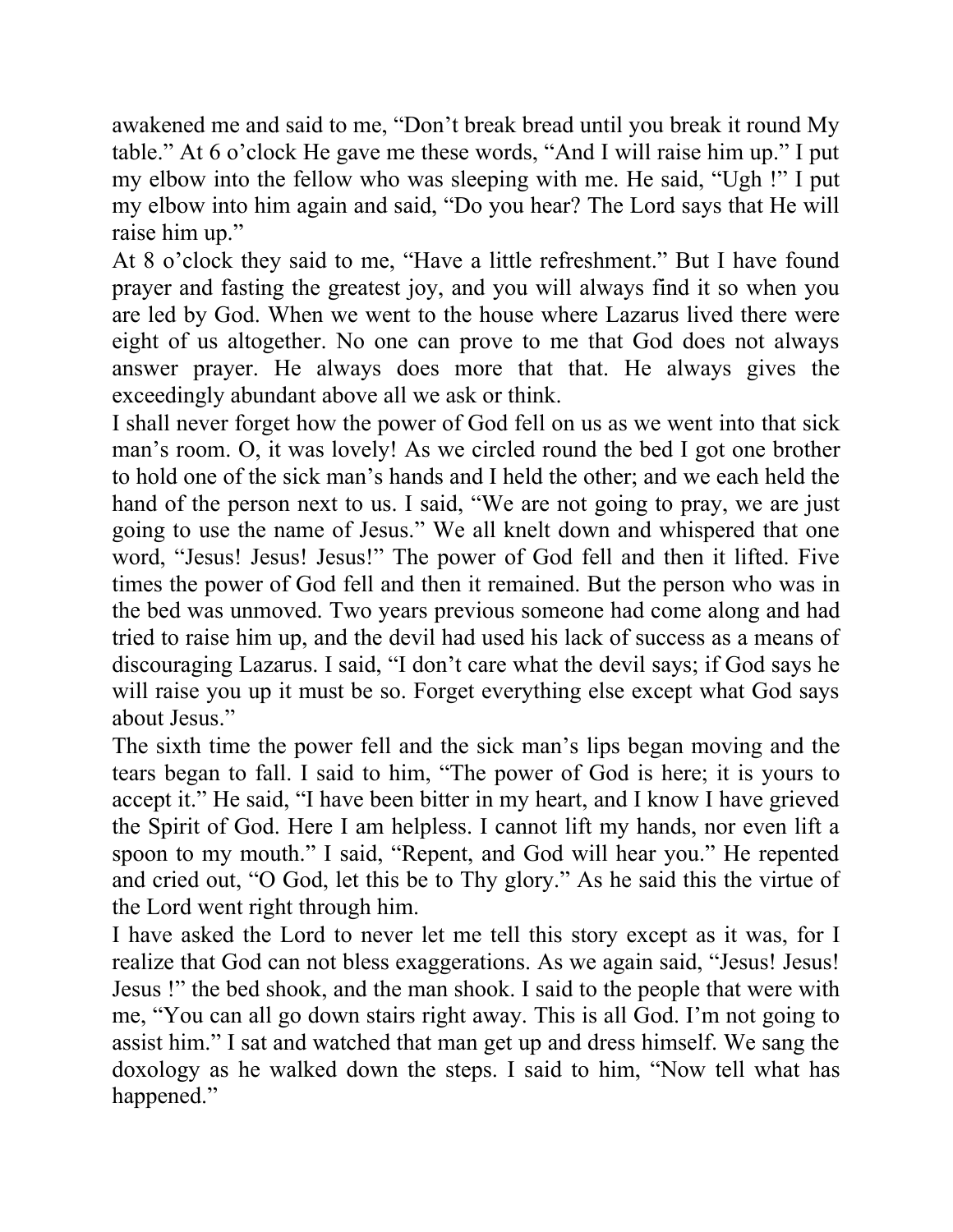awakened me and said to me, "Don't break bread until you break it round My table." At 6 o'clock He gave me these words, "And I will raise him up." I put my elbow into the fellow who was sleeping with me. He said, "Ugh !" I put my elbow into him again and said, "Do you hear? The Lord says that He will raise him up."

At 8 o'clock they said to me, "Have a little refreshment." But I have found prayer and fasting the greatest joy, and you will always find it so when you are led by God. When we went to the house where Lazarus lived there were eight of us altogether. No one can prove to me that God does not always answer prayer. He always does more that that. He always gives the exceedingly abundant above all we ask or think.

I shall never forget how the power of God fell on us as we went into that sick man's room. O, it was lovely! As we circled round the bed I got one brother to hold one of the sick man's hands and I held the other; and we each held the hand of the person next to us. I said, "We are not going to pray, we are just going to use the name of Jesus." We all knelt down and whispered that one word, "Jesus! Jesus! Jesus!" The power of God fell and then it lifted. Five times the power of God fell and then it remained. But the person who was in the bed was unmoved. Two years previous someone had come along and had tried to raise him up, and the devil had used his lack of success as a means of discouraging Lazarus. I said, "I don't care what the devil says; if God says he will raise you up it must be so. Forget everything else except what God says about Jesus."

The sixth time the power fell and the sick man's lips began moving and the tears began to fall. I said to him, "The power of God is here; it is yours to accept it." He said, "I have been bitter in my heart, and I know I have grieved the Spirit of God. Here I am helpless. I cannot lift my hands, nor even lift a spoon to my mouth." I said, "Repent, and God will hear you." He repented and cried out, "O God, let this be to Thy glory." As he said this the virtue of the Lord went right through him.

I have asked the Lord to never let me tell this story except as it was, for I realize that God can not bless exaggerations. As we again said, "Jesus! Jesus! Jesus !" the bed shook, and the man shook. I said to the people that were with me, "You can all go down stairs right away. This is all God. I'm not going to assist him." I sat and watched that man get up and dress himself. We sang the doxology as he walked down the steps. I said to him, "Now tell what has happened."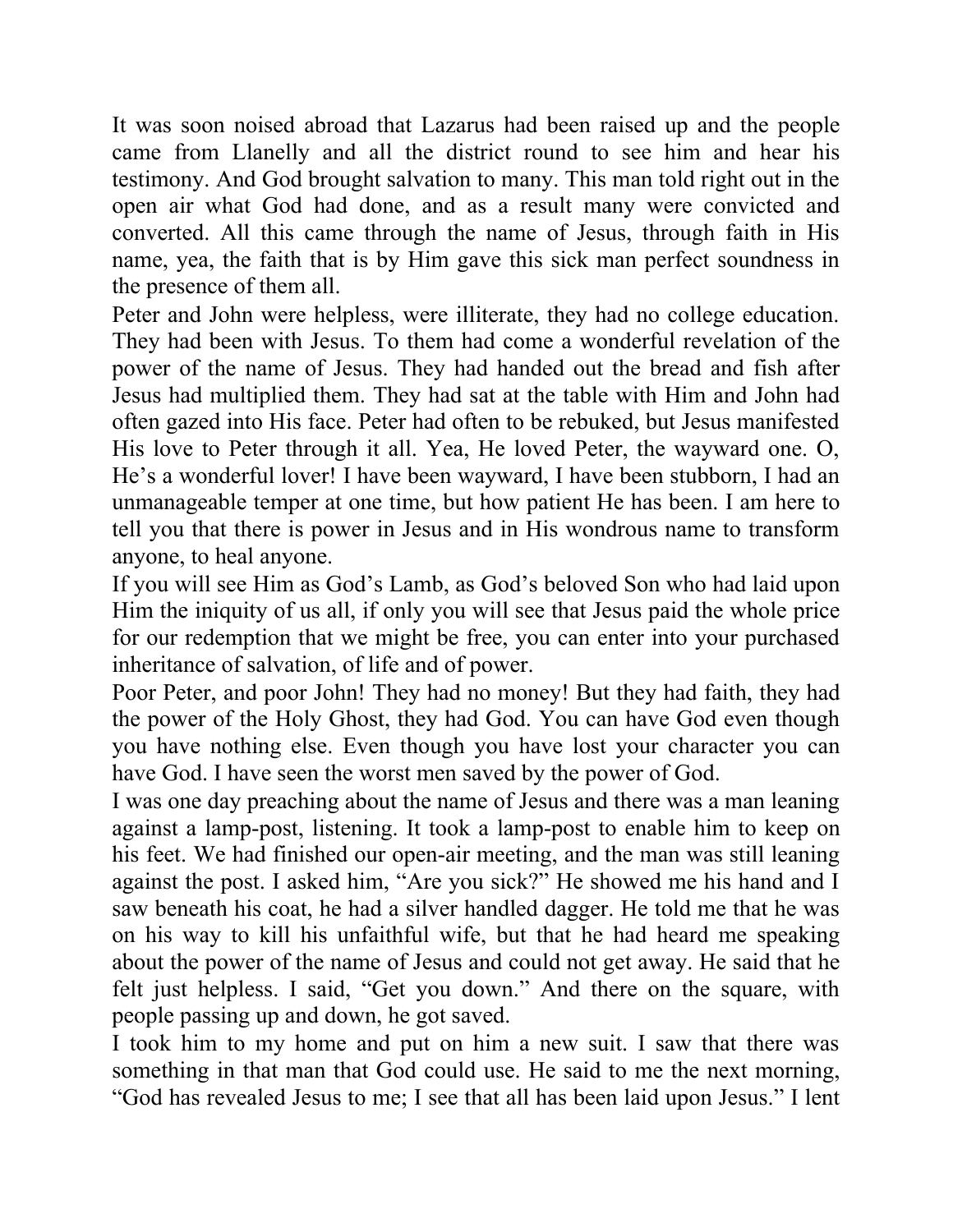It was soon noised abroad that Lazarus had been raised up and the people came from Llanelly and all the district round to see him and hear his testimony. And God brought salvation to many. This man told right out in the open air what God had done, and as a result many were convicted and converted. All this came through the name of Jesus, through faith in His name, yea, the faith that is by Him gave this sick man perfect soundness in the presence of them all.

Peter and John were helpless, were illiterate, they had no college education. They had been with Jesus. To them had come a wonderful revelation of the power of the name of Jesus. They had handed out the bread and fish after Jesus had multiplied them. They had sat at the table with Him and John had often gazed into His face. Peter had often to be rebuked, but Jesus manifested His love to Peter through it all. Yea, He loved Peter, the wayward one. O, He's a wonderful lover! I have been wayward, I have been stubborn, I had an unmanageable temper at one time, but how patient He has been. I am here to tell you that there is power in Jesus and in His wondrous name to transform anyone, to heal anyone.

If you will see Him as God's Lamb, as God's beloved Son who had laid upon Him the iniquity of us all, if only you will see that Jesus paid the whole price for our redemption that we might be free, you can enter into your purchased inheritance of salvation, of life and of power.

Poor Peter, and poor John! They had no money! But they had faith, they had the power of the Holy Ghost, they had God. You can have God even though you have nothing else. Even though you have lost your character you can have God. I have seen the worst men saved by the power of God.

I was one day preaching about the name of Jesus and there was a man leaning against a lamp-post, listening. It took a lamp-post to enable him to keep on his feet. We had finished our open-air meeting, and the man was still leaning against the post. I asked him, "Are you sick?" He showed me his hand and I saw beneath his coat, he had a silver handled dagger. He told me that he was on his way to kill his unfaithful wife, but that he had heard me speaking about the power of the name of Jesus and could not get away. He said that he felt just helpless. I said, "Get you down." And there on the square, with people passing up and down, he got saved.

I took him to my home and put on him a new suit. I saw that there was something in that man that God could use. He said to me the next morning, "God has revealed Jesus to me; I see that all has been laid upon Jesus." I lent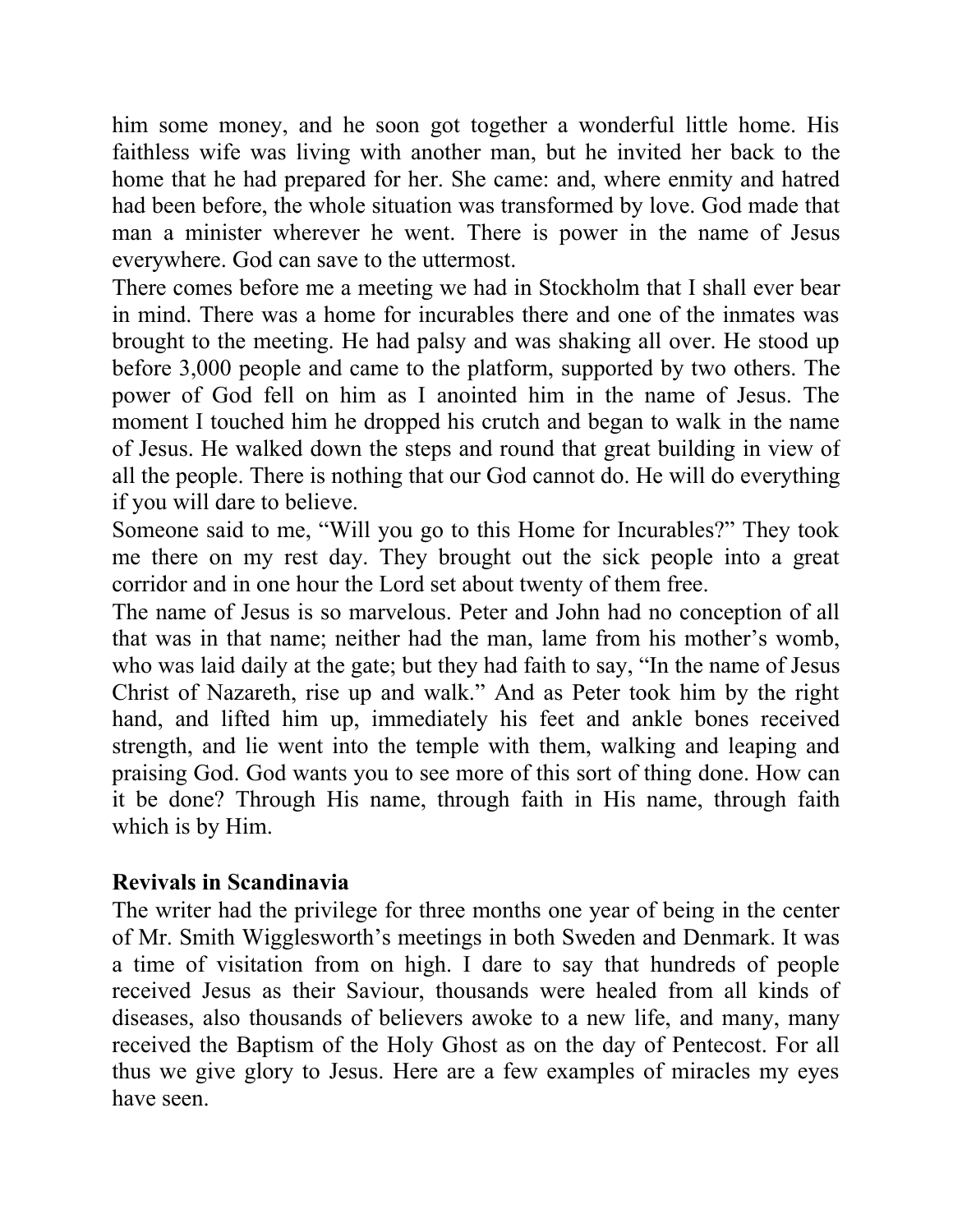him some money, and he soon got together a wonderful little home. His faithless wife was living with another man, but he invited her back to the home that he had prepared for her. She came: and, where enmity and hatred had been before, the whole situation was transformed by love. God made that man a minister wherever he went. There is power in the name of Jesus everywhere. God can save to the uttermost.

There comes before me a meeting we had in Stockholm that I shall ever bear in mind. There was a home for incurables there and one of the inmates was brought to the meeting. He had palsy and was shaking all over. He stood up before 3,000 people and came to the platform, supported by two others. The power of God fell on him as I anointed him in the name of Jesus. The moment I touched him he dropped his crutch and began to walk in the name of Jesus. He walked down the steps and round that great building in view of all the people. There is nothing that our God cannot do. He will do everything if you will dare to believe.

Someone said to me, "Will you go to this Home for Incurables?" They took me there on my rest day. They brought out the sick people into a great corridor and in one hour the Lord set about twenty of them free.

The name of Jesus is so marvelous. Peter and John had no conception of all that was in that name; neither had the man, lame from his mother's womb, who was laid daily at the gate; but they had faith to say, "In the name of Jesus Christ of Nazareth, rise up and walk." And as Peter took him by the right hand, and lifted him up, immediately his feet and ankle bones received strength, and lie went into the temple with them, walking and leaping and praising God. God wants you to see more of this sort of thing done. How can it be done? Through His name, through faith in His name, through faith which is by Him.

#### **Revivals in Scandinavia**

The writer had the privilege for three months one year of being in the center of Mr. Smith Wigglesworth's meetings in both Sweden and Denmark. It was a time of visitation from on high. I dare to say that hundreds of people received Jesus as their Saviour, thousands were healed from all kinds of diseases, also thousands of believers awoke to a new life, and many, many received the Baptism of the Holy Ghost as on the day of Pentecost. For all thus we give glory to Jesus. Here are a few examples of miracles my eyes have seen.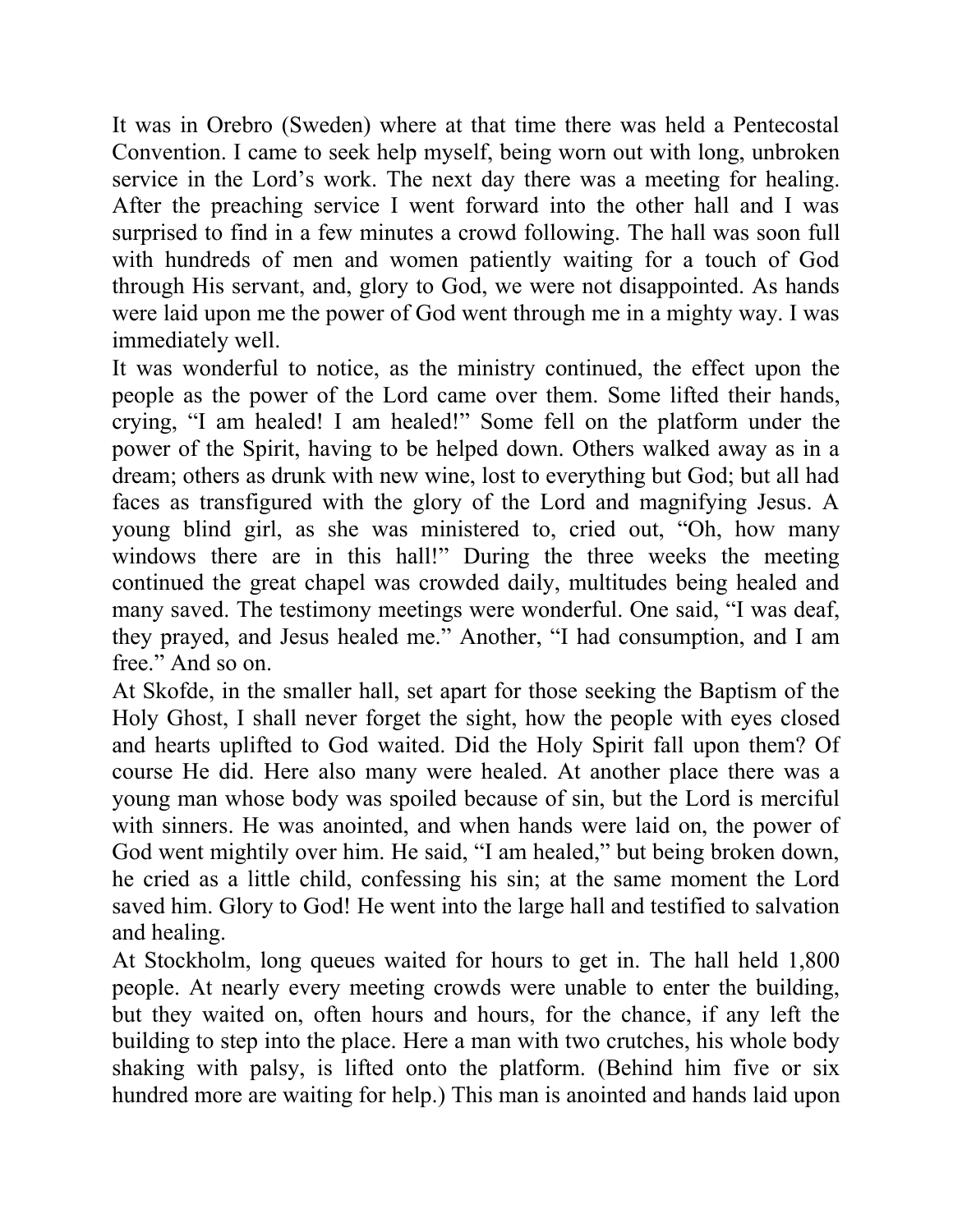It was in Orebro (Sweden) where at that time there was held a Pentecostal Convention. I came to seek help myself, being worn out with long, unbroken service in the Lord's work. The next day there was a meeting for healing. After the preaching service I went forward into the other hall and I was surprised to find in a few minutes a crowd following. The hall was soon full with hundreds of men and women patiently waiting for a touch of God through His servant, and, glory to God, we were not disappointed. As hands were laid upon me the power of God went through me in a mighty way. I was immediately well.

It was wonderful to notice, as the ministry continued, the effect upon the people as the power of the Lord came over them. Some lifted their hands, crying, "I am healed! I am healed!" Some fell on the platform under the power of the Spirit, having to be helped down. Others walked away as in a dream; others as drunk with new wine, lost to everything but God; but all had faces as transfigured with the glory of the Lord and magnifying Jesus. A young blind girl, as she was ministered to, cried out, "Oh, how many windows there are in this hall!" During the three weeks the meeting continued the great chapel was crowded daily, multitudes being healed and many saved. The testimony meetings were wonderful. One said, "I was deaf, they prayed, and Jesus healed me." Another, "I had consumption, and I am free." And so on.

At Skofde, in the smaller hall, set apart for those seeking the Baptism of the Holy Ghost, I shall never forget the sight, how the people with eyes closed and hearts uplifted to God waited. Did the Holy Spirit fall upon them? Of course He did. Here also many were healed. At another place there was a young man whose body was spoiled because of sin, but the Lord is merciful with sinners. He was anointed, and when hands were laid on, the power of God went mightily over him. He said, "I am healed," but being broken down, he cried as a little child, confessing his sin; at the same moment the Lord saved him. Glory to God! He went into the large hall and testified to salvation and healing.

At Stockholm, long queues waited for hours to get in. The hall held 1,800 people. At nearly every meeting crowds were unable to enter the building, but they waited on, often hours and hours, for the chance, if any left the building to step into the place. Here a man with two crutches, his whole body shaking with palsy, is lifted onto the platform. (Behind him five or six hundred more are waiting for help.) This man is anointed and hands laid upon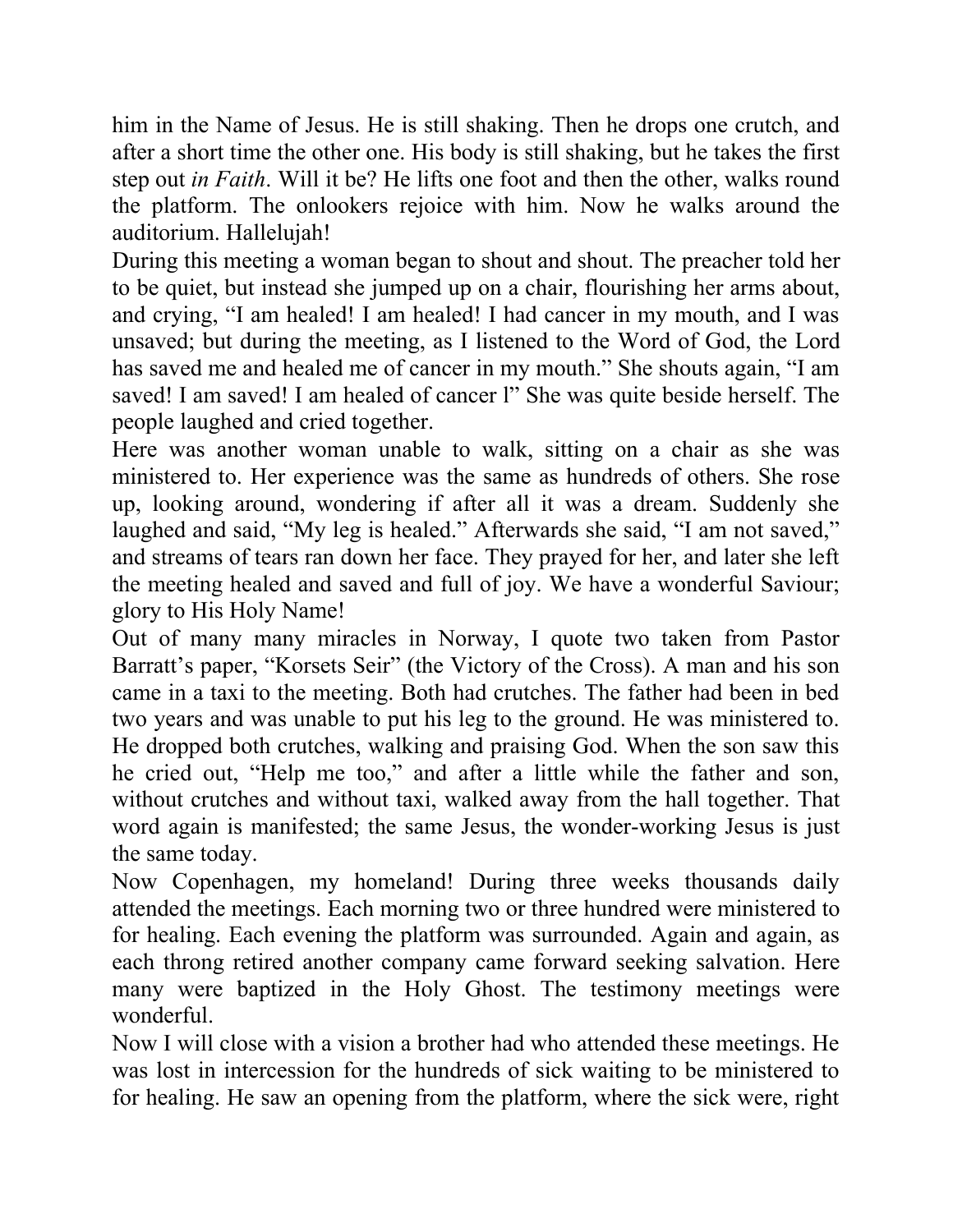him in the Name of Jesus. He is still shaking. Then he drops one crutch, and after a short time the other one. His body is still shaking, but he takes the first step out *in Faith*. Will it be? He lifts one foot and then the other, walks round the platform. The onlookers rejoice with him. Now he walks around the auditorium. Hallelujah!

During this meeting a woman began to shout and shout. The preacher told her to be quiet, but instead she jumped up on a chair, flourishing her arms about, and crying, "I am healed! I am healed! I had cancer in my mouth, and I was unsaved; but during the meeting, as I listened to the Word of God, the Lord has saved me and healed me of cancer in my mouth." She shouts again, "I am saved! I am saved! I am healed of cancer l" She was quite beside herself. The people laughed and cried together.

Here was another woman unable to walk, sitting on a chair as she was ministered to. Her experience was the same as hundreds of others. She rose up, looking around, wondering if after all it was a dream. Suddenly she laughed and said, "My leg is healed." Afterwards she said, "I am not saved," and streams of tears ran down her face. They prayed for her, and later she left the meeting healed and saved and full of joy. We have a wonderful Saviour; glory to His Holy Name!

Out of many many miracles in Norway, I quote two taken from Pastor Barratt's paper, "Korsets Seir" (the Victory of the Cross). A man and his son came in a taxi to the meeting. Both had crutches. The father had been in bed two years and was unable to put his leg to the ground. He was ministered to. He dropped both crutches, walking and praising God. When the son saw this he cried out, "Help me too," and after a little while the father and son, without crutches and without taxi, walked away from the hall together. That word again is manifested; the same Jesus, the wonder-working Jesus is just the same today.

Now Copenhagen, my homeland! During three weeks thousands daily attended the meetings. Each morning two or three hundred were ministered to for healing. Each evening the platform was surrounded. Again and again, as each throng retired another company came forward seeking salvation. Here many were baptized in the Holy Ghost. The testimony meetings were wonderful.

Now I will close with a vision a brother had who attended these meetings. He was lost in intercession for the hundreds of sick waiting to be ministered to for healing. He saw an opening from the platform, where the sick were, right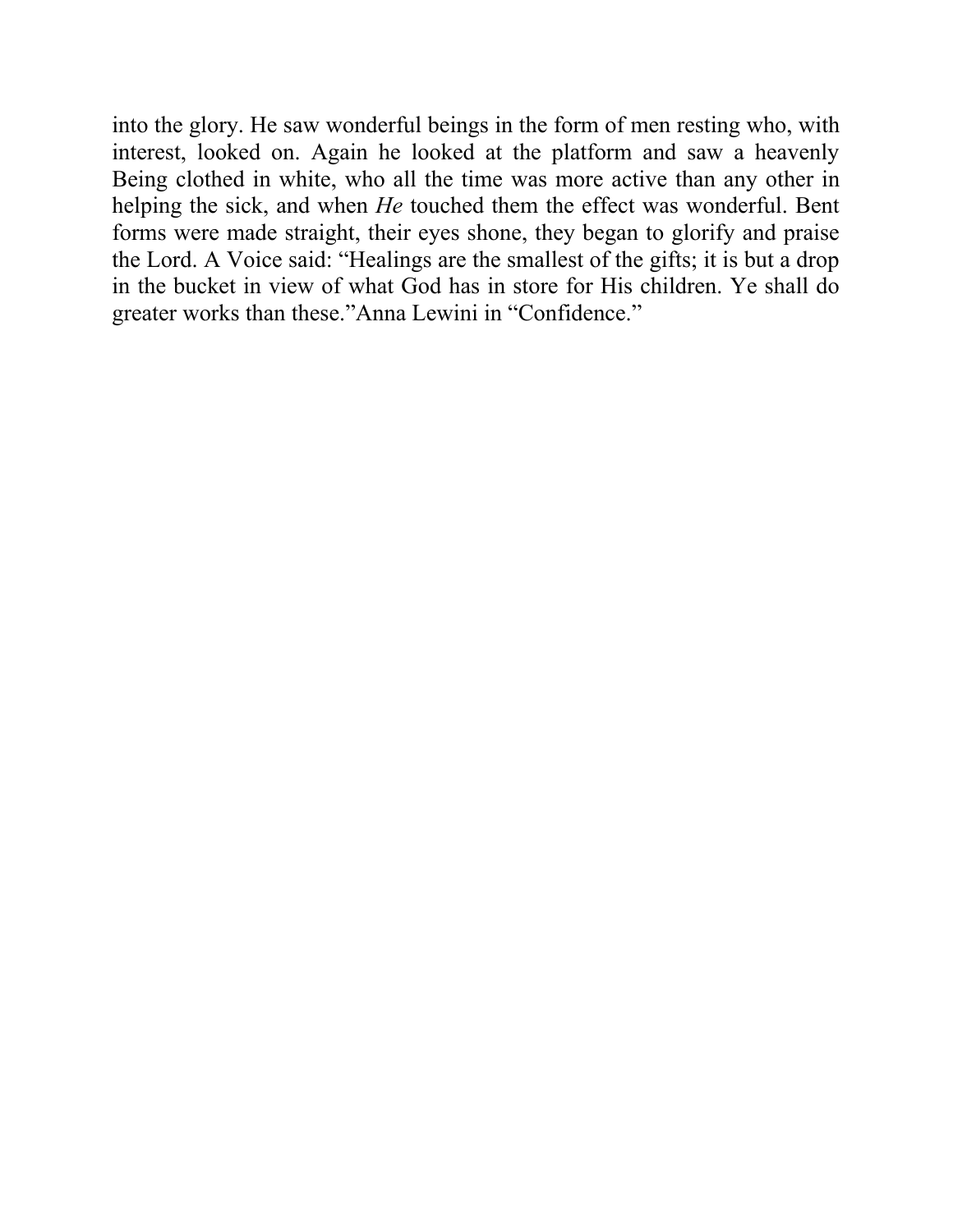into the glory. He saw wonderful beings in the form of men resting who, with interest, looked on. Again he looked at the platform and saw a heavenly Being clothed in white, who all the time was more active than any other in helping the sick, and when *He* touched them the effect was wonderful. Bent forms were made straight, their eyes shone, they began to glorify and praise the Lord. A Voice said: "Healings are the smallest of the gifts; it is but a drop in the bucket in view of what God has in store for His children. Ye shall do greater works than these."Anna Lewini in "Confidence."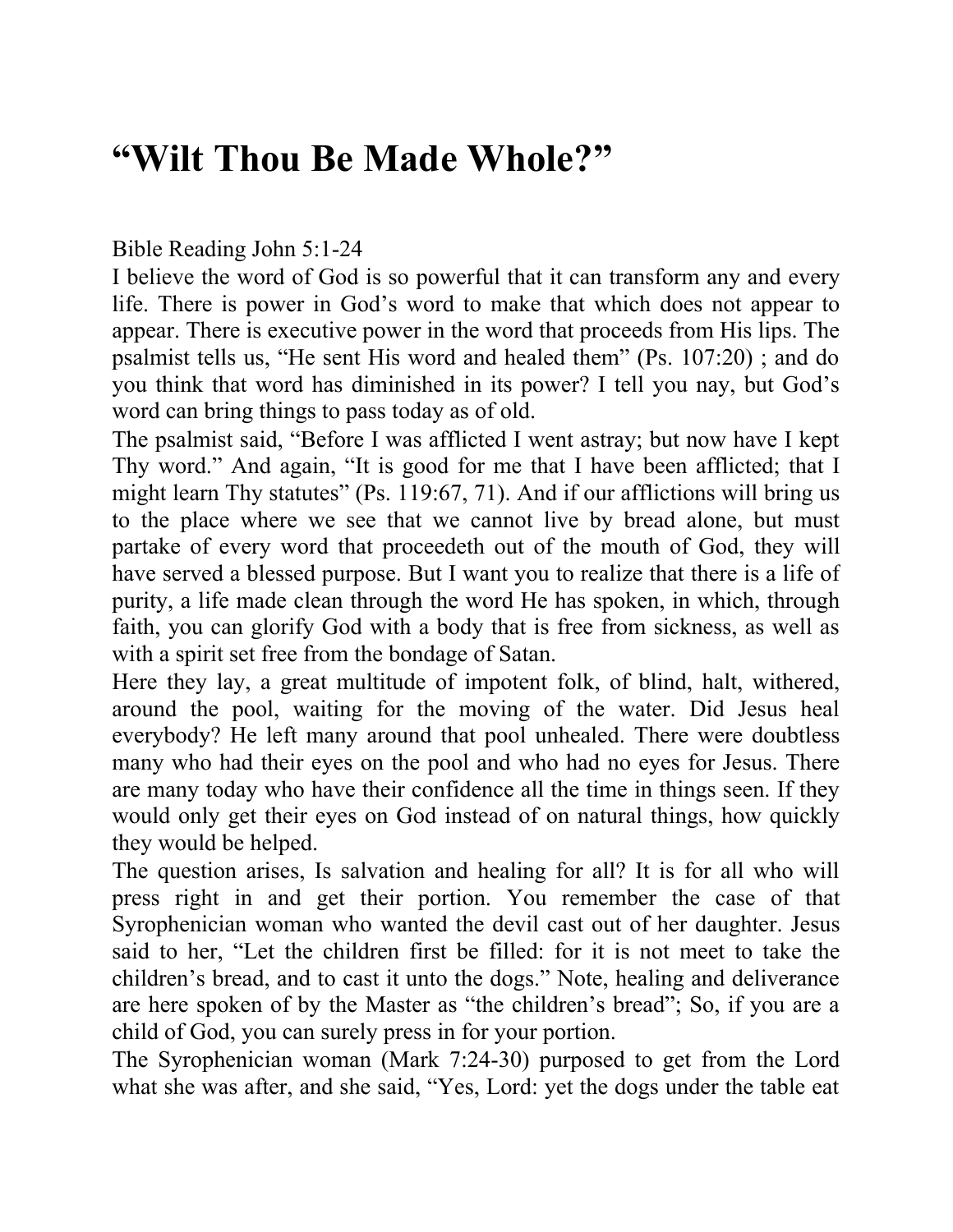## <span id="page-30-0"></span>**"Wilt Thou Be Made Whole?"**

#### Bible Reading John 5:1-24

I believe the word of God is so powerful that it can transform any and every life. There is power in God's word to make that which does not appear to appear. There is executive power in the word that proceeds from His lips. The psalmist tells us, "He sent His word and healed them" (Ps. 107:20) ; and do you think that word has diminished in its power? I tell you nay, but God's word can bring things to pass today as of old.

The psalmist said, "Before I was afflicted I went astray; but now have I kept Thy word." And again, "It is good for me that I have been afflicted; that I might learn Thy statutes" (Ps. 119:67, 71). And if our afflictions will bring us to the place where we see that we cannot live by bread alone, but must partake of every word that proceedeth out of the mouth of God, they will have served a blessed purpose. But I want you to realize that there is a life of purity, a life made clean through the word He has spoken, in which, through faith, you can glorify God with a body that is free from sickness, as well as with a spirit set free from the bondage of Satan.

Here they lay, a great multitude of impotent folk, of blind, halt, withered, around the pool, waiting for the moving of the water. Did Jesus heal everybody? He left many around that pool unhealed. There were doubtless many who had their eyes on the pool and who had no eyes for Jesus. There are many today who have their confidence all the time in things seen. If they would only get their eyes on God instead of on natural things, how quickly they would be helped.

The question arises, Is salvation and healing for all? It is for all who will press right in and get their portion. You remember the case of that Syrophenician woman who wanted the devil cast out of her daughter. Jesus said to her, "Let the children first be filled: for it is not meet to take the children's bread, and to cast it unto the dogs." Note, healing and deliverance are here spoken of by the Master as "the children's bread"; So, if you are a child of God, you can surely press in for your portion.

The Syrophenician woman (Mark 7:24-30) purposed to get from the Lord what she was after, and she said, "Yes, Lord: yet the dogs under the table eat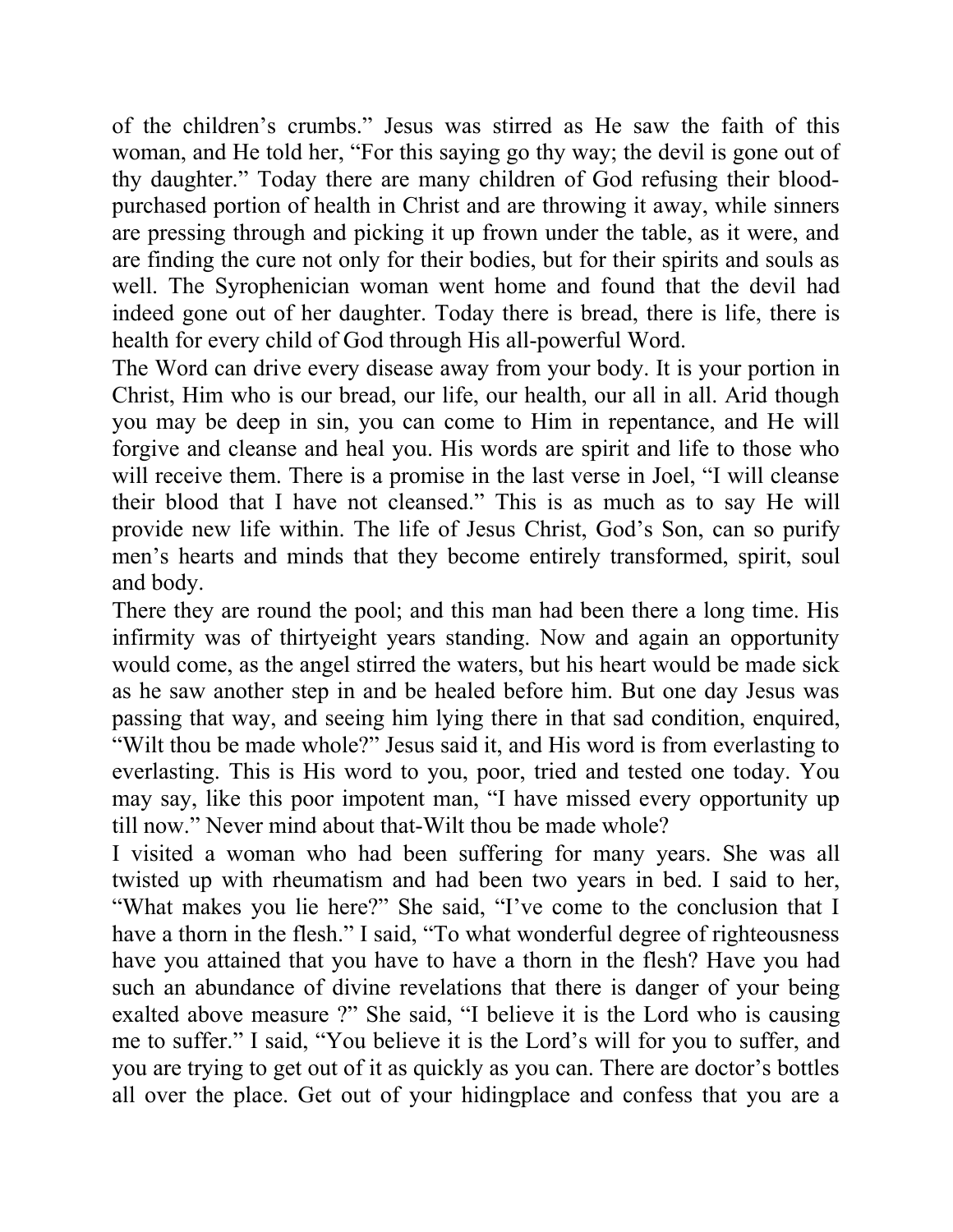of the children's crumbs." Jesus was stirred as He saw the faith of this woman, and He told her, "For this saying go thy way; the devil is gone out of thy daughter." Today there are many children of God refusing their bloodpurchased portion of health in Christ and are throwing it away, while sinners are pressing through and picking it up frown under the table, as it were, and are finding the cure not only for their bodies, but for their spirits and souls as well. The Syrophenician woman went home and found that the devil had indeed gone out of her daughter. Today there is bread, there is life, there is health for every child of God through His all-powerful Word.

The Word can drive every disease away from your body. It is your portion in Christ, Him who is our bread, our life, our health, our all in all. Arid though you may be deep in sin, you can come to Him in repentance, and He will forgive and cleanse and heal you. His words are spirit and life to those who will receive them. There is a promise in the last verse in Joel, "I will cleanse their blood that I have not cleansed." This is as much as to say He will provide new life within. The life of Jesus Christ, God's Son, can so purify men's hearts and minds that they become entirely transformed, spirit, soul and body.

There they are round the pool; and this man had been there a long time. His infirmity was of thirtyeight years standing. Now and again an opportunity would come, as the angel stirred the waters, but his heart would be made sick as he saw another step in and be healed before him. But one day Jesus was passing that way, and seeing him lying there in that sad condition, enquired, "Wilt thou be made whole?" Jesus said it, and His word is from everlasting to everlasting. This is His word to you, poor, tried and tested one today. You may say, like this poor impotent man, "I have missed every opportunity up till now." Never mind about that-Wilt thou be made whole?

I visited a woman who had been suffering for many years. She was all twisted up with rheumatism and had been two years in bed. I said to her, "What makes you lie here?" She said, "I've come to the conclusion that I have a thorn in the flesh." I said, "To what wonderful degree of righteousness have you attained that you have to have a thorn in the flesh? Have you had such an abundance of divine revelations that there is danger of your being exalted above measure ?" She said, "I believe it is the Lord who is causing me to suffer." I said, "You believe it is the Lord's will for you to suffer, and you are trying to get out of it as quickly as you can. There are doctor's bottles all over the place. Get out of your hidingplace and confess that you are a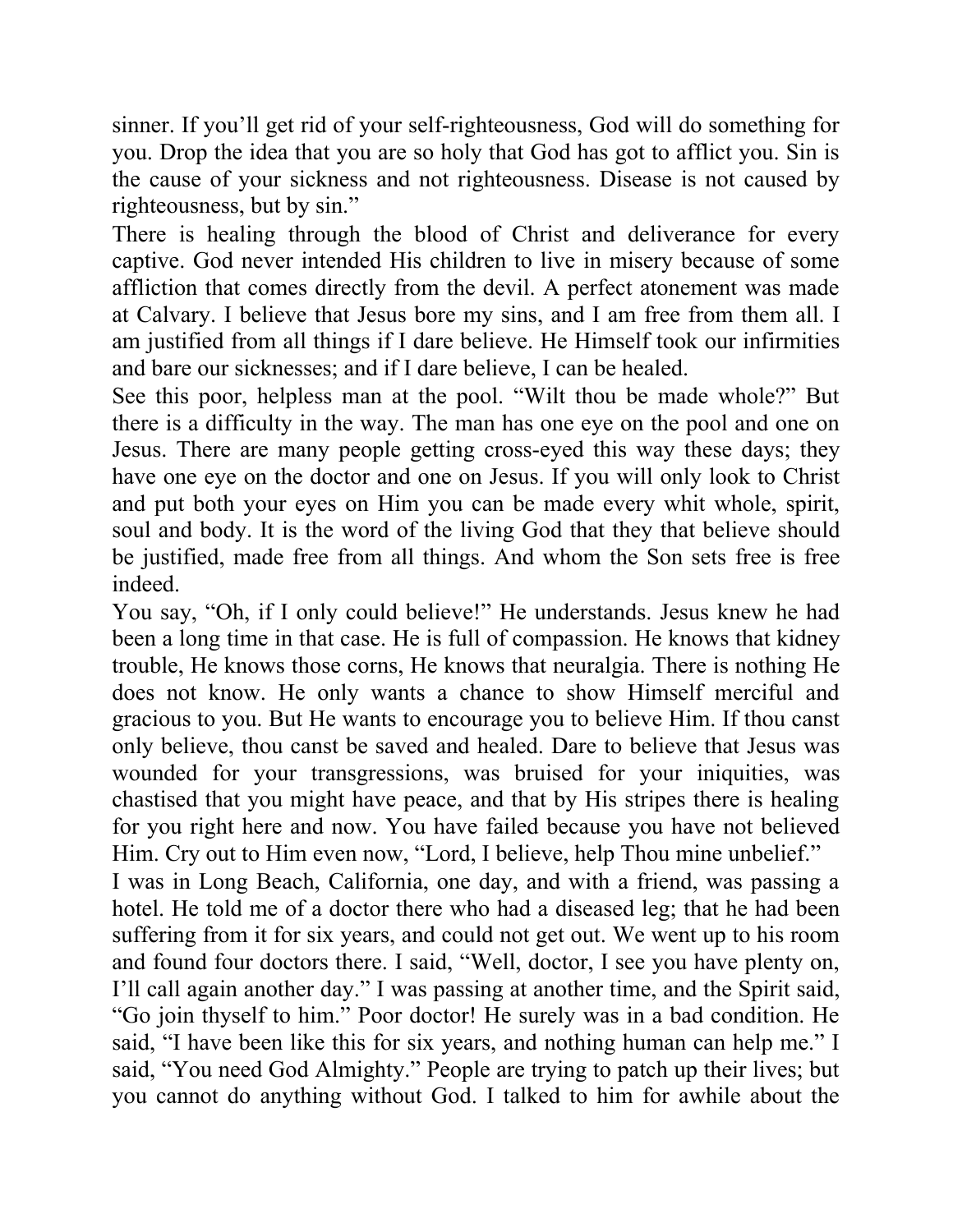sinner. If you'll get rid of your self-righteousness, God will do something for you. Drop the idea that you are so holy that God has got to afflict you. Sin is the cause of your sickness and not righteousness. Disease is not caused by righteousness, but by sin."

There is healing through the blood of Christ and deliverance for every captive. God never intended His children to live in misery because of some affliction that comes directly from the devil. A perfect atonement was made at Calvary. I believe that Jesus bore my sins, and I am free from them all. I am justified from all things if I dare believe. He Himself took our infirmities and bare our sicknesses; and if I dare believe, I can be healed.

See this poor, helpless man at the pool. "Wilt thou be made whole?" But there is a difficulty in the way. The man has one eye on the pool and one on Jesus. There are many people getting cross-eyed this way these days; they have one eye on the doctor and one on Jesus. If you will only look to Christ and put both your eyes on Him you can be made every whit whole, spirit, soul and body. It is the word of the living God that they that believe should be justified, made free from all things. And whom the Son sets free is free indeed.

You say, "Oh, if I only could believe!" He understands. Jesus knew he had been a long time in that case. He is full of compassion. He knows that kidney trouble, He knows those corns, He knows that neuralgia. There is nothing He does not know. He only wants a chance to show Himself merciful and gracious to you. But He wants to encourage you to believe Him. If thou canst only believe, thou canst be saved and healed. Dare to believe that Jesus was wounded for your transgressions, was bruised for your iniquities, was chastised that you might have peace, and that by His stripes there is healing for you right here and now. You have failed because you have not believed Him. Cry out to Him even now, "Lord, I believe, help Thou mine unbelief."

I was in Long Beach, California, one day, and with a friend, was passing a hotel. He told me of a doctor there who had a diseased leg; that he had been suffering from it for six years, and could not get out. We went up to his room and found four doctors there. I said, "Well, doctor, I see you have plenty on, I'll call again another day." I was passing at another time, and the Spirit said, "Go join thyself to him." Poor doctor! He surely was in a bad condition. He said, "I have been like this for six years, and nothing human can help me." I said, "You need God Almighty." People are trying to patch up their lives; but you cannot do anything without God. I talked to him for awhile about the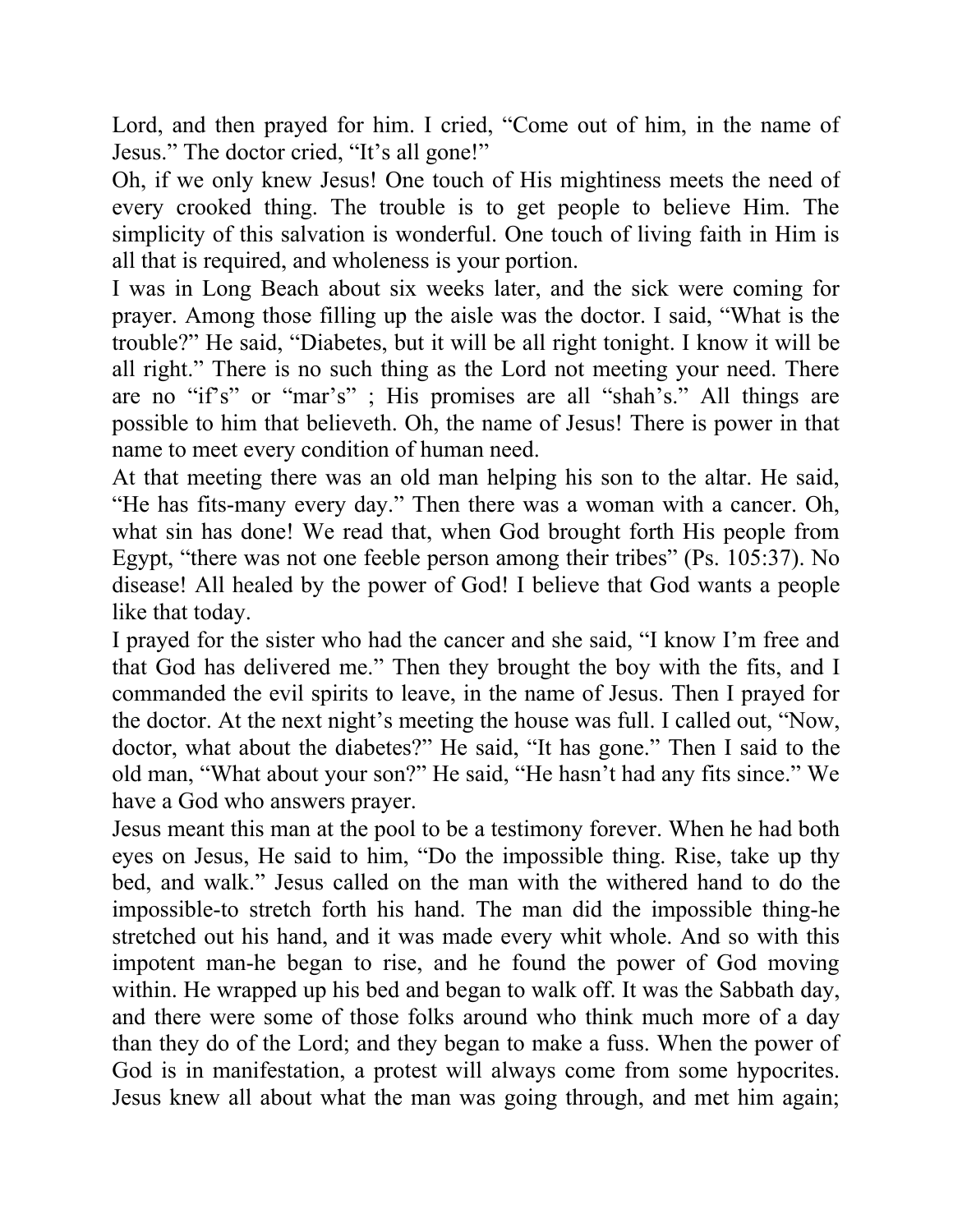Lord, and then prayed for him. I cried, "Come out of him, in the name of Jesus." The doctor cried, "It's all gone!"

Oh, if we only knew Jesus! One touch of His mightiness meets the need of every crooked thing. The trouble is to get people to believe Him. The simplicity of this salvation is wonderful. One touch of living faith in Him is all that is required, and wholeness is your portion.

I was in Long Beach about six weeks later, and the sick were coming for prayer. Among those filling up the aisle was the doctor. I said, "What is the trouble?" He said, "Diabetes, but it will be all right tonight. I know it will be all right." There is no such thing as the Lord not meeting your need. There are no "if's" or "mar's" ; His promises are all "shah's." All things are possible to him that believeth. Oh, the name of Jesus! There is power in that name to meet every condition of human need.

At that meeting there was an old man helping his son to the altar. He said, "He has fits-many every day." Then there was a woman with a cancer. Oh, what sin has done! We read that, when God brought forth His people from Egypt, "there was not one feeble person among their tribes" (Ps. 105:37). No disease! All healed by the power of God! I believe that God wants a people like that today.

I prayed for the sister who had the cancer and she said, "I know I'm free and that God has delivered me." Then they brought the boy with the fits, and I commanded the evil spirits to leave, in the name of Jesus. Then I prayed for the doctor. At the next night's meeting the house was full. I called out, "Now, doctor, what about the diabetes?" He said, "It has gone." Then I said to the old man, "What about your son?" He said, "He hasn't had any fits since." We have a God who answers prayer.

Jesus meant this man at the pool to be a testimony forever. When he had both eyes on Jesus, He said to him, "Do the impossible thing. Rise, take up thy bed, and walk." Jesus called on the man with the withered hand to do the impossible-to stretch forth his hand. The man did the impossible thing-he stretched out his hand, and it was made every whit whole. And so with this impotent man-he began to rise, and he found the power of God moving within. He wrapped up his bed and began to walk off. It was the Sabbath day, and there were some of those folks around who think much more of a day than they do of the Lord; and they began to make a fuss. When the power of God is in manifestation, a protest will always come from some hypocrites. Jesus knew all about what the man was going through, and met him again;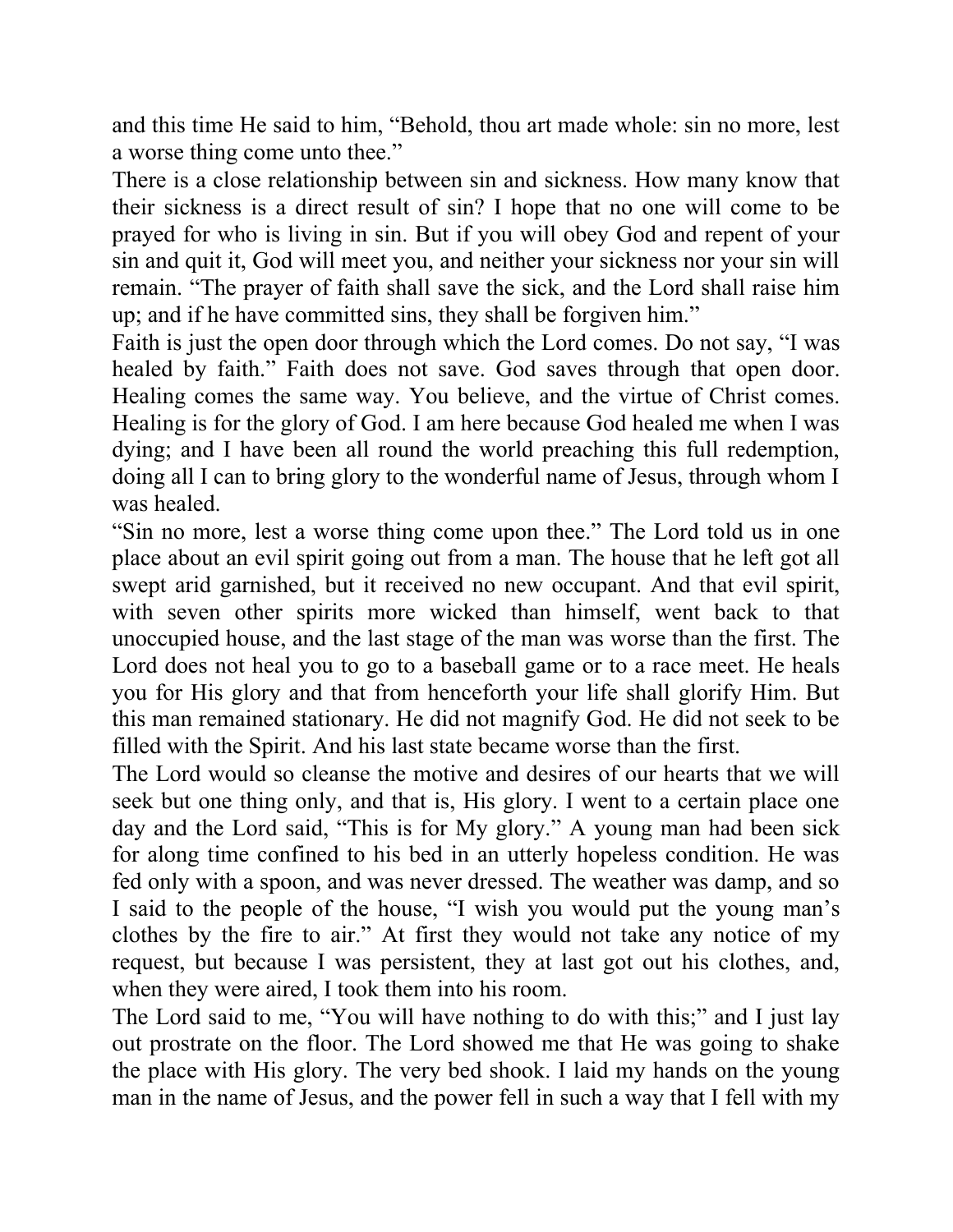and this time He said to him, "Behold, thou art made whole: sin no more, lest a worse thing come unto thee."

There is a close relationship between sin and sickness. How many know that their sickness is a direct result of sin? I hope that no one will come to be prayed for who is living in sin. But if you will obey God and repent of your sin and quit it, God will meet you, and neither your sickness nor your sin will remain. "The prayer of faith shall save the sick, and the Lord shall raise him up; and if he have committed sins, they shall be forgiven him."

Faith is just the open door through which the Lord comes. Do not say, "I was healed by faith." Faith does not save. God saves through that open door. Healing comes the same way. You believe, and the virtue of Christ comes. Healing is for the glory of God. I am here because God healed me when I was dying; and I have been all round the world preaching this full redemption, doing all I can to bring glory to the wonderful name of Jesus, through whom I was healed.

"Sin no more, lest a worse thing come upon thee." The Lord told us in one place about an evil spirit going out from a man. The house that he left got all swept arid garnished, but it received no new occupant. And that evil spirit, with seven other spirits more wicked than himself, went back to that unoccupied house, and the last stage of the man was worse than the first. The Lord does not heal you to go to a baseball game or to a race meet. He heals you for His glory and that from henceforth your life shall glorify Him. But this man remained stationary. He did not magnify God. He did not seek to be filled with the Spirit. And his last state became worse than the first.

The Lord would so cleanse the motive and desires of our hearts that we will seek but one thing only, and that is, His glory. I went to a certain place one day and the Lord said, "This is for My glory." A young man had been sick for along time confined to his bed in an utterly hopeless condition. He was fed only with a spoon, and was never dressed. The weather was damp, and so I said to the people of the house, "I wish you would put the young man's clothes by the fire to air." At first they would not take any notice of my request, but because I was persistent, they at last got out his clothes, and, when they were aired, I took them into his room.

The Lord said to me, "You will have nothing to do with this;" and I just lay out prostrate on the floor. The Lord showed me that He was going to shake the place with His glory. The very bed shook. I laid my hands on the young man in the name of Jesus, and the power fell in such a way that I fell with my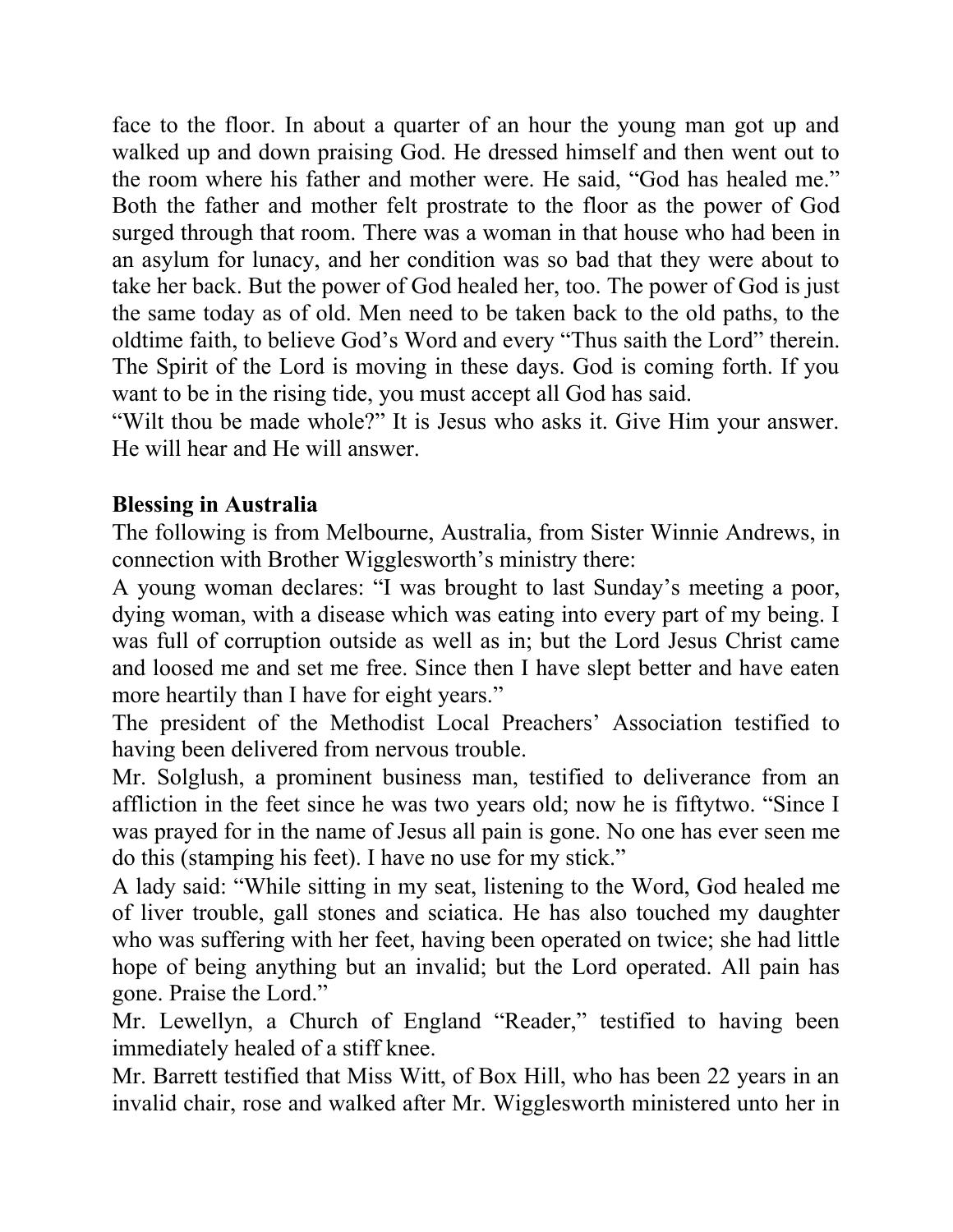face to the floor. In about a quarter of an hour the young man got up and walked up and down praising God. He dressed himself and then went out to the room where his father and mother were. He said, "God has healed me." Both the father and mother felt prostrate to the floor as the power of God surged through that room. There was a woman in that house who had been in an asylum for lunacy, and her condition was so bad that they were about to take her back. But the power of God healed her, too. The power of God is just the same today as of old. Men need to be taken back to the old paths, to the oldtime faith, to believe God's Word and every "Thus saith the Lord" therein. The Spirit of the Lord is moving in these days. God is coming forth. If you want to be in the rising tide, you must accept all God has said.

"Wilt thou be made whole?" It is Jesus who asks it. Give Him your answer. He will hear and He will answer.

#### **Blessing in Australia**

The following is from Melbourne, Australia, from Sister Winnie Andrews, in connection with Brother Wigglesworth's ministry there:

A young woman declares: "I was brought to last Sunday's meeting a poor, dying woman, with a disease which was eating into every part of my being. I was full of corruption outside as well as in; but the Lord Jesus Christ came and loosed me and set me free. Since then I have slept better and have eaten more heartily than I have for eight years."

The president of the Methodist Local Preachers' Association testified to having been delivered from nervous trouble.

Mr. Solglush, a prominent business man, testified to deliverance from an affliction in the feet since he was two years old; now he is fiftytwo. "Since I was prayed for in the name of Jesus all pain is gone. No one has ever seen me do this (stamping his feet). I have no use for my stick."

A lady said: "While sitting in my seat, listening to the Word, God healed me of liver trouble, gall stones and sciatica. He has also touched my daughter who was suffering with her feet, having been operated on twice; she had little hope of being anything but an invalid; but the Lord operated. All pain has gone. Praise the Lord."

Mr. Lewellyn, a Church of England "Reader," testified to having been immediately healed of a stiff knee.

Mr. Barrett testified that Miss Witt, of Box Hill, who has been 22 years in an invalid chair, rose and walked after Mr. Wigglesworth ministered unto her in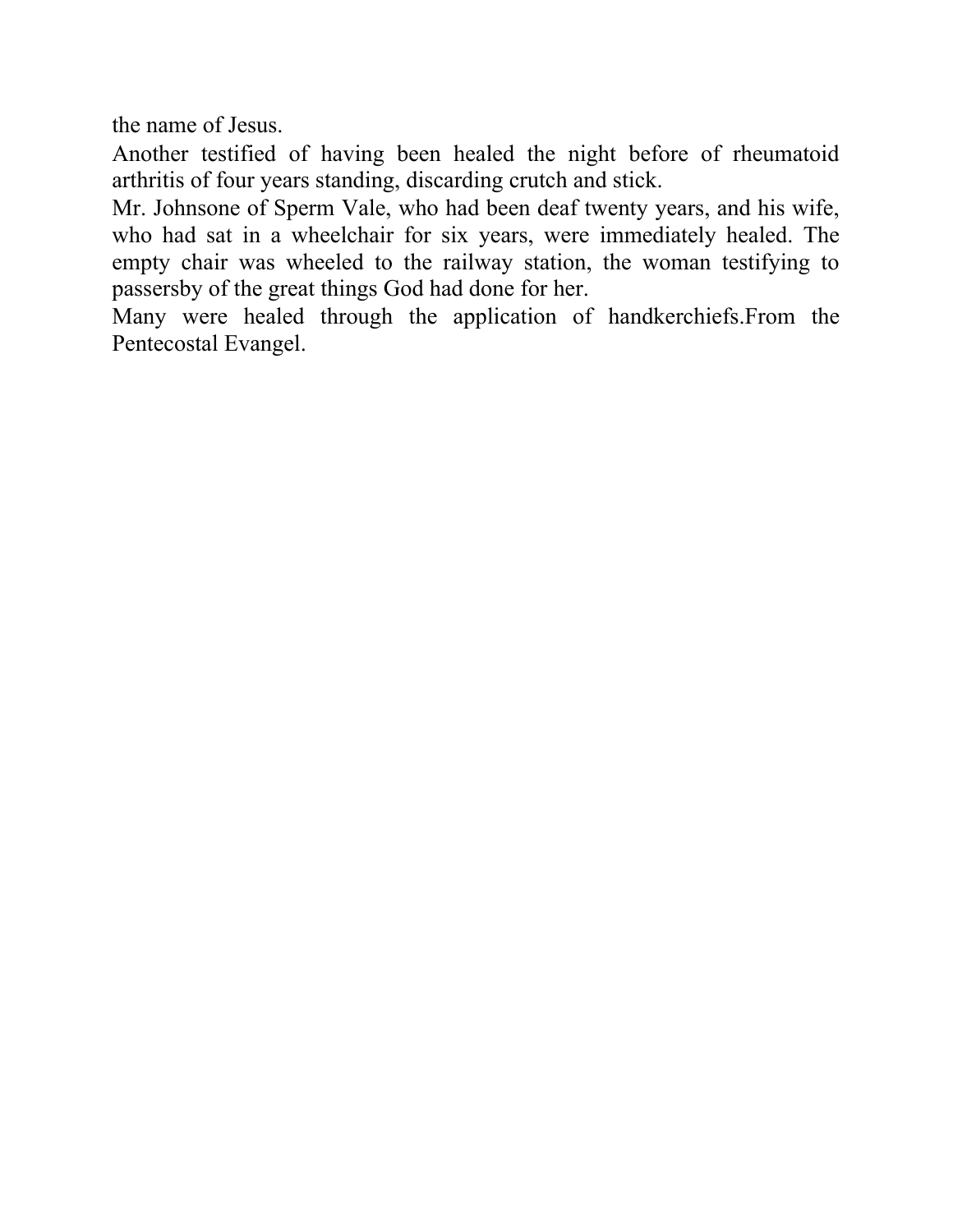the name of Jesus.

Another testified of having been healed the night before of rheumatoid arthritis of four years standing, discarding crutch and stick.

Mr. Johnsone of Sperm Vale, who had been deaf twenty years, and his wife, who had sat in a wheelchair for six years, were immediately healed. The empty chair was wheeled to the railway station, the woman testifying to passersby of the great things God had done for her.

Many were healed through the application of handkerchiefs.From the Pentecostal Evangel.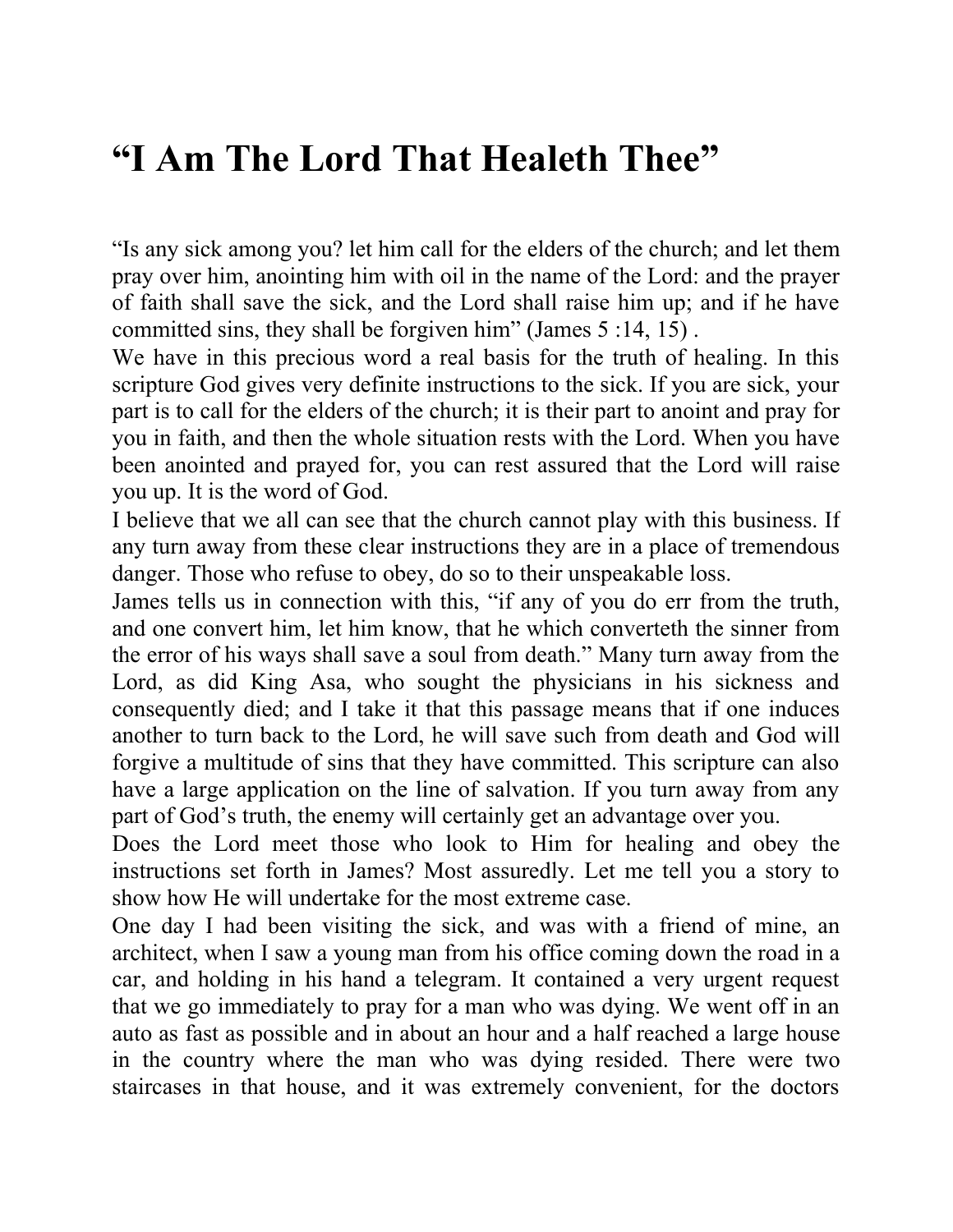# **"I Am The Lord That Healeth Thee"**

"Is any sick among you? let him call for the elders of the church; and let them pray over him, anointing him with oil in the name of the Lord: and the prayer of faith shall save the sick, and the Lord shall raise him up; and if he have committed sins, they shall be forgiven him" (James 5 :14, 15) .

We have in this precious word a real basis for the truth of healing. In this scripture God gives very definite instructions to the sick. If you are sick, your part is to call for the elders of the church; it is their part to anoint and pray for you in faith, and then the whole situation rests with the Lord. When you have been anointed and prayed for, you can rest assured that the Lord will raise you up. It is the word of God.

I believe that we all can see that the church cannot play with this business. If any turn away from these clear instructions they are in a place of tremendous danger. Those who refuse to obey, do so to their unspeakable loss.

James tells us in connection with this, "if any of you do err from the truth, and one convert him, let him know, that he which converteth the sinner from the error of his ways shall save a soul from death." Many turn away from the Lord, as did King Asa, who sought the physicians in his sickness and consequently died; and I take it that this passage means that if one induces another to turn back to the Lord, he will save such from death and God will forgive a multitude of sins that they have committed. This scripture can also have a large application on the line of salvation. If you turn away from any part of God's truth, the enemy will certainly get an advantage over you.

Does the Lord meet those who look to Him for healing and obey the instructions set forth in James? Most assuredly. Let me tell you a story to show how He will undertake for the most extreme case.

One day I had been visiting the sick, and was with a friend of mine, an architect, when I saw a young man from his office coming down the road in a car, and holding in his hand a telegram. It contained a very urgent request that we go immediately to pray for a man who was dying. We went off in an auto as fast as possible and in about an hour and a half reached a large house in the country where the man who was dying resided. There were two staircases in that house, and it was extremely convenient, for the doctors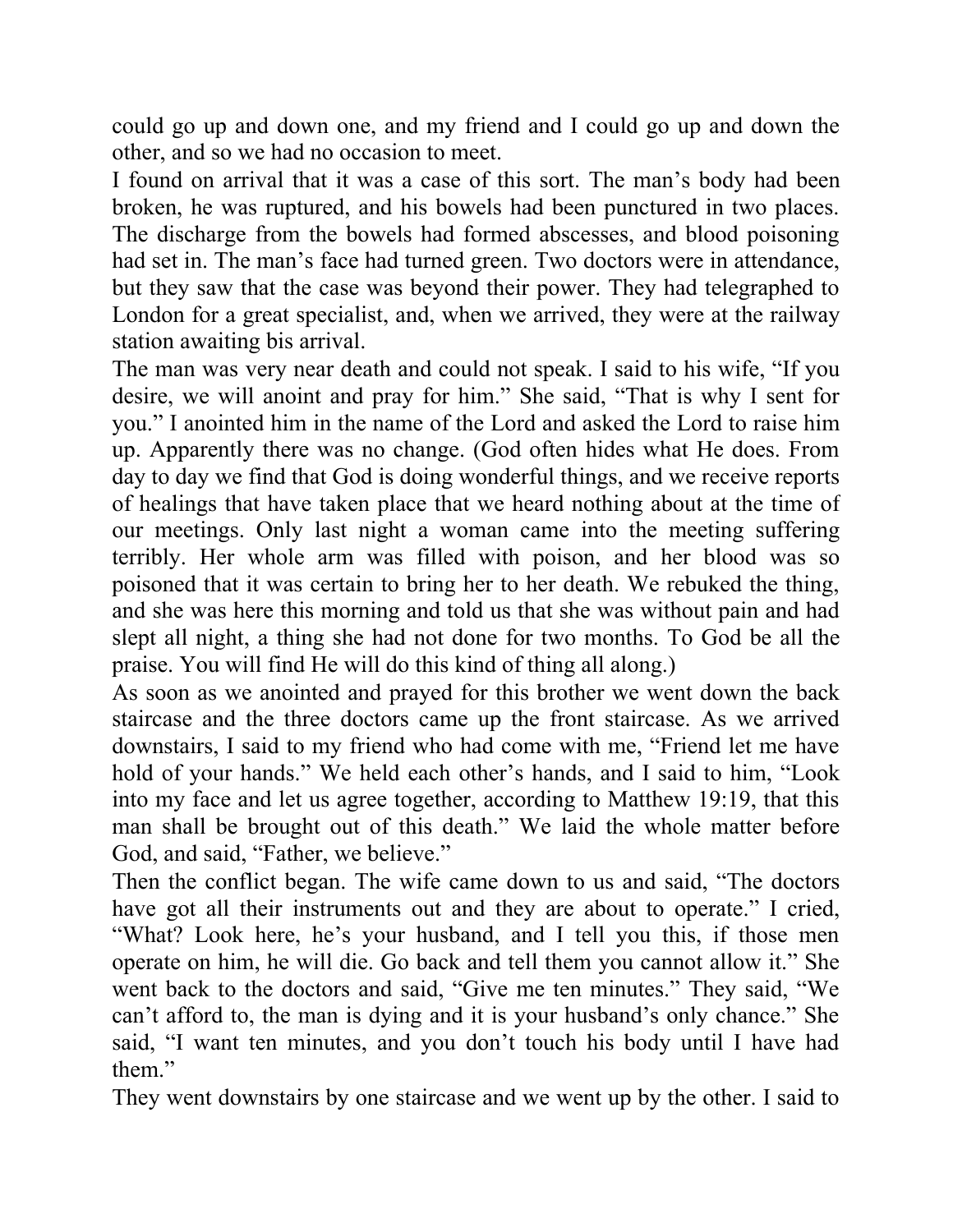could go up and down one, and my friend and I could go up and down the other, and so we had no occasion to meet.

I found on arrival that it was a case of this sort. The man's body had been broken, he was ruptured, and his bowels had been punctured in two places. The discharge from the bowels had formed abscesses, and blood poisoning had set in. The man's face had turned green. Two doctors were in attendance, but they saw that the case was beyond their power. They had telegraphed to London for a great specialist, and, when we arrived, they were at the railway station awaiting bis arrival.

The man was very near death and could not speak. I said to his wife, "If you desire, we will anoint and pray for him." She said, "That is why I sent for you." I anointed him in the name of the Lord and asked the Lord to raise him up. Apparently there was no change. (God often hides what He does. From day to day we find that God is doing wonderful things, and we receive reports of healings that have taken place that we heard nothing about at the time of our meetings. Only last night a woman came into the meeting suffering terribly. Her whole arm was filled with poison, and her blood was so poisoned that it was certain to bring her to her death. We rebuked the thing, and she was here this morning and told us that she was without pain and had slept all night, a thing she had not done for two months. To God be all the praise. You will find He will do this kind of thing all along.)

As soon as we anointed and prayed for this brother we went down the back staircase and the three doctors came up the front staircase. As we arrived downstairs, I said to my friend who had come with me, "Friend let me have hold of your hands." We held each other's hands, and I said to him, "Look into my face and let us agree together, according to Matthew 19:19, that this man shall be brought out of this death." We laid the whole matter before God, and said, "Father, we believe."

Then the conflict began. The wife came down to us and said, "The doctors have got all their instruments out and they are about to operate." I cried, "What? Look here, he's your husband, and I tell you this, if those men operate on him, he will die. Go back and tell them you cannot allow it." She went back to the doctors and said, "Give me ten minutes." They said, "We can't afford to, the man is dying and it is your husband's only chance." She said, "I want ten minutes, and you don't touch his body until I have had them."

They went downstairs by one staircase and we went up by the other. I said to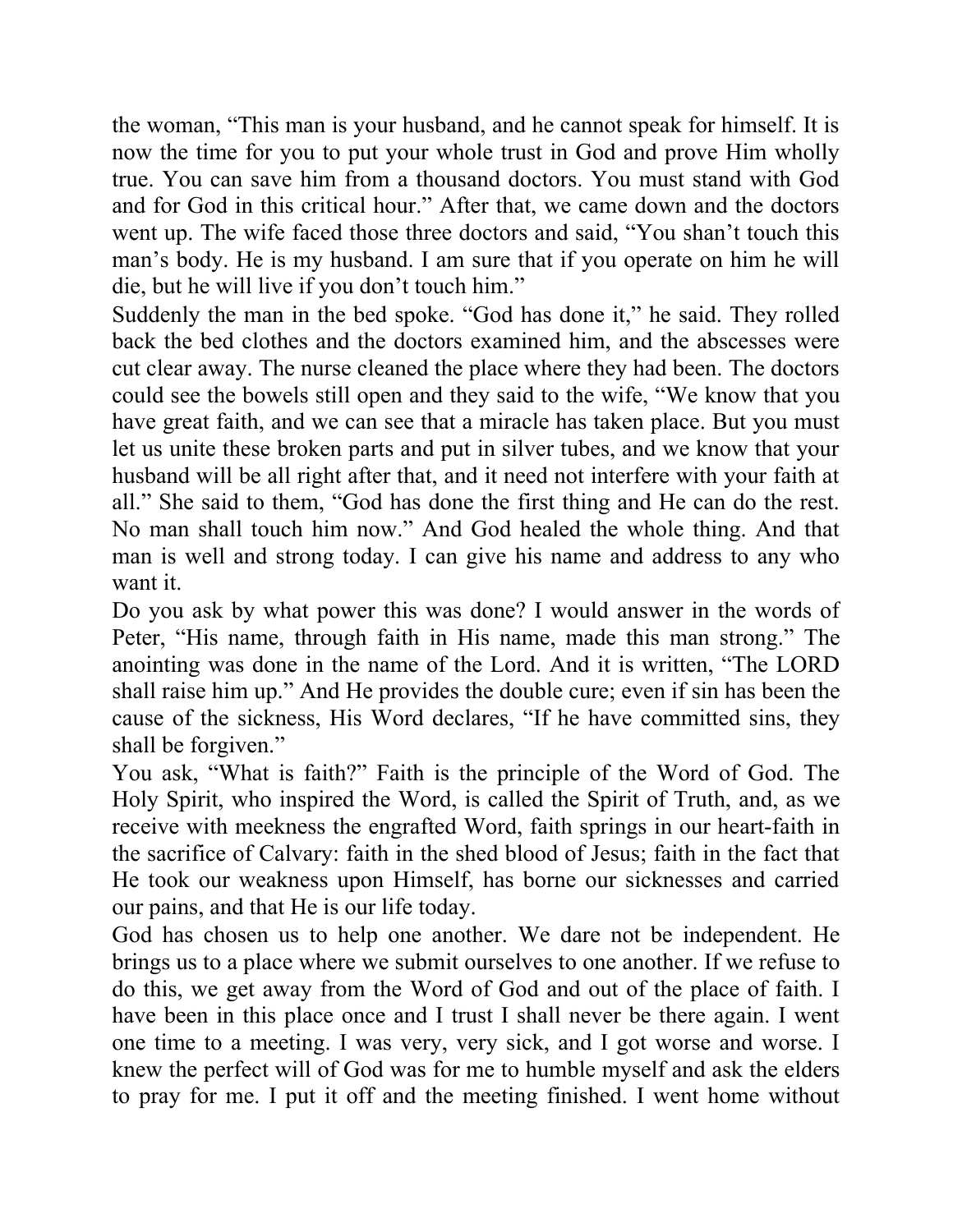the woman, "This man is your husband, and he cannot speak for himself. It is now the time for you to put your whole trust in God and prove Him wholly true. You can save him from a thousand doctors. You must stand with God and for God in this critical hour." After that, we came down and the doctors went up. The wife faced those three doctors and said, "You shan't touch this man's body. He is my husband. I am sure that if you operate on him he will die, but he will live if you don't touch him."

Suddenly the man in the bed spoke. "God has done it," he said. They rolled back the bed clothes and the doctors examined him, and the abscesses were cut clear away. The nurse cleaned the place where they had been. The doctors could see the bowels still open and they said to the wife, "We know that you have great faith, and we can see that a miracle has taken place. But you must let us unite these broken parts and put in silver tubes, and we know that your husband will be all right after that, and it need not interfere with your faith at all." She said to them, "God has done the first thing and He can do the rest. No man shall touch him now." And God healed the whole thing. And that man is well and strong today. I can give his name and address to any who want it.

Do you ask by what power this was done? I would answer in the words of Peter, "His name, through faith in His name, made this man strong." The anointing was done in the name of the Lord. And it is written, "The LORD shall raise him up." And He provides the double cure; even if sin has been the cause of the sickness, His Word declares, "If he have committed sins, they shall be forgiven."

You ask, "What is faith?" Faith is the principle of the Word of God. The Holy Spirit, who inspired the Word, is called the Spirit of Truth, and, as we receive with meekness the engrafted Word, faith springs in our heart-faith in the sacrifice of Calvary: faith in the shed blood of Jesus; faith in the fact that He took our weakness upon Himself, has borne our sicknesses and carried our pains, and that He is our life today.

God has chosen us to help one another. We dare not be independent. He brings us to a place where we submit ourselves to one another. If we refuse to do this, we get away from the Word of God and out of the place of faith. I have been in this place once and I trust I shall never be there again. I went one time to a meeting. I was very, very sick, and I got worse and worse. I knew the perfect will of God was for me to humble myself and ask the elders to pray for me. I put it off and the meeting finished. I went home without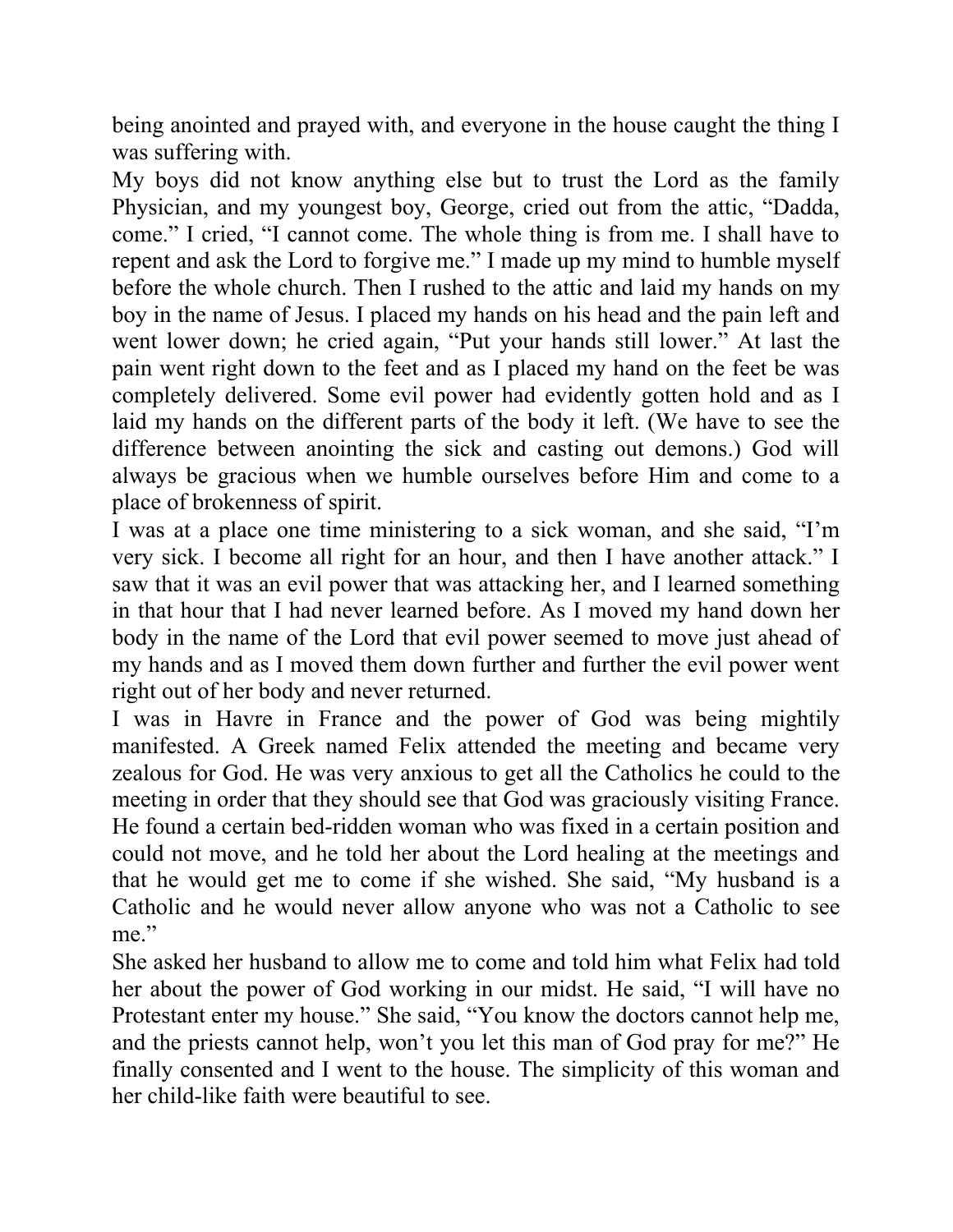being anointed and prayed with, and everyone in the house caught the thing I was suffering with.

My boys did not know anything else but to trust the Lord as the family Physician, and my youngest boy, George, cried out from the attic, "Dadda, come." I cried, "I cannot come. The whole thing is from me. I shall have to repent and ask the Lord to forgive me." I made up my mind to humble myself before the whole church. Then I rushed to the attic and laid my hands on my boy in the name of Jesus. I placed my hands on his head and the pain left and went lower down; he cried again, "Put your hands still lower." At last the pain went right down to the feet and as I placed my hand on the feet be was completely delivered. Some evil power had evidently gotten hold and as I laid my hands on the different parts of the body it left. (We have to see the difference between anointing the sick and casting out demons.) God will always be gracious when we humble ourselves before Him and come to a place of brokenness of spirit.

I was at a place one time ministering to a sick woman, and she said, "I'm very sick. I become all right for an hour, and then I have another attack." I saw that it was an evil power that was attacking her, and I learned something in that hour that I had never learned before. As I moved my hand down her body in the name of the Lord that evil power seemed to move just ahead of my hands and as I moved them down further and further the evil power went right out of her body and never returned.

I was in Havre in France and the power of God was being mightily manifested. A Greek named Felix attended the meeting and became very zealous for God. He was very anxious to get all the Catholics he could to the meeting in order that they should see that God was graciously visiting France. He found a certain bed-ridden woman who was fixed in a certain position and could not move, and he told her about the Lord healing at the meetings and that he would get me to come if she wished. She said, "My husband is a Catholic and he would never allow anyone who was not a Catholic to see me."

She asked her husband to allow me to come and told him what Felix had told her about the power of God working in our midst. He said, "I will have no Protestant enter my house." She said, "You know the doctors cannot help me, and the priests cannot help, won't you let this man of God pray for me?" He finally consented and I went to the house. The simplicity of this woman and her child-like faith were beautiful to see.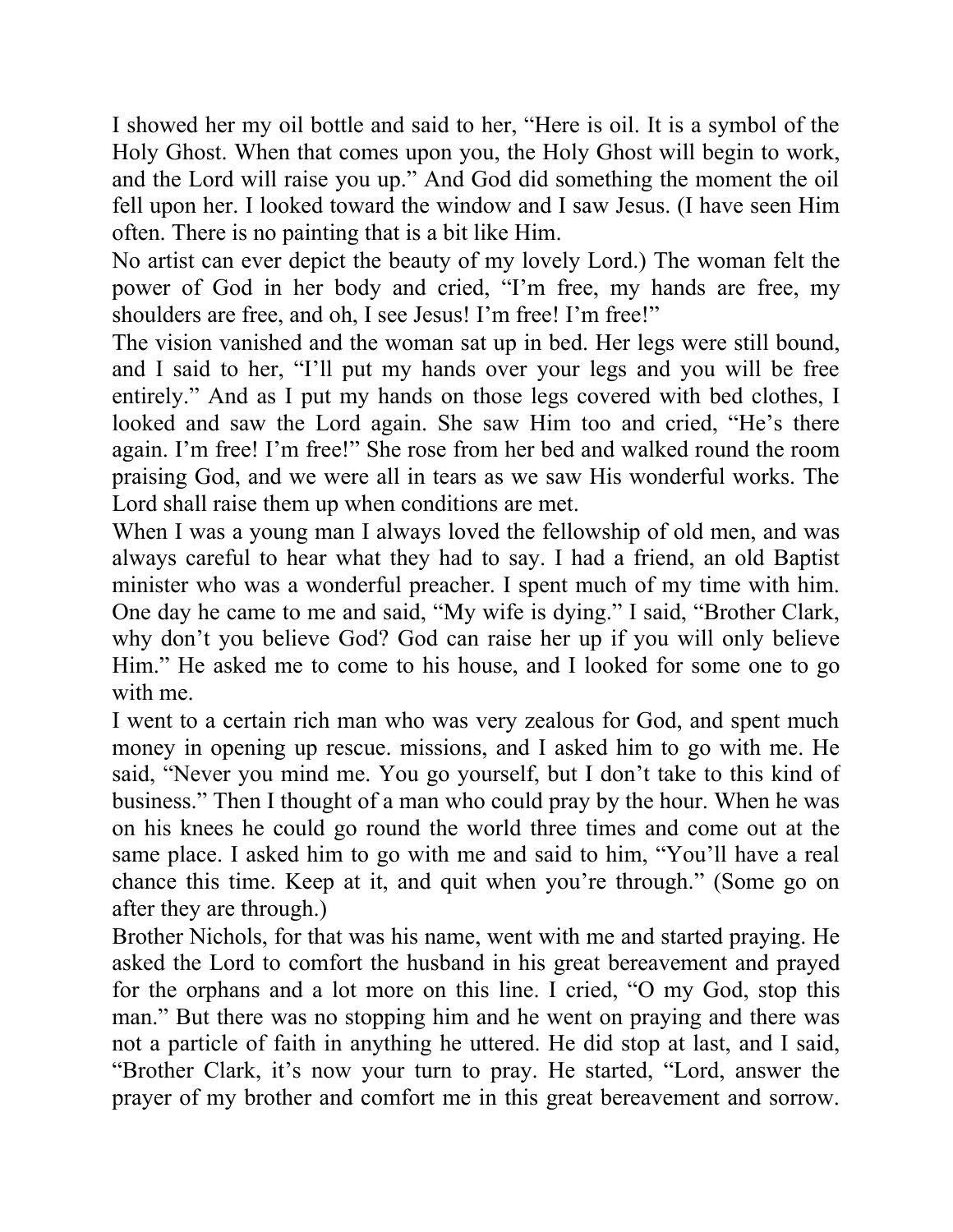I showed her my oil bottle and said to her, "Here is oil. It is a symbol of the Holy Ghost. When that comes upon you, the Holy Ghost will begin to work, and the Lord will raise you up." And God did something the moment the oil fell upon her. I looked toward the window and I saw Jesus. (I have seen Him often. There is no painting that is a bit like Him.

No artist can ever depict the beauty of my lovely Lord.) The woman felt the power of God in her body and cried, "I'm free, my hands are free, my shoulders are free, and oh, I see Jesus! I'm free! I'm free!"

The vision vanished and the woman sat up in bed. Her legs were still bound, and I said to her, "I'll put my hands over your legs and you will be free entirely." And as I put my hands on those legs covered with bed clothes, I looked and saw the Lord again. She saw Him too and cried, "He's there again. I'm free! I'm free!" She rose from her bed and walked round the room praising God, and we were all in tears as we saw His wonderful works. The Lord shall raise them up when conditions are met.

When I was a young man I always loved the fellowship of old men, and was always careful to hear what they had to say. I had a friend, an old Baptist minister who was a wonderful preacher. I spent much of my time with him. One day he came to me and said, "My wife is dying." I said, "Brother Clark, why don't you believe God? God can raise her up if you will only believe Him." He asked me to come to his house, and I looked for some one to go with me.

I went to a certain rich man who was very zealous for God, and spent much money in opening up rescue. missions, and I asked him to go with me. He said, "Never you mind me. You go yourself, but I don't take to this kind of business." Then I thought of a man who could pray by the hour. When he was on his knees he could go round the world three times and come out at the same place. I asked him to go with me and said to him, "You'll have a real chance this time. Keep at it, and quit when you're through." (Some go on after they are through.)

Brother Nichols, for that was his name, went with me and started praying. He asked the Lord to comfort the husband in his great bereavement and prayed for the orphans and a lot more on this line. I cried, "O my God, stop this man." But there was no stopping him and he went on praying and there was not a particle of faith in anything he uttered. He did stop at last, and I said, "Brother Clark, it's now your turn to pray. He started, "Lord, answer the prayer of my brother and comfort me in this great bereavement and sorrow.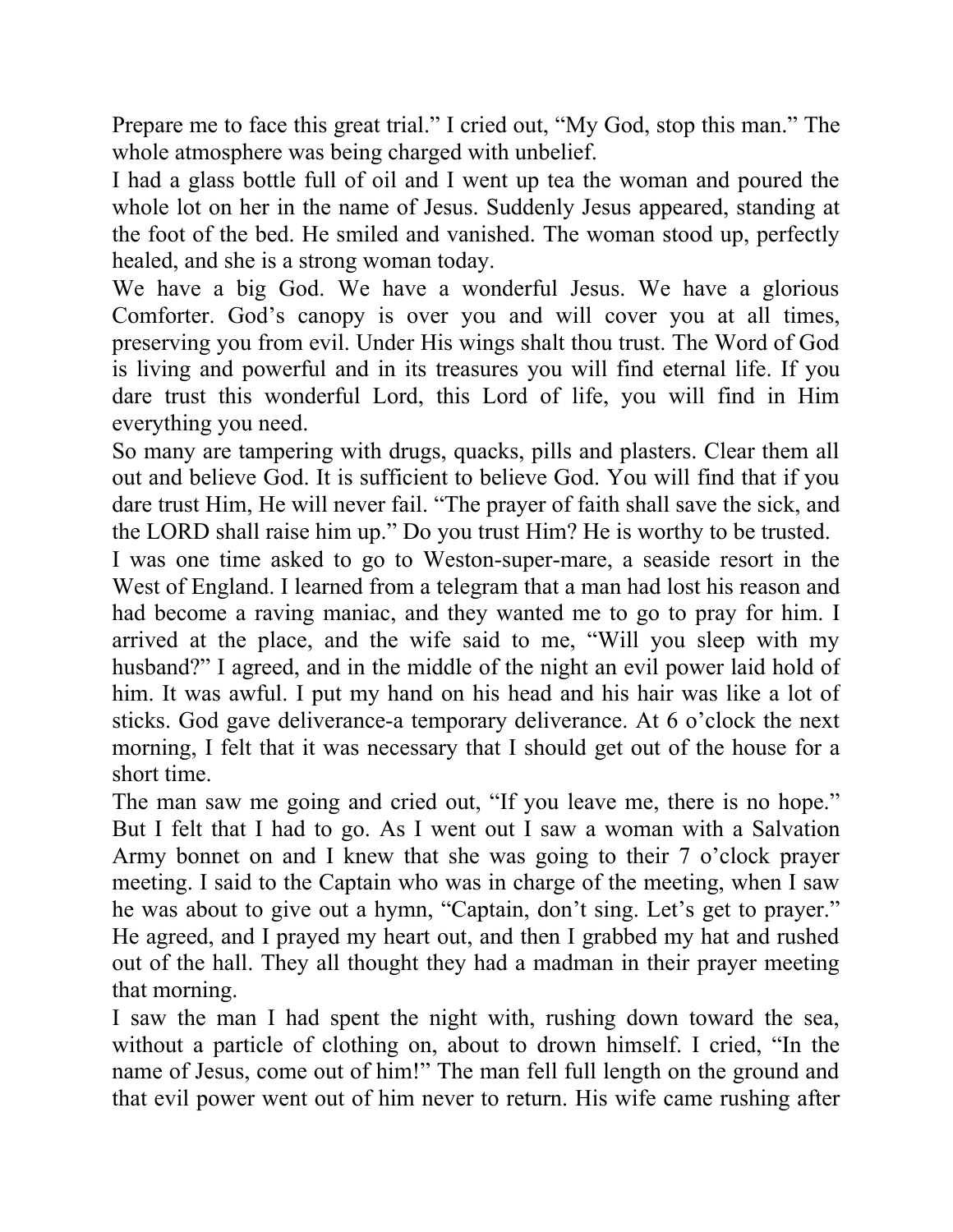Prepare me to face this great trial." I cried out, "My God, stop this man." The whole atmosphere was being charged with unbelief.

I had a glass bottle full of oil and I went up tea the woman and poured the whole lot on her in the name of Jesus. Suddenly Jesus appeared, standing at the foot of the bed. He smiled and vanished. The woman stood up, perfectly healed, and she is a strong woman today.

We have a big God. We have a wonderful Jesus. We have a glorious Comforter. God's canopy is over you and will cover you at all times, preserving you from evil. Under His wings shalt thou trust. The Word of God is living and powerful and in its treasures you will find eternal life. If you dare trust this wonderful Lord, this Lord of life, you will find in Him everything you need.

So many are tampering with drugs, quacks, pills and plasters. Clear them all out and believe God. It is sufficient to believe God. You will find that if you dare trust Him, He will never fail. "The prayer of faith shall save the sick, and the LORD shall raise him up." Do you trust Him? He is worthy to be trusted.

I was one time asked to go to Weston-super-mare, a seaside resort in the West of England. I learned from a telegram that a man had lost his reason and had become a raving maniac, and they wanted me to go to pray for him. I arrived at the place, and the wife said to me, "Will you sleep with my husband?" I agreed, and in the middle of the night an evil power laid hold of him. It was awful. I put my hand on his head and his hair was like a lot of sticks. God gave deliverance-a temporary deliverance. At 6 o'clock the next morning, I felt that it was necessary that I should get out of the house for a short time.

The man saw me going and cried out, "If you leave me, there is no hope." But I felt that I had to go. As I went out I saw a woman with a Salvation Army bonnet on and I knew that she was going to their 7 o'clock prayer meeting. I said to the Captain who was in charge of the meeting, when I saw he was about to give out a hymn, "Captain, don't sing. Let's get to prayer." He agreed, and I prayed my heart out, and then I grabbed my hat and rushed out of the hall. They all thought they had a madman in their prayer meeting that morning.

I saw the man I had spent the night with, rushing down toward the sea, without a particle of clothing on, about to drown himself. I cried, "In the name of Jesus, come out of him!" The man fell full length on the ground and that evil power went out of him never to return. His wife came rushing after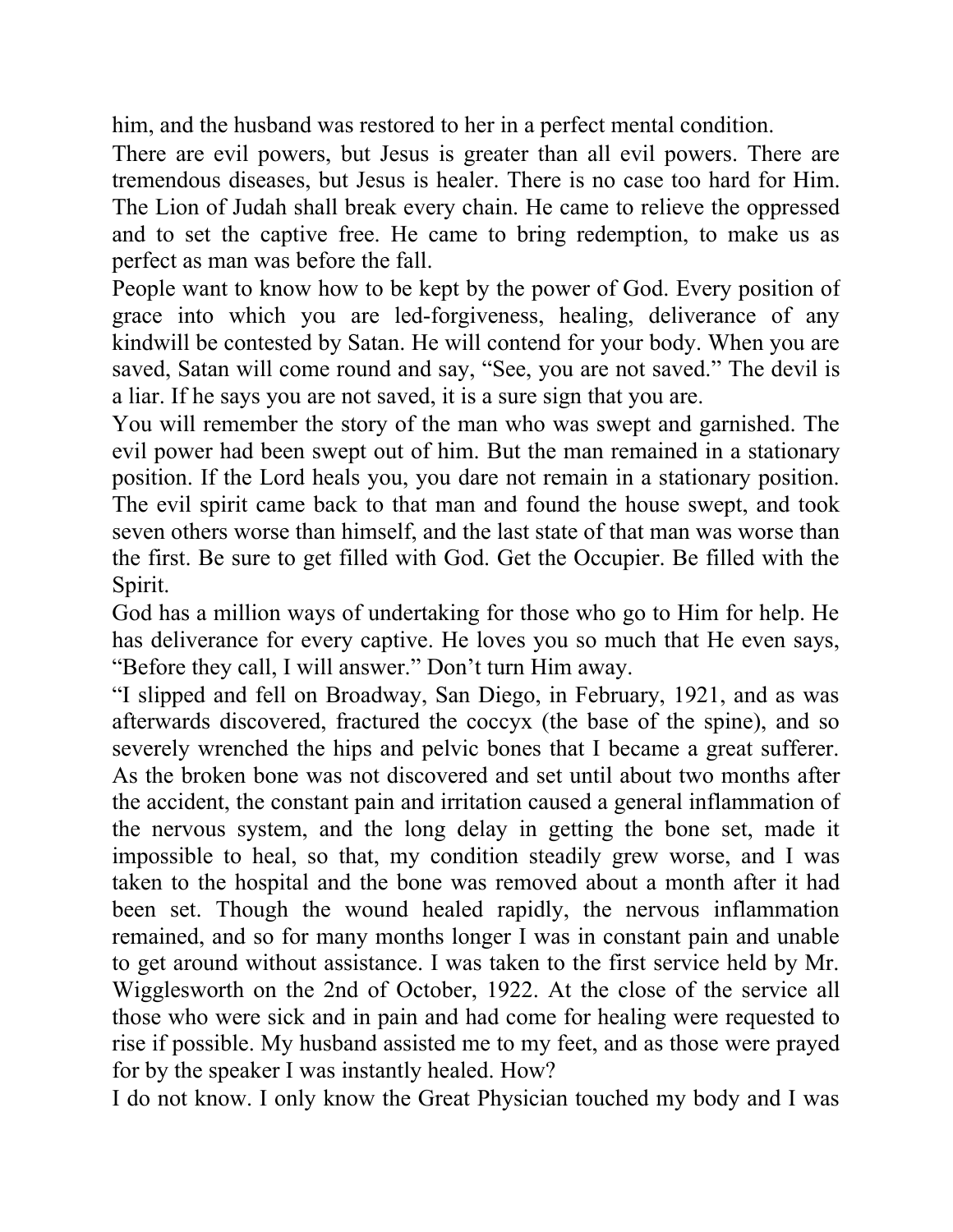him, and the husband was restored to her in a perfect mental condition.

There are evil powers, but Jesus is greater than all evil powers. There are tremendous diseases, but Jesus is healer. There is no case too hard for Him. The Lion of Judah shall break every chain. He came to relieve the oppressed and to set the captive free. He came to bring redemption, to make us as perfect as man was before the fall.

People want to know how to be kept by the power of God. Every position of grace into which you are led-forgiveness, healing, deliverance of any kindwill be contested by Satan. He will contend for your body. When you are saved, Satan will come round and say, "See, you are not saved." The devil is a liar. If he says you are not saved, it is a sure sign that you are.

You will remember the story of the man who was swept and garnished. The evil power had been swept out of him. But the man remained in a stationary position. If the Lord heals you, you dare not remain in a stationary position. The evil spirit came back to that man and found the house swept, and took seven others worse than himself, and the last state of that man was worse than the first. Be sure to get filled with God. Get the Occupier. Be filled with the Spirit.

God has a million ways of undertaking for those who go to Him for help. He has deliverance for every captive. He loves you so much that He even says, "Before they call, I will answer." Don't turn Him away.

"I slipped and fell on Broadway, San Diego, in February, 1921, and as was afterwards discovered, fractured the coccyx (the base of the spine), and so severely wrenched the hips and pelvic bones that I became a great sufferer. As the broken bone was not discovered and set until about two months after the accident, the constant pain and irritation caused a general inflammation of the nervous system, and the long delay in getting the bone set, made it impossible to heal, so that, my condition steadily grew worse, and I was taken to the hospital and the bone was removed about a month after it had been set. Though the wound healed rapidly, the nervous inflammation remained, and so for many months longer I was in constant pain and unable to get around without assistance. I was taken to the first service held by Mr. Wigglesworth on the 2nd of October, 1922. At the close of the service all those who were sick and in pain and had come for healing were requested to rise if possible. My husband assisted me to my feet, and as those were prayed for by the speaker I was instantly healed. How?

I do not know. I only know the Great Physician touched my body and I was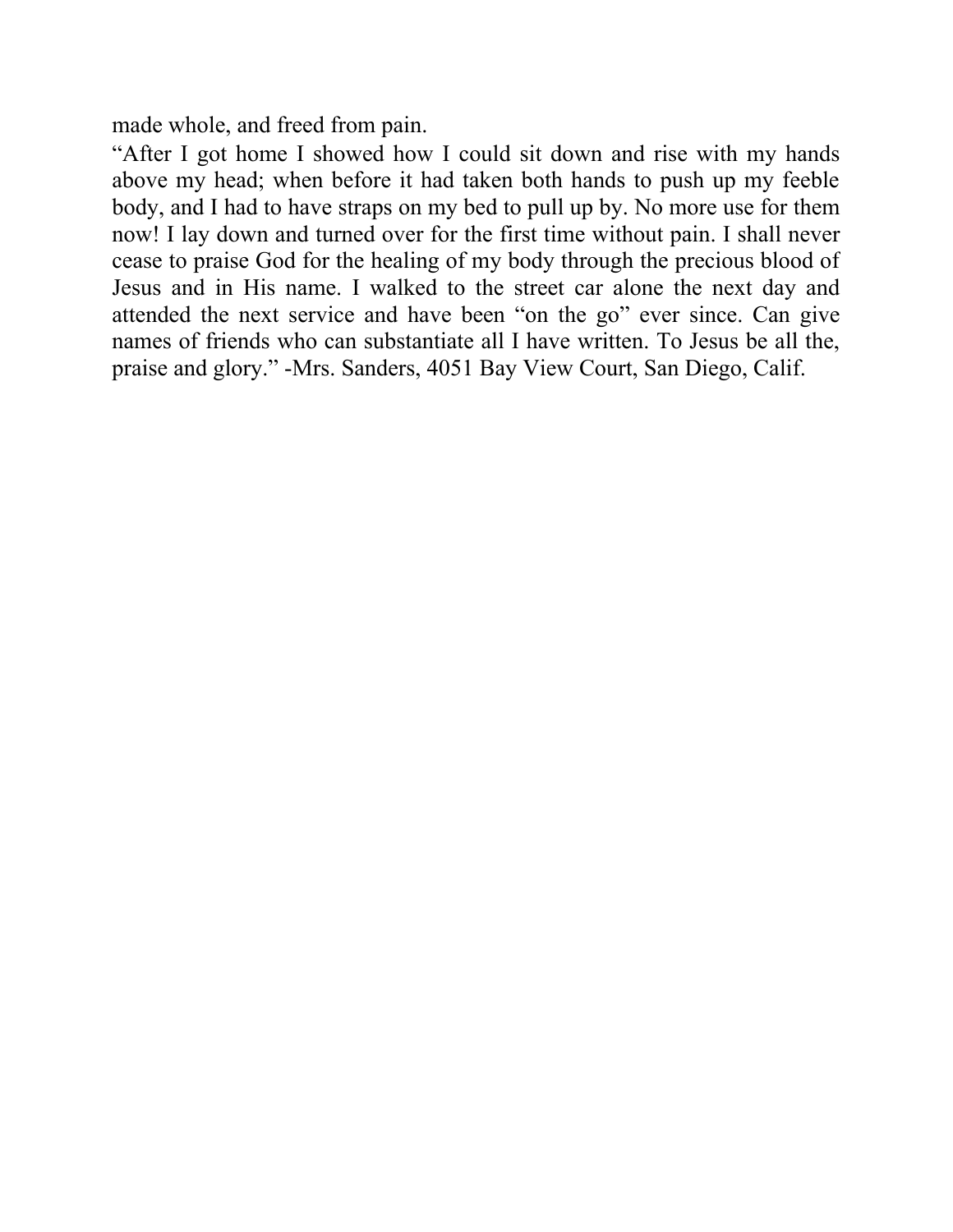made whole, and freed from pain.

"After I got home I showed how I could sit down and rise with my hands above my head; when before it had taken both hands to push up my feeble body, and I had to have straps on my bed to pull up by. No more use for them now! I lay down and turned over for the first time without pain. I shall never cease to praise God for the healing of my body through the precious blood of Jesus and in His name. I walked to the street car alone the next day and attended the next service and have been "on the go" ever since. Can give names of friends who can substantiate all I have written. To Jesus be all the, praise and glory." -Mrs. Sanders, 4051 Bay View Court, San Diego, Calif.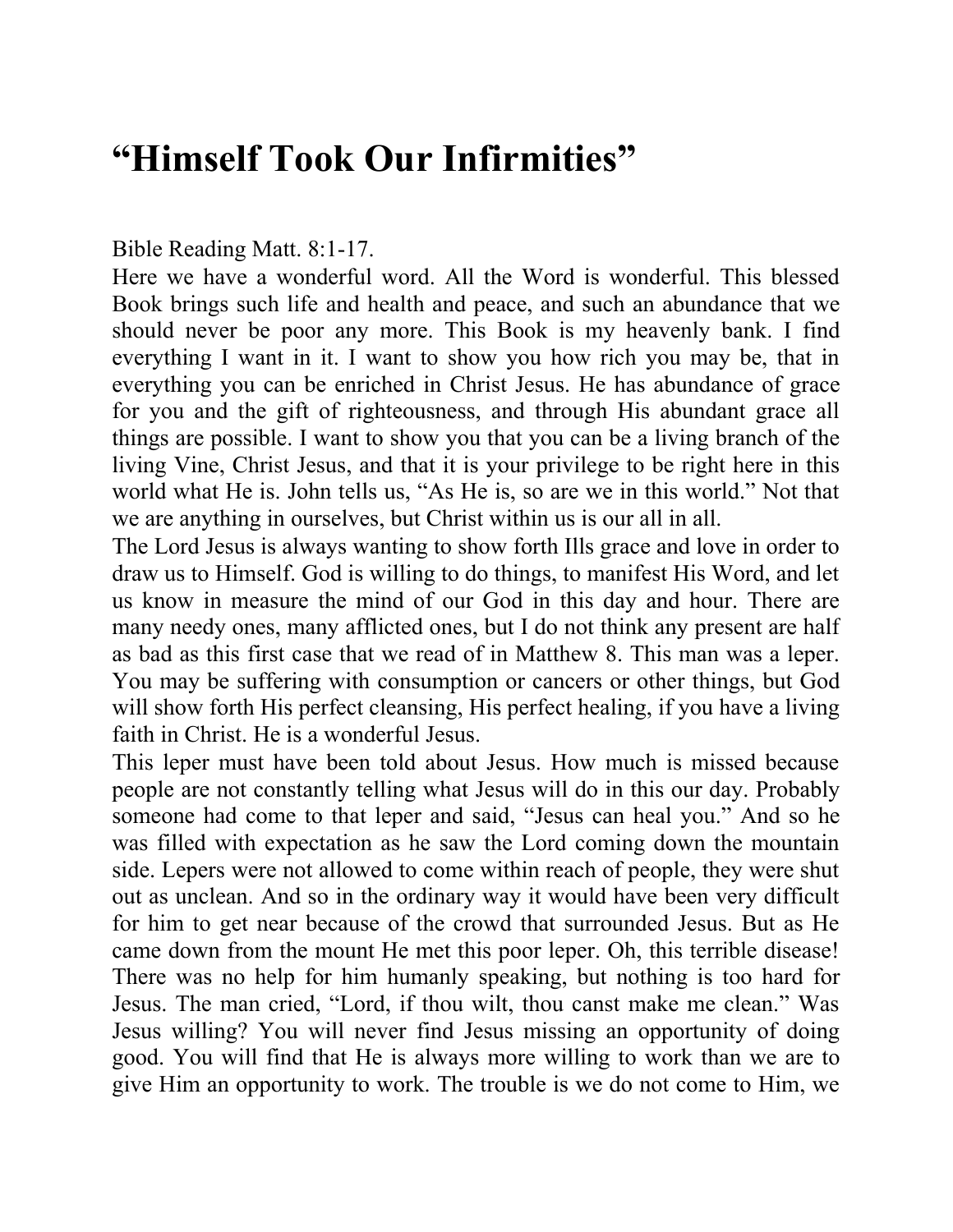## **"Himself Took Our Infirmities"**

#### Bible Reading Matt. 8:1-17.

Here we have a wonderful word. All the Word is wonderful. This blessed Book brings such life and health and peace, and such an abundance that we should never be poor any more. This Book is my heavenly bank. I find everything I want in it. I want to show you how rich you may be, that in everything you can be enriched in Christ Jesus. He has abundance of grace for you and the gift of righteousness, and through His abundant grace all things are possible. I want to show you that you can be a living branch of the living Vine, Christ Jesus, and that it is your privilege to be right here in this world what He is. John tells us, "As He is, so are we in this world." Not that we are anything in ourselves, but Christ within us is our all in all.

The Lord Jesus is always wanting to show forth Ills grace and love in order to draw us to Himself. God is willing to do things, to manifest His Word, and let us know in measure the mind of our God in this day and hour. There are many needy ones, many afflicted ones, but I do not think any present are half as bad as this first case that we read of in Matthew 8. This man was a leper. You may be suffering with consumption or cancers or other things, but God will show forth His perfect cleansing, His perfect healing, if you have a living faith in Christ. He is a wonderful Jesus.

This leper must have been told about Jesus. How much is missed because people are not constantly telling what Jesus will do in this our day. Probably someone had come to that leper and said, "Jesus can heal you." And so he was filled with expectation as he saw the Lord coming down the mountain side. Lepers were not allowed to come within reach of people, they were shut out as unclean. And so in the ordinary way it would have been very difficult for him to get near because of the crowd that surrounded Jesus. But as He came down from the mount He met this poor leper. Oh, this terrible disease! There was no help for him humanly speaking, but nothing is too hard for Jesus. The man cried, "Lord, if thou wilt, thou canst make me clean." Was Jesus willing? You will never find Jesus missing an opportunity of doing good. You will find that He is always more willing to work than we are to give Him an opportunity to work. The trouble is we do not come to Him, we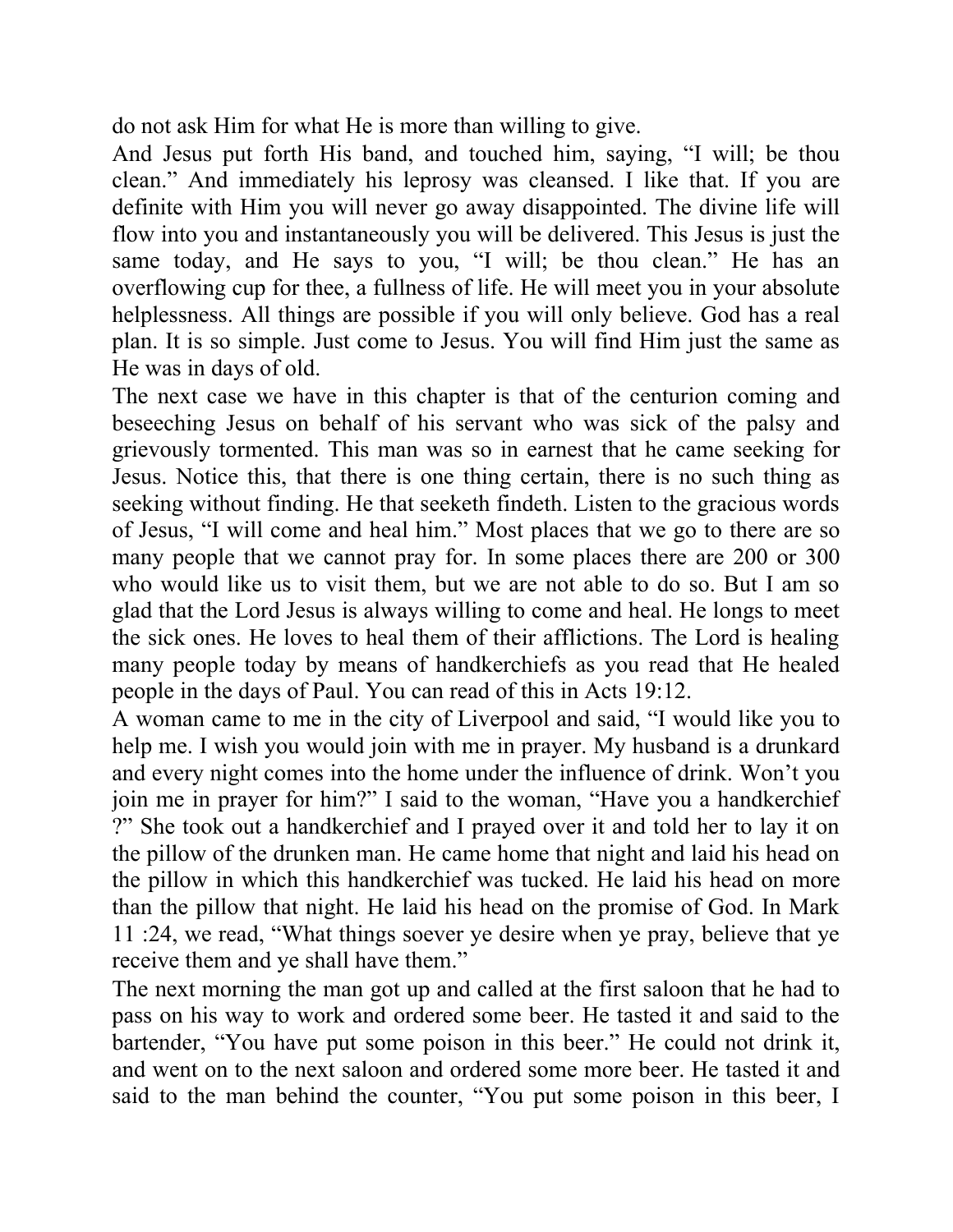do not ask Him for what He is more than willing to give.

And Jesus put forth His band, and touched him, saying, "I will; be thou clean." And immediately his leprosy was cleansed. I like that. If you are definite with Him you will never go away disappointed. The divine life will flow into you and instantaneously you will be delivered. This Jesus is just the same today, and He says to you, "I will; be thou clean." He has an overflowing cup for thee, a fullness of life. He will meet you in your absolute helplessness. All things are possible if you will only believe. God has a real plan. It is so simple. Just come to Jesus. You will find Him just the same as He was in days of old.

The next case we have in this chapter is that of the centurion coming and beseeching Jesus on behalf of his servant who was sick of the palsy and grievously tormented. This man was so in earnest that he came seeking for Jesus. Notice this, that there is one thing certain, there is no such thing as seeking without finding. He that seeketh findeth. Listen to the gracious words of Jesus, "I will come and heal him." Most places that we go to there are so many people that we cannot pray for. In some places there are 200 or 300 who would like us to visit them, but we are not able to do so. But I am so glad that the Lord Jesus is always willing to come and heal. He longs to meet the sick ones. He loves to heal them of their afflictions. The Lord is healing many people today by means of handkerchiefs as you read that He healed people in the days of Paul. You can read of this in Acts 19:12.

A woman came to me in the city of Liverpool and said, "I would like you to help me. I wish you would join with me in prayer. My husband is a drunkard and every night comes into the home under the influence of drink. Won't you join me in prayer for him?" I said to the woman, "Have you a handkerchief ?" She took out a handkerchief and I prayed over it and told her to lay it on the pillow of the drunken man. He came home that night and laid his head on the pillow in which this handkerchief was tucked. He laid his head on more than the pillow that night. He laid his head on the promise of God. In Mark 11 :24, we read, "What things soever ye desire when ye pray, believe that ye receive them and ye shall have them."

The next morning the man got up and called at the first saloon that he had to pass on his way to work and ordered some beer. He tasted it and said to the bartender, "You have put some poison in this beer." He could not drink it, and went on to the next saloon and ordered some more beer. He tasted it and said to the man behind the counter, "You put some poison in this beer, I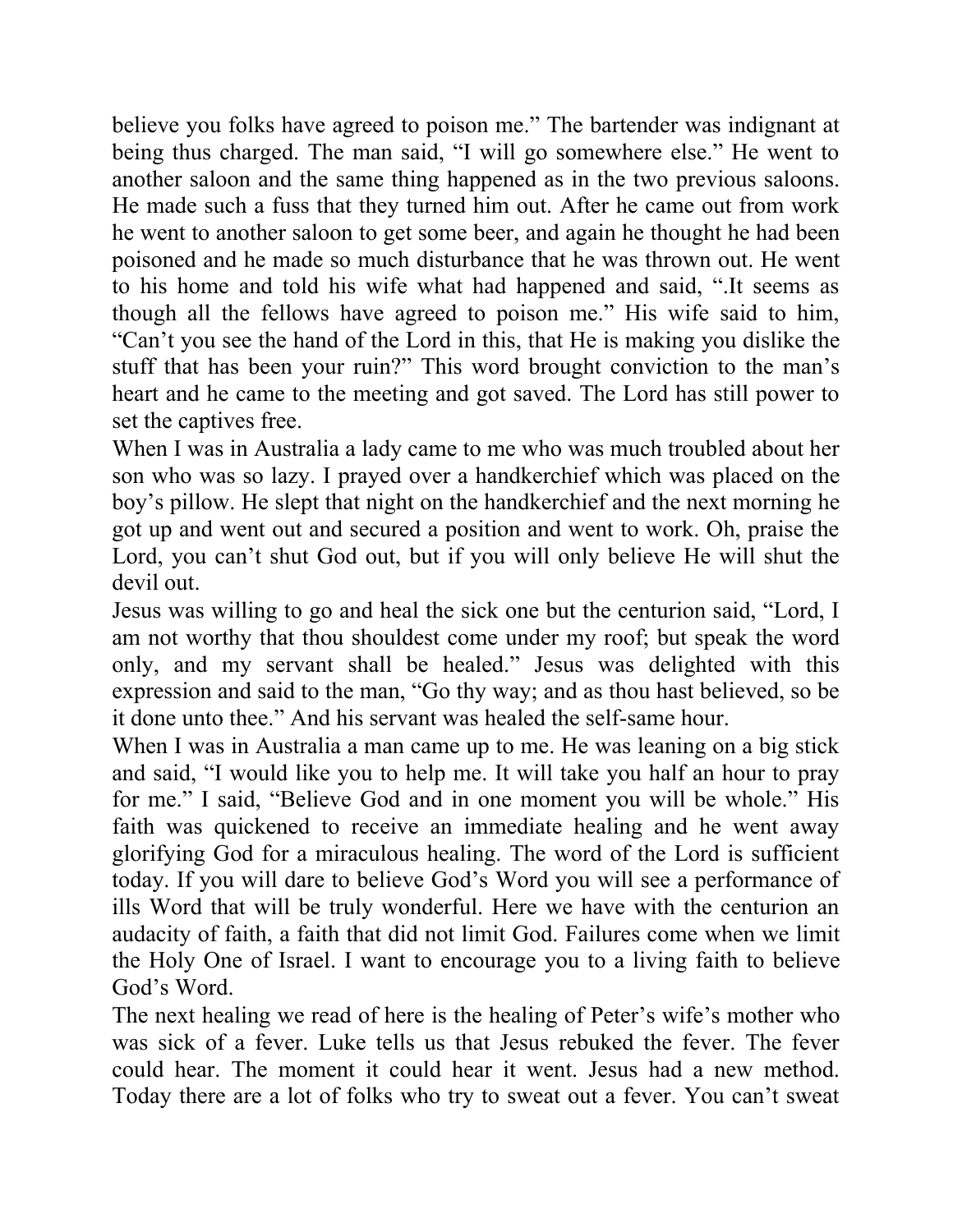believe you folks have agreed to poison me." The bartender was indignant at being thus charged. The man said, "I will go somewhere else." He went to another saloon and the same thing happened as in the two previous saloons. He made such a fuss that they turned him out. After he came out from work he went to another saloon to get some beer, and again he thought he had been poisoned and he made so much disturbance that he was thrown out. He went to his home and told his wife what had happened and said, ".It seems as though all the fellows have agreed to poison me." His wife said to him, "Can't you see the hand of the Lord in this, that He is making you dislike the stuff that has been your ruin?" This word brought conviction to the man's heart and he came to the meeting and got saved. The Lord has still power to set the captives free.

When I was in Australia a lady came to me who was much troubled about her son who was so lazy. I prayed over a handkerchief which was placed on the boy's pillow. He slept that night on the handkerchief and the next morning he got up and went out and secured a position and went to work. Oh, praise the Lord, you can't shut God out, but if you will only believe He will shut the devil out.

Jesus was willing to go and heal the sick one but the centurion said, "Lord, I am not worthy that thou shouldest come under my roof; but speak the word only, and my servant shall be healed." Jesus was delighted with this expression and said to the man, "Go thy way; and as thou hast believed, so be it done unto thee." And his servant was healed the self-same hour.

When I was in Australia a man came up to me. He was leaning on a big stick and said, "I would like you to help me. It will take you half an hour to pray for me." I said, "Believe God and in one moment you will be whole." His faith was quickened to receive an immediate healing and he went away glorifying God for a miraculous healing. The word of the Lord is sufficient today. If you will dare to believe God's Word you will see a performance of ills Word that will be truly wonderful. Here we have with the centurion an audacity of faith, a faith that did not limit God. Failures come when we limit the Holy One of Israel. I want to encourage you to a living faith to believe God's Word.

The next healing we read of here is the healing of Peter's wife's mother who was sick of a fever. Luke tells us that Jesus rebuked the fever. The fever could hear. The moment it could hear it went. Jesus had a new method. Today there are a lot of folks who try to sweat out a fever. You can't sweat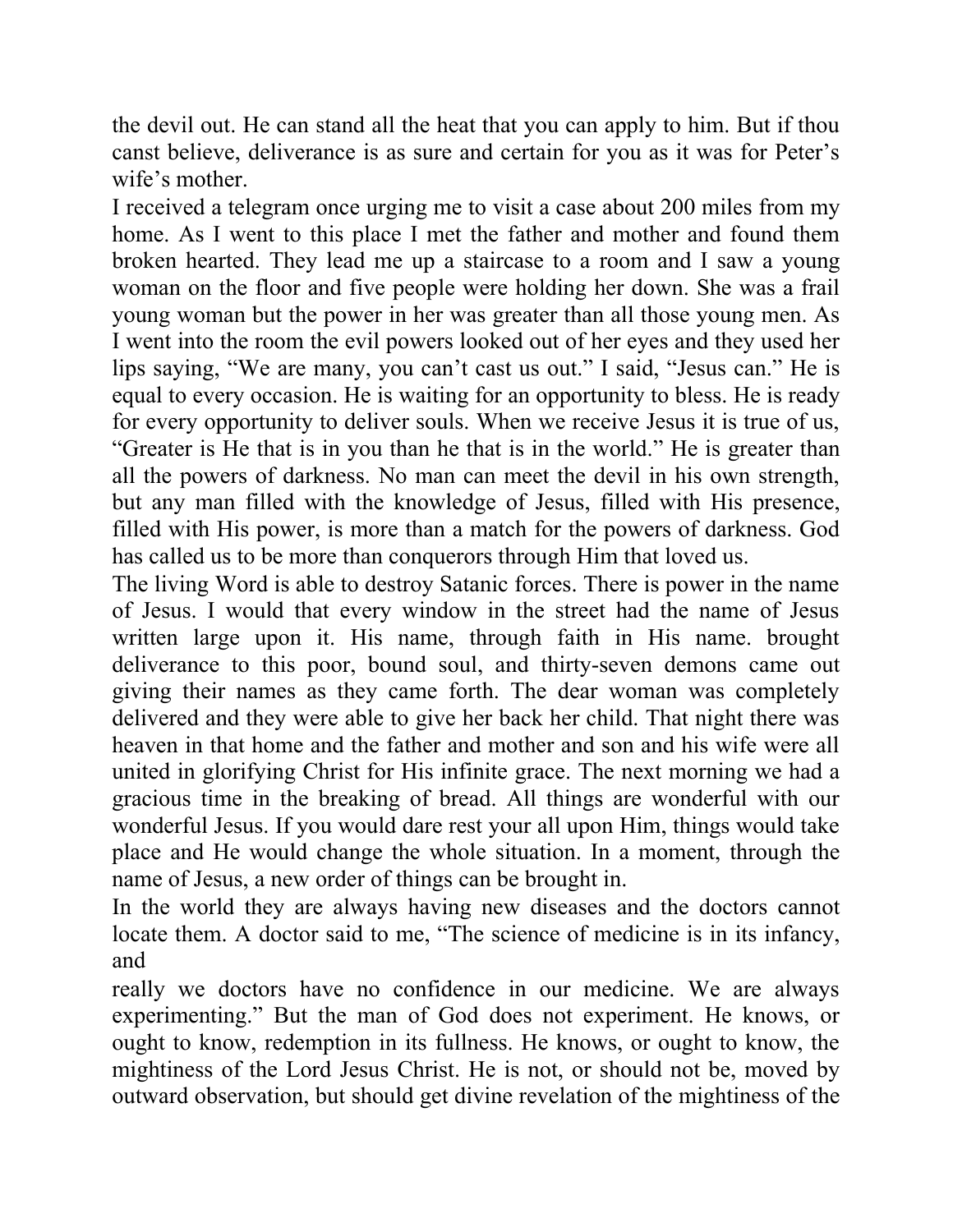the devil out. He can stand all the heat that you can apply to him. But if thou canst believe, deliverance is as sure and certain for you as it was for Peter's wife's mother.

I received a telegram once urging me to visit a case about 200 miles from my home. As I went to this place I met the father and mother and found them broken hearted. They lead me up a staircase to a room and I saw a young woman on the floor and five people were holding her down. She was a frail young woman but the power in her was greater than all those young men. As I went into the room the evil powers looked out of her eyes and they used her lips saying, "We are many, you can't cast us out." I said, "Jesus can." He is equal to every occasion. He is waiting for an opportunity to bless. He is ready for every opportunity to deliver souls. When we receive Jesus it is true of us, "Greater is He that is in you than he that is in the world." He is greater than all the powers of darkness. No man can meet the devil in his own strength, but any man filled with the knowledge of Jesus, filled with His presence, filled with His power, is more than a match for the powers of darkness. God has called us to be more than conquerors through Him that loved us.

The living Word is able to destroy Satanic forces. There is power in the name of Jesus. I would that every window in the street had the name of Jesus written large upon it. His name, through faith in His name. brought deliverance to this poor, bound soul, and thirty-seven demons came out giving their names as they came forth. The dear woman was completely delivered and they were able to give her back her child. That night there was heaven in that home and the father and mother and son and his wife were all united in glorifying Christ for His infinite grace. The next morning we had a gracious time in the breaking of bread. All things are wonderful with our wonderful Jesus. If you would dare rest your all upon Him, things would take place and He would change the whole situation. In a moment, through the name of Jesus, a new order of things can be brought in.

In the world they are always having new diseases and the doctors cannot locate them. A doctor said to me, "The science of medicine is in its infancy, and

really we doctors have no confidence in our medicine. We are always experimenting." But the man of God does not experiment. He knows, or ought to know, redemption in its fullness. He knows, or ought to know, the mightiness of the Lord Jesus Christ. He is not, or should not be, moved by outward observation, but should get divine revelation of the mightiness of the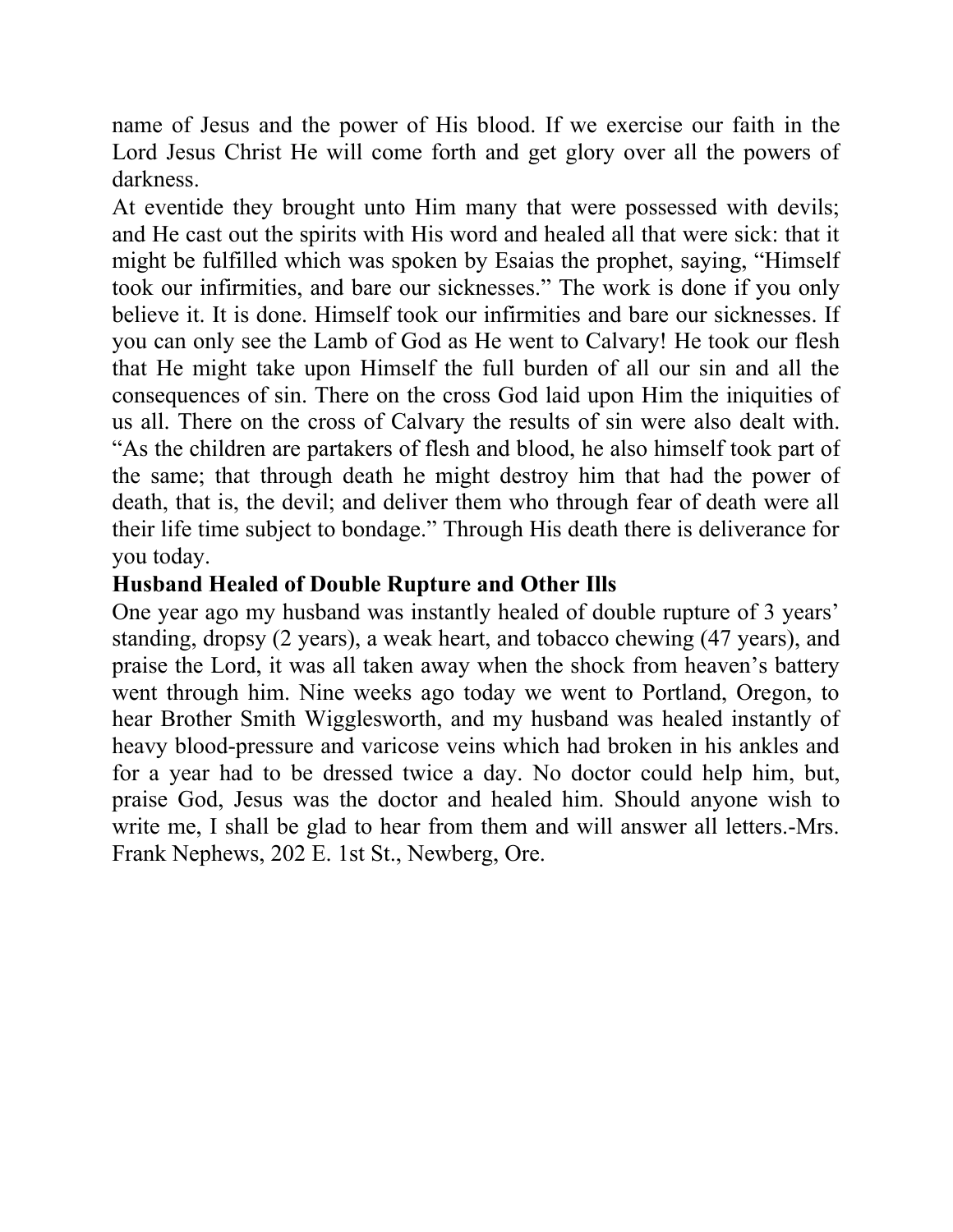name of Jesus and the power of His blood. If we exercise our faith in the Lord Jesus Christ He will come forth and get glory over all the powers of darkness.

At eventide they brought unto Him many that were possessed with devils; and He cast out the spirits with His word and healed all that were sick: that it might be fulfilled which was spoken by Esaias the prophet, saying, "Himself took our infirmities, and bare our sicknesses." The work is done if you only believe it. It is done. Himself took our infirmities and bare our sicknesses. If you can only see the Lamb of God as He went to Calvary! He took our flesh that He might take upon Himself the full burden of all our sin and all the consequences of sin. There on the cross God laid upon Him the iniquities of us all. There on the cross of Calvary the results of sin were also dealt with. "As the children are partakers of flesh and blood, he also himself took part of the same; that through death he might destroy him that had the power of death, that is, the devil; and deliver them who through fear of death were all their life time subject to bondage." Through His death there is deliverance for you today.

#### **Husband Healed of Double Rupture and Other Ills**

One year ago my husband was instantly healed of double rupture of 3 years' standing, dropsy (2 years), a weak heart, and tobacco chewing (47 years), and praise the Lord, it was all taken away when the shock from heaven's battery went through him. Nine weeks ago today we went to Portland, Oregon, to hear Brother Smith Wigglesworth, and my husband was healed instantly of heavy blood-pressure and varicose veins which had broken in his ankles and for a year had to be dressed twice a day. No doctor could help him, but, praise God, Jesus was the doctor and healed him. Should anyone wish to write me, I shall be glad to hear from them and will answer all letters. Mrs. Frank Nephews, 202 E. 1st St., Newberg, Ore.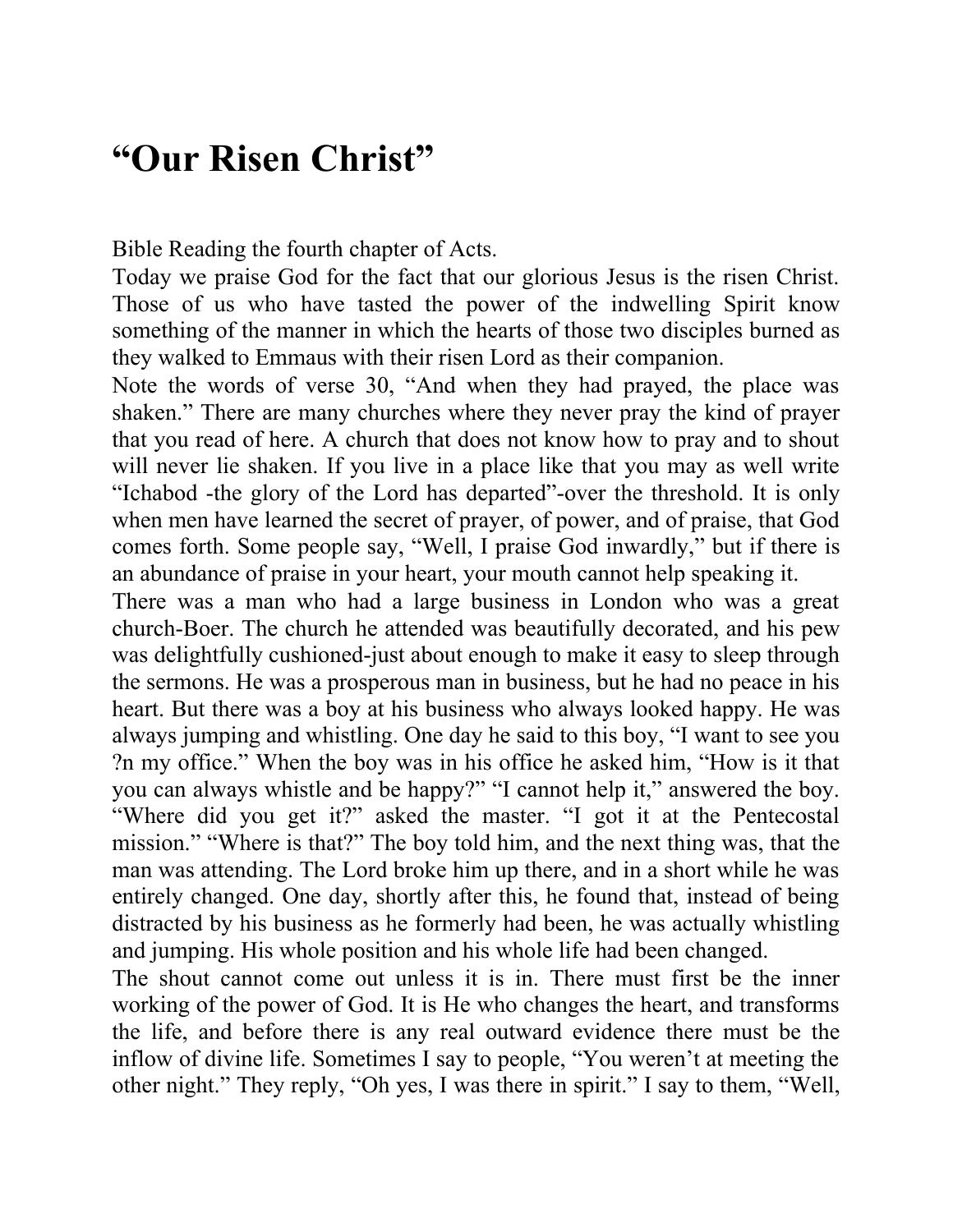### **"Our Risen Christ"**

Bible Reading the fourth chapter of Acts.

Today we praise God for the fact that our glorious Jesus is the risen Christ. Those of us who have tasted the power of the indwelling Spirit know something of the manner in which the hearts of those two disciples burned as they walked to Emmaus with their risen Lord as their companion.

Note the words of verse 30, "And when they had prayed, the place was shaken." There are many churches where they never pray the kind of prayer that you read of here. A church that does not know how to pray and to shout will never lie shaken. If you live in a place like that you may as well write "Ichabod -the glory of the Lord has departed"-over the threshold. It is only when men have learned the secret of prayer, of power, and of praise, that God comes forth. Some people say, "Well, I praise God inwardly," but if there is an abundance of praise in your heart, your mouth cannot help speaking it.

There was a man who had a large business in London who was a great church-Boer. The church he attended was beautifully decorated, and his pew was delightfully cushioned-just about enough to make it easy to sleep through the sermons. He was a prosperous man in business, but he had no peace in his heart. But there was a boy at his business who always looked happy. He was always jumping and whistling. One day he said to this boy, "I want to see you ?n my office." When the boy was in his office he asked him, "How is it that you can always whistle and be happy?" "I cannot help it," answered the boy. "Where did you get it?" asked the master. "I got it at the Pentecostal mission." "Where is that?" The boy told him, and the next thing was, that the man was attending. The Lord broke him up there, and in a short while he was entirely changed. One day, shortly after this, he found that, instead of being distracted by his business as he formerly had been, he was actually whistling and jumping. His whole position and his whole life had been changed.

The shout cannot come out unless it is in. There must first be the inner working of the power of God. It is He who changes the heart, and transforms the life, and before there is any real outward evidence there must be the inflow of divine life. Sometimes I say to people, "You weren't at meeting the other night." They reply, "Oh yes, I was there in spirit." I say to them, "Well,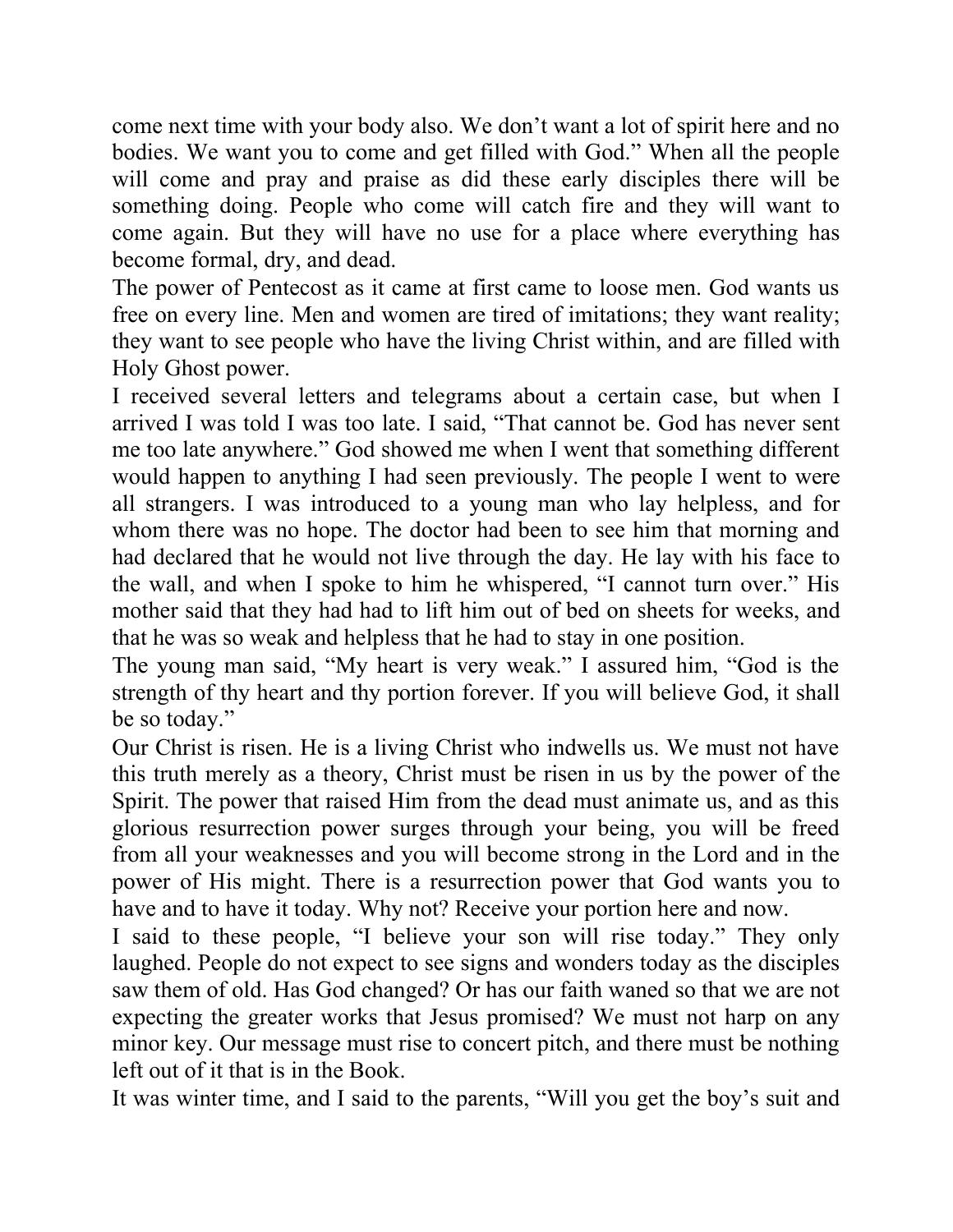come next time with your body also. We don't want a lot of spirit here and no bodies. We want you to come and get filled with God." When all the people will come and pray and praise as did these early disciples there will be something doing. People who come will catch fire and they will want to come again. But they will have no use for a place where everything has become formal, dry, and dead.

The power of Pentecost as it came at first came to loose men. God wants us free on every line. Men and women are tired of imitations; they want reality; they want to see people who have the living Christ within, and are filled with Holy Ghost power.

I received several letters and telegrams about a certain case, but when I arrived I was told I was too late. I said, "That cannot be. God has never sent me too late anywhere." God showed me when I went that something different would happen to anything I had seen previously. The people I went to were all strangers. I was introduced to a young man who lay helpless, and for whom there was no hope. The doctor had been to see him that morning and had declared that he would not live through the day. He lay with his face to the wall, and when I spoke to him he whispered, "I cannot turn over." His mother said that they had had to lift him out of bed on sheets for weeks, and that he was so weak and helpless that he had to stay in one position.

The young man said, "My heart is very weak." I assured him, "God is the strength of thy heart and thy portion forever. If you will believe God, it shall be so today."

Our Christ is risen. He is a living Christ who indwells us. We must not have this truth merely as a theory, Christ must be risen in us by the power of the Spirit. The power that raised Him from the dead must animate us, and as this glorious resurrection power surges through your being, you will be freed from all your weaknesses and you will become strong in the Lord and in the power of His might. There is a resurrection power that God wants you to have and to have it today. Why not? Receive your portion here and now.

I said to these people, "I believe your son will rise today." They only laughed. People do not expect to see signs and wonders today as the disciples saw them of old. Has God changed? Or has our faith waned so that we are not expecting the greater works that Jesus promised? We must not harp on any minor key. Our message must rise to concert pitch, and there must be nothing left out of it that is in the Book.

It was winter time, and I said to the parents, "Will you get the boy's suit and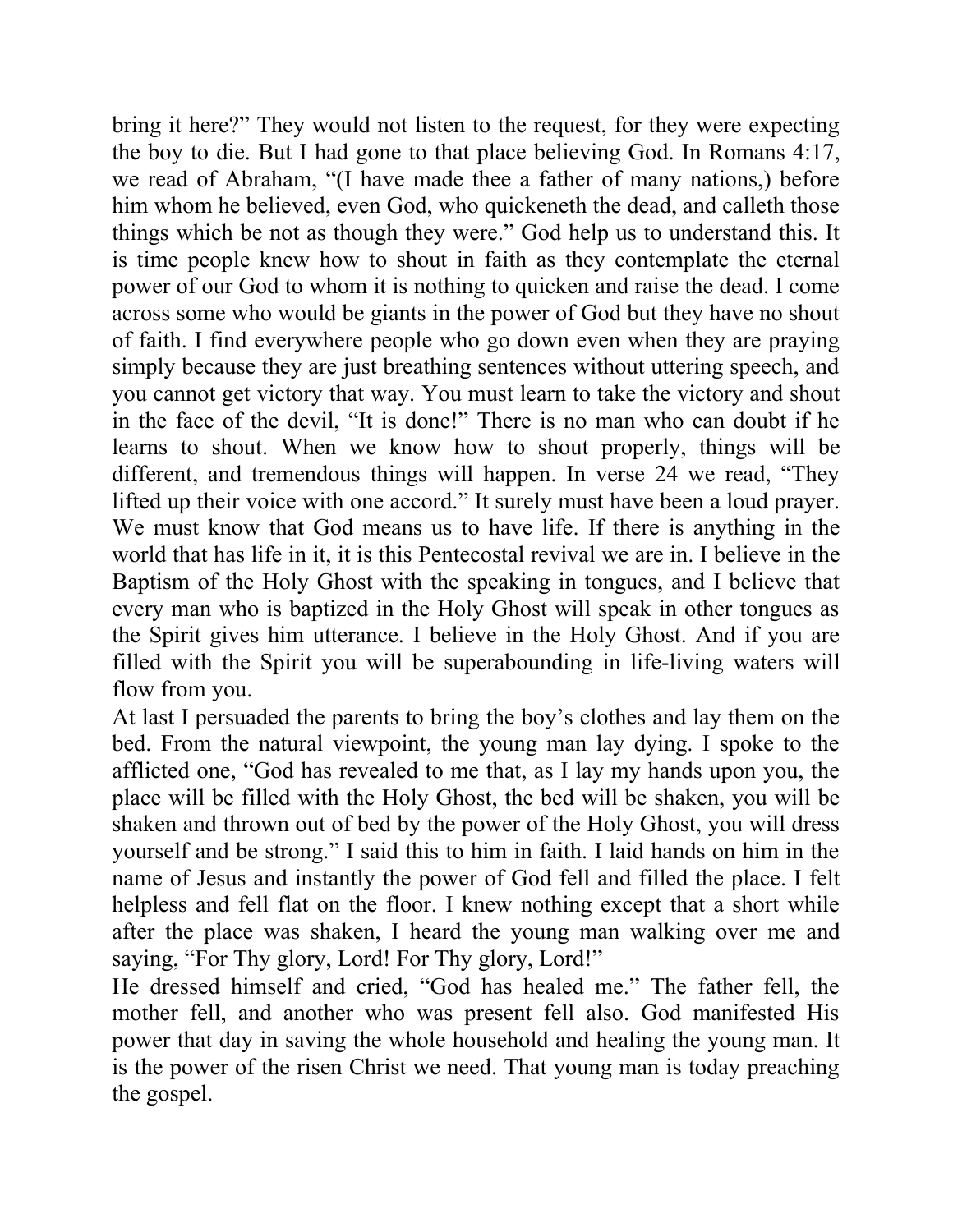bring it here?" They would not listen to the request, for they were expecting the boy to die. But I had gone to that place believing God. In Romans 4:17, we read of Abraham, "(I have made thee a father of many nations,) before him whom he believed, even God, who quickeneth the dead, and calleth those things which be not as though they were." God help us to understand this. It is time people knew how to shout in faith as they contemplate the eternal power of our God to whom it is nothing to quicken and raise the dead. I come across some who would be giants in the power of God but they have no shout of faith. I find everywhere people who go down even when they are praying simply because they are just breathing sentences without uttering speech, and you cannot get victory that way. You must learn to take the victory and shout in the face of the devil, "It is done!" There is no man who can doubt if he learns to shout. When we know how to shout properly, things will be different, and tremendous things will happen. In verse 24 we read, "They lifted up their voice with one accord." It surely must have been a loud prayer. We must know that God means us to have life. If there is anything in the world that has life in it, it is this Pentecostal revival we are in. I believe in the Baptism of the Holy Ghost with the speaking in tongues, and I believe that every man who is baptized in the Holy Ghost will speak in other tongues as the Spirit gives him utterance. I believe in the Holy Ghost. And if you are filled with the Spirit you will be superabounding in life-living waters will flow from you.

At last I persuaded the parents to bring the boy's clothes and lay them on the bed. From the natural viewpoint, the young man lay dying. I spoke to the afflicted one, "God has revealed to me that, as I lay my hands upon you, the place will be filled with the Holy Ghost, the bed will be shaken, you will be shaken and thrown out of bed by the power of the Holy Ghost, you will dress yourself and be strong." I said this to him in faith. I laid hands on him in the name of Jesus and instantly the power of God fell and filled the place. I felt helpless and fell flat on the floor. I knew nothing except that a short while after the place was shaken, I heard the young man walking over me and saying, "For Thy glory, Lord! For Thy glory, Lord!"

He dressed himself and cried, "God has healed me." The father fell, the mother fell, and another who was present fell also. God manifested His power that day in saving the whole household and healing the young man. It is the power of the risen Christ we need. That young man is today preaching the gospel.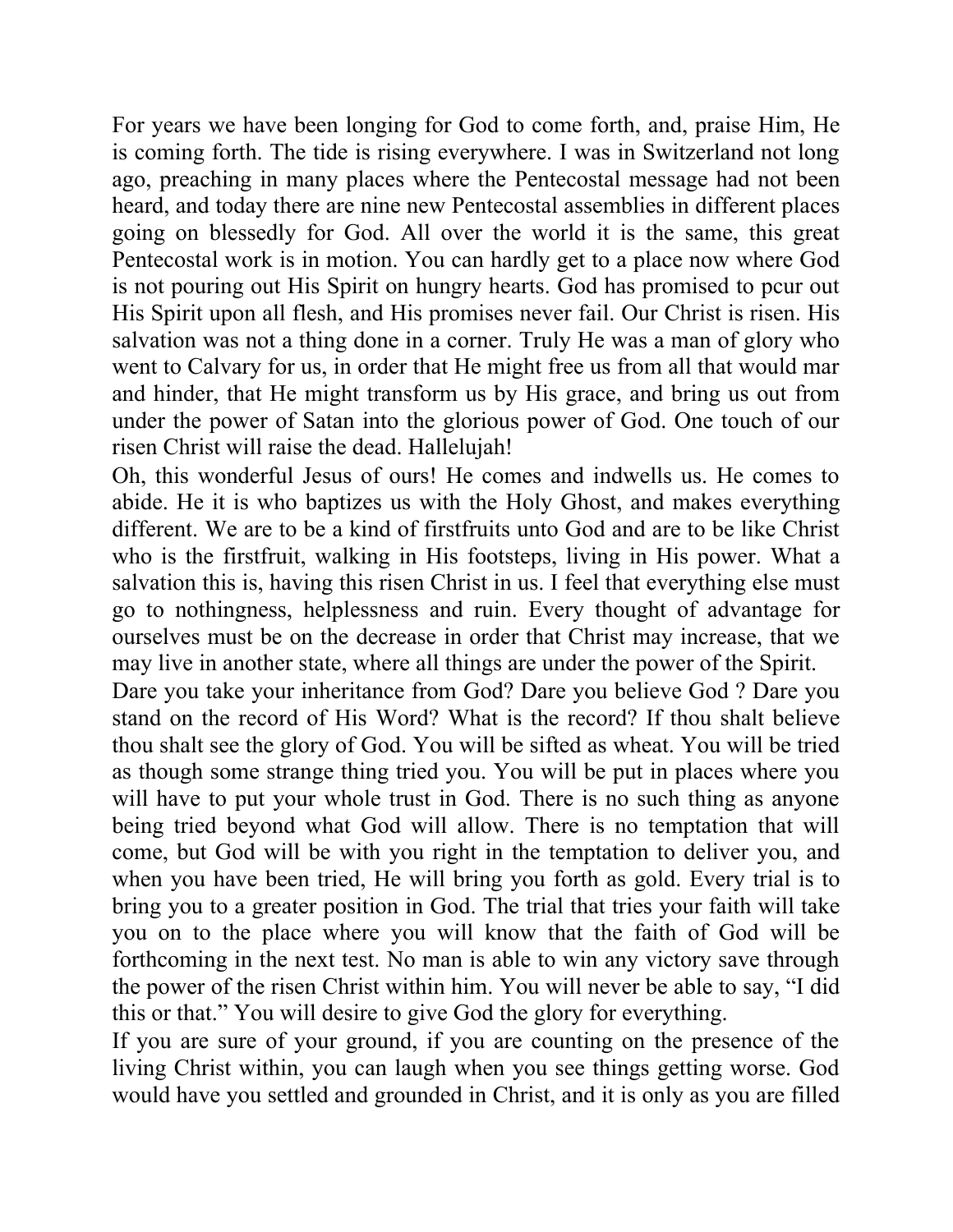For years we have been longing for God to come forth, and, praise Him, He is coming forth. The tide is rising everywhere. I was in Switzerland not long ago, preaching in many places where the Pentecostal message had not been heard, and today there are nine new Pentecostal assemblies in different places going on blessedly for God. All over the world it is the same, this great Pentecostal work is in motion. You can hardly get to a place now where God is not pouring out His Spirit on hungry hearts. God has promised to pcur out His Spirit upon all flesh, and His promises never fail. Our Christ is risen. His salvation was not a thing done in a corner. Truly He was a man of glory who went to Calvary for us, in order that He might free us from all that would mar and hinder, that He might transform us by His grace, and bring us out from under the power of Satan into the glorious power of God. One touch of our risen Christ will raise the dead. Hallelujah!

Oh, this wonderful Jesus of ours! He comes and indwells us. He comes to abide. He it is who baptizes us with the Holy Ghost, and makes everything different. We are to be a kind of firstfruits unto God and are to be like Christ who is the firstfruit, walking in His footsteps, living in His power. What a salvation this is, having this risen Christ in us. I feel that everything else must go to nothingness, helplessness and ruin. Every thought of advantage for ourselves must be on the decrease in order that Christ may increase, that we may live in another state, where all things are under the power of the Spirit.

Dare you take your inheritance from God? Dare you believe God ? Dare you stand on the record of His Word? What is the record? If thou shalt believe thou shalt see the glory of God. You will be sifted as wheat. You will be tried as though some strange thing tried you. You will be put in places where you will have to put your whole trust in God. There is no such thing as anyone being tried beyond what God will allow. There is no temptation that will come, but God will be with you right in the temptation to deliver you, and when you have been tried, He will bring you forth as gold. Every trial is to bring you to a greater position in God. The trial that tries your faith will take you on to the place where you will know that the faith of God will be forthcoming in the next test. No man is able to win any victory save through the power of the risen Christ within him. You will never be able to say, "I did this or that." You will desire to give God the glory for everything.

If you are sure of your ground, if you are counting on the presence of the living Christ within, you can laugh when you see things getting worse. God would have you settled and grounded in Christ, and it is only as you are filled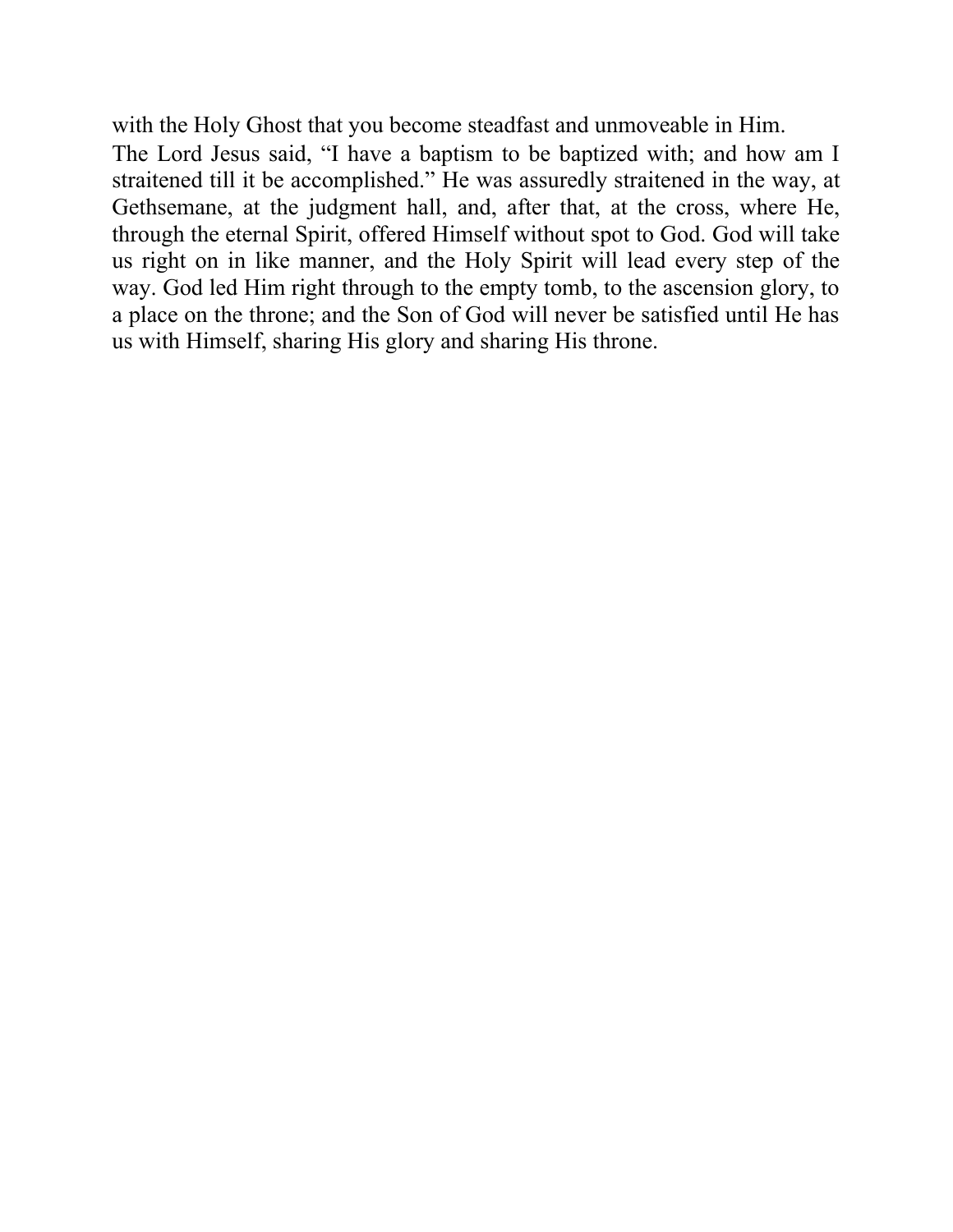with the Holy Ghost that you become steadfast and unmoveable in Him.

The Lord Jesus said, "I have a baptism to be baptized with; and how am I straitened till it be accomplished." He was assuredly straitened in the way, at Gethsemane, at the judgment hall, and, after that, at the cross, where He, through the eternal Spirit, offered Himself without spot to God. God will take us right on in like manner, and the Holy Spirit will lead every step of the way. God led Him right through to the empty tomb, to the ascension glory, to a place on the throne; and the Son of God will never be satisfied until He has us with Himself, sharing His glory and sharing His throne.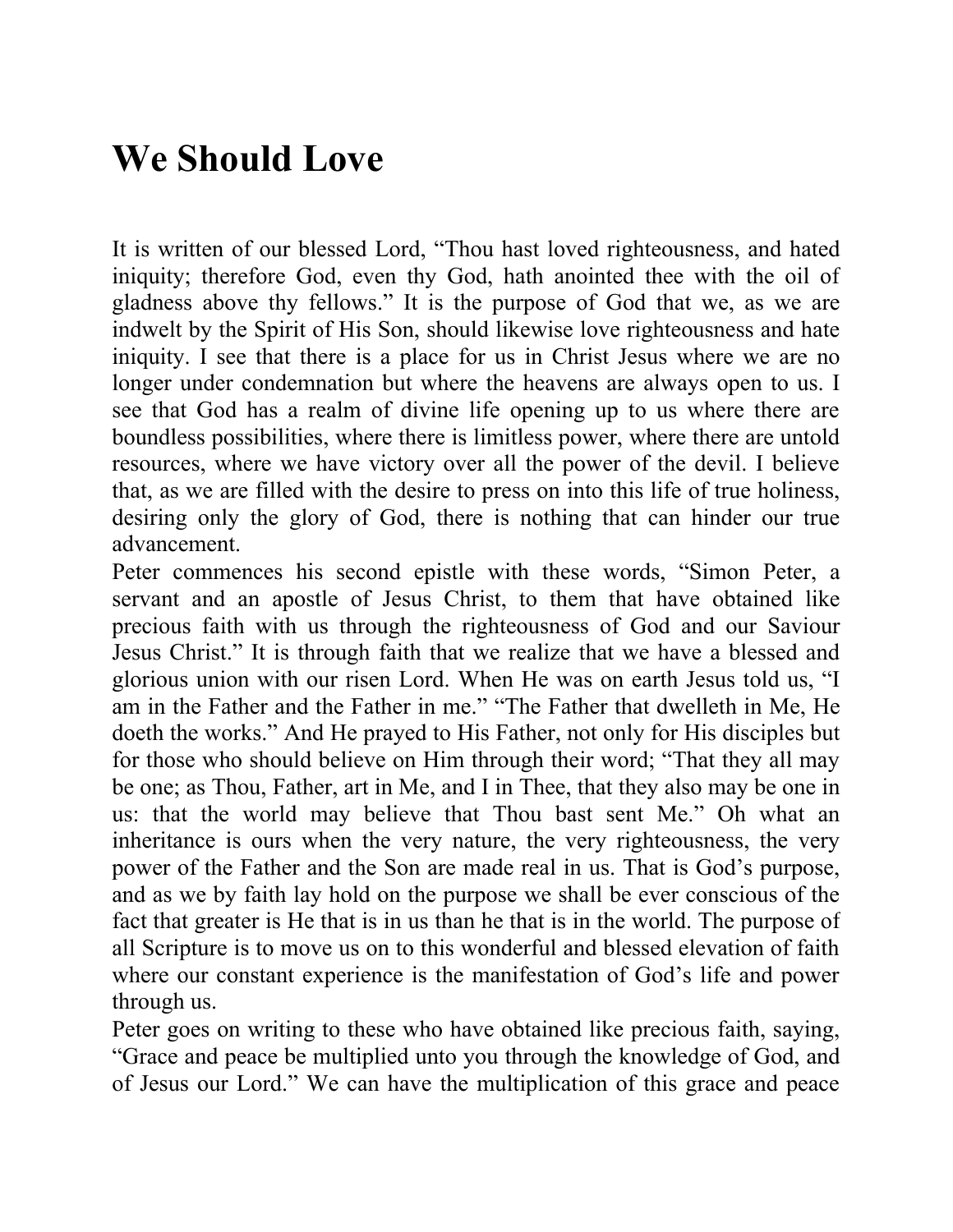## **We Should Love**

It is written of our blessed Lord, "Thou hast loved righteousness, and hated iniquity; therefore God, even thy God, hath anointed thee with the oil of gladness above thy fellows." It is the purpose of God that we, as we are indwelt by the Spirit of His Son, should likewise love righteousness and hate iniquity. I see that there is a place for us in Christ Jesus where we are no longer under condemnation but where the heavens are always open to us. I see that God has a realm of divine life opening up to us where there are boundless possibilities, where there is limitless power, where there are untold resources, where we have victory over all the power of the devil. I believe that, as we are filled with the desire to press on into this life of true holiness, desiring only the glory of God, there is nothing that can hinder our true advancement.

Peter commences his second epistle with these words, "Simon Peter, a servant and an apostle of Jesus Christ, to them that have obtained like precious faith with us through the righteousness of God and our Saviour Jesus Christ." It is through faith that we realize that we have a blessed and glorious union with our risen Lord. When He was on earth Jesus told us, "I am in the Father and the Father in me." "The Father that dwelleth in Me, He doeth the works." And He prayed to His Father, not only for His disciples but for those who should believe on Him through their word; "That they all may be one; as Thou, Father, art in Me, and I in Thee, that they also may be one in us: that the world may believe that Thou bast sent Me." Oh what an inheritance is ours when the very nature, the very righteousness, the very power of the Father and the Son are made real in us. That is God's purpose, and as we by faith lay hold on the purpose we shall be ever conscious of the fact that greater is He that is in us than he that is in the world. The purpose of all Scripture is to move us on to this wonderful and blessed elevation of faith where our constant experience is the manifestation of God's life and power through us.

Peter goes on writing to these who have obtained like precious faith, saying, "Grace and peace be multiplied unto you through the knowledge of God, and of Jesus our Lord." We can have the multiplication of this grace and peace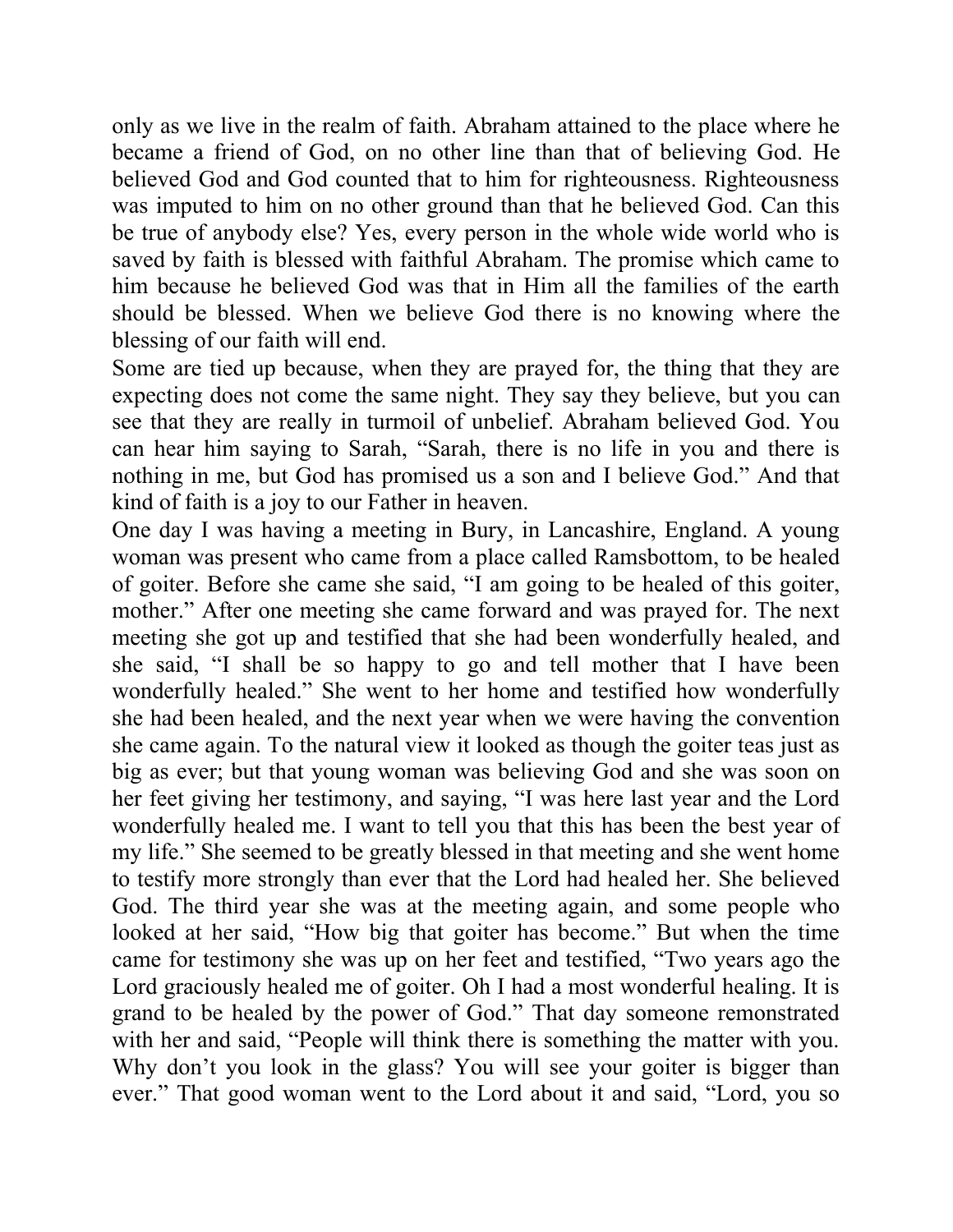only as we live in the realm of faith. Abraham attained to the place where he became a friend of God, on no other line than that of believing God. He believed God and God counted that to him for righteousness. Righteousness was imputed to him on no other ground than that he believed God. Can this be true of anybody else? Yes, every person in the whole wide world who is saved by faith is blessed with faithful Abraham. The promise which came to him because he believed God was that in Him all the families of the earth should be blessed. When we believe God there is no knowing where the blessing of our faith will end.

Some are tied up because, when they are prayed for, the thing that they are expecting does not come the same night. They say they believe, but you can see that they are really in turmoil of unbelief. Abraham believed God. You can hear him saying to Sarah, "Sarah, there is no life in you and there is nothing in me, but God has promised us a son and I believe God." And that kind of faith is a joy to our Father in heaven.

One day I was having a meeting in Bury, in Lancashire, England. A young woman was present who came from a place called Ramsbottom, to be healed of goiter. Before she came she said, "I am going to be healed of this goiter, mother." After one meeting she came forward and was prayed for. The next meeting she got up and testified that she had been wonderfully healed, and she said, "I shall be so happy to go and tell mother that I have been wonderfully healed." She went to her home and testified how wonderfully she had been healed, and the next year when we were having the convention she came again. To the natural view it looked as though the goiter teas just as big as ever; but that young woman was believing God and she was soon on her feet giving her testimony, and saying, "I was here last year and the Lord wonderfully healed me. I want to tell you that this has been the best year of my life." She seemed to be greatly blessed in that meeting and she went home to testify more strongly than ever that the Lord had healed her. She believed God. The third year she was at the meeting again, and some people who looked at her said, "How big that goiter has become." But when the time came for testimony she was up on her feet and testified, "Two years ago the Lord graciously healed me of goiter. Oh I had a most wonderful healing. It is grand to be healed by the power of God." That day someone remonstrated with her and said, "People will think there is something the matter with you. Why don't you look in the glass? You will see your goiter is bigger than ever." That good woman went to the Lord about it and said, "Lord, you so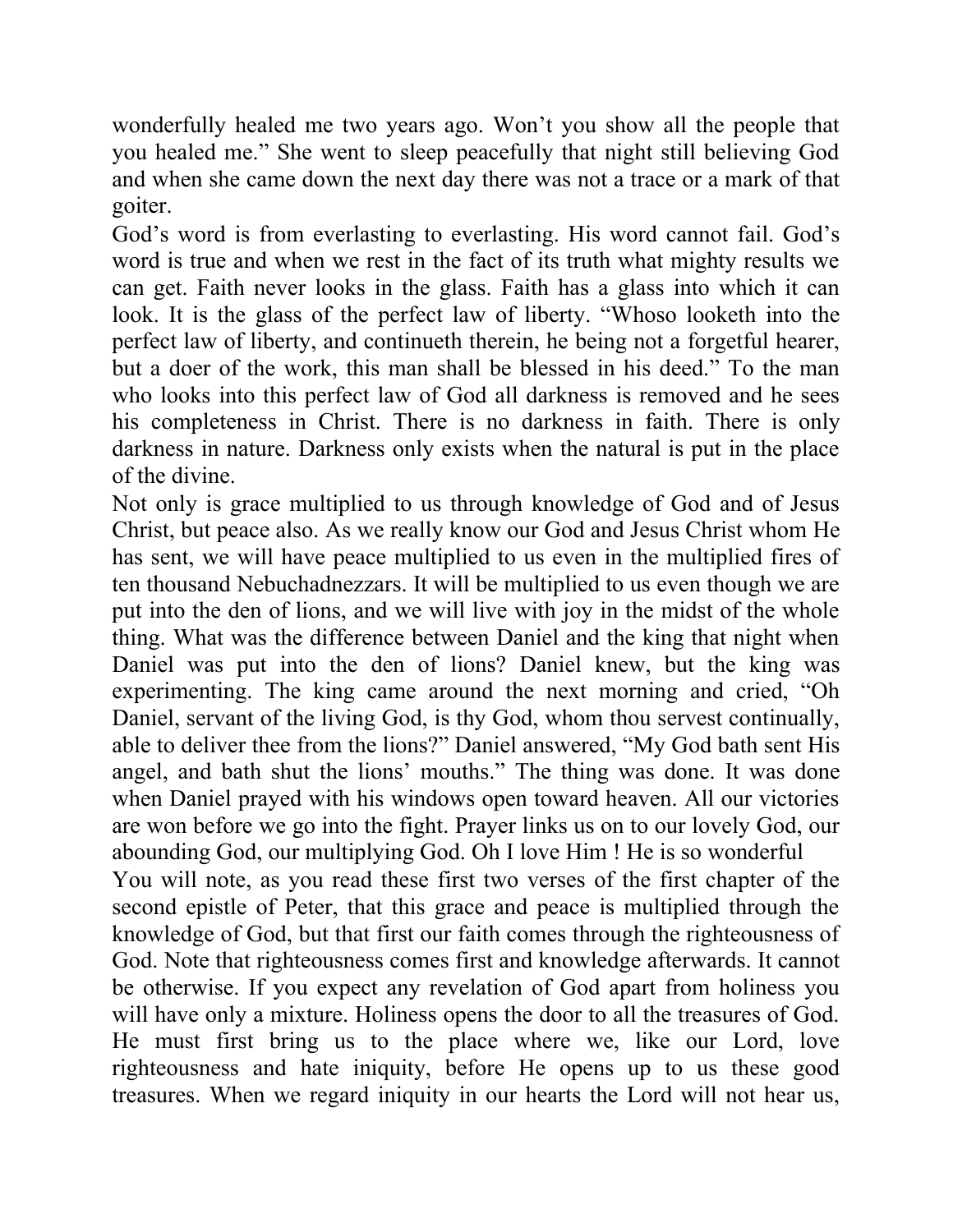wonderfully healed me two years ago. Won't you show all the people that you healed me." She went to sleep peacefully that night still believing God and when she came down the next day there was not a trace or a mark of that goiter.

God's word is from everlasting to everlasting. His word cannot fail. God's word is true and when we rest in the fact of its truth what mighty results we can get. Faith never looks in the glass. Faith has a glass into which it can look. It is the glass of the perfect law of liberty. "Whoso looketh into the perfect law of liberty, and continueth therein, he being not a forgetful hearer, but a doer of the work, this man shall be blessed in his deed." To the man who looks into this perfect law of God all darkness is removed and he sees his completeness in Christ. There is no darkness in faith. There is only darkness in nature. Darkness only exists when the natural is put in the place of the divine.

Not only is grace multiplied to us through knowledge of God and of Jesus Christ, but peace also. As we really know our God and Jesus Christ whom He has sent, we will have peace multiplied to us even in the multiplied fires of ten thousand Nebuchadnezzars. It will be multiplied to us even though we are put into the den of lions, and we will live with joy in the midst of the whole thing. What was the difference between Daniel and the king that night when Daniel was put into the den of lions? Daniel knew, but the king was experimenting. The king came around the next morning and cried, "Oh Daniel, servant of the living God, is thy God, whom thou servest continually, able to deliver thee from the lions?" Daniel answered, "My God bath sent His angel, and bath shut the lions' mouths." The thing was done. It was done when Daniel prayed with his windows open toward heaven. All our victories are won before we go into the fight. Prayer links us on to our lovely God, our abounding God, our multiplying God. Oh I love Him ! He is so wonderful You will note, as you read these first two verses of the first chapter of the second epistle of Peter, that this grace and peace is multiplied through the knowledge of God, but that first our faith comes through the righteousness of God. Note that righteousness comes first and knowledge afterwards. It cannot be otherwise. If you expect any revelation of God apart from holiness you will have only a mixture. Holiness opens the door to all the treasures of God. He must first bring us to the place where we, like our Lord, love righteousness and hate iniquity, before He opens up to us these good treasures. When we regard iniquity in our hearts the Lord will not hear us,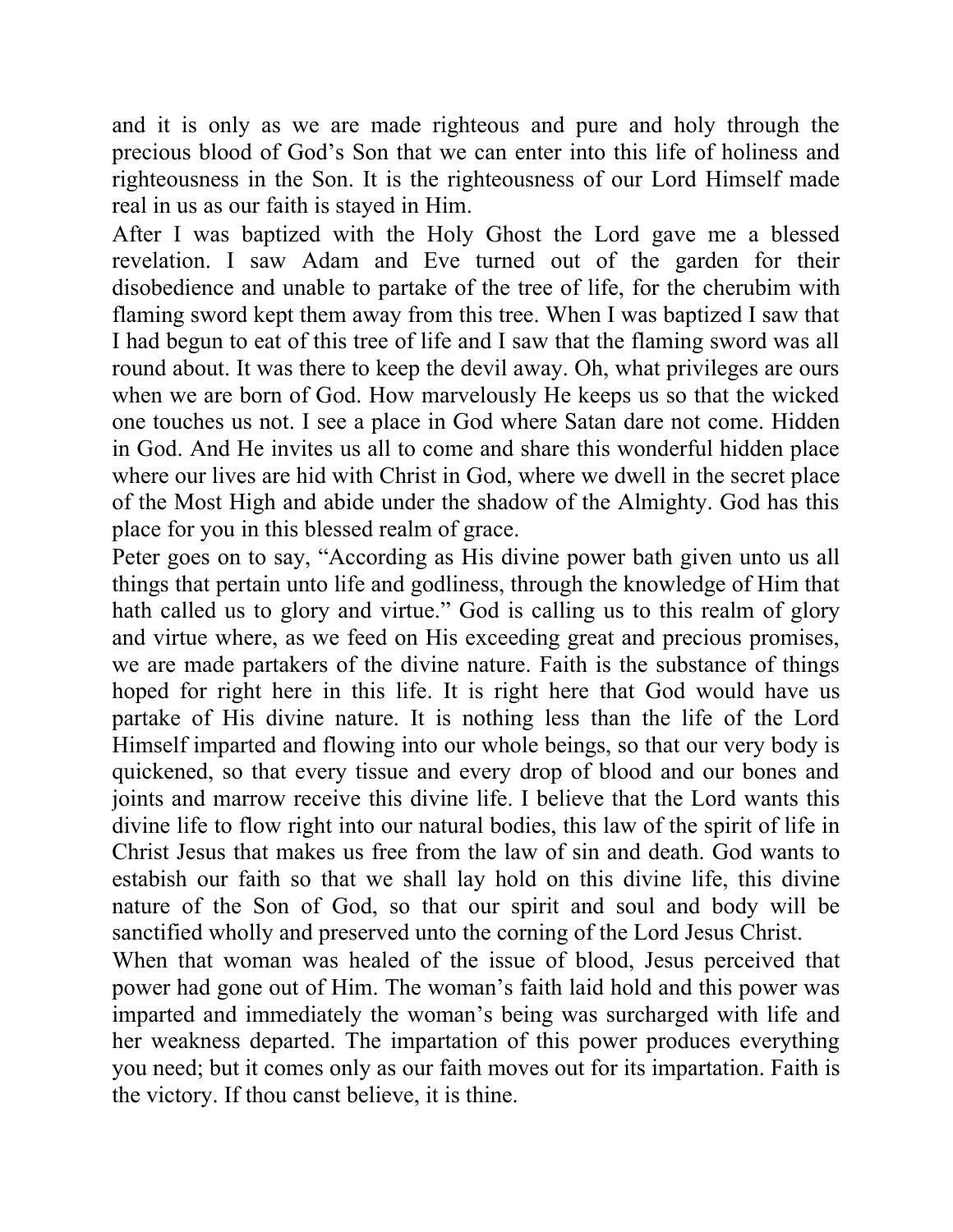and it is only as we are made righteous and pure and holy through the precious blood of God's Son that we can enter into this life of holiness and righteousness in the Son. It is the righteousness of our Lord Himself made real in us as our faith is stayed in Him.

After I was baptized with the Holy Ghost the Lord gave me a blessed revelation. I saw Adam and Eve turned out of the garden for their disobedience and unable to partake of the tree of life, for the cherubim with flaming sword kept them away from this tree. When I was baptized I saw that I had begun to eat of this tree of life and I saw that the flaming sword was all round about. It was there to keep the devil away. Oh, what privileges are ours when we are born of God. How marvelously He keeps us so that the wicked one touches us not. I see a place in God where Satan dare not come. Hidden in God. And He invites us all to come and share this wonderful hidden place where our lives are hid with Christ in God, where we dwell in the secret place of the Most High and abide under the shadow of the Almighty. God has this place for you in this blessed realm of grace.

Peter goes on to say, "According as His divine power bath given unto us all things that pertain unto life and godliness, through the knowledge of Him that hath called us to glory and virtue." God is calling us to this realm of glory and virtue where, as we feed on His exceeding great and precious promises, we are made partakers of the divine nature. Faith is the substance of things hoped for right here in this life. It is right here that God would have us partake of His divine nature. It is nothing less than the life of the Lord Himself imparted and flowing into our whole beings, so that our very body is quickened, so that every tissue and every drop of blood and our bones and joints and marrow receive this divine life. I believe that the Lord wants this divine life to flow right into our natural bodies, this law of the spirit of life in Christ Jesus that makes us free from the law of sin and death. God wants to estabish our faith so that we shall lay hold on this divine life, this divine nature of the Son of God, so that our spirit and soul and body will be sanctified wholly and preserved unto the corning of the Lord Jesus Christ.

When that woman was healed of the issue of blood, Jesus perceived that power had gone out of Him. The woman's faith laid hold and this power was imparted and immediately the woman's being was surcharged with life and her weakness departed. The impartation of this power produces everything you need; but it comes only as our faith moves out for its impartation. Faith is the victory. If thou canst believe, it is thine.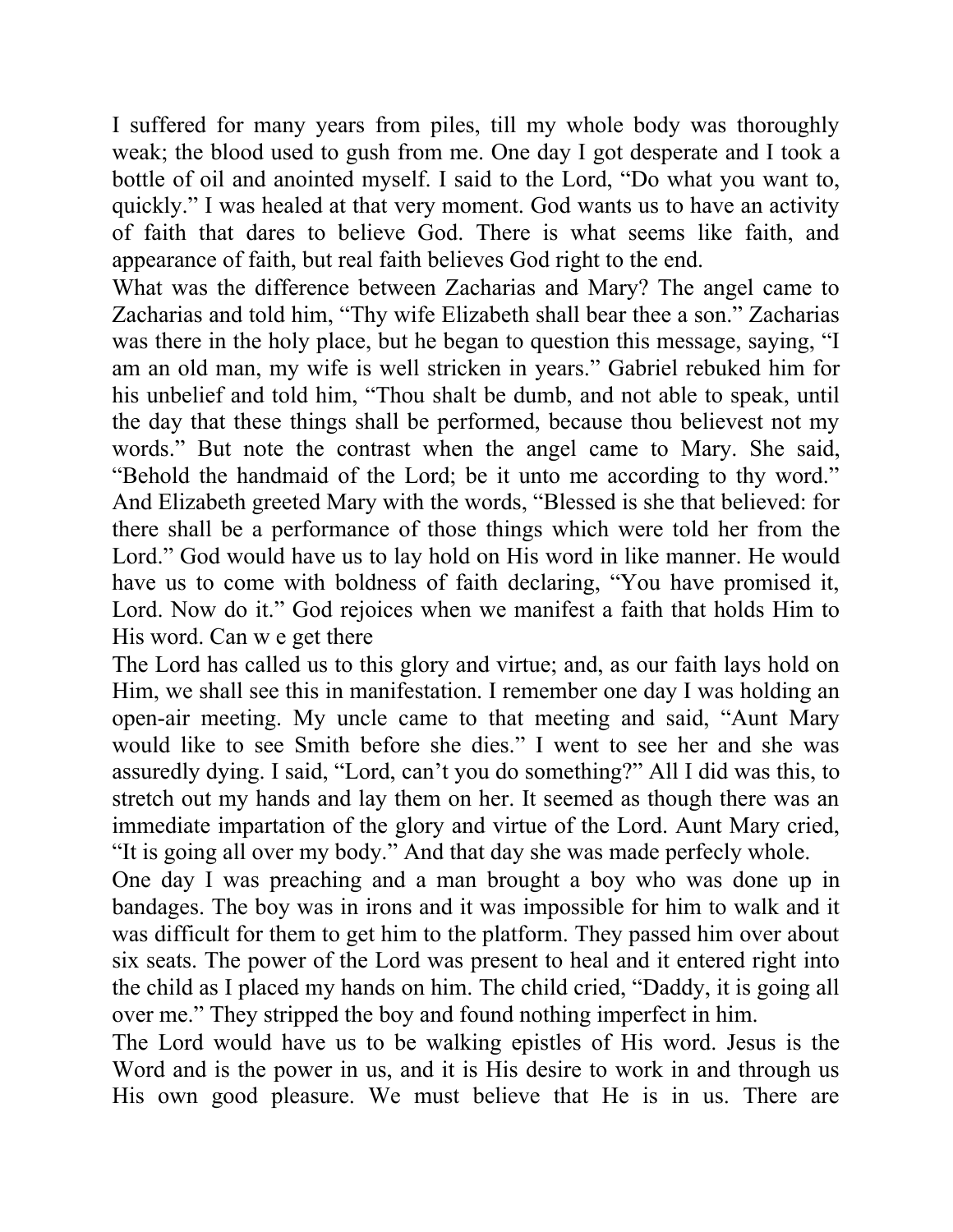I suffered for many years from piles, till my whole body was thoroughly weak; the blood used to gush from me. One day I got desperate and I took a bottle of oil and anointed myself. I said to the Lord, "Do what you want to, quickly." I was healed at that very moment. God wants us to have an activity of faith that dares to believe God. There is what seems like faith, and appearance of faith, but real faith believes God right to the end.

What was the difference between Zacharias and Mary? The angel came to Zacharias and told him, "Thy wife Elizabeth shall bear thee a son." Zacharias was there in the holy place, but he began to question this message, saying, "I am an old man, my wife is well stricken in years." Gabriel rebuked him for his unbelief and told him, "Thou shalt be dumb, and not able to speak, until the day that these things shall be performed, because thou believest not my words." But note the contrast when the angel came to Mary. She said, "Behold the handmaid of the Lord; be it unto me according to thy word." And Elizabeth greeted Mary with the words, "Blessed is she that believed: for there shall be a performance of those things which were told her from the Lord." God would have us to lay hold on His word in like manner. He would have us to come with boldness of faith declaring, "You have promised it, Lord. Now do it." God rejoices when we manifest a faith that holds Him to His word. Can w e get there

The Lord has called us to this glory and virtue; and, as our faith lays hold on Him, we shall see this in manifestation. I remember one day I was holding an open-air meeting. My uncle came to that meeting and said, "Aunt Mary would like to see Smith before she dies." I went to see her and she was assuredly dying. I said, "Lord, can't you do something?" All I did was this, to stretch out my hands and lay them on her. It seemed as though there was an immediate impartation of the glory and virtue of the Lord. Aunt Mary cried, "It is going all over my body." And that day she was made perfecly whole.

One day I was preaching and a man brought a boy who was done up in bandages. The boy was in irons and it was impossible for him to walk and it was difficult for them to get him to the platform. They passed him over about six seats. The power of the Lord was present to heal and it entered right into the child as I placed my hands on him. The child cried, "Daddy, it is going all over me." They stripped the boy and found nothing imperfect in him.

The Lord would have us to be walking epistles of His word. Jesus is the Word and is the power in us, and it is His desire to work in and through us His own good pleasure. We must believe that He is in us. There are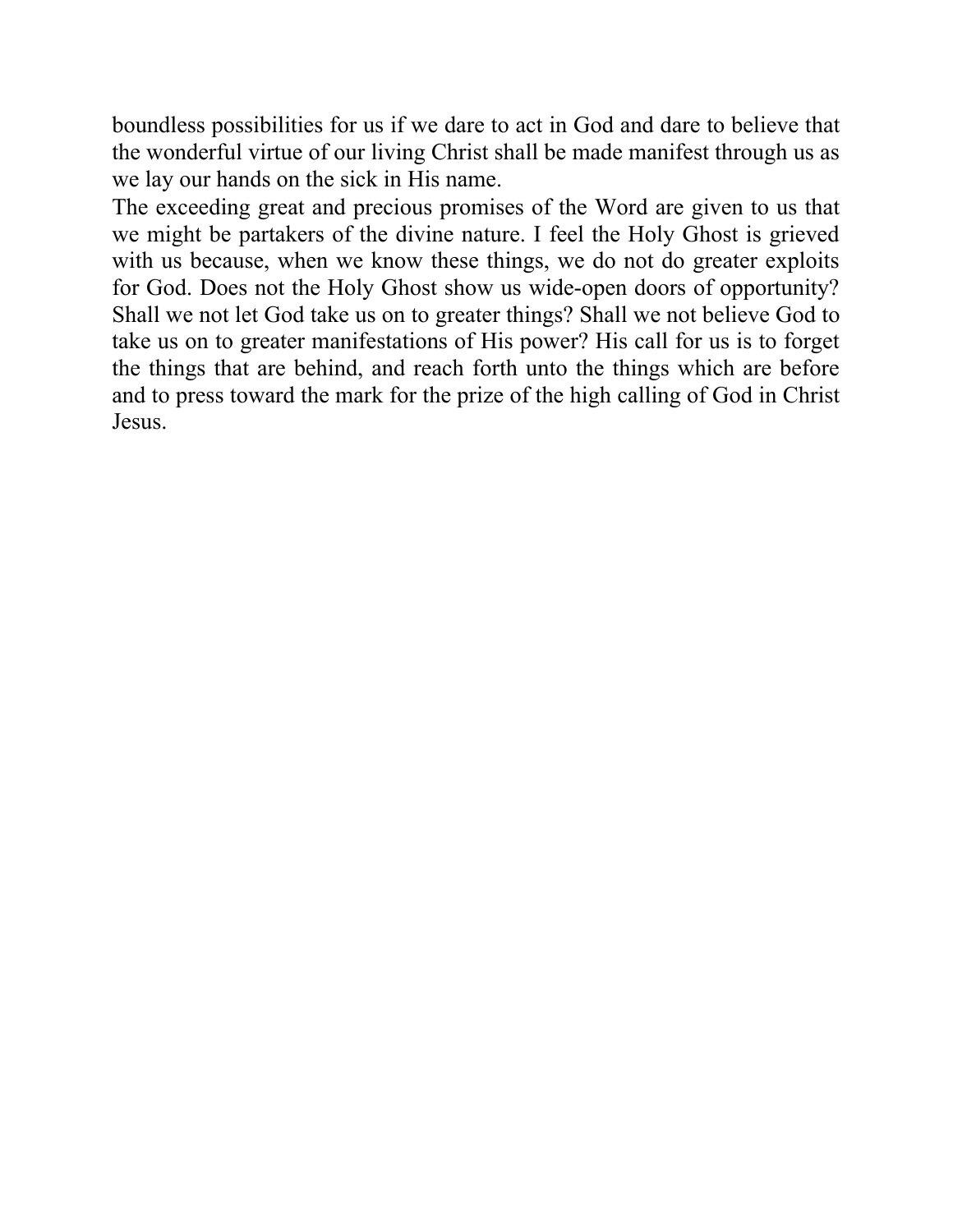boundless possibilities for us if we dare to act in God and dare to believe that the wonderful virtue of our living Christ shall be made manifest through us as we lay our hands on the sick in His name.

The exceeding great and precious promises of the Word are given to us that we might be partakers of the divine nature. I feel the Holy Ghost is grieved with us because, when we know these things, we do not do greater exploits for God. Does not the Holy Ghost show us wide-open doors of opportunity? Shall we not let God take us on to greater things? Shall we not believe God to take us on to greater manifestations of His power? His call for us is to forget the things that are behind, and reach forth unto the things which are before and to press toward the mark for the prize of the high calling of God in Christ Jesus.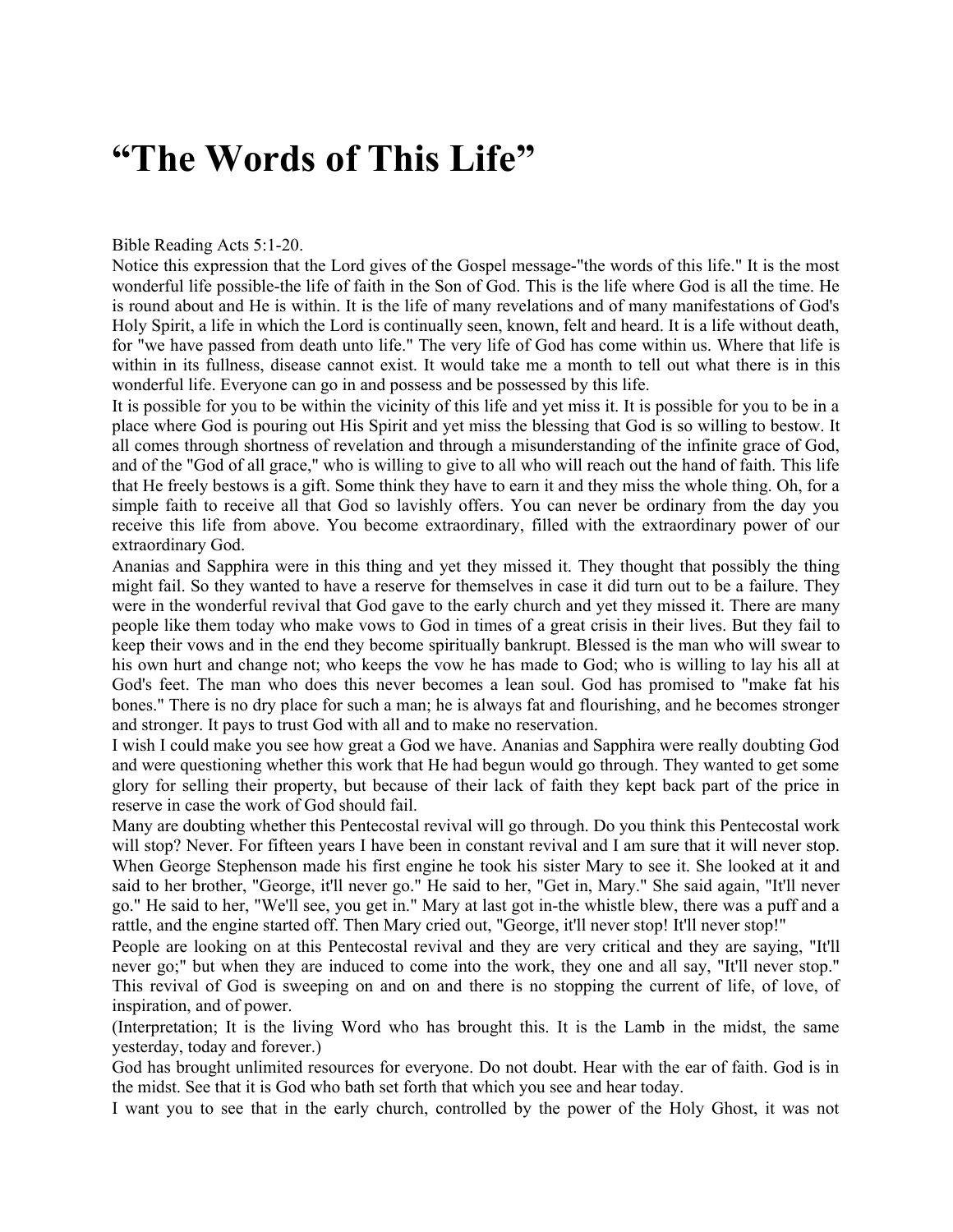### **"The Words of This Life"**

#### Bible Reading Acts 5:1-20.

Notice this expression that the Lord gives of the Gospel message-"the words of this life." It is the most wonderful life possible-the life of faith in the Son of God. This is the life where God is all the time. He is round about and He is within. It is the life of many revelations and of many manifestations of God's Holy Spirit, a life in which the Lord is continually seen, known, felt and heard. It is a life without death, for "we have passed from death unto life." The very life of God has come within us. Where that life is within in its fullness, disease cannot exist. It would take me a month to tell out what there is in this wonderful life. Everyone can go in and possess and be possessed by this life.

It is possible for you to be within the vicinity of this life and yet miss it. It is possible for you to be in a place where God is pouring out His Spirit and yet miss the blessing that God is so willing to bestow. It all comes through shortness of revelation and through a misunderstanding of the infinite grace of God, and of the "God of all grace," who is willing to give to all who will reach out the hand of faith. This life that He freely bestows is a gift. Some think they have to earn it and they miss the whole thing. Oh, for a simple faith to receive all that God so lavishly offers. You can never be ordinary from the day you receive this life from above. You become extraordinary, filled with the extraordinary power of our extraordinary God.

Ananias and Sapphira were in this thing and yet they missed it. They thought that possibly the thing might fail. So they wanted to have a reserve for themselves in case it did turn out to be a failure. They were in the wonderful revival that God gave to the early church and yet they missed it. There are many people like them today who make vows to God in times of a great crisis in their lives. But they fail to keep their vows and in the end they become spiritually bankrupt. Blessed is the man who will swear to his own hurt and change not; who keeps the vow he has made to God; who is willing to lay his all at God's feet. The man who does this never becomes a lean soul. God has promised to "make fat his bones." There is no dry place for such a man; he is always fat and flourishing, and he becomes stronger and stronger. It pays to trust God with all and to make no reservation.

I wish I could make you see how great a God we have. Ananias and Sapphira were really doubting God and were questioning whether this work that He had begun would go through. They wanted to get some glory for selling their property, but because of their lack of faith they kept back part of the price in reserve in case the work of God should fail.

Many are doubting whether this Pentecostal revival will go through. Do you think this Pentecostal work will stop? Never. For fifteen years I have been in constant revival and I am sure that it will never stop. When George Stephenson made his first engine he took his sister Mary to see it. She looked at it and said to her brother, "George, it'll never go." He said to her, "Get in, Mary." She said again, "It'll never go." He said to her, "We'll see, you get in." Mary at last got in-the whistle blew, there was a puff and a rattle, and the engine started off. Then Mary cried out, "George, it'll never stop! It'll never stop!"

People are looking on at this Pentecostal revival and they are very critical and they are saying, "It'll never go;" but when they are induced to come into the work, they one and all say, "It'll never stop." This revival of God is sweeping on and on and there is no stopping the current of life, of love, of inspiration, and of power.

(Interpretation; It is the living Word who has brought this. It is the Lamb in the midst, the same yesterday, today and forever.)

God has brought unlimited resources for everyone. Do not doubt. Hear with the ear of faith. God is in the midst. See that it is God who bath set forth that which you see and hear today.

I want you to see that in the early church, controlled by the power of the Holy Ghost, it was not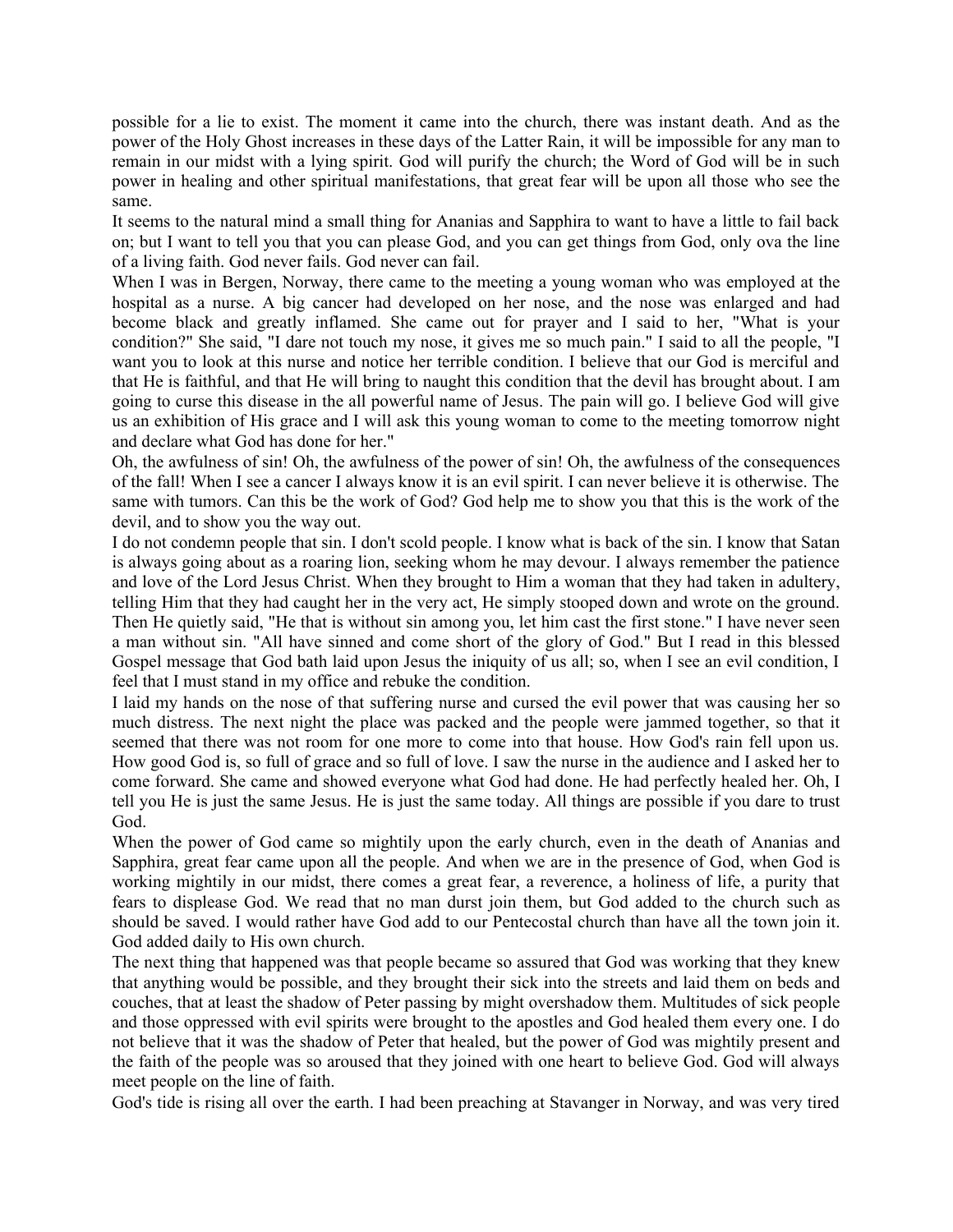possible for a lie to exist. The moment it came into the church, there was instant death. And as the power of the Holy Ghost increases in these days of the Latter Rain, it will be impossible for any man to remain in our midst with a lying spirit. God will purify the church; the Word of God will be in such power in healing and other spiritual manifestations, that great fear will be upon all those who see the same.

It seems to the natural mind a small thing for Ananias and Sapphira to want to have a little to fail back on; but I want to tell you that you can please God, and you can get things from God, only ova the line of a living faith. God never fails. God never can fail.

When I was in Bergen, Norway, there came to the meeting a young woman who was employed at the hospital as a nurse. A big cancer had developed on her nose, and the nose was enlarged and had become black and greatly inflamed. She came out for prayer and I said to her, "What is your condition?" She said, "I dare not touch my nose, it gives me so much pain." I said to all the people, "I want you to look at this nurse and notice her terrible condition. I believe that our God is merciful and that He is faithful, and that He will bring to naught this condition that the devil has brought about. I am going to curse this disease in the all powerful name of Jesus. The pain will go. I believe God will give us an exhibition of His grace and I will ask this young woman to come to the meeting tomorrow night and declare what God has done for her."

Oh, the awfulness of sin! Oh, the awfulness of the power of sin! Oh, the awfulness of the consequences of the fall! When I see a cancer I always know it is an evil spirit. I can never believe it is otherwise. The same with tumors. Can this be the work of God? God help me to show you that this is the work of the devil, and to show you the way out.

I do not condemn people that sin. I don't scold people. I know what is back of the sin. I know that Satan is always going about as a roaring lion, seeking whom he may devour. I always remember the patience and love of the Lord Jesus Christ. When they brought to Him a woman that they had taken in adultery, telling Him that they had caught her in the very act, He simply stooped down and wrote on the ground. Then He quietly said, "He that is without sin among you, let him cast the first stone." I have never seen a man without sin. "All have sinned and come short of the glory of God." But I read in this blessed Gospel message that God bath laid upon Jesus the iniquity of us all; so, when I see an evil condition, I feel that I must stand in my office and rebuke the condition.

I laid my hands on the nose of that suffering nurse and cursed the evil power that was causing her so much distress. The next night the place was packed and the people were jammed together, so that it seemed that there was not room for one more to come into that house. How God's rain fell upon us. How good God is, so full of grace and so full of love. I saw the nurse in the audience and I asked her to come forward. She came and showed everyone what God had done. He had perfectly healed her. Oh, I tell you He is just the same Jesus. He is just the same today. All things are possible if you dare to trust God.

When the power of God came so mightily upon the early church, even in the death of Ananias and Sapphira, great fear came upon all the people. And when we are in the presence of God, when God is working mightily in our midst, there comes a great fear, a reverence, a holiness of life, a purity that fears to displease God. We read that no man durst join them, but God added to the church such as should be saved. I would rather have God add to our Pentecostal church than have all the town join it. God added daily to His own church.

The next thing that happened was that people became so assured that God was working that they knew that anything would be possible, and they brought their sick into the streets and laid them on beds and couches, that at least the shadow of Peter passing by might overshadow them. Multitudes of sick people and those oppressed with evil spirits were brought to the apostles and God healed them every one. I do not believe that it was the shadow of Peter that healed, but the power of God was mightily present and the faith of the people was so aroused that they joined with one heart to believe God. God will always meet people on the line of faith.

God's tide is rising all over the earth. I had been preaching at Stavanger in Norway, and was very tired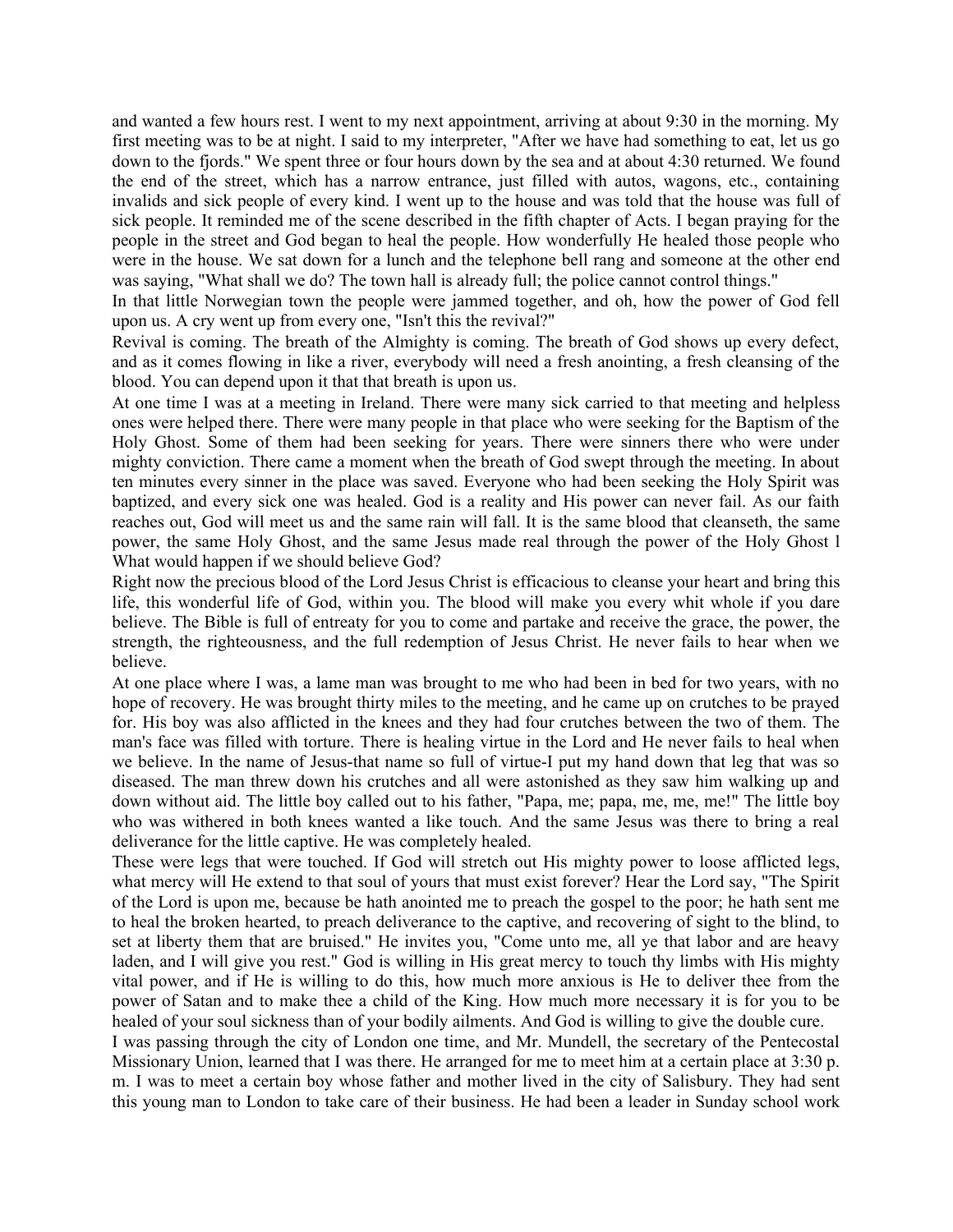and wanted a few hours rest. I went to my next appointment, arriving at about 9:30 in the morning. My first meeting was to be at night. I said to my interpreter, "After we have had something to eat, let us go down to the fjords." We spent three or four hours down by the sea and at about 4:30 returned. We found the end of the street, which has a narrow entrance, just filled with autos, wagons, etc., containing invalids and sick people of every kind. I went up to the house and was told that the house was full of sick people. It reminded me of the scene described in the fifth chapter of Acts. I began praying for the people in the street and God began to heal the people. How wonderfully He healed those people who were in the house. We sat down for a lunch and the telephone bell rang and someone at the other end was saying, "What shall we do? The town hall is already full; the police cannot control things."

In that little Norwegian town the people were jammed together, and oh, how the power of God fell upon us. A cry went up from every one, "Isn't this the revival?"

Revival is coming. The breath of the Almighty is coming. The breath of God shows up every defect, and as it comes flowing in like a river, everybody will need a fresh anointing, a fresh cleansing of the blood. You can depend upon it that that breath is upon us.

At one time I was at a meeting in Ireland. There were many sick carried to that meeting and helpless ones were helped there. There were many people in that place who were seeking for the Baptism of the Holy Ghost. Some of them had been seeking for years. There were sinners there who were under mighty conviction. There came a moment when the breath of God swept through the meeting. In about ten minutes every sinner in the place was saved. Everyone who had been seeking the Holy Spirit was baptized, and every sick one was healed. God is a reality and His power can never fail. As our faith reaches out, God will meet us and the same rain will fall. It is the same blood that cleanseth, the same power, the same Holy Ghost, and the same Jesus made real through the power of the Holy Ghost l What would happen if we should believe God?

Right now the precious blood of the Lord Jesus Christ is efficacious to cleanse your heart and bring this life, this wonderful life of God, within you. The blood will make you every whit whole if you dare believe. The Bible is full of entreaty for you to come and partake and receive the grace, the power, the strength, the righteousness, and the full redemption of Jesus Christ. He never fails to hear when we believe.

At one place where I was, a lame man was brought to me who had been in bed for two years, with no hope of recovery. He was brought thirty miles to the meeting, and he came up on crutches to be prayed for. His boy was also afflicted in the knees and they had four crutches between the two of them. The man's face was filled with torture. There is healing virtue in the Lord and He never fails to heal when we believe. In the name of Jesus-that name so full of virtue-I put my hand down that leg that was so diseased. The man threw down his crutches and all were astonished as they saw him walking up and down without aid. The little boy called out to his father, "Papa, me; papa, me, me, me!" The little boy who was withered in both knees wanted a like touch. And the same Jesus was there to bring a real deliverance for the little captive. He was completely healed.

These were legs that were touched. If God will stretch out His mighty power to loose afflicted legs, what mercy will He extend to that soul of yours that must exist forever? Hear the Lord say, "The Spirit of the Lord is upon me, because be hath anointed me to preach the gospel to the poor; he hath sent me to heal the broken hearted, to preach deliverance to the captive, and recovering of sight to the blind, to set at liberty them that are bruised." He invites you, "Come unto me, all ye that labor and are heavy laden, and I will give you rest." God is willing in His great mercy to touch thy limbs with His mighty vital power, and if He is willing to do this, how much more anxious is He to deliver thee from the power of Satan and to make thee a child of the King. How much more necessary it is for you to be healed of your soul sickness than of your bodily ailments. And God is willing to give the double cure.

I was passing through the city of London one time, and Mr. Mundell, the secretary of the Pentecostal Missionary Union, learned that I was there. He arranged for me to meet him at a certain place at 3:30 p. m. I was to meet a certain boy whose father and mother lived in the city of Salisbury. They had sent this young man to London to take care of their business. He had been a leader in Sunday school work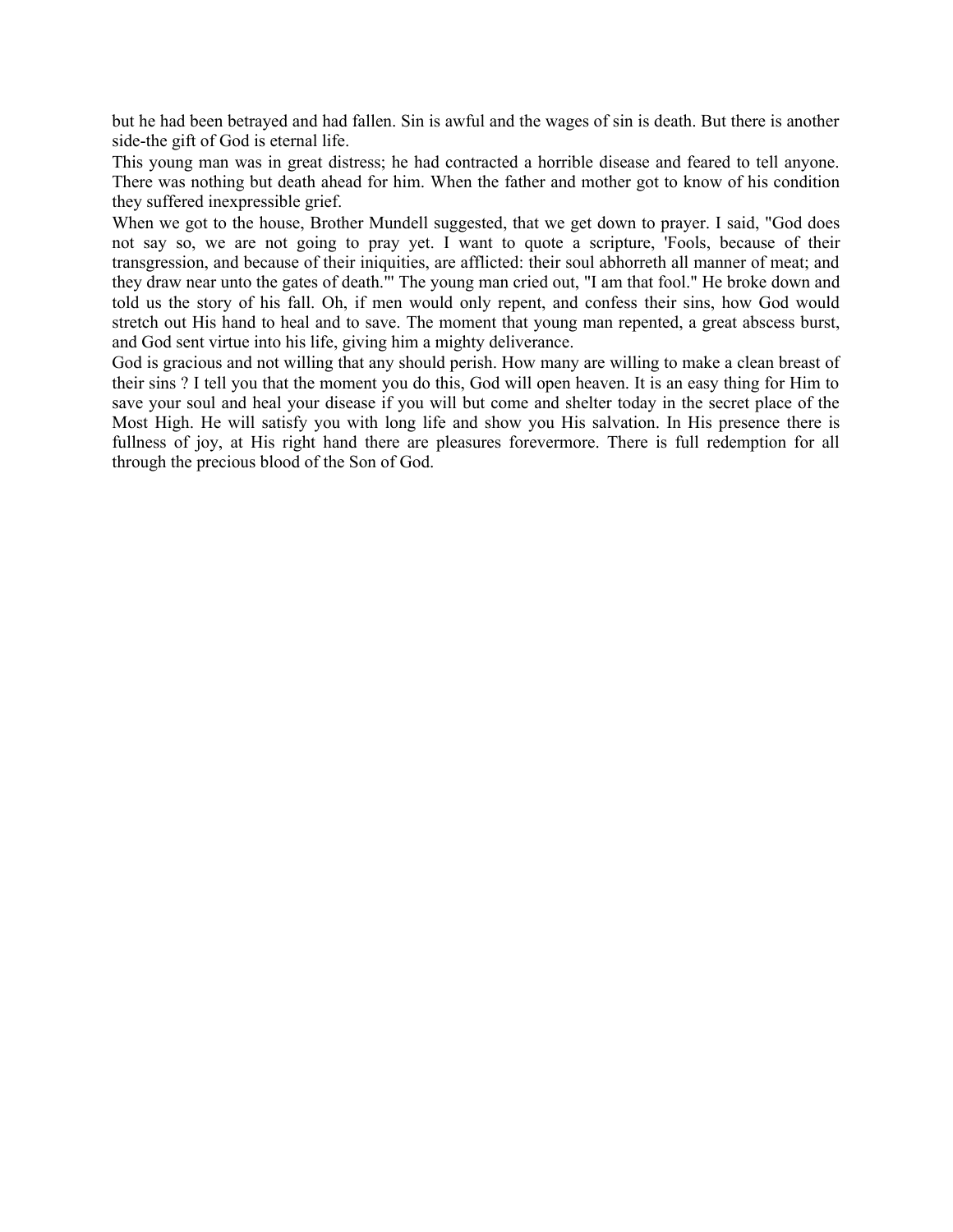but he had been betrayed and had fallen. Sin is awful and the wages of sin is death. But there is another side-the gift of God is eternal life.

This young man was in great distress; he had contracted a horrible disease and feared to tell anyone. There was nothing but death ahead for him. When the father and mother got to know of his condition they suffered inexpressible grief.

When we got to the house, Brother Mundell suggested, that we get down to prayer. I said, "God does not say so, we are not going to pray yet. I want to quote a scripture, 'Fools, because of their transgression, and because of their iniquities, are afflicted: their soul abhorreth all manner of meat; and they draw near unto the gates of death."' The young man cried out, "I am that fool." He broke down and told us the story of his fall. Oh, if men would only repent, and confess their sins, how God would stretch out His hand to heal and to save. The moment that young man repented, a great abscess burst, and God sent virtue into his life, giving him a mighty deliverance.

God is gracious and not willing that any should perish. How many are willing to make a clean breast of their sins ? I tell you that the moment you do this, God will open heaven. It is an easy thing for Him to save your soul and heal your disease if you will but come and shelter today in the secret place of the Most High. He will satisfy you with long life and show you His salvation. In His presence there is fullness of joy, at His right hand there are pleasures forevermore. There is full redemption for all through the precious blood of the Son of God.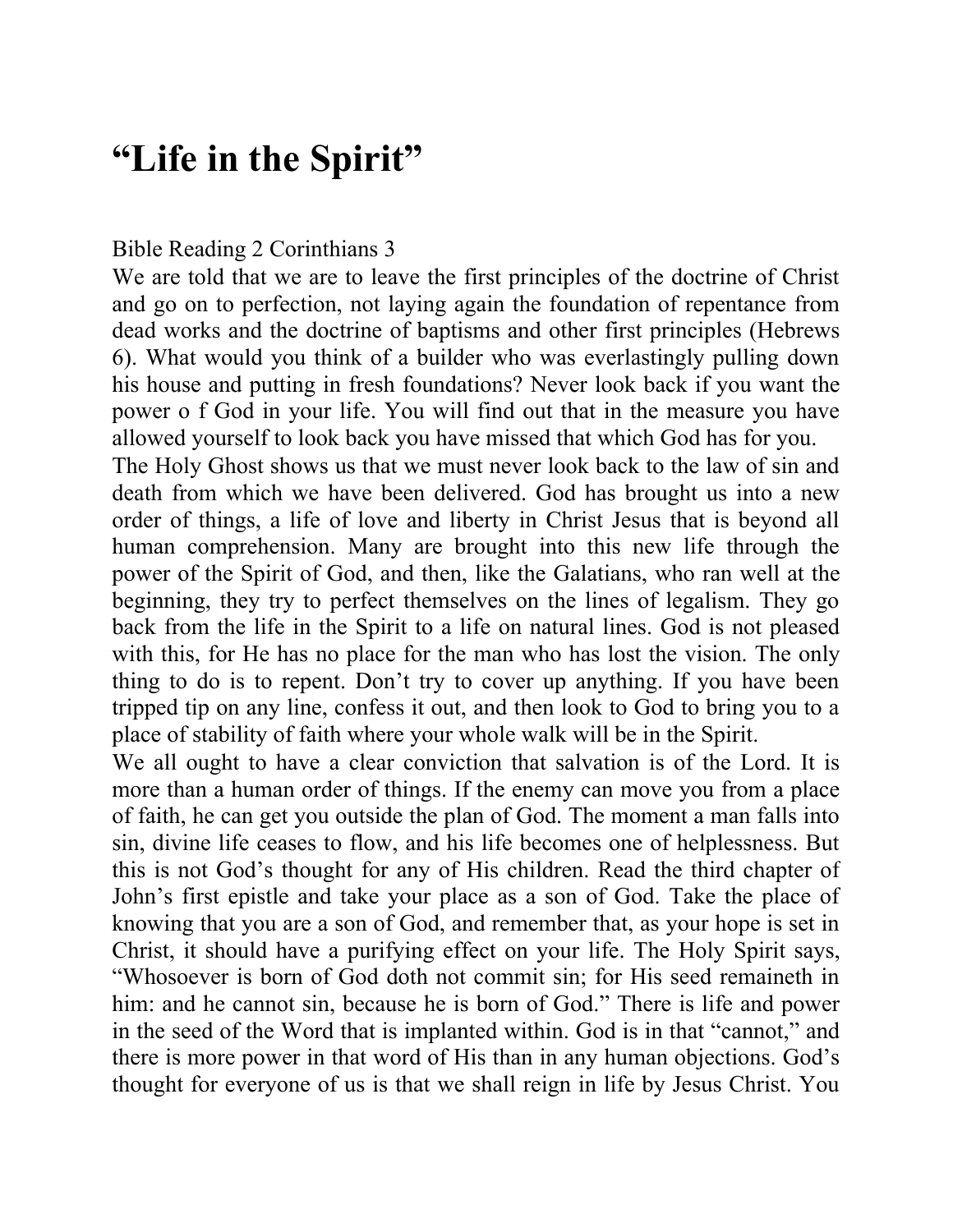#### **"Life in the Spirit"**

#### Bible Reading 2 Corinthians 3

We are told that we are to leave the first principles of the doctrine of Christ and go on to perfection, not laying again the foundation of repentance from dead works and the doctrine of baptisms and other first principles (Hebrews 6). What would you think of a builder who was everlastingly pulling down his house and putting in fresh foundations? Never look back if you want the power o f God in your life. You will find out that in the measure you have allowed yourself to look back you have missed that which God has for you.

The Holy Ghost shows us that we must never look back to the law of sin and death from which we have been delivered. God has brought us into a new order of things, a life of love and liberty in Christ Jesus that is beyond all human comprehension. Many are brought into this new life through the power of the Spirit of God, and then, like the Galatians, who ran well at the beginning, they try to perfect themselves on the lines of legalism. They go back from the life in the Spirit to a life on natural lines. God is not pleased with this, for He has no place for the man who has lost the vision. The only thing to do is to repent. Don't try to cover up anything. If you have been tripped tip on any line, confess it out, and then look to God to bring you to a place of stability of faith where your whole walk will be in the Spirit.

We all ought to have a clear conviction that salvation is of the Lord. It is more than a human order of things. If the enemy can move you from a place of faith, he can get you outside the plan of God. The moment a man falls into sin, divine life ceases to flow, and his life becomes one of helplessness. But this is not God's thought for any of His children. Read the third chapter of John's first epistle and take your place as a son of God. Take the place of knowing that you are a son of God, and remember that, as your hope is set in Christ, it should have a purifying effect on your life. The Holy Spirit says, "Whosoever is born of God doth not commit sin; for His seed remaineth in him: and he cannot sin, because he is born of God." There is life and power in the seed of the Word that is implanted within. God is in that "cannot," and there is more power in that word of His than in any human objections. God's thought for everyone of us is that we shall reign in life by Jesus Christ. You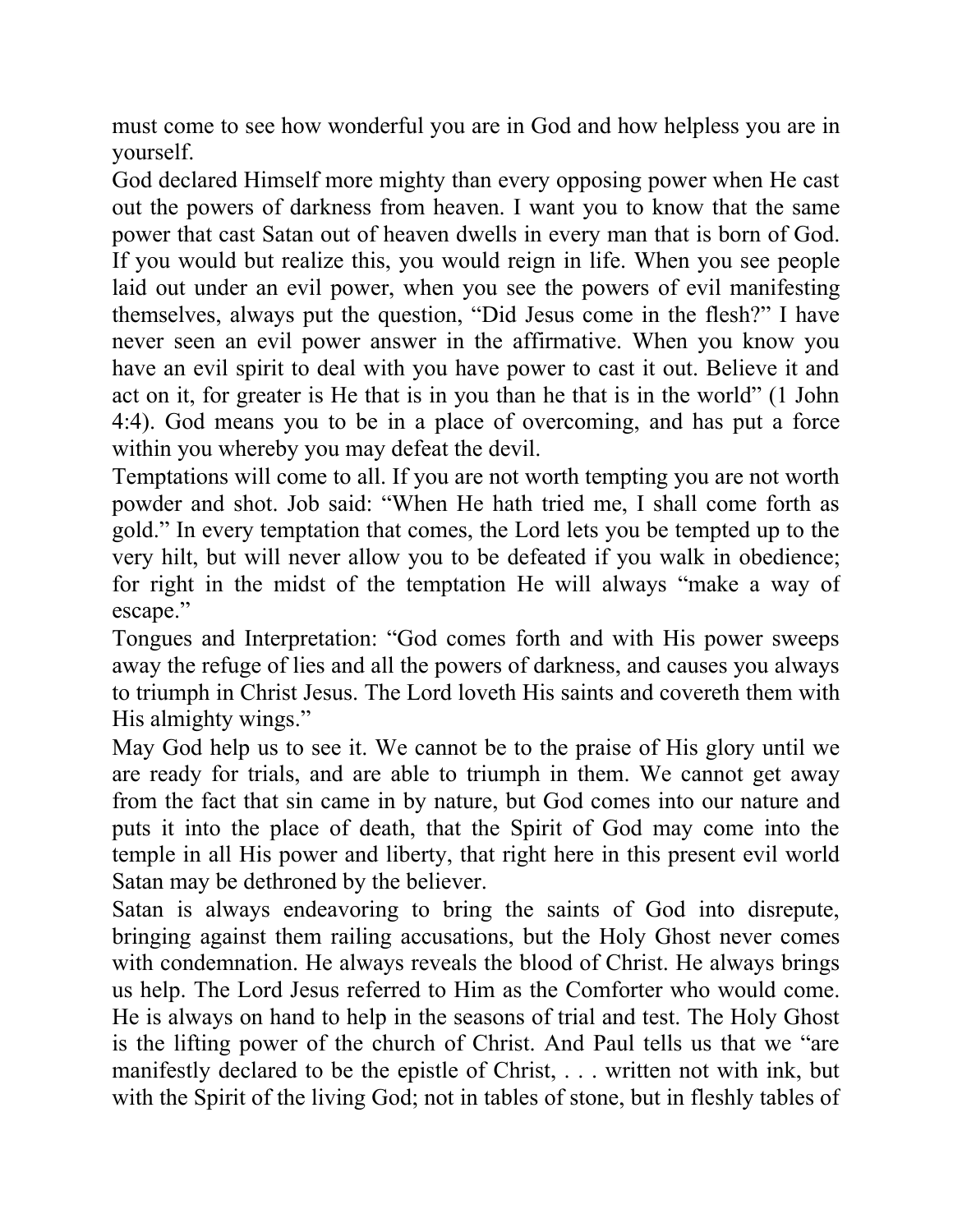must come to see how wonderful you are in God and how helpless you are in yourself.

God declared Himself more mighty than every opposing power when He cast out the powers of darkness from heaven. I want you to know that the same power that cast Satan out of heaven dwells in every man that is born of God. If you would but realize this, you would reign in life. When you see people laid out under an evil power, when you see the powers of evil manifesting themselves, always put the question, "Did Jesus come in the flesh?" I have never seen an evil power answer in the affirmative. When you know you have an evil spirit to deal with you have power to cast it out. Believe it and act on it, for greater is He that is in you than he that is in the world" (1 John 4:4). God means you to be in a place of overcoming, and has put a force within you whereby you may defeat the devil.

Temptations will come to all. If you are not worth tempting you are not worth powder and shot. Job said: "When He hath tried me, I shall come forth as gold." In every temptation that comes, the Lord lets you be tempted up to the very hilt, but will never allow you to be defeated if you walk in obedience; for right in the midst of the temptation He will always "make a way of escape."

Tongues and Interpretation: "God comes forth and with His power sweeps away the refuge of lies and all the powers of darkness, and causes you always to triumph in Christ Jesus. The Lord loveth His saints and covereth them with His almighty wings."

May God help us to see it. We cannot be to the praise of His glory until we are ready for trials, and are able to triumph in them. We cannot get away from the fact that sin came in by nature, but God comes into our nature and puts it into the place of death, that the Spirit of God may come into the temple in all His power and liberty, that right here in this present evil world Satan may be dethroned by the believer.

Satan is always endeavoring to bring the saints of God into disrepute, bringing against them railing accusations, but the Holy Ghost never comes with condemnation. He always reveals the blood of Christ. He always brings us help. The Lord Jesus referred to Him as the Comforter who would come. He is always on hand to help in the seasons of trial and test. The Holy Ghost is the lifting power of the church of Christ. And Paul tells us that we "are manifestly declared to be the epistle of Christ, . . . written not with ink, but with the Spirit of the living God; not in tables of stone, but in fleshly tables of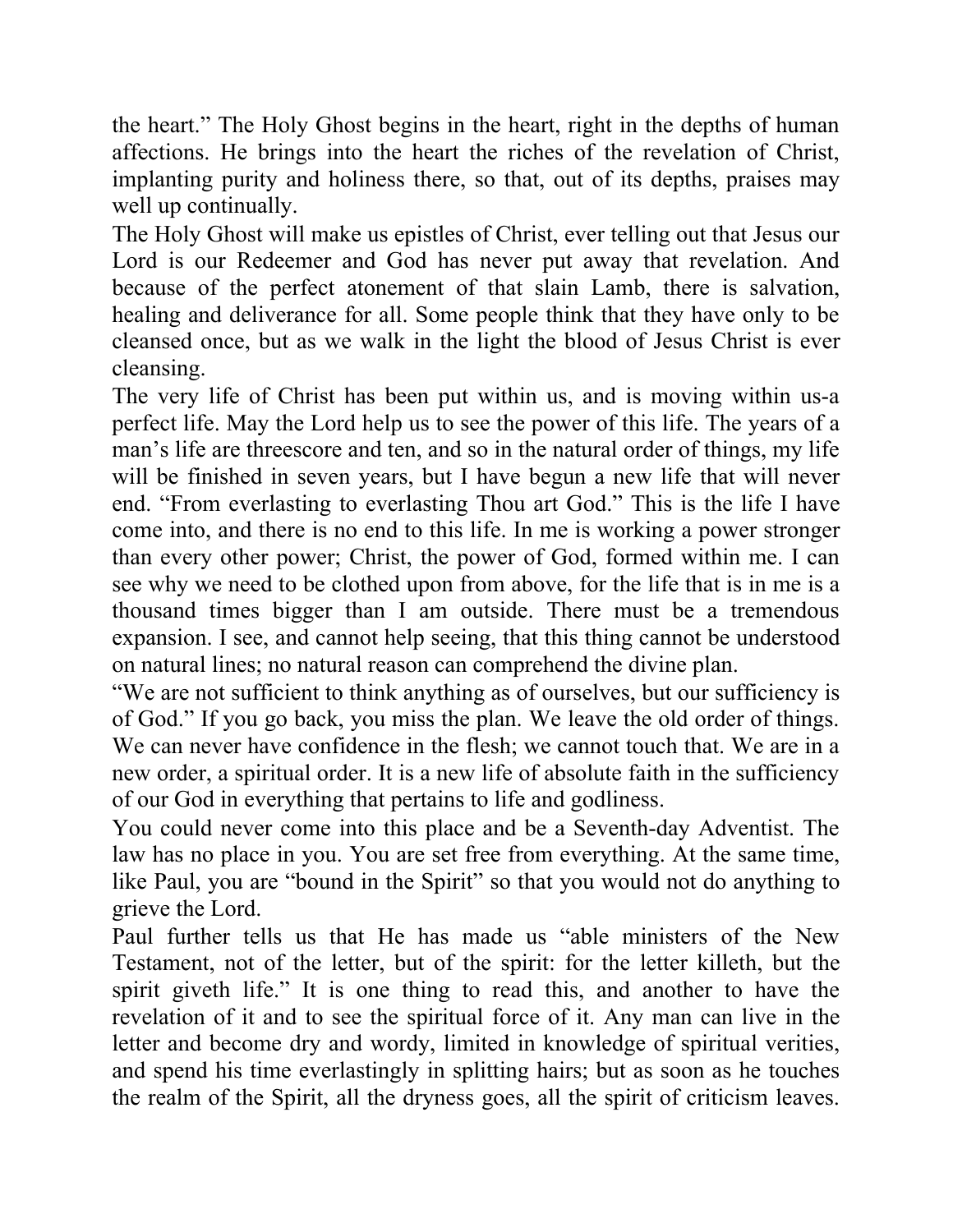the heart." The Holy Ghost begins in the heart, right in the depths of human affections. He brings into the heart the riches of the revelation of Christ, implanting purity and holiness there, so that, out of its depths, praises may well up continually.

The Holy Ghost will make us epistles of Christ, ever telling out that Jesus our Lord is our Redeemer and God has never put away that revelation. And because of the perfect atonement of that slain Lamb, there is salvation, healing and deliverance for all. Some people think that they have only to be cleansed once, but as we walk in the light the blood of Jesus Christ is ever cleansing.

The very life of Christ has been put within us, and is moving within us-a perfect life. May the Lord help us to see the power of this life. The years of a man's life are threescore and ten, and so in the natural order of things, my life will be finished in seven years, but I have begun a new life that will never end. "From everlasting to everlasting Thou art God." This is the life I have come into, and there is no end to this life. In me is working a power stronger than every other power; Christ, the power of God, formed within me. I can see why we need to be clothed upon from above, for the life that is in me is a thousand times bigger than I am outside. There must be a tremendous expansion. I see, and cannot help seeing, that this thing cannot be understood on natural lines; no natural reason can comprehend the divine plan.

"We are not sufficient to think anything as of ourselves, but our sufficiency is of God." If you go back, you miss the plan. We leave the old order of things. We can never have confidence in the flesh; we cannot touch that. We are in a new order, a spiritual order. It is a new life of absolute faith in the sufficiency of our God in everything that pertains to life and godliness.

You could never come into this place and be a Seventh-day Adventist. The law has no place in you. You are set free from everything. At the same time, like Paul, you are "bound in the Spirit" so that you would not do anything to grieve the Lord.

Paul further tells us that He has made us "able ministers of the New Testament, not of the letter, but of the spirit: for the letter killeth, but the spirit giveth life." It is one thing to read this, and another to have the revelation of it and to see the spiritual force of it. Any man can live in the letter and become dry and wordy, limited in knowledge of spiritual verities, and spend his time everlastingly in splitting hairs; but as soon as he touches the realm of the Spirit, all the dryness goes, all the spirit of criticism leaves.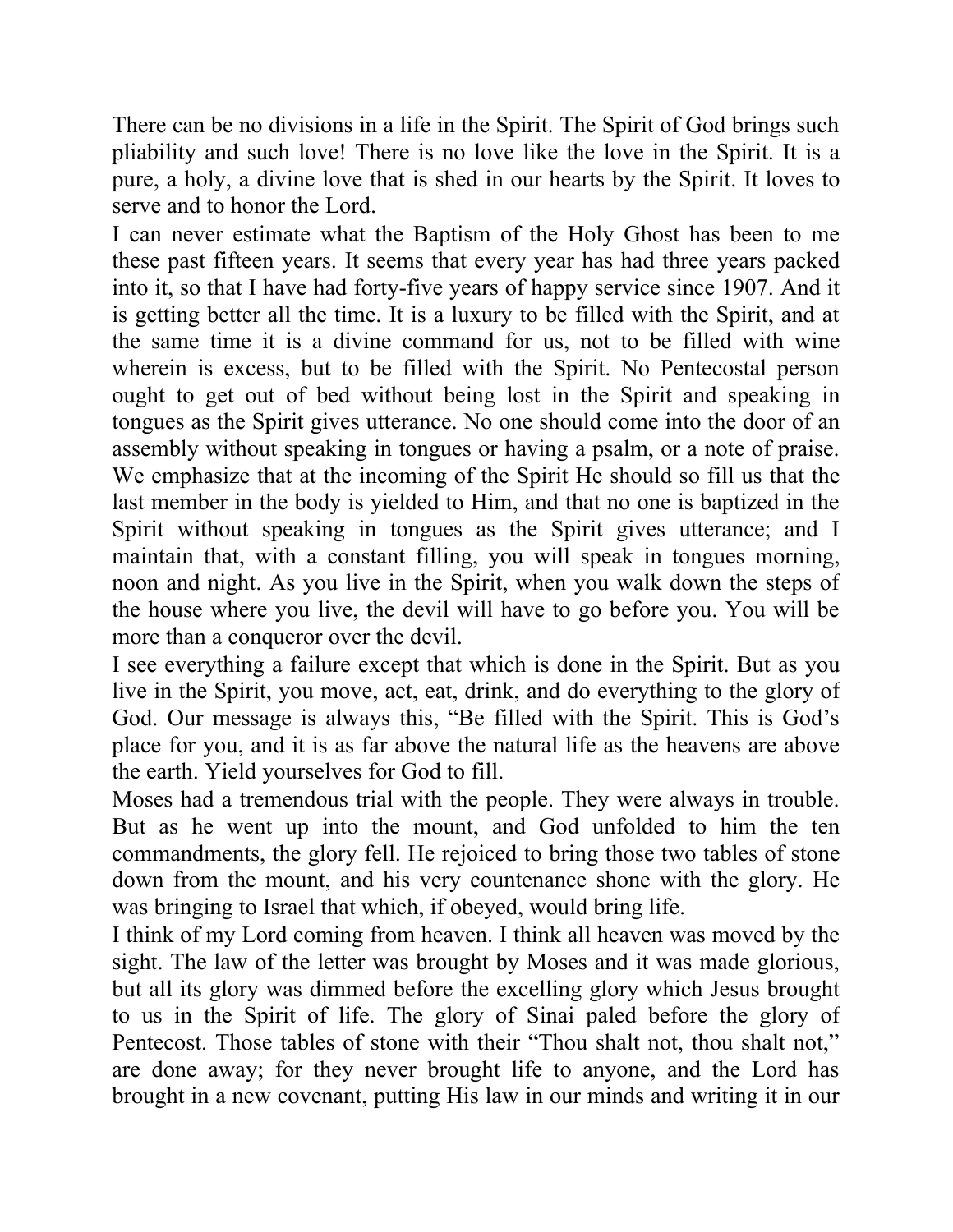There can be no divisions in a life in the Spirit. The Spirit of God brings such pliability and such love! There is no love like the love in the Spirit. It is a pure, a holy, a divine love that is shed in our hearts by the Spirit. It loves to serve and to honor the Lord.

I can never estimate what the Baptism of the Holy Ghost has been to me these past fifteen years. It seems that every year has had three years packed into it, so that I have had forty-five years of happy service since 1907. And it is getting better all the time. It is a luxury to be filled with the Spirit, and at the same time it is a divine command for us, not to be filled with wine wherein is excess, but to be filled with the Spirit. No Pentecostal person ought to get out of bed without being lost in the Spirit and speaking in tongues as the Spirit gives utterance. No one should come into the door of an assembly without speaking in tongues or having a psalm, or a note of praise. We emphasize that at the incoming of the Spirit He should so fill us that the last member in the body is yielded to Him, and that no one is baptized in the Spirit without speaking in tongues as the Spirit gives utterance; and I maintain that, with a constant filling, you will speak in tongues morning, noon and night. As you live in the Spirit, when you walk down the steps of the house where you live, the devil will have to go before you. You will be more than a conqueror over the devil.

I see everything a failure except that which is done in the Spirit. But as you live in the Spirit, you move, act, eat, drink, and do everything to the glory of God. Our message is always this, "Be filled with the Spirit. This is God's place for you, and it is as far above the natural life as the heavens are above the earth. Yield yourselves for God to fill.

Moses had a tremendous trial with the people. They were always in trouble. But as he went up into the mount, and God unfolded to him the ten commandments, the glory fell. He rejoiced to bring those two tables of stone down from the mount, and his very countenance shone with the glory. He was bringing to Israel that which, if obeyed, would bring life.

I think of my Lord coming from heaven. I think all heaven was moved by the sight. The law of the letter was brought by Moses and it was made glorious, but all its glory was dimmed before the excelling glory which Jesus brought to us in the Spirit of life. The glory of Sinai paled before the glory of Pentecost. Those tables of stone with their "Thou shalt not, thou shalt not," are done away; for they never brought life to anyone, and the Lord has brought in a new covenant, putting His law in our minds and writing it in our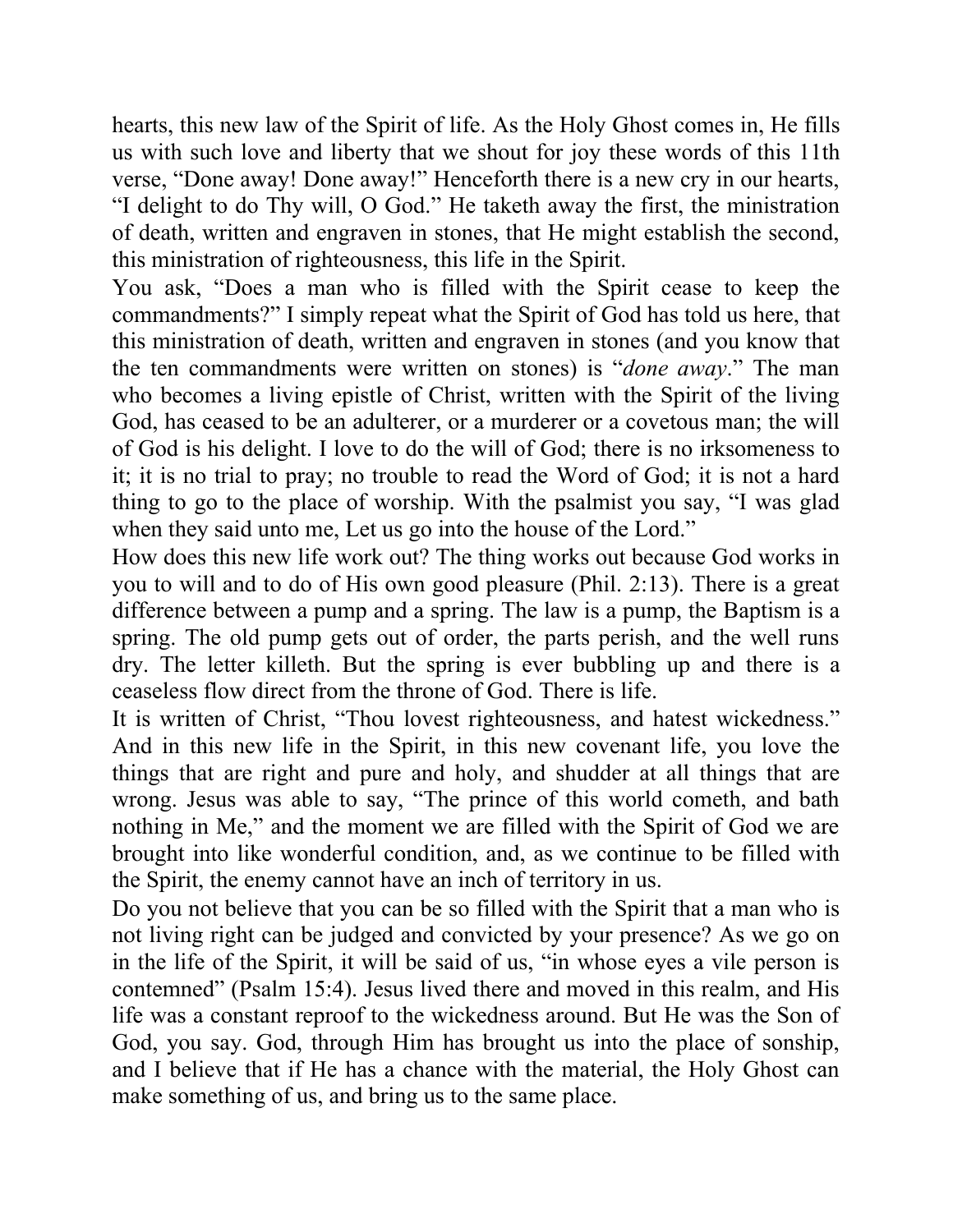hearts, this new law of the Spirit of life. As the Holy Ghost comes in, He fills us with such love and liberty that we shout for joy these words of this 11th verse, "Done away! Done away!" Henceforth there is a new cry in our hearts, "I delight to do Thy will, O God." He taketh away the first, the ministration of death, written and engraven in stones, that He might establish the second, this ministration of righteousness, this life in the Spirit.

You ask, "Does a man who is filled with the Spirit cease to keep the commandments?" I simply repeat what the Spirit of God has told us here, that this ministration of death, written and engraven in stones (and you know that the ten commandments were written on stones) is "*done away*." The man who becomes a living epistle of Christ, written with the Spirit of the living God, has ceased to be an adulterer, or a murderer or a covetous man; the will of God is his delight. I love to do the will of God; there is no irksomeness to it; it is no trial to pray; no trouble to read the Word of God; it is not a hard thing to go to the place of worship. With the psalmist you say, "I was glad when they said unto me, Let us go into the house of the Lord."

How does this new life work out? The thing works out because God works in you to will and to do of His own good pleasure (Phil. 2:13). There is a great difference between a pump and a spring. The law is a pump, the Baptism is a spring. The old pump gets out of order, the parts perish, and the well runs dry. The letter killeth. But the spring is ever bubbling up and there is a ceaseless flow direct from the throne of God. There is life.

It is written of Christ, "Thou lovest righteousness, and hatest wickedness." And in this new life in the Spirit, in this new covenant life, you love the things that are right and pure and holy, and shudder at all things that are wrong. Jesus was able to say, "The prince of this world cometh, and bath nothing in Me," and the moment we are filled with the Spirit of God we are brought into like wonderful condition, and, as we continue to be filled with the Spirit, the enemy cannot have an inch of territory in us.

Do you not believe that you can be so filled with the Spirit that a man who is not living right can be judged and convicted by your presence? As we go on in the life of the Spirit, it will be said of us, "in whose eyes a vile person is contemned" (Psalm 15:4). Jesus lived there and moved in this realm, and His life was a constant reproof to the wickedness around. But He was the Son of God, you say. God, through Him has brought us into the place of sonship, and I believe that if He has a chance with the material, the Holy Ghost can make something of us, and bring us to the same place.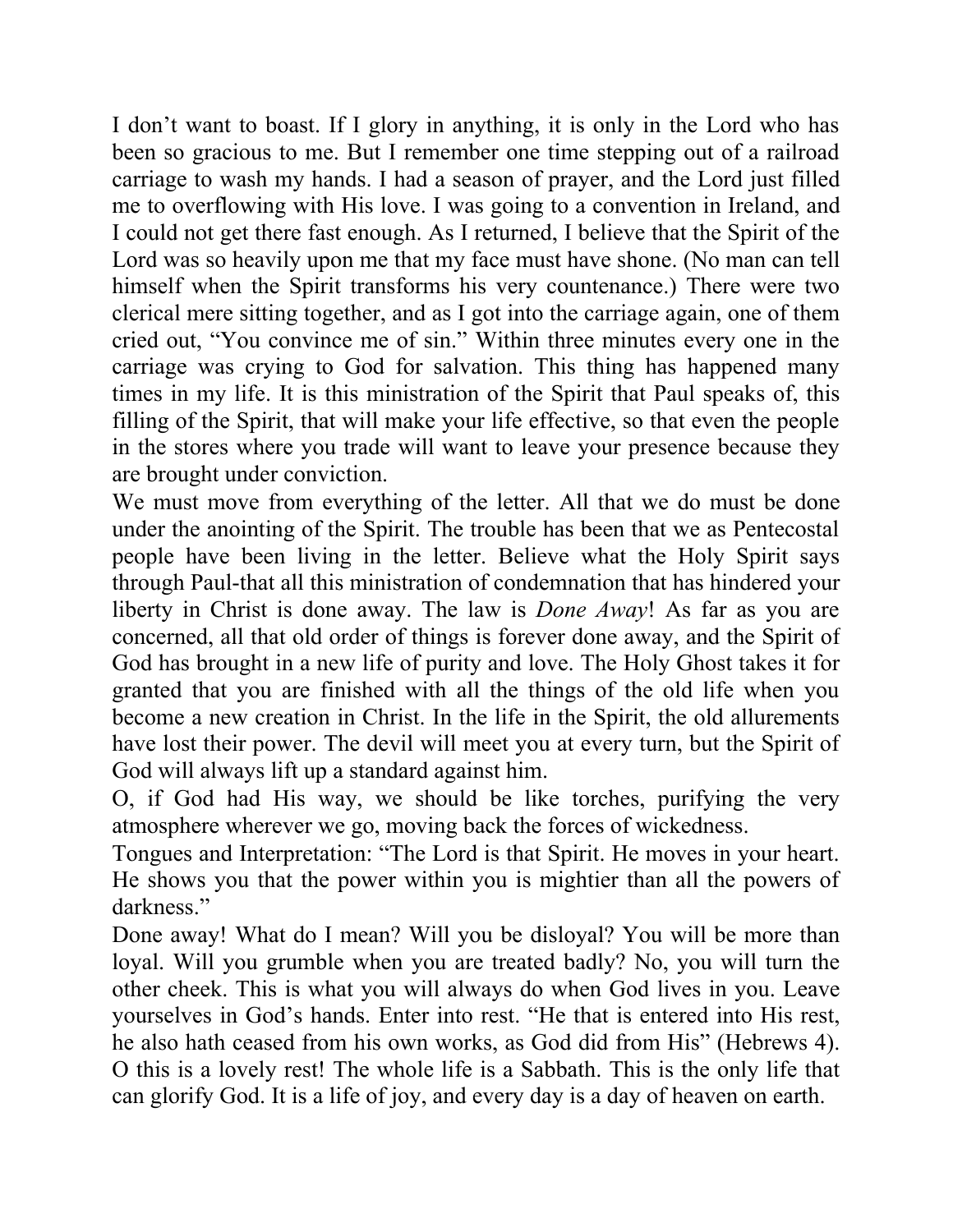I don't want to boast. If I glory in anything, it is only in the Lord who has been so gracious to me. But I remember one time stepping out of a railroad carriage to wash my hands. I had a season of prayer, and the Lord just filled me to overflowing with His love. I was going to a convention in Ireland, and I could not get there fast enough. As I returned, I believe that the Spirit of the Lord was so heavily upon me that my face must have shone. (No man can tell himself when the Spirit transforms his very countenance.) There were two clerical mere sitting together, and as I got into the carriage again, one of them cried out, "You convince me of sin." Within three minutes every one in the carriage was crying to God for salvation. This thing has happened many times in my life. It is this ministration of the Spirit that Paul speaks of, this filling of the Spirit, that will make your life effective, so that even the people in the stores where you trade will want to leave your presence because they are brought under conviction.

We must move from everything of the letter. All that we do must be done under the anointing of the Spirit. The trouble has been that we as Pentecostal people have been living in the letter. Believe what the Holy Spirit says through Paul-that all this ministration of condemnation that has hindered your liberty in Christ is done away. The law is *Done Away*! As far as you are concerned, all that old order of things is forever done away, and the Spirit of God has brought in a new life of purity and love. The Holy Ghost takes it for granted that you are finished with all the things of the old life when you become a new creation in Christ. In the life in the Spirit, the old allurements have lost their power. The devil will meet you at every turn, but the Spirit of God will always lift up a standard against him.

O, if God had His way, we should be like torches, purifying the very atmosphere wherever we go, moving back the forces of wickedness.

Tongues and Interpretation: "The Lord is that Spirit. He moves in your heart. He shows you that the power within you is mightier than all the powers of darkness."

Done away! What do I mean? Will you be disloyal? You will be more than loyal. Will you grumble when you are treated badly? No, you will turn the other cheek. This is what you will always do when God lives in you. Leave yourselves in God's hands. Enter into rest. "He that is entered into His rest, he also hath ceased from his own works, as God did from His" (Hebrews 4). O this is a lovely rest! The whole life is a Sabbath. This is the only life that can glorify God. It is a life of joy, and every day is a day of heaven on earth.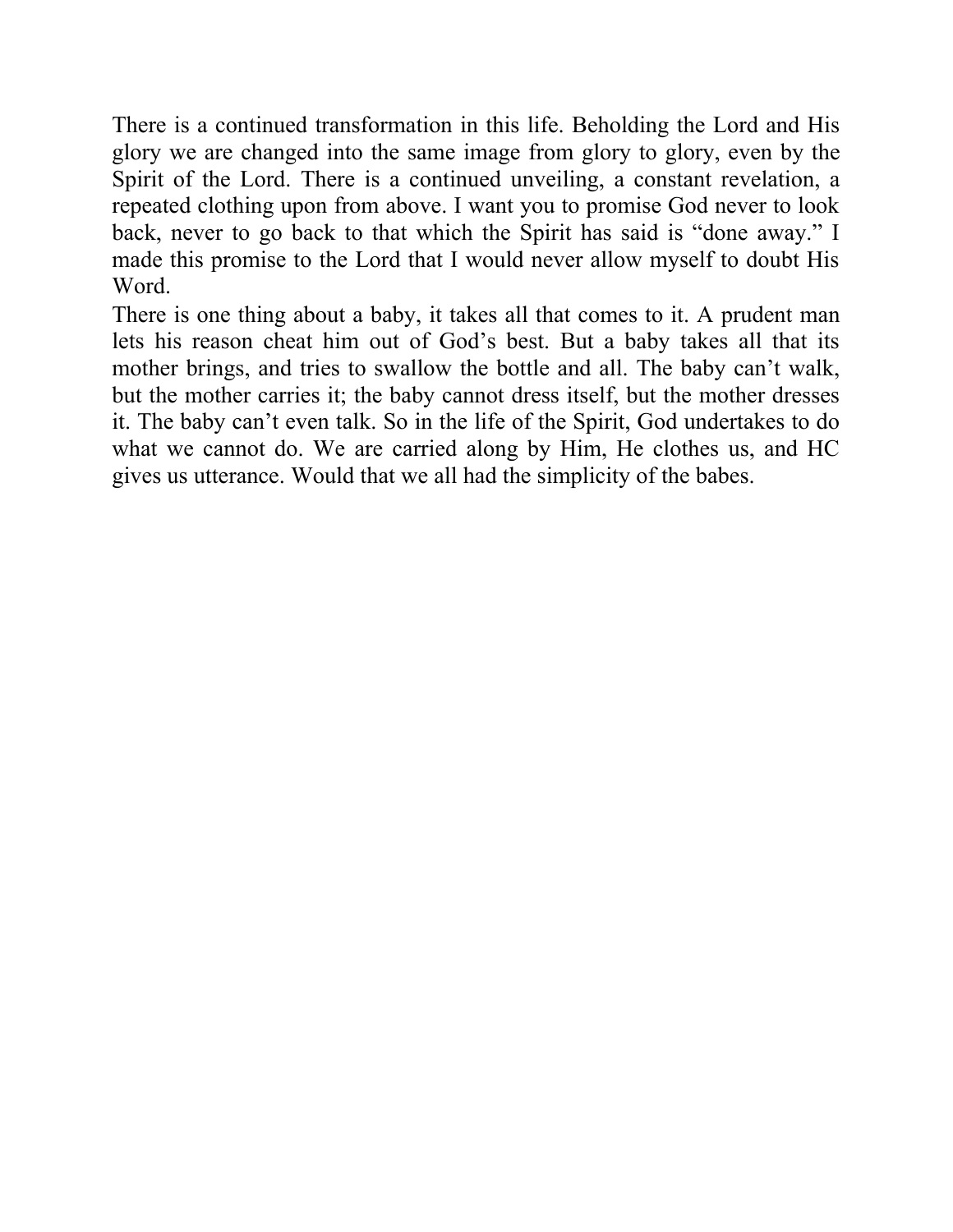There is a continued transformation in this life. Beholding the Lord and His glory we are changed into the same image from glory to glory, even by the Spirit of the Lord. There is a continued unveiling, a constant revelation, a repeated clothing upon from above. I want you to promise God never to look back, never to go back to that which the Spirit has said is "done away." I made this promise to the Lord that I would never allow myself to doubt His Word.

There is one thing about a baby, it takes all that comes to it. A prudent man lets his reason cheat him out of God's best. But a baby takes all that its mother brings, and tries to swallow the bottle and all. The baby can't walk, but the mother carries it; the baby cannot dress itself, but the mother dresses it. The baby can't even talk. So in the life of the Spirit, God undertakes to do what we cannot do. We are carried along by Him, He clothes us, and HC gives us utterance. Would that we all had the simplicity of the babes.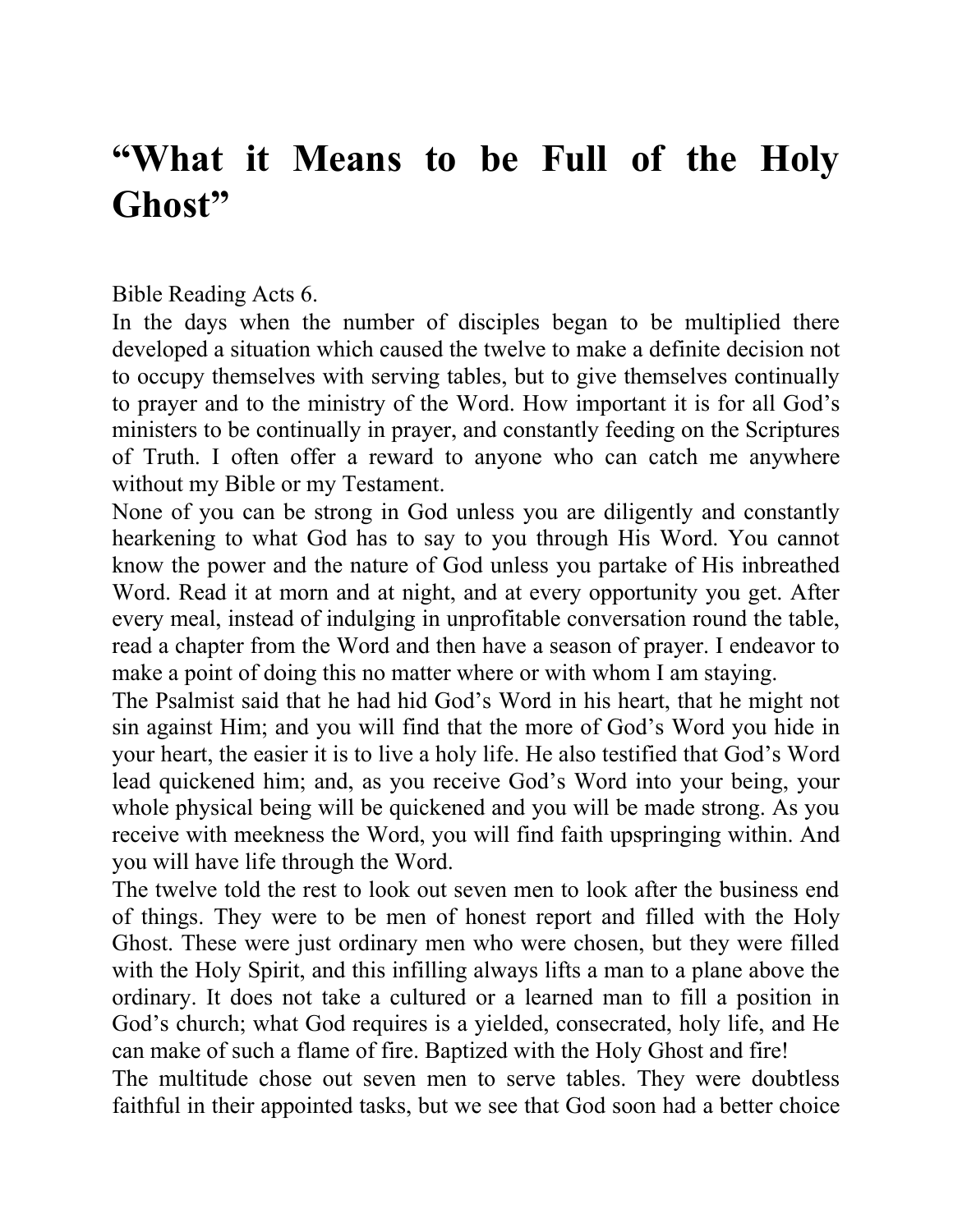### **"What it Means to be Full of the Holy Ghost"**

#### Bible Reading Acts 6.

In the days when the number of disciples began to be multiplied there developed a situation which caused the twelve to make a definite decision not to occupy themselves with serving tables, but to give themselves continually to prayer and to the ministry of the Word. How important it is for all God's ministers to be continually in prayer, and constantly feeding on the Scriptures of Truth. I often offer a reward to anyone who can catch me anywhere without my Bible or my Testament.

None of you can be strong in God unless you are diligently and constantly hearkening to what God has to say to you through His Word. You cannot know the power and the nature of God unless you partake of His inbreathed Word. Read it at morn and at night, and at every opportunity you get. After every meal, instead of indulging in unprofitable conversation round the table, read a chapter from the Word and then have a season of prayer. I endeavor to make a point of doing this no matter where or with whom I am staying.

The Psalmist said that he had hid God's Word in his heart, that he might not sin against Him; and you will find that the more of God's Word you hide in your heart, the easier it is to live a holy life. He also testified that God's Word lead quickened him; and, as you receive God's Word into your being, your whole physical being will be quickened and you will be made strong. As you receive with meekness the Word, you will find faith upspringing within. And you will have life through the Word.

The twelve told the rest to look out seven men to look after the business end of things. They were to be men of honest report and filled with the Holy Ghost. These were just ordinary men who were chosen, but they were filled with the Holy Spirit, and this infilling always lifts a man to a plane above the ordinary. It does not take a cultured or a learned man to fill a position in God's church; what God requires is a yielded, consecrated, holy life, and He can make of such a flame of fire. Baptized with the Holy Ghost and fire!

The multitude chose out seven men to serve tables. They were doubtless faithful in their appointed tasks, but we see that God soon had a better choice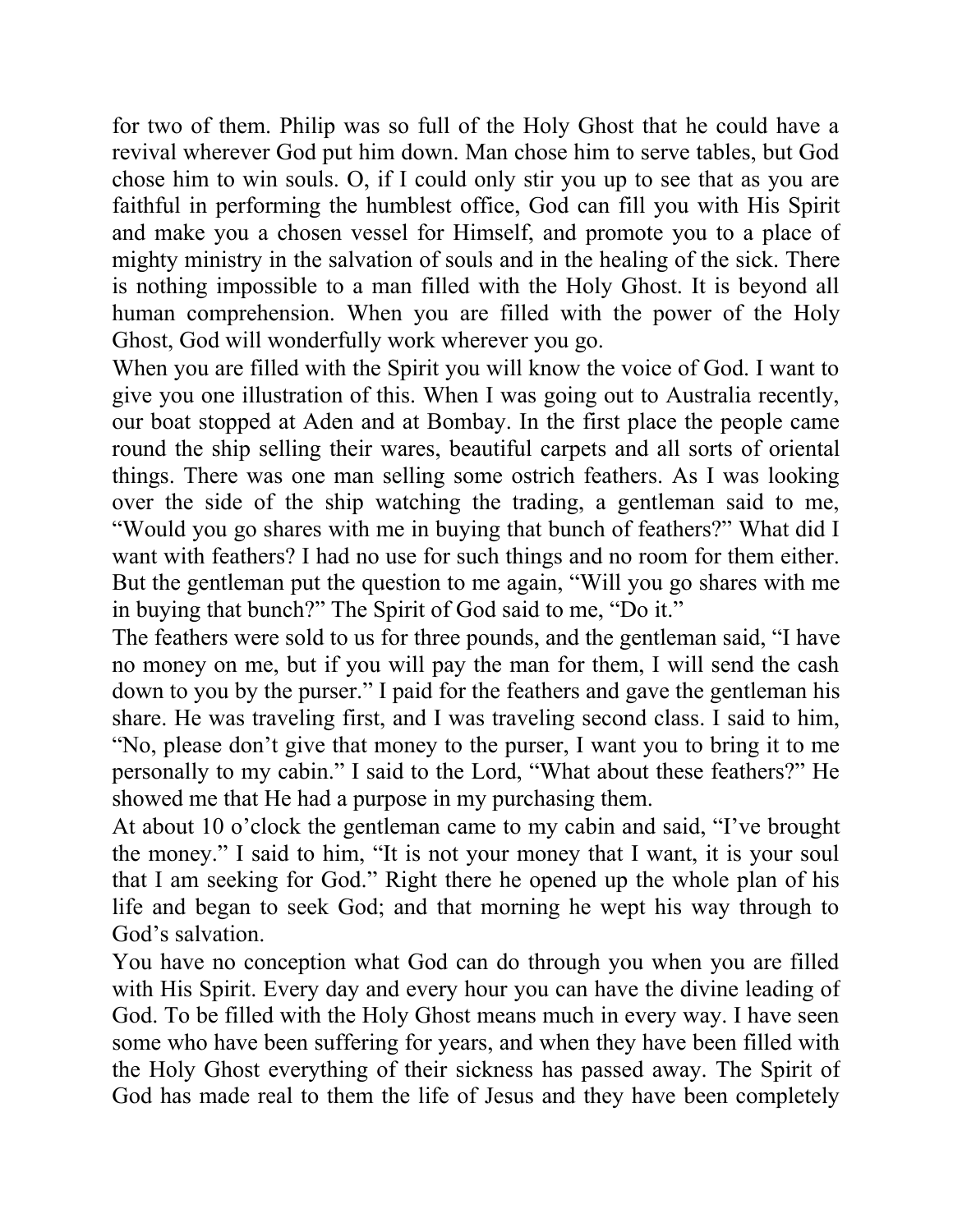for two of them. Philip was so full of the Holy Ghost that he could have a revival wherever God put him down. Man chose him to serve tables, but God chose him to win souls. O, if I could only stir you up to see that as you are faithful in performing the humblest office, God can fill you with His Spirit and make you a chosen vessel for Himself, and promote you to a place of mighty ministry in the salvation of souls and in the healing of the sick. There is nothing impossible to a man filled with the Holy Ghost. It is beyond all human comprehension. When you are filled with the power of the Holy Ghost, God will wonderfully work wherever you go.

When you are filled with the Spirit you will know the voice of God. I want to give you one illustration of this. When I was going out to Australia recently, our boat stopped at Aden and at Bombay. In the first place the people came round the ship selling their wares, beautiful carpets and all sorts of oriental things. There was one man selling some ostrich feathers. As I was looking over the side of the ship watching the trading, a gentleman said to me, "Would you go shares with me in buying that bunch of feathers?" What did I want with feathers? I had no use for such things and no room for them either. But the gentleman put the question to me again, "Will you go shares with me in buying that bunch?" The Spirit of God said to me, "Do it."

The feathers were sold to us for three pounds, and the gentleman said, "I have no money on me, but if you will pay the man for them, I will send the cash down to you by the purser." I paid for the feathers and gave the gentleman his share. He was traveling first, and I was traveling second class. I said to him, "No, please don't give that money to the purser, I want you to bring it to me personally to my cabin." I said to the Lord, "What about these feathers?" He showed me that He had a purpose in my purchasing them.

At about 10 o'clock the gentleman came to my cabin and said, "I've brought the money." I said to him, "It is not your money that I want, it is your soul that I am seeking for God." Right there he opened up the whole plan of his life and began to seek God; and that morning he wept his way through to God's salvation.

You have no conception what God can do through you when you are filled with His Spirit. Every day and every hour you can have the divine leading of God. To be filled with the Holy Ghost means much in every way. I have seen some who have been suffering for years, and when they have been filled with the Holy Ghost everything of their sickness has passed away. The Spirit of God has made real to them the life of Jesus and they have been completely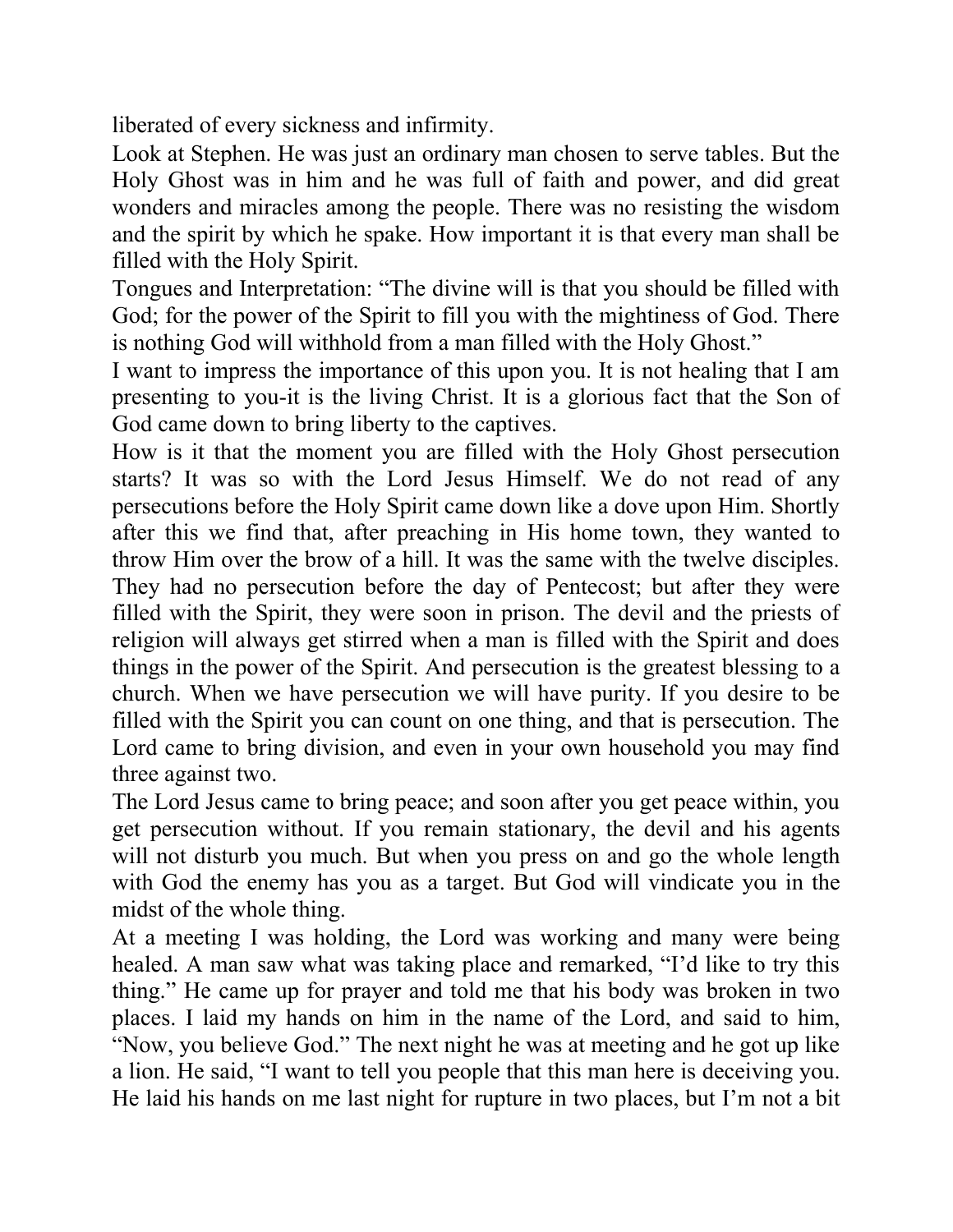liberated of every sickness and infirmity.

Look at Stephen. He was just an ordinary man chosen to serve tables. But the Holy Ghost was in him and he was full of faith and power, and did great wonders and miracles among the people. There was no resisting the wisdom and the spirit by which he spake. How important it is that every man shall be filled with the Holy Spirit.

Tongues and Interpretation: "The divine will is that you should be filled with God; for the power of the Spirit to fill you with the mightiness of God. There is nothing God will withhold from a man filled with the Holy Ghost."

I want to impress the importance of this upon you. It is not healing that I am presenting to you-it is the living Christ. It is a glorious fact that the Son of God came down to bring liberty to the captives.

How is it that the moment you are filled with the Holy Ghost persecution starts? It was so with the Lord Jesus Himself. We do not read of any persecutions before the Holy Spirit came down like a dove upon Him. Shortly after this we find that, after preaching in His home town, they wanted to throw Him over the brow of a hill. It was the same with the twelve disciples. They had no persecution before the day of Pentecost; but after they were filled with the Spirit, they were soon in prison. The devil and the priests of religion will always get stirred when a man is filled with the Spirit and does things in the power of the Spirit. And persecution is the greatest blessing to a church. When we have persecution we will have purity. If you desire to be filled with the Spirit you can count on one thing, and that is persecution. The Lord came to bring division, and even in your own household you may find three against two.

The Lord Jesus came to bring peace; and soon after you get peace within, you get persecution without. If you remain stationary, the devil and his agents will not disturb you much. But when you press on and go the whole length with God the enemy has you as a target. But God will vindicate you in the midst of the whole thing.

At a meeting I was holding, the Lord was working and many were being healed. A man saw what was taking place and remarked, "I'd like to try this thing." He came up for prayer and told me that his body was broken in two places. I laid my hands on him in the name of the Lord, and said to him, "Now, you believe God." The next night he was at meeting and he got up like a lion. He said, "I want to tell you people that this man here is deceiving you. He laid his hands on me last night for rupture in two places, but I'm not a bit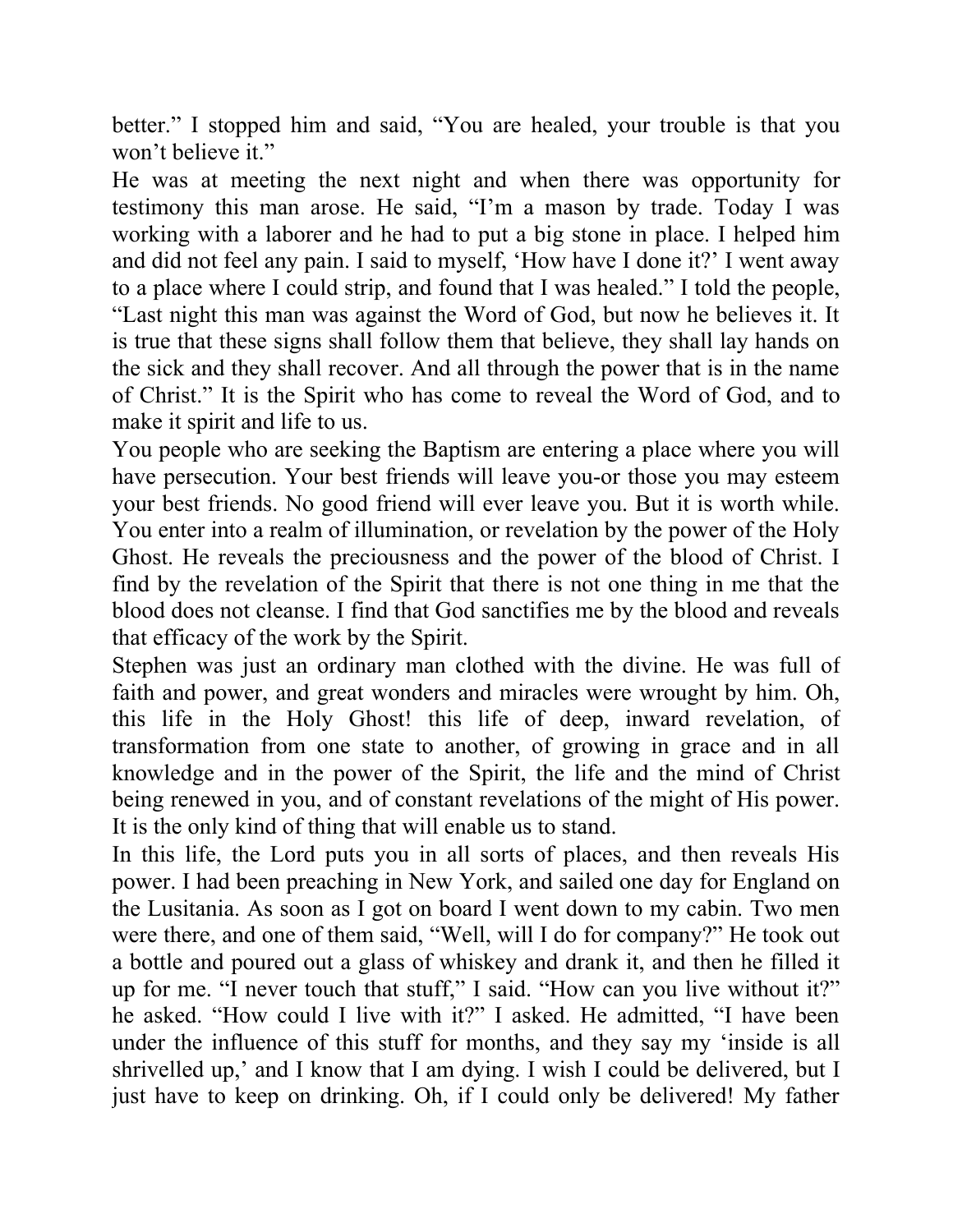better." I stopped him and said, "You are healed, your trouble is that you won't believe it."

He was at meeting the next night and when there was opportunity for testimony this man arose. He said, "I'm a mason by trade. Today I was working with a laborer and he had to put a big stone in place. I helped him and did not feel any pain. I said to myself, 'How have I done it?' I went away to a place where I could strip, and found that I was healed." I told the people, "Last night this man was against the Word of God, but now he believes it. It is true that these signs shall follow them that believe, they shall lay hands on the sick and they shall recover. And all through the power that is in the name of Christ." It is the Spirit who has come to reveal the Word of God, and to make it spirit and life to us.

You people who are seeking the Baptism are entering a place where you will have persecution. Your best friends will leave you-or those you may esteem your best friends. No good friend will ever leave you. But it is worth while. You enter into a realm of illumination, or revelation by the power of the Holy Ghost. He reveals the preciousness and the power of the blood of Christ. I find by the revelation of the Spirit that there is not one thing in me that the blood does not cleanse. I find that God sanctifies me by the blood and reveals that efficacy of the work by the Spirit.

Stephen was just an ordinary man clothed with the divine. He was full of faith and power, and great wonders and miracles were wrought by him. Oh, this life in the Holy Ghost! this life of deep, inward revelation, of transformation from one state to another, of growing in grace and in all knowledge and in the power of the Spirit, the life and the mind of Christ being renewed in you, and of constant revelations of the might of His power. It is the only kind of thing that will enable us to stand.

In this life, the Lord puts you in all sorts of places, and then reveals His power. I had been preaching in New York, and sailed one day for England on the Lusitania. As soon as I got on board I went down to my cabin. Two men were there, and one of them said, "Well, will I do for company?" He took out a bottle and poured out a glass of whiskey and drank it, and then he filled it up for me. "I never touch that stuff," I said. "How can you live without it?" he asked. "How could I live with it?" I asked. He admitted, "I have been under the influence of this stuff for months, and they say my 'inside is all shrivelled up,' and I know that I am dying. I wish I could be delivered, but I just have to keep on drinking. Oh, if I could only be delivered! My father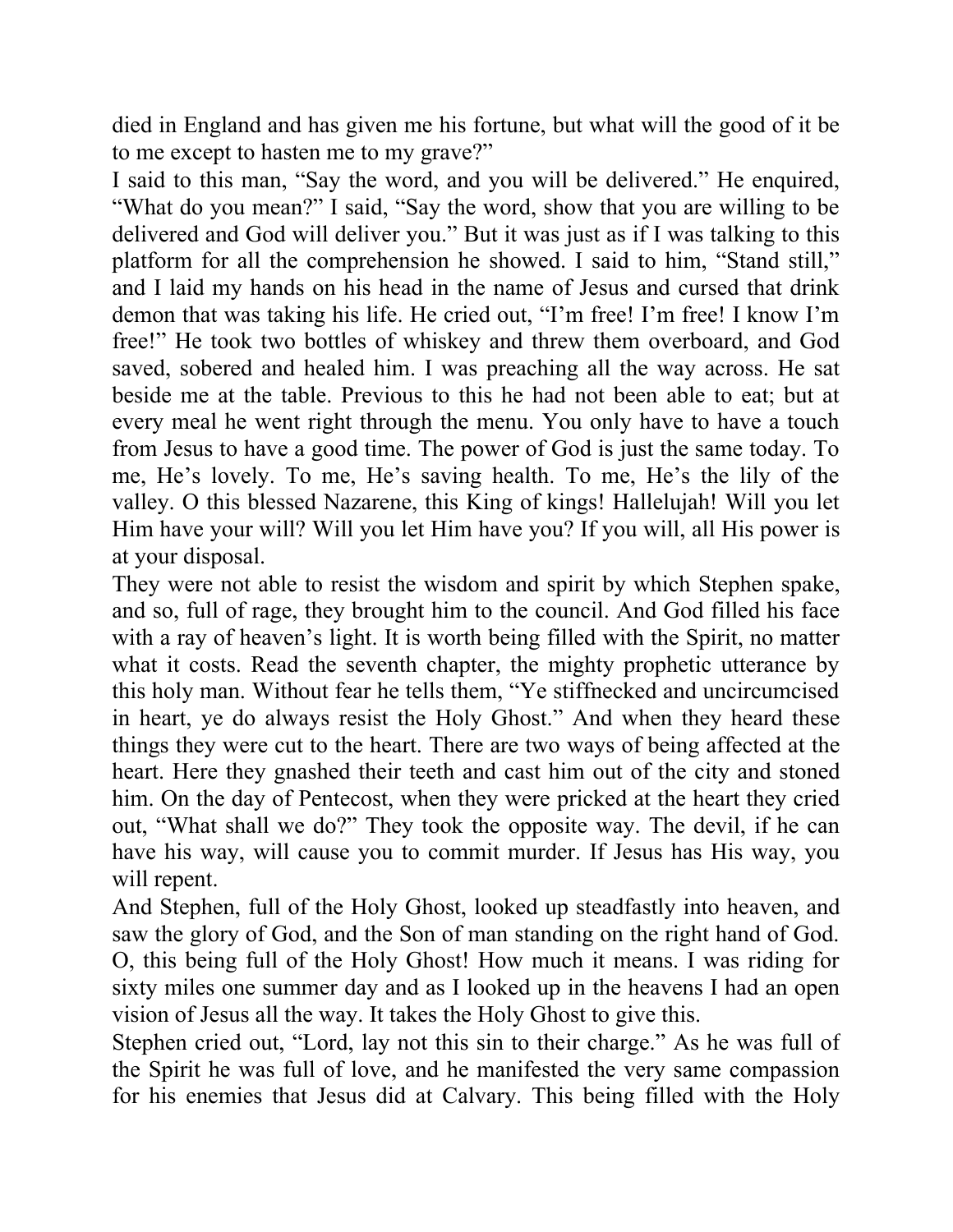died in England and has given me his fortune, but what will the good of it be to me except to hasten me to my grave?"

I said to this man, "Say the word, and you will be delivered." He enquired, "What do you mean?" I said, "Say the word, show that you are willing to be delivered and God will deliver you." But it was just as if I was talking to this platform for all the comprehension he showed. I said to him, "Stand still," and I laid my hands on his head in the name of Jesus and cursed that drink demon that was taking his life. He cried out, "I'm free! I'm free! I know I'm free!" He took two bottles of whiskey and threw them overboard, and God saved, sobered and healed him. I was preaching all the way across. He sat beside me at the table. Previous to this he had not been able to eat; but at every meal he went right through the menu. You only have to have a touch from Jesus to have a good time. The power of God is just the same today. To me, He's lovely. To me, He's saving health. To me, He's the lily of the valley. O this blessed Nazarene, this King of kings! Hallelujah! Will you let Him have your will? Will you let Him have you? If you will, all His power is at your disposal.

They were not able to resist the wisdom and spirit by which Stephen spake, and so, full of rage, they brought him to the council. And God filled his face with a ray of heaven's light. It is worth being filled with the Spirit, no matter what it costs. Read the seventh chapter, the mighty prophetic utterance by this holy man. Without fear he tells them, "Ye stiffnecked and uncircumcised in heart, ye do always resist the Holy Ghost." And when they heard these things they were cut to the heart. There are two ways of being affected at the heart. Here they gnashed their teeth and cast him out of the city and stoned him. On the day of Pentecost, when they were pricked at the heart they cried out, "What shall we do?" They took the opposite way. The devil, if he can have his way, will cause you to commit murder. If Jesus has His way, you will repent.

And Stephen, full of the Holy Ghost, looked up steadfastly into heaven, and saw the glory of God, and the Son of man standing on the right hand of God. O, this being full of the Holy Ghost! How much it means. I was riding for sixty miles one summer day and as I looked up in the heavens I had an open vision of Jesus all the way. It takes the Holy Ghost to give this.

Stephen cried out, "Lord, lay not this sin to their charge." As he was full of the Spirit he was full of love, and he manifested the very same compassion for his enemies that Jesus did at Calvary. This being filled with the Holy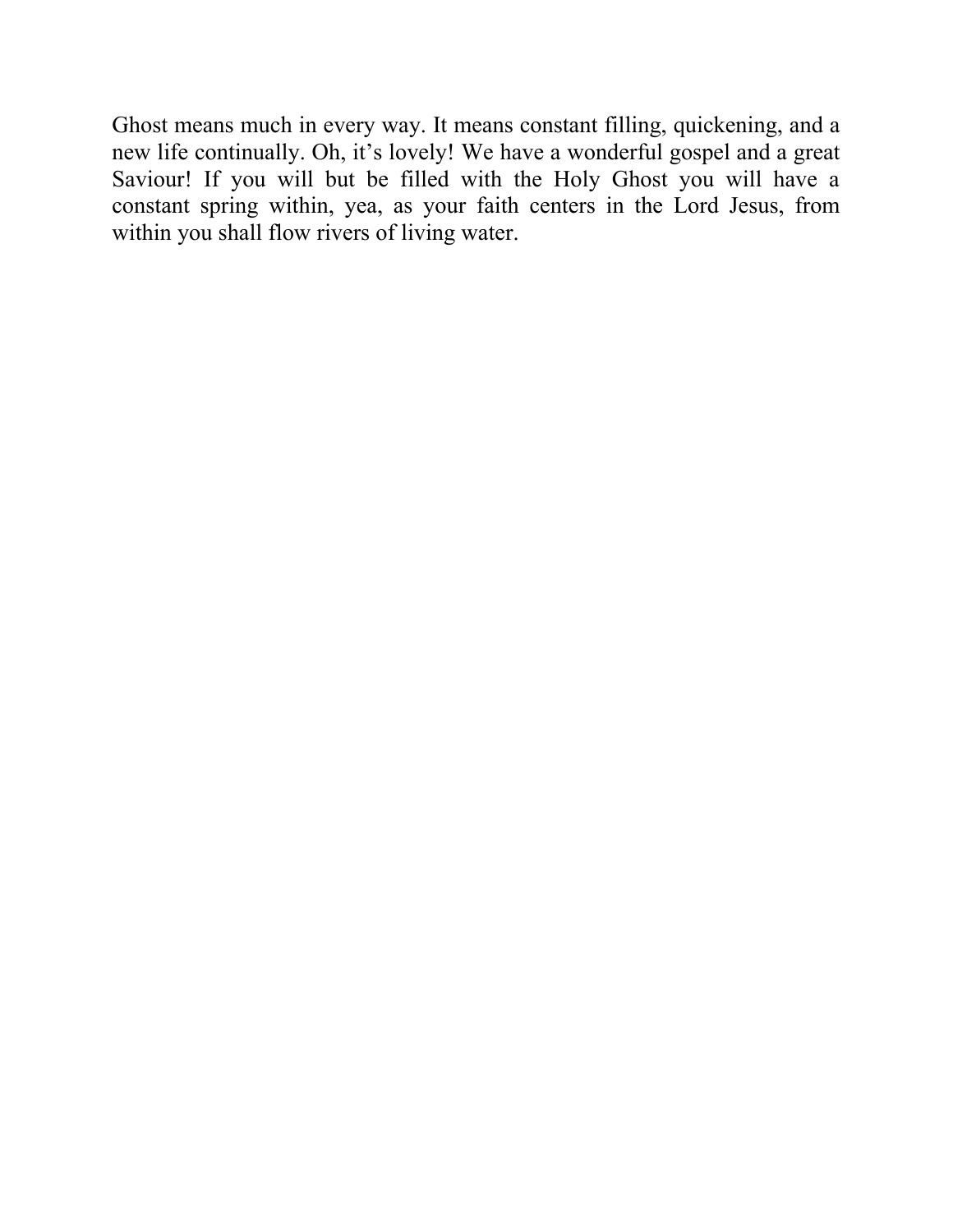Ghost means much in every way. It means constant filling, quickening, and a new life continually. Oh, it's lovely! We have a wonderful gospel and a great Saviour! If you will but be filled with the Holy Ghost you will have a constant spring within, yea, as your faith centers in the Lord Jesus, from within you shall flow rivers of living water.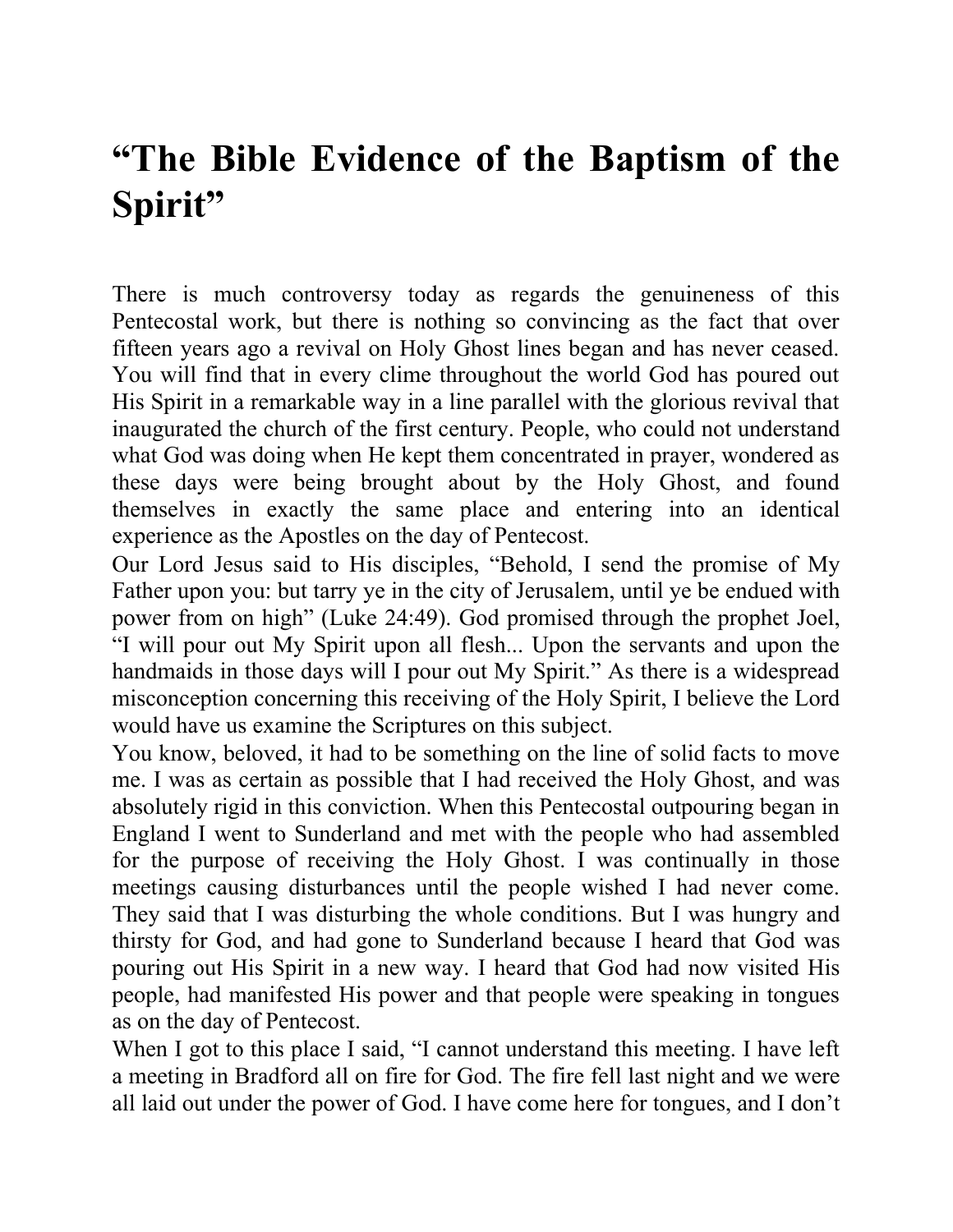# **"The Bible Evidence of the Baptism of the Spirit"**

There is much controversy today as regards the genuineness of this Pentecostal work, but there is nothing so convincing as the fact that over fifteen years ago a revival on Holy Ghost lines began and has never ceased. You will find that in every clime throughout the world God has poured out His Spirit in a remarkable way in a line parallel with the glorious revival that inaugurated the church of the first century. People, who could not understand what God was doing when He kept them concentrated in prayer, wondered as these days were being brought about by the Holy Ghost, and found themselves in exactly the same place and entering into an identical experience as the Apostles on the day of Pentecost.

Our Lord Jesus said to His disciples, "Behold, I send the promise of My Father upon you: but tarry ye in the city of Jerusalem, until ye be endued with power from on high" (Luke 24:49). God promised through the prophet Joel, "I will pour out My Spirit upon all flesh... Upon the servants and upon the handmaids in those days will I pour out My Spirit." As there is a widespread misconception concerning this receiving of the Holy Spirit, I believe the Lord would have us examine the Scriptures on this subject.

You know, beloved, it had to be something on the line of solid facts to move me. I was as certain as possible that I had received the Holy Ghost, and was absolutely rigid in this conviction. When this Pentecostal outpouring began in England I went to Sunderland and met with the people who had assembled for the purpose of receiving the Holy Ghost. I was continually in those meetings causing disturbances until the people wished I had never come. They said that I was disturbing the whole conditions. But I was hungry and thirsty for God, and had gone to Sunderland because I heard that God was pouring out His Spirit in a new way. I heard that God had now visited His people, had manifested His power and that people were speaking in tongues as on the day of Pentecost.

When I got to this place I said, "I cannot understand this meeting. I have left a meeting in Bradford all on fire for God. The fire fell last night and we were all laid out under the power of God. I have come here for tongues, and I don't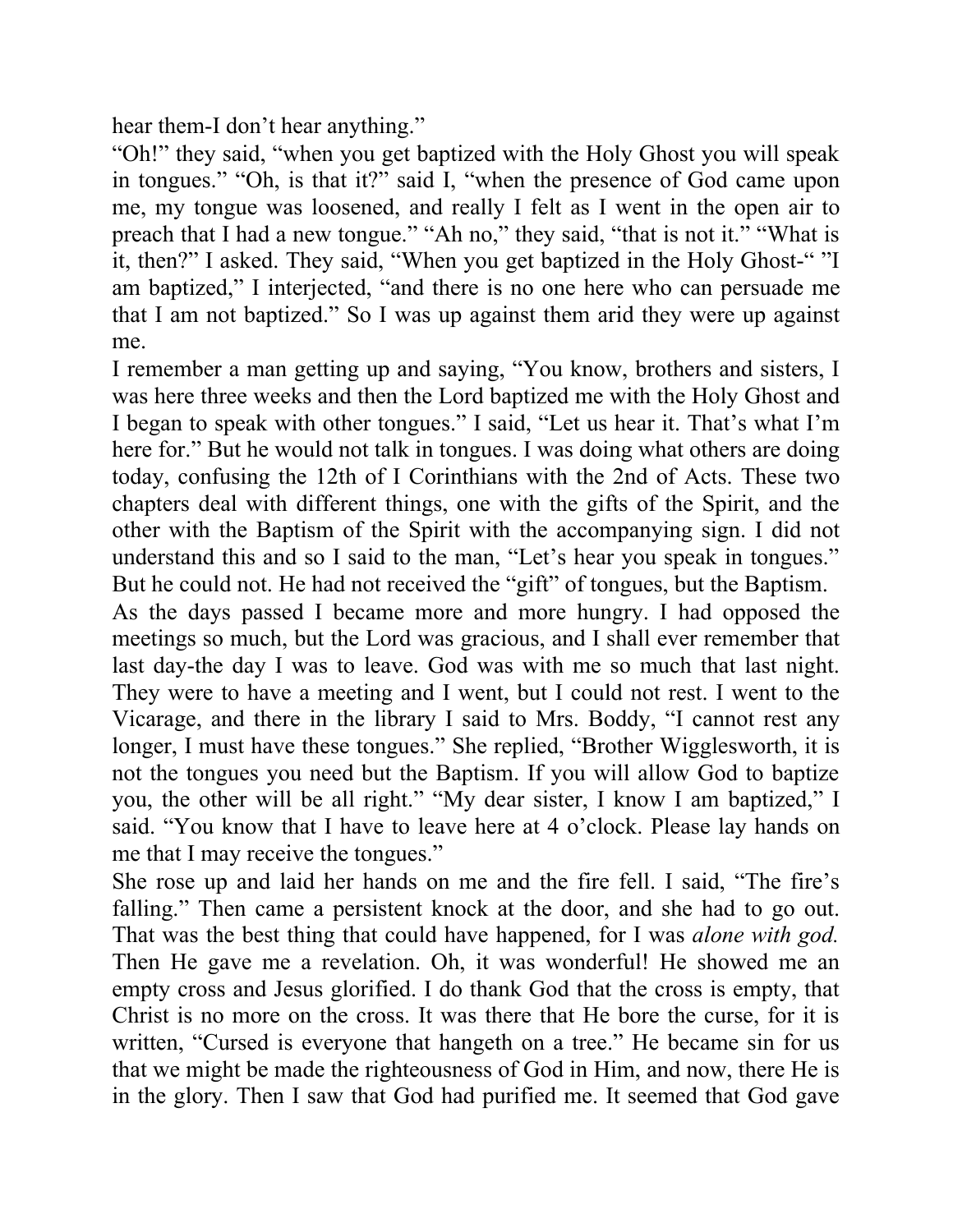hear them-I don't hear anything."

"Oh!" they said, "when you get baptized with the Holy Ghost you will speak in tongues." "Oh, is that it?" said I, "when the presence of God came upon me, my tongue was loosened, and really I felt as I went in the open air to preach that I had a new tongue." "Ah no," they said, "that is not it." "What is it, then?" I asked. They said, "When you get baptized in the Holy Ghost-" "I am baptized," I interjected, "and there is no one here who can persuade me that I am not baptized." So I was up against them arid they were up against me.

I remember a man getting up and saying, "You know, brothers and sisters, I was here three weeks and then the Lord baptized me with the Holy Ghost and I began to speak with other tongues." I said, "Let us hear it. That's what I'm here for." But he would not talk in tongues. I was doing what others are doing today, confusing the 12th of I Corinthians with the 2nd of Acts. These two chapters deal with different things, one with the gifts of the Spirit, and the other with the Baptism of the Spirit with the accompanying sign. I did not understand this and so I said to the man, "Let's hear you speak in tongues." But he could not. He had not received the "gift" of tongues, but the Baptism.

As the days passed I became more and more hungry. I had opposed the meetings so much, but the Lord was gracious, and I shall ever remember that last day-the day I was to leave. God was with me so much that last night. They were to have a meeting and I went, but I could not rest. I went to the Vicarage, and there in the library I said to Mrs. Boddy, "I cannot rest any longer, I must have these tongues." She replied, "Brother Wigglesworth, it is not the tongues you need but the Baptism. If you will allow God to baptize you, the other will be all right." "My dear sister, I know I am baptized," I said. "You know that I have to leave here at 4 o'clock. Please lay hands on me that I may receive the tongues."

She rose up and laid her hands on me and the fire fell. I said, "The fire's falling." Then came a persistent knock at the door, and she had to go out. That was the best thing that could have happened, for I was *alone with god.* Then He gave me a revelation. Oh, it was wonderful! He showed me an empty cross and Jesus glorified. I do thank God that the cross is empty, that Christ is no more on the cross. It was there that He bore the curse, for it is written, "Cursed is everyone that hangeth on a tree." He became sin for us that we might be made the righteousness of God in Him, and now, there He is in the glory. Then I saw that God had purified me. It seemed that God gave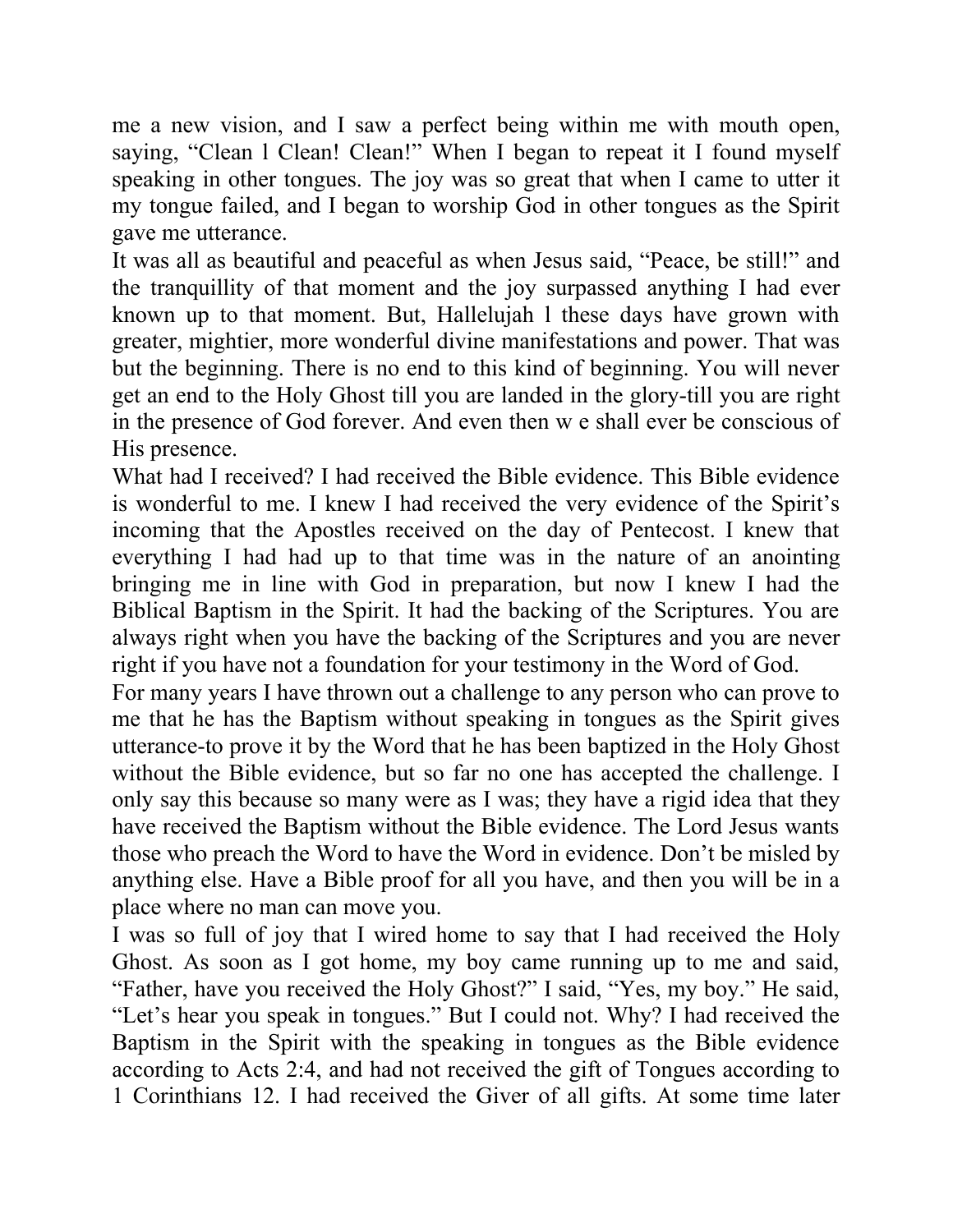me a new vision, and I saw a perfect being within me with mouth open, saying, "Clean 1 Clean! Clean!" When I began to repeat it I found myself speaking in other tongues. The joy was so great that when I came to utter it my tongue failed, and I began to worship God in other tongues as the Spirit gave me utterance.

It was all as beautiful and peaceful as when Jesus said, "Peace, be still!" and the tranquillity of that moment and the joy surpassed anything I had ever known up to that moment. But, Hallelujah l these days have grown with greater, mightier, more wonderful divine manifestations and power. That was but the beginning. There is no end to this kind of beginning. You will never get an end to the Holy Ghost till you are landed in the glory-till you are right in the presence of God forever. And even then w e shall ever be conscious of His presence.

What had I received? I had received the Bible evidence. This Bible evidence is wonderful to me. I knew I had received the very evidence of the Spirit's incoming that the Apostles received on the day of Pentecost. I knew that everything I had had up to that time was in the nature of an anointing bringing me in line with God in preparation, but now I knew I had the Biblical Baptism in the Spirit. It had the backing of the Scriptures. You are always right when you have the backing of the Scriptures and you are never right if you have not a foundation for your testimony in the Word of God.

For many years I have thrown out a challenge to any person who can prove to me that he has the Baptism without speaking in tongues as the Spirit gives utterance-to prove it by the Word that he has been baptized in the Holy Ghost without the Bible evidence, but so far no one has accepted the challenge. I only say this because so many were as I was; they have a rigid idea that they have received the Baptism without the Bible evidence. The Lord Jesus wants those who preach the Word to have the Word in evidence. Don't be misled by anything else. Have a Bible proof for all you have, and then you will be in a place where no man can move you.

I was so full of joy that I wired home to say that I had received the Holy Ghost. As soon as I got home, my boy came running up to me and said, "Father, have you received the Holy Ghost?" I said, "Yes, my boy." He said, "Let's hear you speak in tongues." But I could not. Why? I had received the Baptism in the Spirit with the speaking in tongues as the Bible evidence according to Acts 2:4, and had not received the gift of Tongues according to 1 Corinthians 12. I had received the Giver of all gifts. At some time later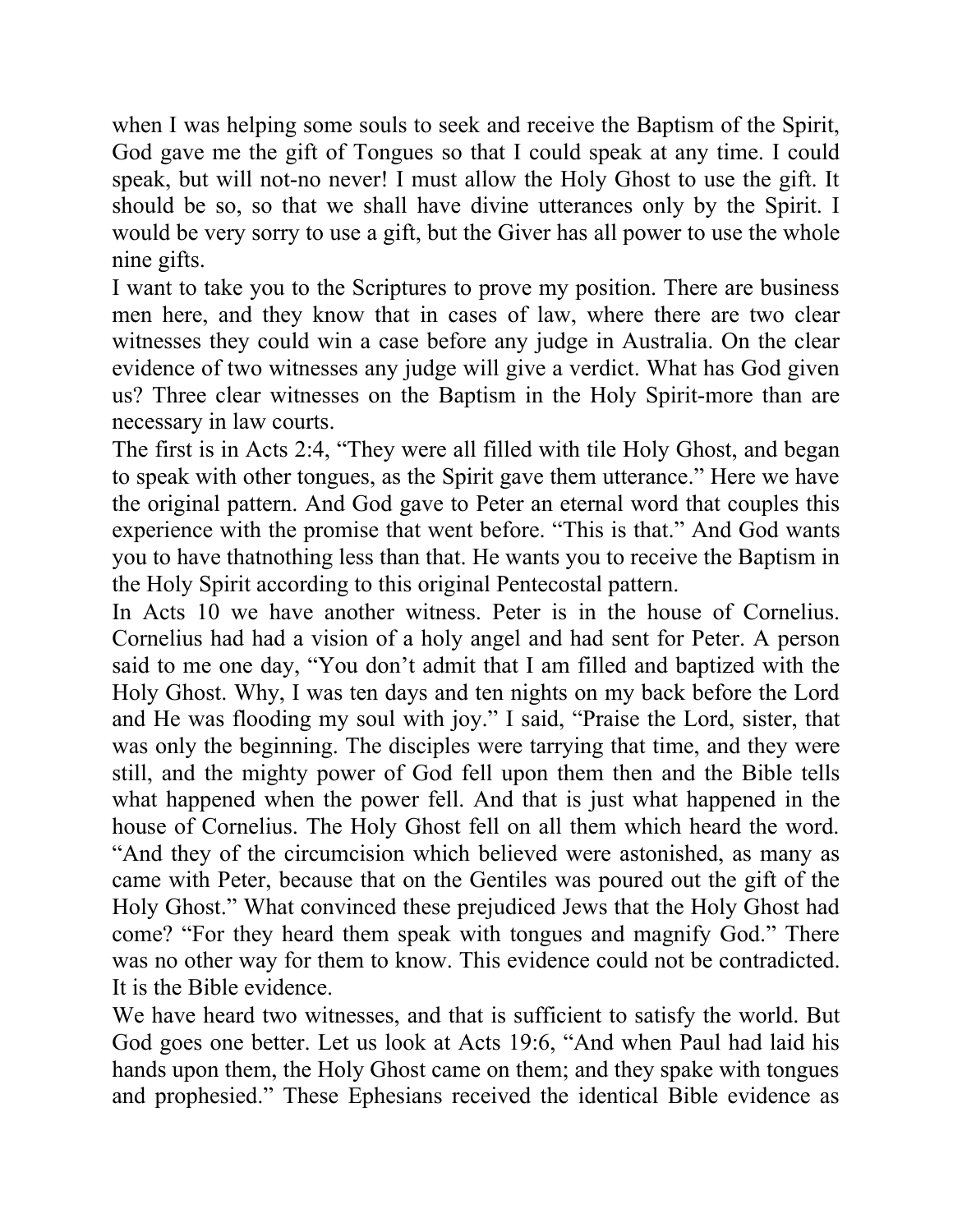when I was helping some souls to seek and receive the Baptism of the Spirit, God gave me the gift of Tongues so that I could speak at any time. I could speak, but will not-no never! I must allow the Holy Ghost to use the gift. It should be so, so that we shall have divine utterances only by the Spirit. I would be very sorry to use a gift, but the Giver has all power to use the whole nine gifts.

I want to take you to the Scriptures to prove my position. There are business men here, and they know that in cases of law, where there are two clear witnesses they could win a case before any judge in Australia. On the clear evidence of two witnesses any judge will give a verdict. What has God given us? Three clear witnesses on the Baptism in the Holy Spirit-more than are necessary in law courts.

The first is in Acts 2:4, "They were all filled with tile Holy Ghost, and began to speak with other tongues, as the Spirit gave them utterance." Here we have the original pattern. And God gave to Peter an eternal word that couples this experience with the promise that went before. "This is that." And God wants you to have thatnothing less than that. He wants you to receive the Baptism in the Holy Spirit according to this original Pentecostal pattern.

In Acts 10 we have another witness. Peter is in the house of Cornelius. Cornelius had had a vision of a holy angel and had sent for Peter. A person said to me one day, "You don't admit that I am filled and baptized with the Holy Ghost. Why, I was ten days and ten nights on my back before the Lord and He was flooding my soul with joy." I said, "Praise the Lord, sister, that was only the beginning. The disciples were tarrying that time, and they were still, and the mighty power of God fell upon them then and the Bible tells what happened when the power fell. And that is just what happened in the house of Cornelius. The Holy Ghost fell on all them which heard the word. "And they of the circumcision which believed were astonished, as many as came with Peter, because that on the Gentiles was poured out the gift of the Holy Ghost." What convinced these prejudiced Jews that the Holy Ghost had come? "For they heard them speak with tongues and magnify God." There was no other way for them to know. This evidence could not be contradicted. It is the Bible evidence.

We have heard two witnesses, and that is sufficient to satisfy the world. But God goes one better. Let us look at Acts 19:6, "And when Paul had laid his hands upon them, the Holy Ghost came on them; and they spake with tongues and prophesied." These Ephesians received the identical Bible evidence as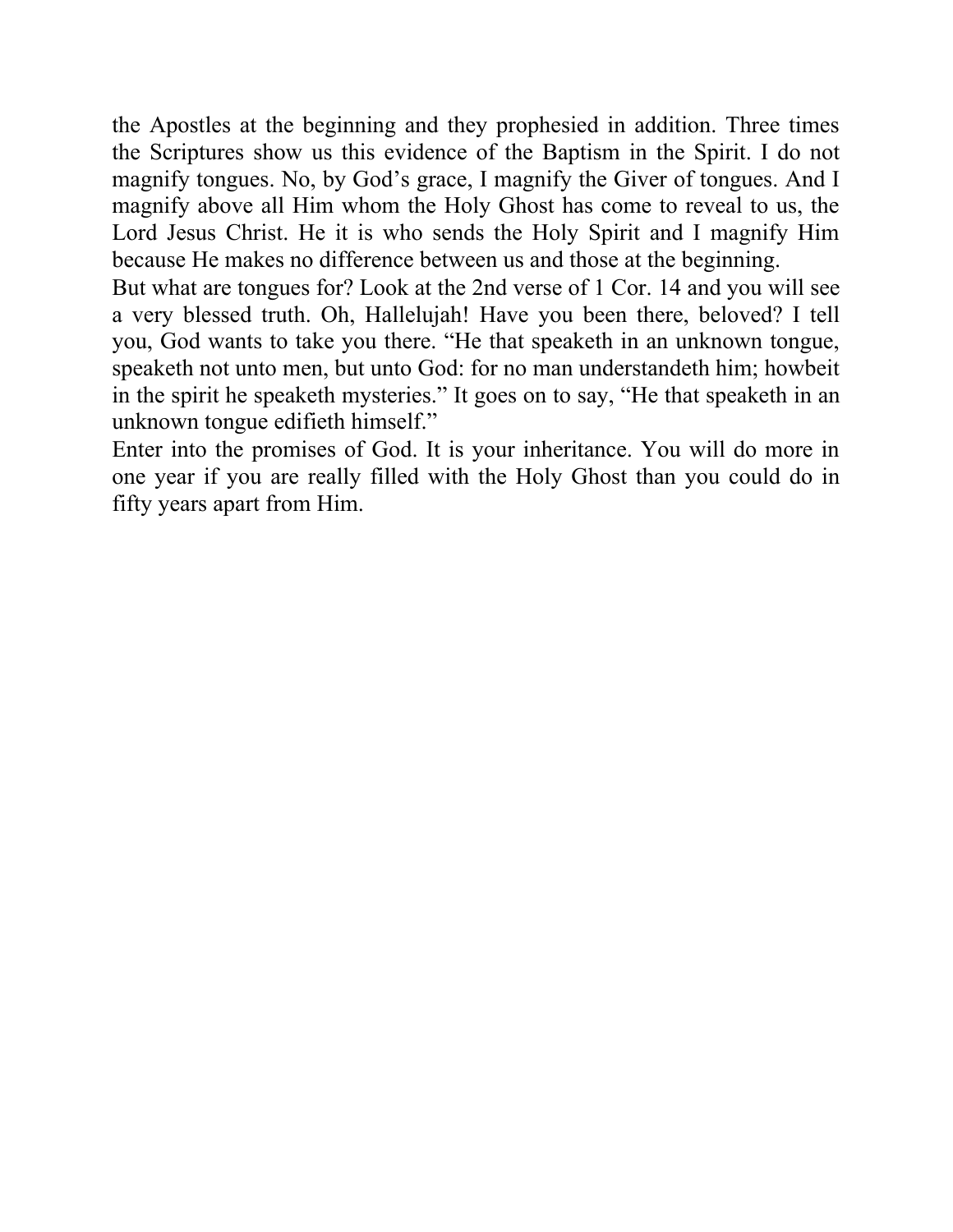the Apostles at the beginning and they prophesied in addition. Three times the Scriptures show us this evidence of the Baptism in the Spirit. I do not magnify tongues. No, by God's grace, I magnify the Giver of tongues. And I magnify above all Him whom the Holy Ghost has come to reveal to us, the Lord Jesus Christ. He it is who sends the Holy Spirit and I magnify Him because He makes no difference between us and those at the beginning.

But what are tongues for? Look at the 2nd verse of 1 Cor. 14 and you will see a very blessed truth. Oh, Hallelujah! Have you been there, beloved? I tell you, God wants to take you there. "He that speaketh in an unknown tongue, speaketh not unto men, but unto God: for no man understandeth him; howbeit in the spirit he speaketh mysteries." It goes on to say, "He that speaketh in an unknown tongue edifieth himself."

Enter into the promises of God. It is your inheritance. You will do more in one year if you are really filled with the Holy Ghost than you could do in fifty years apart from Him.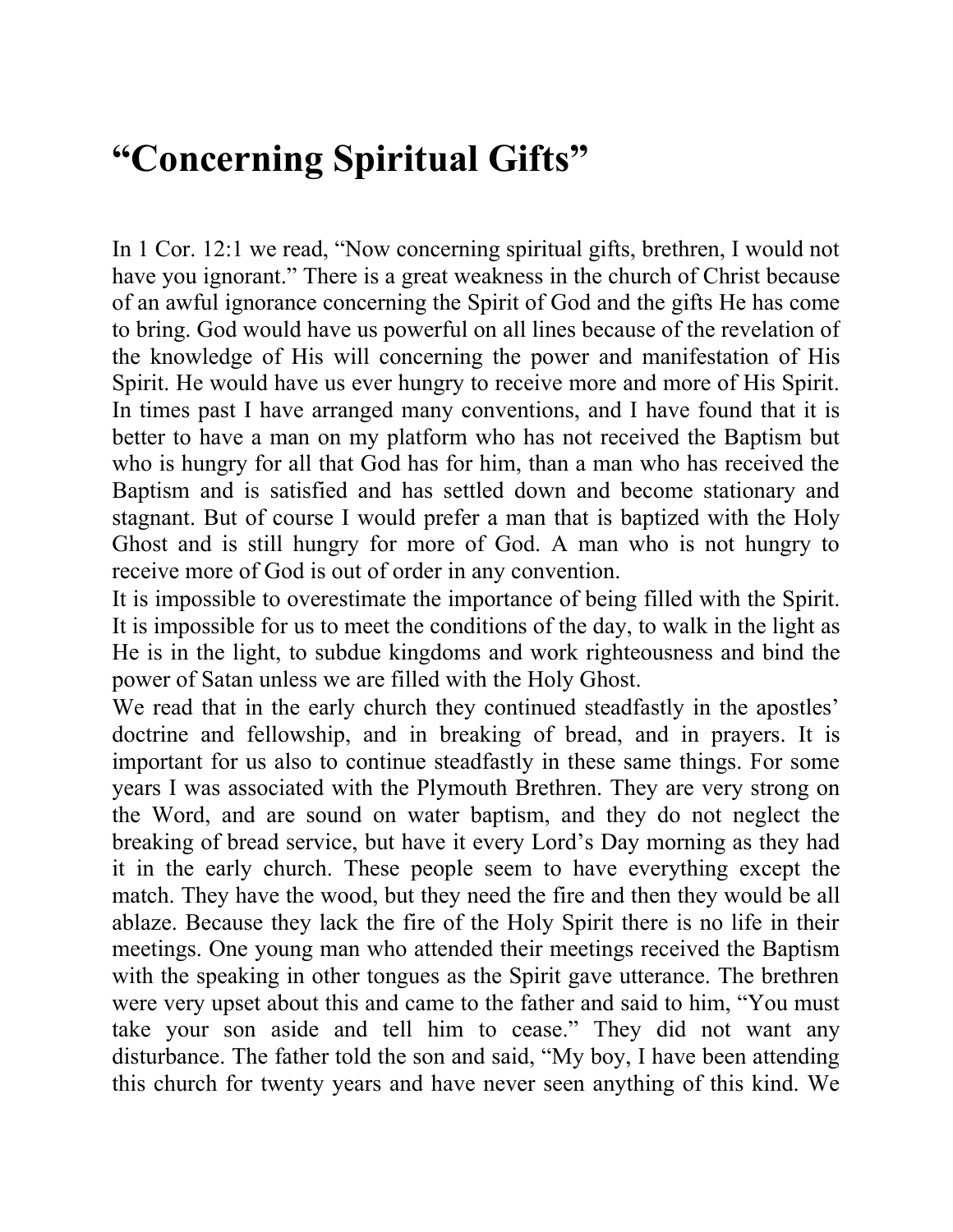## **"Concerning Spiritual Gifts"**

In 1 Cor. 12:1 we read, "Now concerning spiritual gifts, brethren, I would not have you ignorant." There is a great weakness in the church of Christ because of an awful ignorance concerning the Spirit of God and the gifts He has come to bring. God would have us powerful on all lines because of the revelation of the knowledge of His will concerning the power and manifestation of His Spirit. He would have us ever hungry to receive more and more of His Spirit. In times past I have arranged many conventions, and I have found that it is better to have a man on my platform who has not received the Baptism but who is hungry for all that God has for him, than a man who has received the Baptism and is satisfied and has settled down and become stationary and stagnant. But of course I would prefer a man that is baptized with the Holy Ghost and is still hungry for more of God. A man who is not hungry to receive more of God is out of order in any convention.

It is impossible to overestimate the importance of being filled with the Spirit. It is impossible for us to meet the conditions of the day, to walk in the light as He is in the light, to subdue kingdoms and work righteousness and bind the power of Satan unless we are filled with the Holy Ghost.

We read that in the early church they continued steadfastly in the apostles' doctrine and fellowship, and in breaking of bread, and in prayers. It is important for us also to continue steadfastly in these same things. For some years I was associated with the Plymouth Brethren. They are very strong on the Word, and are sound on water baptism, and they do not neglect the breaking of bread service, but have it every Lord's Day morning as they had it in the early church. These people seem to have everything except the match. They have the wood, but they need the fire and then they would be all ablaze. Because they lack the fire of the Holy Spirit there is no life in their meetings. One young man who attended their meetings received the Baptism with the speaking in other tongues as the Spirit gave utterance. The brethren were very upset about this and came to the father and said to him, "You must take your son aside and tell him to cease." They did not want any disturbance. The father told the son and said, "My boy, I have been attending this church for twenty years and have never seen anything of this kind. We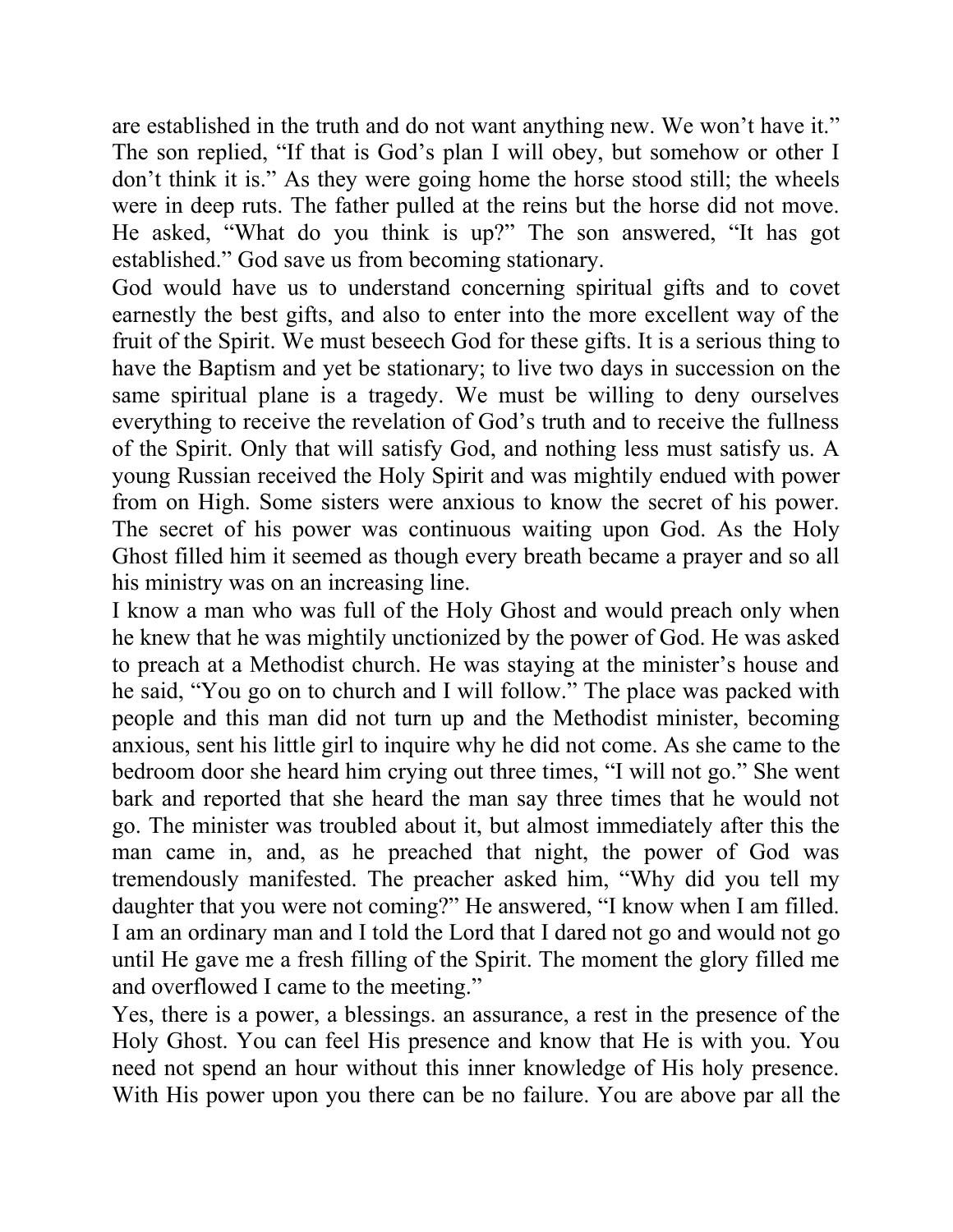are established in the truth and do not want anything new. We won't have it." The son replied, "If that is God's plan I will obey, but somehow or other I don't think it is." As they were going home the horse stood still; the wheels were in deep ruts. The father pulled at the reins but the horse did not move. He asked, "What do you think is up?" The son answered, "It has got established." God save us from becoming stationary.

God would have us to understand concerning spiritual gifts and to covet earnestly the best gifts, and also to enter into the more excellent way of the fruit of the Spirit. We must beseech God for these gifts. It is a serious thing to have the Baptism and yet be stationary; to live two days in succession on the same spiritual plane is a tragedy. We must be willing to deny ourselves everything to receive the revelation of God's truth and to receive the fullness of the Spirit. Only that will satisfy God, and nothing less must satisfy us. A young Russian received the Holy Spirit and was mightily endued with power from on High. Some sisters were anxious to know the secret of his power. The secret of his power was continuous waiting upon God. As the Holy Ghost filled him it seemed as though every breath became a prayer and so all his ministry was on an increasing line.

I know a man who was full of the Holy Ghost and would preach only when he knew that he was mightily unctionized by the power of God. He was asked to preach at a Methodist church. He was staying at the minister's house and he said, "You go on to church and I will follow." The place was packed with people and this man did not turn up and the Methodist minister, becoming anxious, sent his little girl to inquire why he did not come. As she came to the bedroom door she heard him crying out three times, "I will not go." She went bark and reported that she heard the man say three times that he would not go. The minister was troubled about it, but almost immediately after this the man came in, and, as he preached that night, the power of God was tremendously manifested. The preacher asked him, "Why did you tell my daughter that you were not coming?" He answered, "I know when I am filled. I am an ordinary man and I told the Lord that I dared not go and would not go until He gave me a fresh filling of the Spirit. The moment the glory filled me and overflowed I came to the meeting."

Yes, there is a power, a blessings. an assurance, a rest in the presence of the Holy Ghost. You can feel His presence and know that He is with you. You need not spend an hour without this inner knowledge of His holy presence. With His power upon you there can be no failure. You are above par all the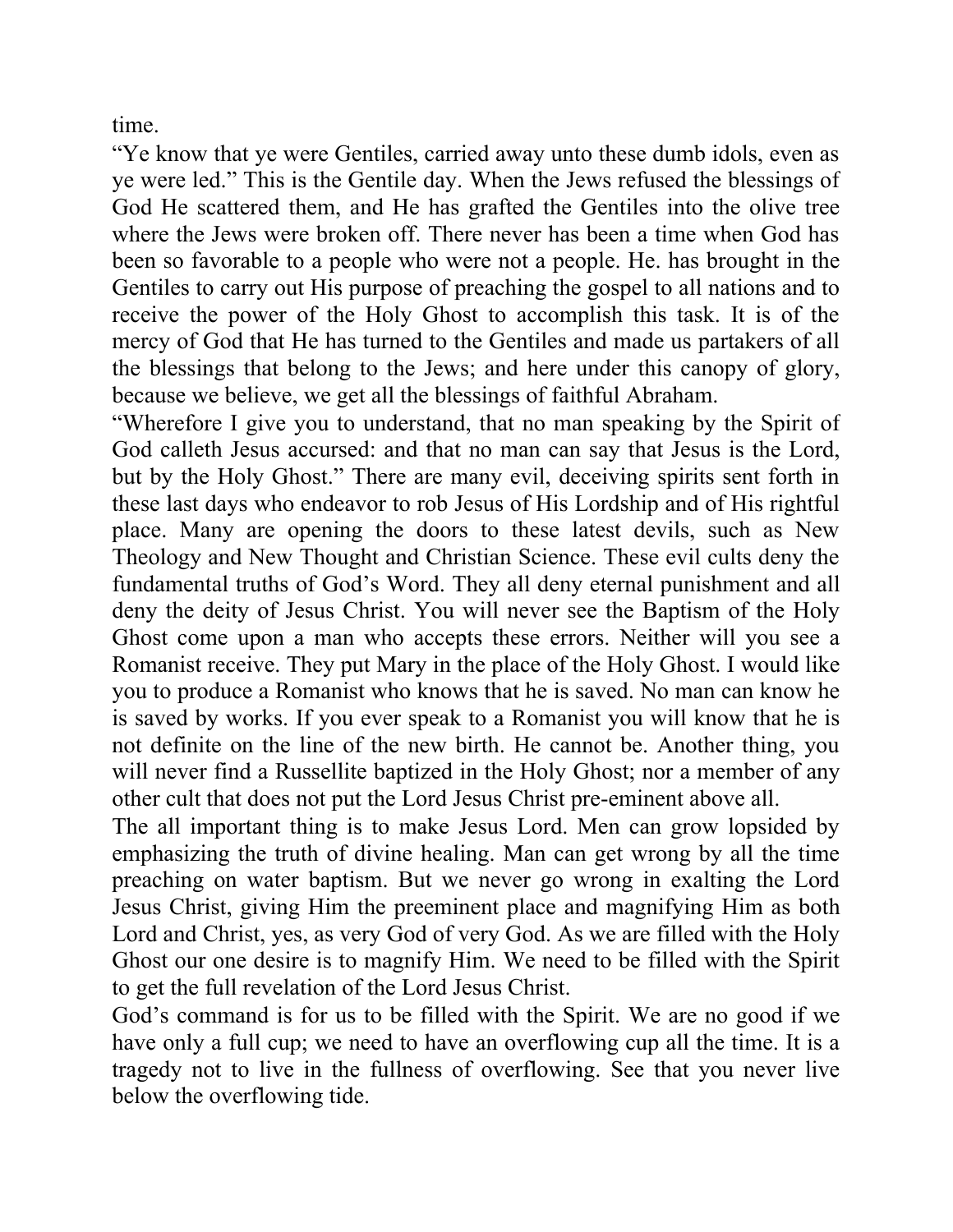time.

"Ye know that ye were Gentiles, carried away unto these dumb idols, even as ye were led." This is the Gentile day. When the Jews refused the blessings of God He scattered them, and He has grafted the Gentiles into the olive tree where the Jews were broken off. There never has been a time when God has been so favorable to a people who were not a people. He. has brought in the Gentiles to carry out His purpose of preaching the gospel to all nations and to receive the power of the Holy Ghost to accomplish this task. It is of the mercy of God that He has turned to the Gentiles and made us partakers of all the blessings that belong to the Jews; and here under this canopy of glory, because we believe, we get all the blessings of faithful Abraham.

"Wherefore I give you to understand, that no man speaking by the Spirit of God calleth Jesus accursed: and that no man can say that Jesus is the Lord, but by the Holy Ghost." There are many evil, deceiving spirits sent forth in these last days who endeavor to rob Jesus of His Lordship and of His rightful place. Many are opening the doors to these latest devils, such as New Theology and New Thought and Christian Science. These evil cults deny the fundamental truths of God's Word. They all deny eternal punishment and all deny the deity of Jesus Christ. You will never see the Baptism of the Holy Ghost come upon a man who accepts these errors. Neither will you see a Romanist receive. They put Mary in the place of the Holy Ghost. I would like you to produce a Romanist who knows that he is saved. No man can know he is saved by works. If you ever speak to a Romanist you will know that he is not definite on the line of the new birth. He cannot be. Another thing, you will never find a Russellite baptized in the Holy Ghost; nor a member of any other cult that does not put the Lord Jesus Christ pre-eminent above all.

The all important thing is to make Jesus Lord. Men can grow lopsided by emphasizing the truth of divine healing. Man can get wrong by all the time preaching on water baptism. But we never go wrong in exalting the Lord Jesus Christ, giving Him the preeminent place and magnifying Him as both Lord and Christ, yes, as very God of very God. As we are filled with the Holy Ghost our one desire is to magnify Him. We need to be filled with the Spirit to get the full revelation of the Lord Jesus Christ.

God's command is for us to be filled with the Spirit. We are no good if we have only a full cup; we need to have an overflowing cup all the time. It is a tragedy not to live in the fullness of overflowing. See that you never live below the overflowing tide.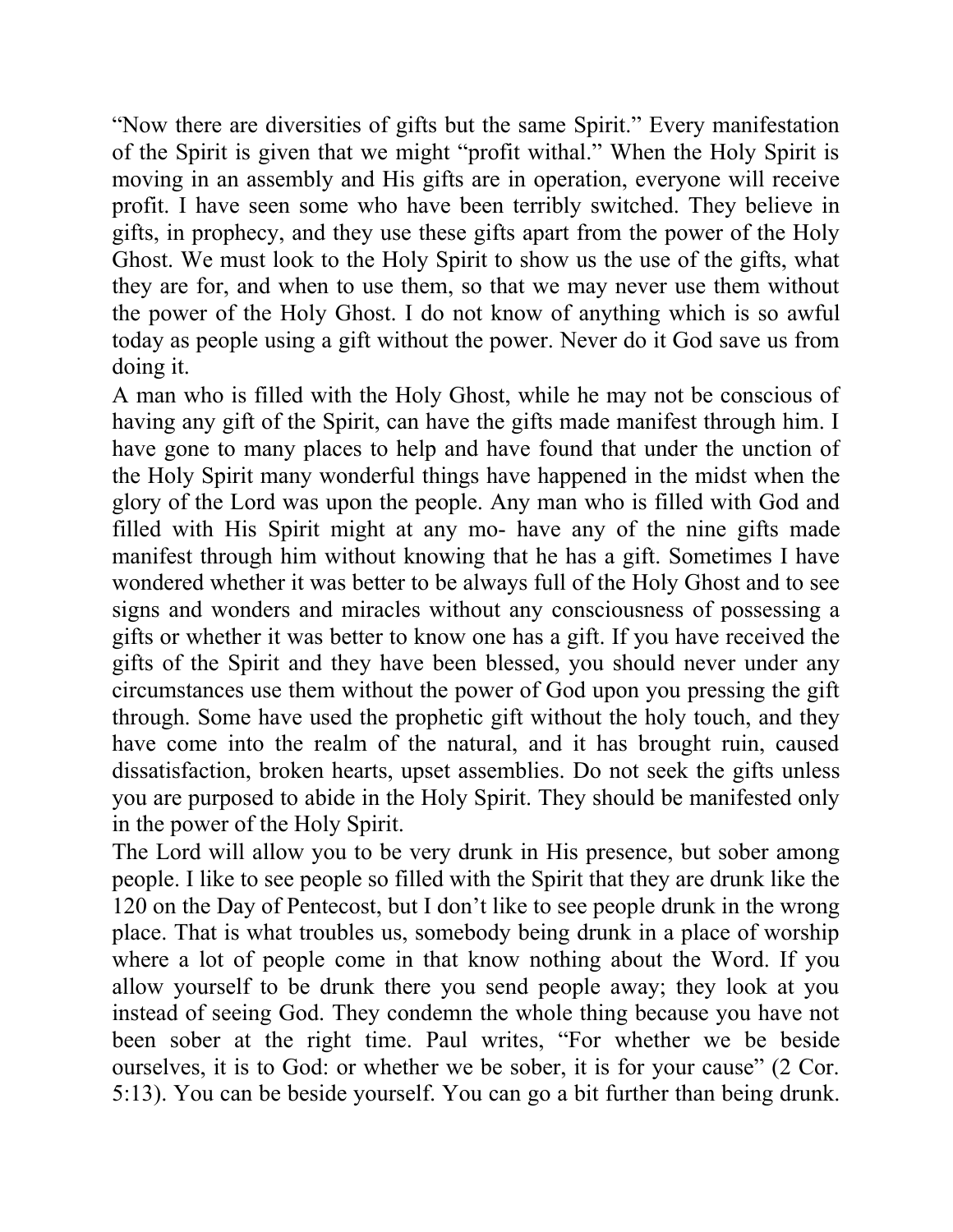"Now there are diversities of gifts but the same Spirit." Every manifestation of the Spirit is given that we might "profit withal." When the Holy Spirit is moving in an assembly and His gifts are in operation, everyone will receive profit. I have seen some who have been terribly switched. They believe in gifts, in prophecy, and they use these gifts apart from the power of the Holy Ghost. We must look to the Holy Spirit to show us the use of the gifts, what they are for, and when to use them, so that we may never use them without the power of the Holy Ghost. I do not know of anything which is so awful today as people using a gift without the power. Never do it God save us from doing it.

A man who is filled with the Holy Ghost, while he may not be conscious of having any gift of the Spirit, can have the gifts made manifest through him. I have gone to many places to help and have found that under the unction of the Holy Spirit many wonderful things have happened in the midst when the glory of the Lord was upon the people. Any man who is filled with God and filled with His Spirit might at any mo- have any of the nine gifts made manifest through him without knowing that he has a gift. Sometimes I have wondered whether it was better to be always full of the Holy Ghost and to see signs and wonders and miracles without any consciousness of possessing a gifts or whether it was better to know one has a gift. If you have received the gifts of the Spirit and they have been blessed, you should never under any circumstances use them without the power of God upon you pressing the gift through. Some have used the prophetic gift without the holy touch, and they have come into the realm of the natural, and it has brought ruin, caused dissatisfaction, broken hearts, upset assemblies. Do not seek the gifts unless you are purposed to abide in the Holy Spirit. They should be manifested only in the power of the Holy Spirit.

The Lord will allow you to be very drunk in His presence, but sober among people. I like to see people so filled with the Spirit that they are drunk like the 120 on the Day of Pentecost, but I don't like to see people drunk in the wrong place. That is what troubles us, somebody being drunk in a place of worship where a lot of people come in that know nothing about the Word. If you allow yourself to be drunk there you send people away; they look at you instead of seeing God. They condemn the whole thing because you have not been sober at the right time. Paul writes, "For whether we be beside ourselves, it is to God: or whether we be sober, it is for your cause" (2 Cor. 5:13). You can be beside yourself. You can go a bit further than being drunk.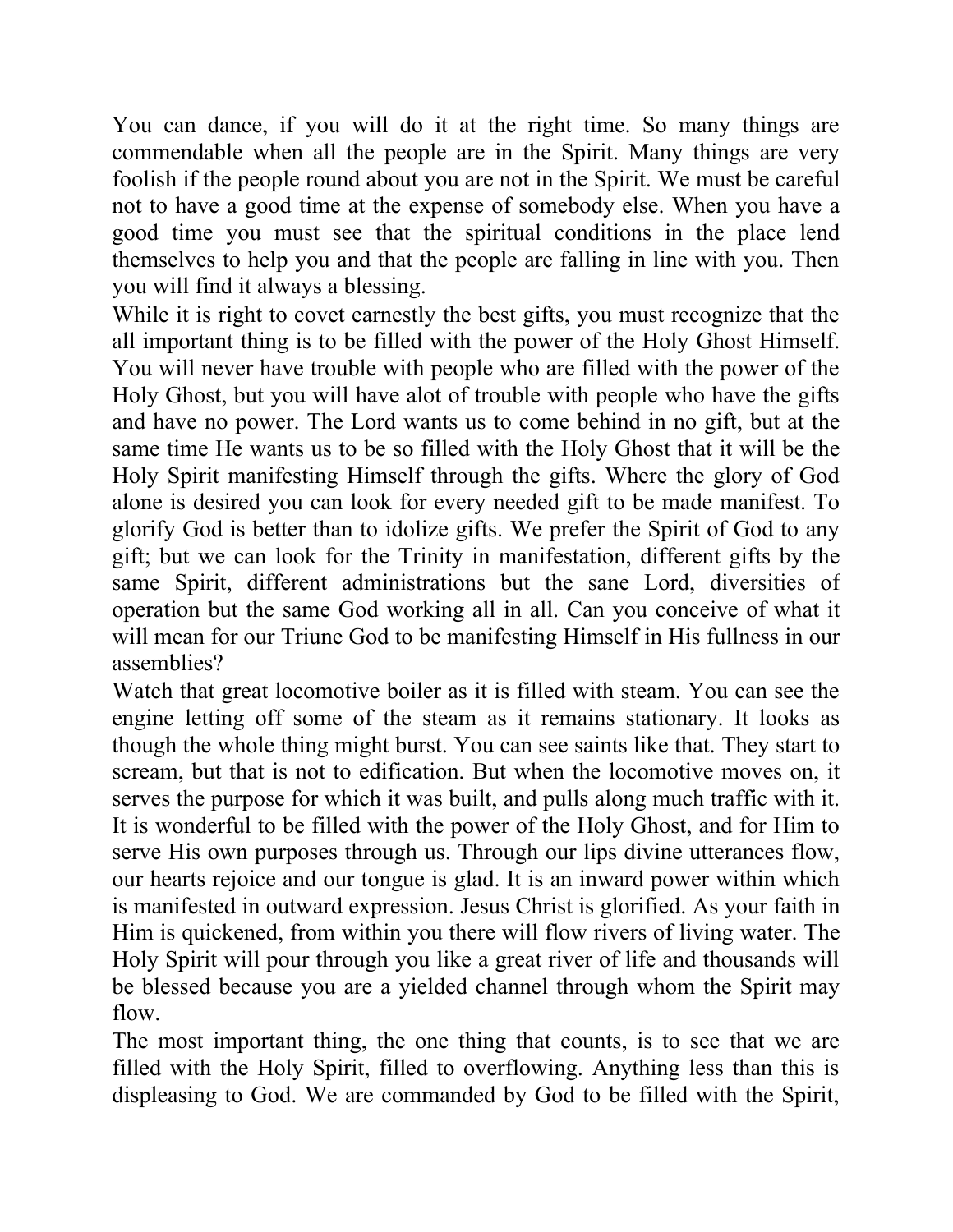You can dance, if you will do it at the right time. So many things are commendable when all the people are in the Spirit. Many things are very foolish if the people round about you are not in the Spirit. We must be careful not to have a good time at the expense of somebody else. When you have a good time you must see that the spiritual conditions in the place lend themselves to help you and that the people are falling in line with you. Then you will find it always a blessing.

While it is right to covet earnestly the best gifts, you must recognize that the all important thing is to be filled with the power of the Holy Ghost Himself. You will never have trouble with people who are filled with the power of the Holy Ghost, but you will have alot of trouble with people who have the gifts and have no power. The Lord wants us to come behind in no gift, but at the same time He wants us to be so filled with the Holy Ghost that it will be the Holy Spirit manifesting Himself through the gifts. Where the glory of God alone is desired you can look for every needed gift to be made manifest. To glorify God is better than to idolize gifts. We prefer the Spirit of God to any gift; but we can look for the Trinity in manifestation, different gifts by the same Spirit, different administrations but the sane Lord, diversities of operation but the same God working all in all. Can you conceive of what it will mean for our Triune God to be manifesting Himself in His fullness in our assemblies?

Watch that great locomotive boiler as it is filled with steam. You can see the engine letting off some of the steam as it remains stationary. It looks as though the whole thing might burst. You can see saints like that. They start to scream, but that is not to edification. But when the locomotive moves on, it serves the purpose for which it was built, and pulls along much traffic with it. It is wonderful to be filled with the power of the Holy Ghost, and for Him to serve His own purposes through us. Through our lips divine utterances flow, our hearts rejoice and our tongue is glad. It is an inward power within which is manifested in outward expression. Jesus Christ is glorified. As your faith in Him is quickened, from within you there will flow rivers of living water. The Holy Spirit will pour through you like a great river of life and thousands will be blessed because you are a yielded channel through whom the Spirit may flow.

The most important thing, the one thing that counts, is to see that we are filled with the Holy Spirit, filled to overflowing. Anything less than this is displeasing to God. We are commanded by God to be filled with the Spirit,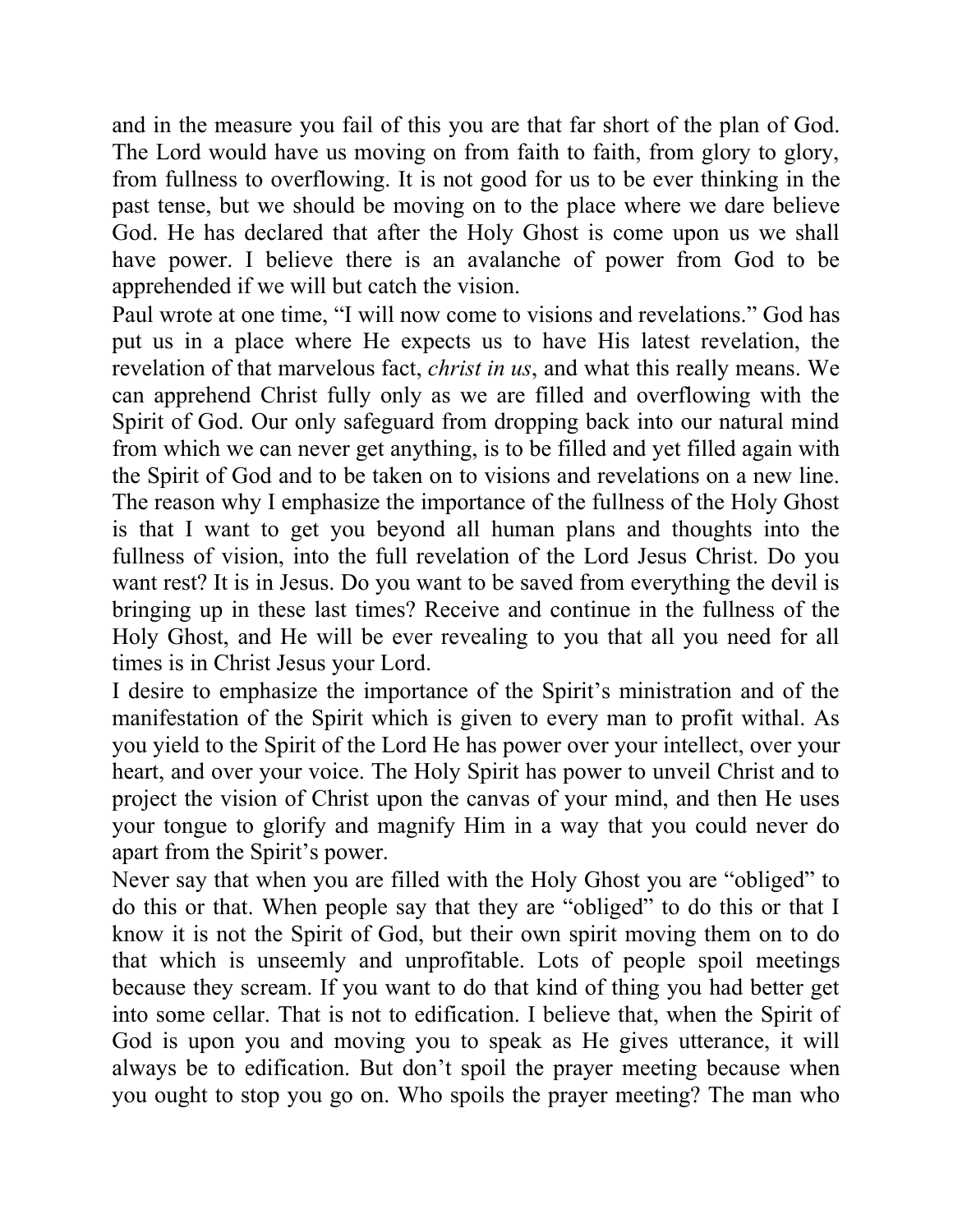and in the measure you fail of this you are that far short of the plan of God. The Lord would have us moving on from faith to faith, from glory to glory, from fullness to overflowing. It is not good for us to be ever thinking in the past tense, but we should be moving on to the place where we dare believe God. He has declared that after the Holy Ghost is come upon us we shall have power. I believe there is an avalanche of power from God to be apprehended if we will but catch the vision.

Paul wrote at one time, "I will now come to visions and revelations." God has put us in a place where He expects us to have His latest revelation, the revelation of that marvelous fact, *christ in us*, and what this really means. We can apprehend Christ fully only as we are filled and overflowing with the Spirit of God. Our only safeguard from dropping back into our natural mind from which we can never get anything, is to be filled and yet filled again with the Spirit of God and to be taken on to visions and revelations on a new line. The reason why I emphasize the importance of the fullness of the Holy Ghost is that I want to get you beyond all human plans and thoughts into the fullness of vision, into the full revelation of the Lord Jesus Christ. Do you want rest? It is in Jesus. Do you want to be saved from everything the devil is bringing up in these last times? Receive and continue in the fullness of the Holy Ghost, and He will be ever revealing to you that all you need for all times is in Christ Jesus your Lord.

I desire to emphasize the importance of the Spirit's ministration and of the manifestation of the Spirit which is given to every man to profit withal. As you yield to the Spirit of the Lord He has power over your intellect, over your heart, and over your voice. The Holy Spirit has power to unveil Christ and to project the vision of Christ upon the canvas of your mind, and then He uses your tongue to glorify and magnify Him in a way that you could never do apart from the Spirit's power.

Never say that when you are filled with the Holy Ghost you are "obliged" to do this or that. When people say that they are "obliged" to do this or that I know it is not the Spirit of God, but their own spirit moving them on to do that which is unseemly and unprofitable. Lots of people spoil meetings because they scream. If you want to do that kind of thing you had better get into some cellar. That is not to edification. I believe that, when the Spirit of God is upon you and moving you to speak as He gives utterance, it will always be to edification. But don't spoil the prayer meeting because when you ought to stop you go on. Who spoils the prayer meeting? The man who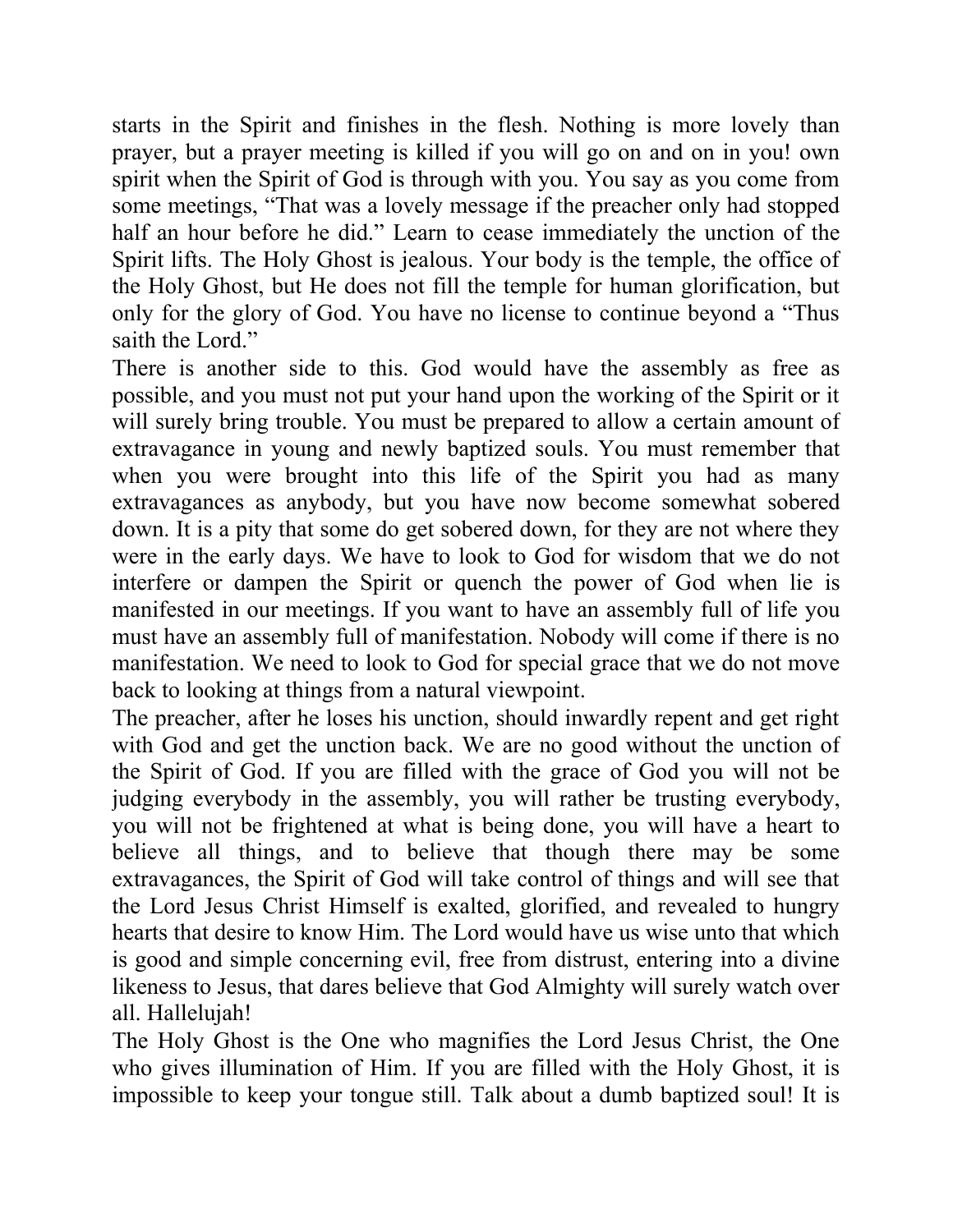starts in the Spirit and finishes in the flesh. Nothing is more lovely than prayer, but a prayer meeting is killed if you will go on and on in you! own spirit when the Spirit of God is through with you. You say as you come from some meetings, "That was a lovely message if the preacher only had stopped half an hour before he did." Learn to cease immediately the unction of the Spirit lifts. The Holy Ghost is jealous. Your body is the temple, the office of the Holy Ghost, but He does not fill the temple for human glorification, but only for the glory of God. You have no license to continue beyond a "Thus saith the Lord."

There is another side to this. God would have the assembly as free as possible, and you must not put your hand upon the working of the Spirit or it will surely bring trouble. You must be prepared to allow a certain amount of extravagance in young and newly baptized souls. You must remember that when you were brought into this life of the Spirit you had as many extravagances as anybody, but you have now become somewhat sobered down. It is a pity that some do get sobered down, for they are not where they were in the early days. We have to look to God for wisdom that we do not interfere or dampen the Spirit or quench the power of God when lie is manifested in our meetings. If you want to have an assembly full of life you must have an assembly full of manifestation. Nobody will come if there is no manifestation. We need to look to God for special grace that we do not move back to looking at things from a natural viewpoint.

The preacher, after he loses his unction, should inwardly repent and get right with God and get the unction back. We are no good without the unction of the Spirit of God. If you are filled with the grace of God you will not be judging everybody in the assembly, you will rather be trusting everybody, you will not be frightened at what is being done, you will have a heart to believe all things, and to believe that though there may be some extravagances, the Spirit of God will take control of things and will see that the Lord Jesus Christ Himself is exalted, glorified, and revealed to hungry hearts that desire to know Him. The Lord would have us wise unto that which is good and simple concerning evil, free from distrust, entering into a divine likeness to Jesus, that dares believe that God Almighty will surely watch over all. Hallelujah!

The Holy Ghost is the One who magnifies the Lord Jesus Christ, the One who gives illumination of Him. If you are filled with the Holy Ghost, it is impossible to keep your tongue still. Talk about a dumb baptized soul! It is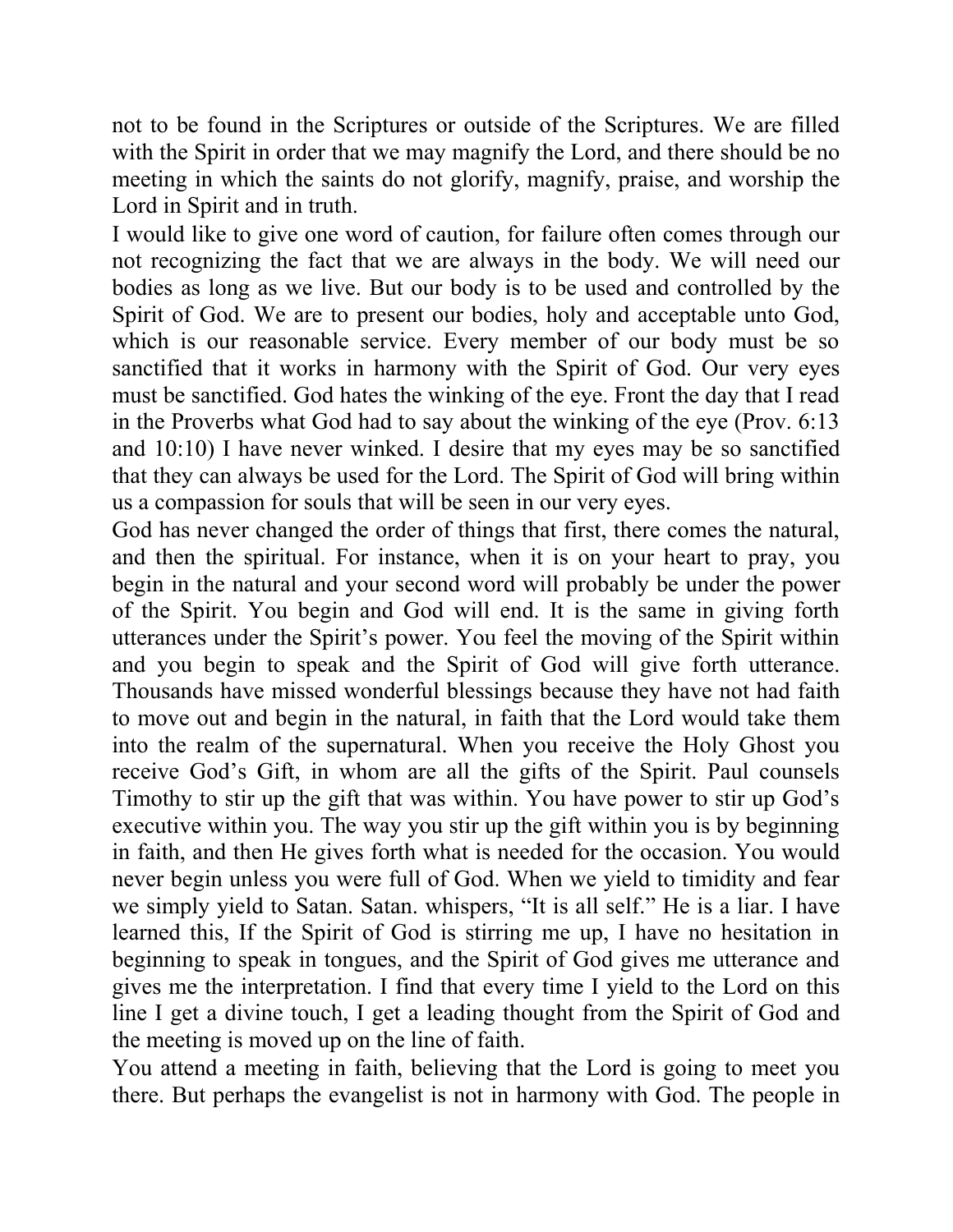not to be found in the Scriptures or outside of the Scriptures. We are filled with the Spirit in order that we may magnify the Lord, and there should be no meeting in which the saints do not glorify, magnify, praise, and worship the Lord in Spirit and in truth.

I would like to give one word of caution, for failure often comes through our not recognizing the fact that we are always in the body. We will need our bodies as long as we live. But our body is to be used and controlled by the Spirit of God. We are to present our bodies, holy and acceptable unto God, which is our reasonable service. Every member of our body must be so sanctified that it works in harmony with the Spirit of God. Our very eyes must be sanctified. God hates the winking of the eye. Front the day that I read in the Proverbs what God had to say about the winking of the eye (Prov. 6:13 and 10:10) I have never winked. I desire that my eyes may be so sanctified that they can always be used for the Lord. The Spirit of God will bring within us a compassion for souls that will be seen in our very eyes.

God has never changed the order of things that first, there comes the natural, and then the spiritual. For instance, when it is on your heart to pray, you begin in the natural and your second word will probably be under the power of the Spirit. You begin and God will end. It is the same in giving forth utterances under the Spirit's power. You feel the moving of the Spirit within and you begin to speak and the Spirit of God will give forth utterance. Thousands have missed wonderful blessings because they have not had faith to move out and begin in the natural, in faith that the Lord would take them into the realm of the supernatural. When you receive the Holy Ghost you receive God's Gift, in whom are all the gifts of the Spirit. Paul counsels Timothy to stir up the gift that was within. You have power to stir up God's executive within you. The way you stir up the gift within you is by beginning in faith, and then He gives forth what is needed for the occasion. You would never begin unless you were full of God. When we yield to timidity and fear we simply yield to Satan. Satan. whispers, "It is all self." He is a liar. I have learned this, If the Spirit of God is stirring me up, I have no hesitation in beginning to speak in tongues, and the Spirit of God gives me utterance and gives me the interpretation. I find that every time I yield to the Lord on this line I get a divine touch, I get a leading thought from the Spirit of God and the meeting is moved up on the line of faith.

You attend a meeting in faith, believing that the Lord is going to meet you there. But perhaps the evangelist is not in harmony with God. The people in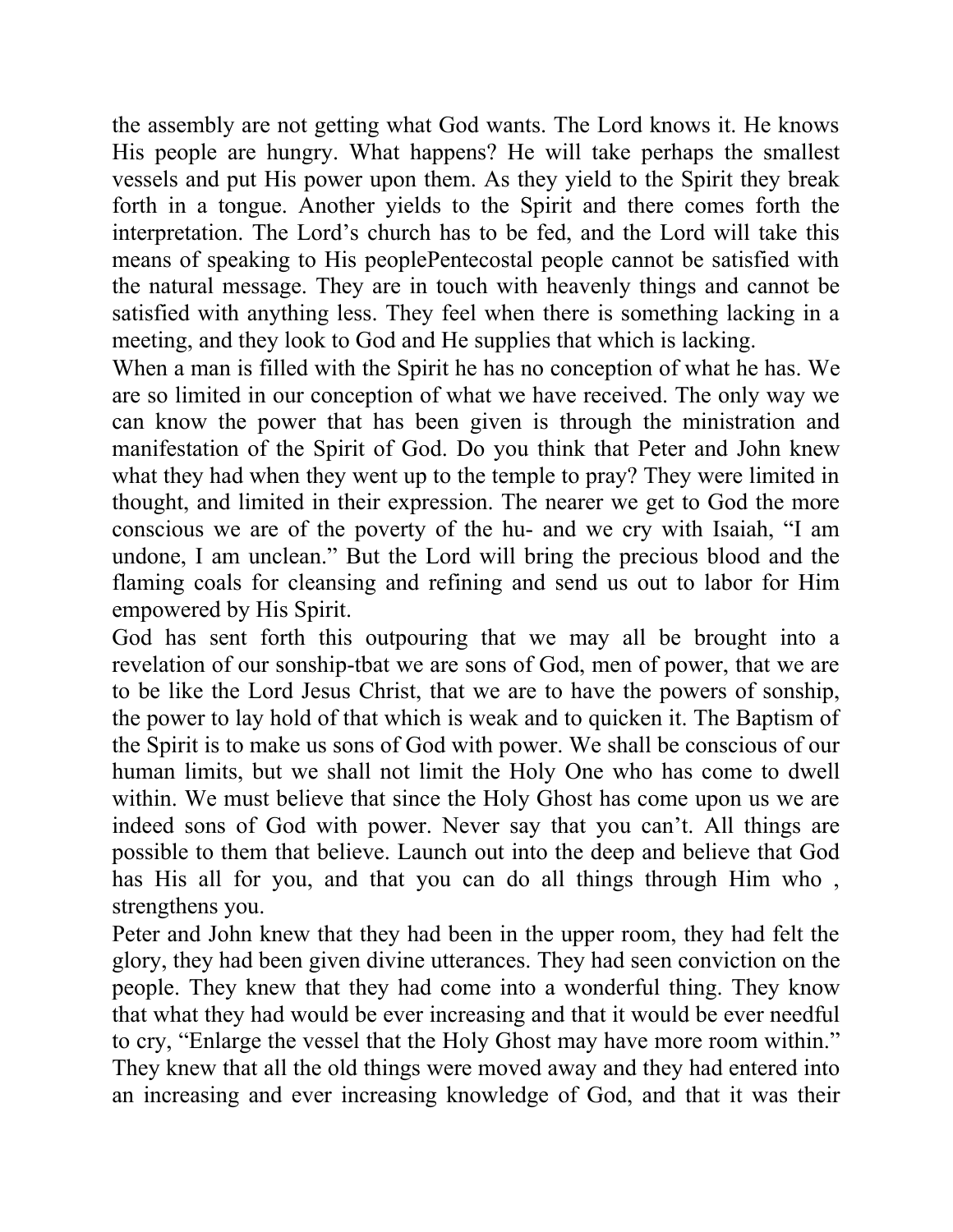the assembly are not getting what God wants. The Lord knows it. He knows His people are hungry. What happens? He will take perhaps the smallest vessels and put His power upon them. As they yield to the Spirit they break forth in a tongue. Another yields to the Spirit and there comes forth the interpretation. The Lord's church has to be fed, and the Lord will take this means of speaking to His peoplePentecostal people cannot be satisfied with the natural message. They are in touch with heavenly things and cannot be satisfied with anything less. They feel when there is something lacking in a meeting, and they look to God and He supplies that which is lacking.

When a man is filled with the Spirit he has no conception of what he has. We are so limited in our conception of what we have received. The only way we can know the power that has been given is through the ministration and manifestation of the Spirit of God. Do you think that Peter and John knew what they had when they went up to the temple to pray? They were limited in thought, and limited in their expression. The nearer we get to God the more conscious we are of the poverty of the hu- and we cry with Isaiah, "I am undone, I am unclean." But the Lord will bring the precious blood and the flaming coals for cleansing and refining and send us out to labor for Him empowered by His Spirit.

God has sent forth this outpouring that we may all be brought into a revelation of our sonship-tbat we are sons of God, men of power, that we are to be like the Lord Jesus Christ, that we are to have the powers of sonship, the power to lay hold of that which is weak and to quicken it. The Baptism of the Spirit is to make us sons of God with power. We shall be conscious of our human limits, but we shall not limit the Holy One who has come to dwell within. We must believe that since the Holy Ghost has come upon us we are indeed sons of God with power. Never say that you can't. All things are possible to them that believe. Launch out into the deep and believe that God has His all for you, and that you can do all things through Him who , strengthens you.

Peter and John knew that they had been in the upper room, they had felt the glory, they had been given divine utterances. They had seen conviction on the people. They knew that they had come into a wonderful thing. They know that what they had would be ever increasing and that it would be ever needful to cry, "Enlarge the vessel that the Holy Ghost may have more room within." They knew that all the old things were moved away and they had entered into an increasing and ever increasing knowledge of God, and that it was their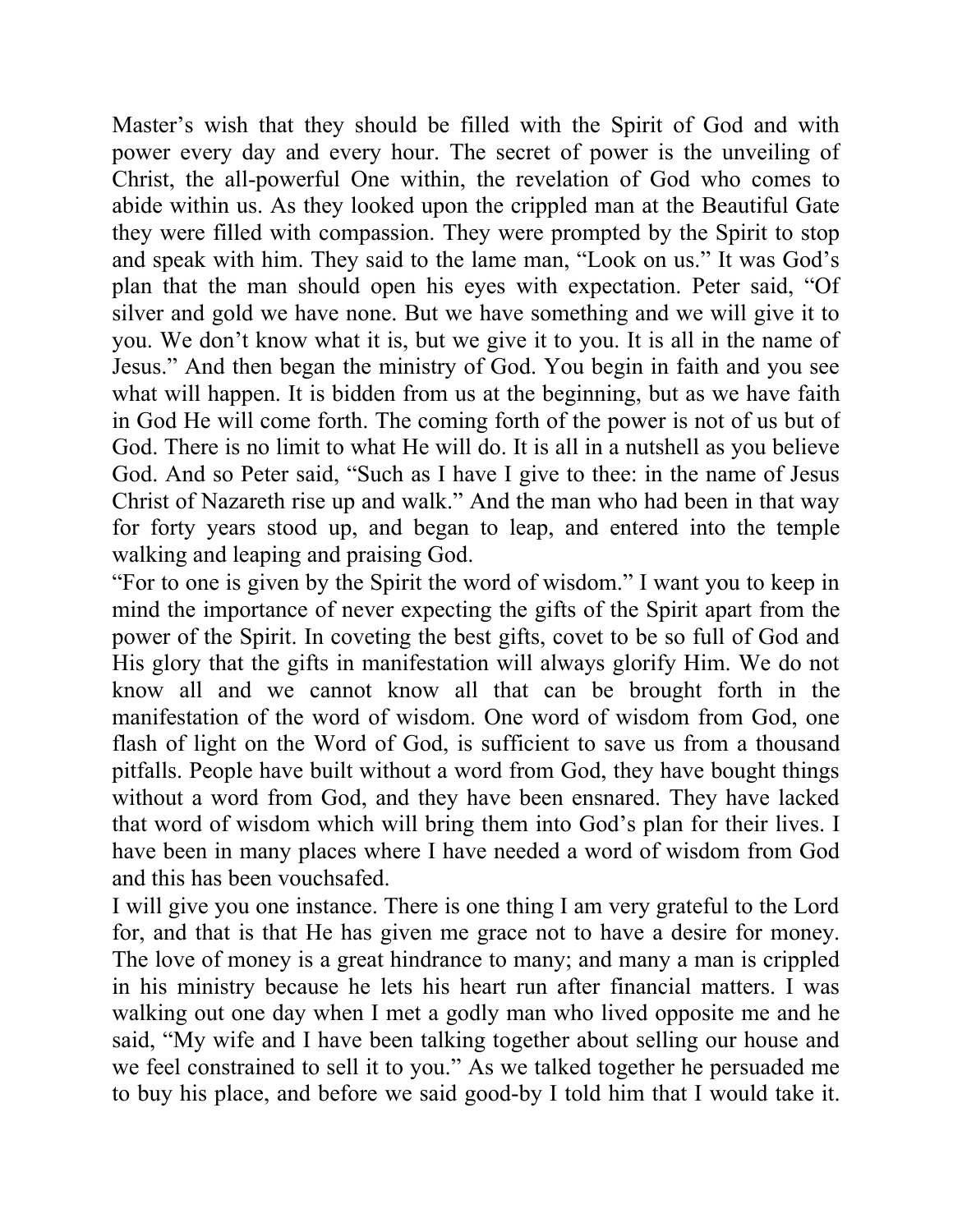Master's wish that they should be filled with the Spirit of God and with power every day and every hour. The secret of power is the unveiling of Christ, the all-powerful One within, the revelation of God who comes to abide within us. As they looked upon the crippled man at the Beautiful Gate they were filled with compassion. They were prompted by the Spirit to stop and speak with him. They said to the lame man, "Look on us." It was God's plan that the man should open his eyes with expectation. Peter said, "Of silver and gold we have none. But we have something and we will give it to you. We don't know what it is, but we give it to you. It is all in the name of Jesus." And then began the ministry of God. You begin in faith and you see what will happen. It is bidden from us at the beginning, but as we have faith in God He will come forth. The coming forth of the power is not of us but of God. There is no limit to what He will do. It is all in a nutshell as you believe God. And so Peter said, "Such as I have I give to thee: in the name of Jesus Christ of Nazareth rise up and walk." And the man who had been in that way for forty years stood up, and began to leap, and entered into the temple walking and leaping and praising God.

"For to one is given by the Spirit the word of wisdom." I want you to keep in mind the importance of never expecting the gifts of the Spirit apart from the power of the Spirit. In coveting the best gifts, covet to be so full of God and His glory that the gifts in manifestation will always glorify Him. We do not know all and we cannot know all that can be brought forth in the manifestation of the word of wisdom. One word of wisdom from God, one flash of light on the Word of God, is sufficient to save us from a thousand pitfalls. People have built without a word from God, they have bought things without a word from God, and they have been ensnared. They have lacked that word of wisdom which will bring them into God's plan for their lives. I have been in many places where I have needed a word of wisdom from God and this has been vouchsafed.

I will give you one instance. There is one thing I am very grateful to the Lord for, and that is that He has given me grace not to have a desire for money. The love of money is a great hindrance to many; and many a man is crippled in his ministry because he lets his heart run after financial matters. I was walking out one day when I met a godly man who lived opposite me and he said, "My wife and I have been talking together about selling our house and we feel constrained to sell it to you." As we talked together he persuaded me to buy his place, and before we said good-by I told him that I would take it.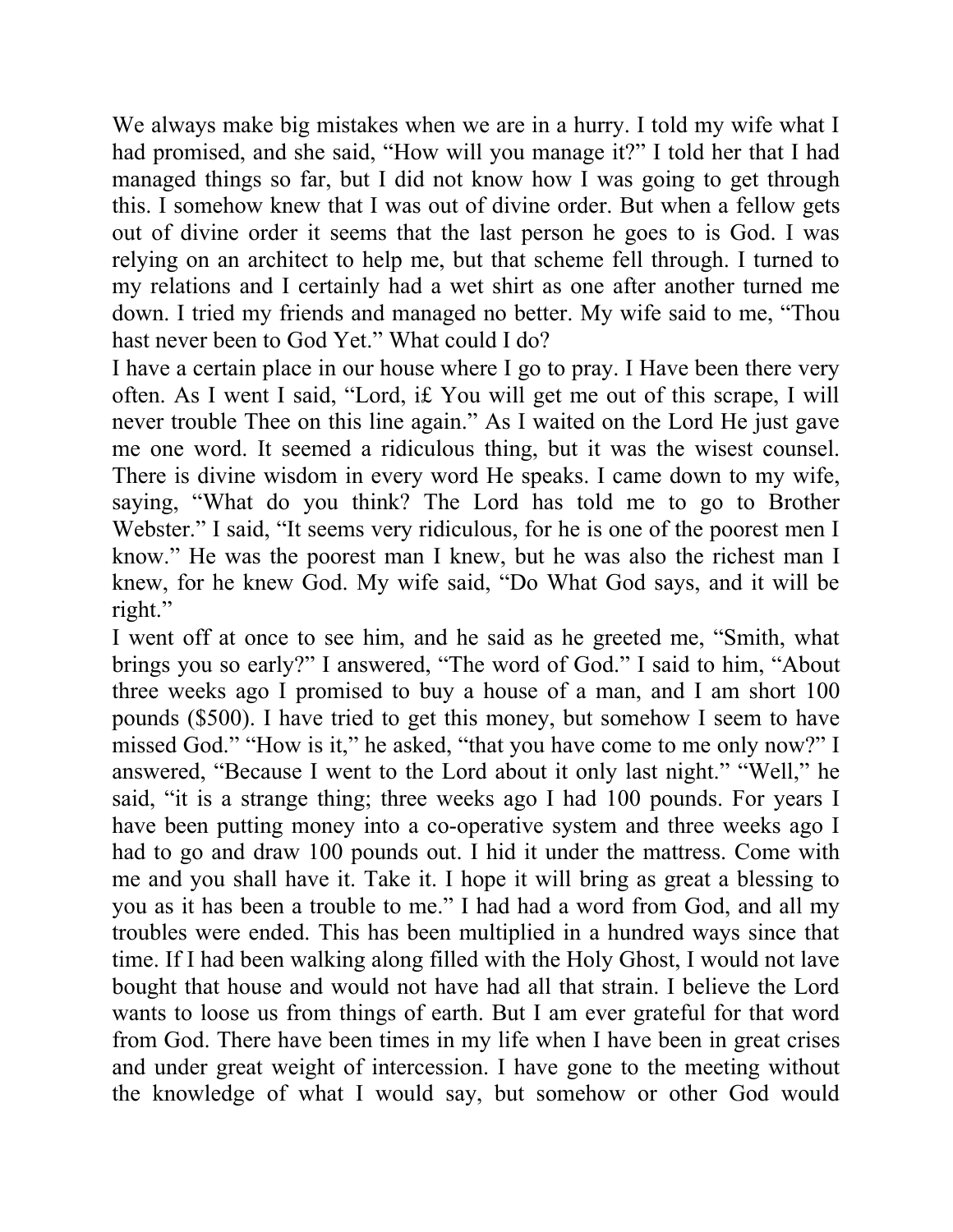We always make big mistakes when we are in a hurry. I told my wife what I had promised, and she said, "How will you manage it?" I told her that I had managed things so far, but I did not know how I was going to get through this. I somehow knew that I was out of divine order. But when a fellow gets out of divine order it seems that the last person he goes to is God. I was relying on an architect to help me, but that scheme fell through. I turned to my relations and I certainly had a wet shirt as one after another turned me down. I tried my friends and managed no better. My wife said to me, "Thou hast never been to God Yet." What could I do?

I have a certain place in our house where I go to pray. I Have been there very often. As I went I said, "Lord, i£ You will get me out of this scrape, I will never trouble Thee on this line again." As I waited on the Lord He just gave me one word. It seemed a ridiculous thing, but it was the wisest counsel. There is divine wisdom in every word He speaks. I came down to my wife, saying, "What do you think? The Lord has told me to go to Brother Webster." I said, "It seems very ridiculous, for he is one of the poorest men I know." He was the poorest man I knew, but he was also the richest man I knew, for he knew God. My wife said, "Do What God says, and it will be right."

I went off at once to see him, and he said as he greeted me, "Smith, what brings you so early?" I answered, "The word of God." I said to him, "About three weeks ago I promised to buy a house of a man, and I am short 100 pounds (\$500). I have tried to get this money, but somehow I seem to have missed God." "How is it," he asked, "that you have come to me only now?" I answered, "Because I went to the Lord about it only last night." "Well," he said, "it is a strange thing; three weeks ago I had 100 pounds. For years I have been putting money into a co-operative system and three weeks ago I had to go and draw 100 pounds out. I hid it under the mattress. Come with me and you shall have it. Take it. I hope it will bring as great a blessing to you as it has been a trouble to me." I had had a word from God, and all my troubles were ended. This has been multiplied in a hundred ways since that time. If I had been walking along filled with the Holy Ghost, I would not lave bought that house and would not have had all that strain. I believe the Lord wants to loose us from things of earth. But I am ever grateful for that word from God. There have been times in my life when I have been in great crises and under great weight of intercession. I have gone to the meeting without the knowledge of what I would say, but somehow or other God would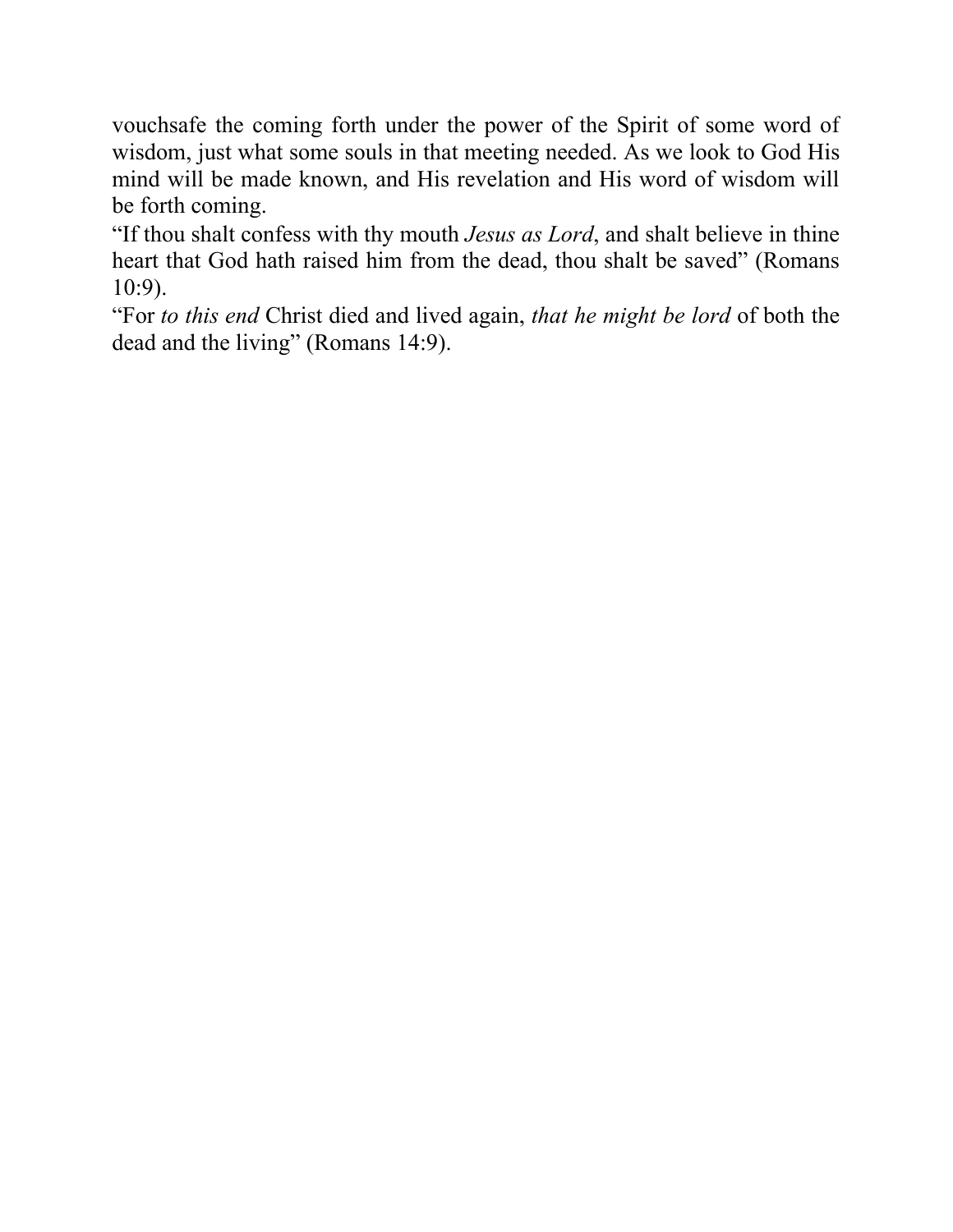vouchsafe the coming forth under the power of the Spirit of some word of wisdom, just what some souls in that meeting needed. As we look to God His mind will be made known, and His revelation and His word of wisdom will be forth coming.

"If thou shalt confess with thy mouth *Jesus as Lord*, and shalt believe in thine heart that God hath raised him from the dead, thou shalt be saved" (Romans 10:9).

"For *to this end* Christ died and lived again, *that he might be lord* of both the dead and the living" (Romans 14:9).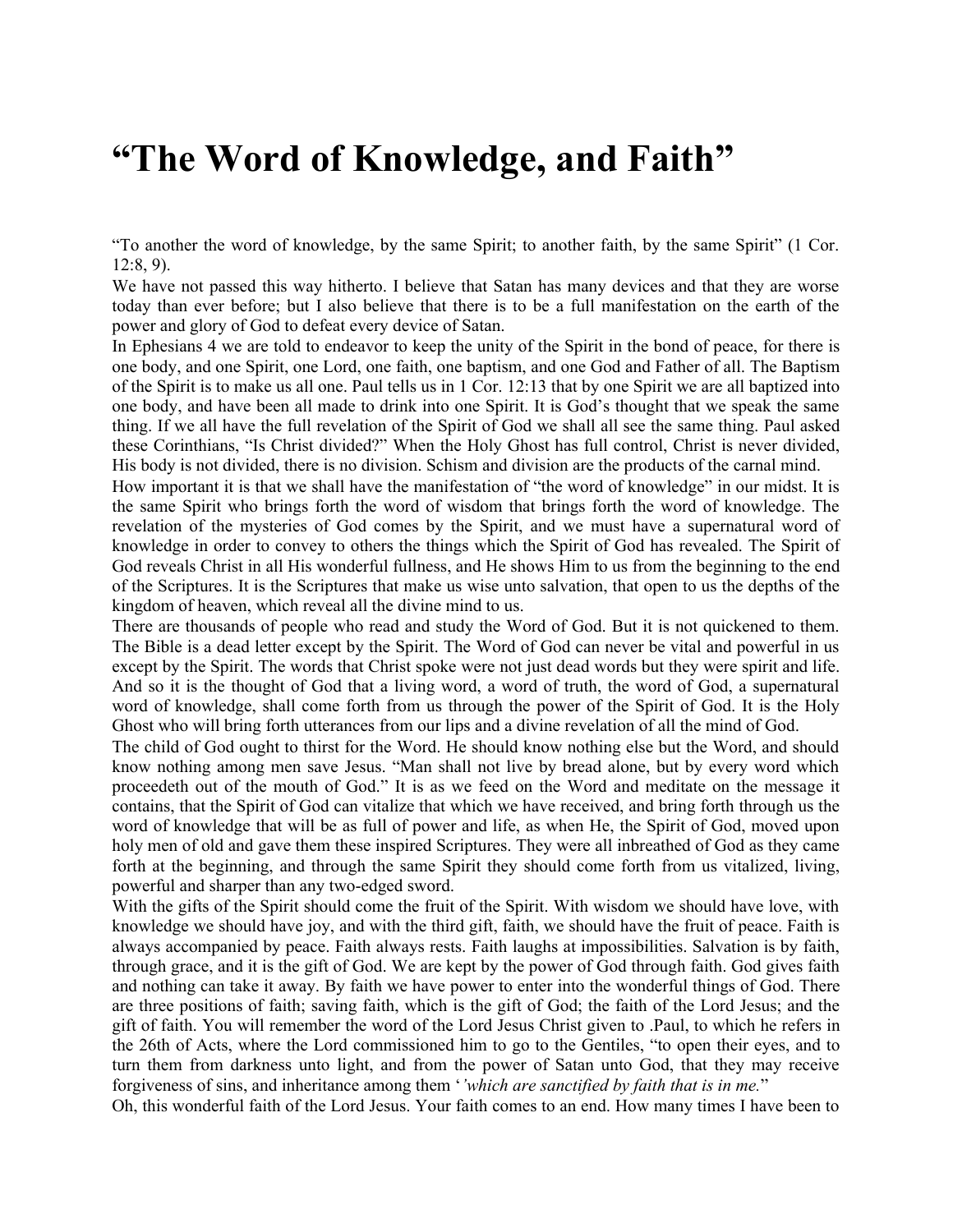#### **"The Word of Knowledge, and Faith"**

"To another the word of knowledge, by the same Spirit; to another faith, by the same Spirit" (1 Cor. 12:8, 9).

We have not passed this way hitherto. I believe that Satan has many devices and that they are worse today than ever before; but I also believe that there is to be a full manifestation on the earth of the power and glory of God to defeat every device of Satan.

In Ephesians 4 we are told to endeavor to keep the unity of the Spirit in the bond of peace, for there is one body, and one Spirit, one Lord, one faith, one baptism, and one God and Father of all. The Baptism of the Spirit is to make us all one. Paul tells us in 1 Cor. 12:13 that by one Spirit we are all baptized into one body, and have been all made to drink into one Spirit. It is God's thought that we speak the same thing. If we all have the full revelation of the Spirit of God we shall all see the same thing. Paul asked these Corinthians, "Is Christ divided?" When the Holy Ghost has full control, Christ is never divided, His body is not divided, there is no division. Schism and division are the products of the carnal mind.

How important it is that we shall have the manifestation of "the word of knowledge" in our midst. It is the same Spirit who brings forth the word of wisdom that brings forth the word of knowledge. The revelation of the mysteries of God comes by the Spirit, and we must have a supernatural word of knowledge in order to convey to others the things which the Spirit of God has revealed. The Spirit of God reveals Christ in all His wonderful fullness, and He shows Him to us from the beginning to the end of the Scriptures. It is the Scriptures that make us wise unto salvation, that open to us the depths of the kingdom of heaven, which reveal all the divine mind to us.

There are thousands of people who read and study the Word of God. But it is not quickened to them. The Bible is a dead letter except by the Spirit. The Word of God can never be vital and powerful in us except by the Spirit. The words that Christ spoke were not just dead words but they were spirit and life. And so it is the thought of God that a living word, a word of truth, the word of God, a supernatural word of knowledge, shall come forth from us through the power of the Spirit of God. It is the Holy Ghost who will bring forth utterances from our lips and a divine revelation of all the mind of God.

The child of God ought to thirst for the Word. He should know nothing else but the Word, and should know nothing among men save Jesus. "Man shall not live by bread alone, but by every word which proceedeth out of the mouth of God." It is as we feed on the Word and meditate on the message it contains, that the Spirit of God can vitalize that which we have received, and bring forth through us the word of knowledge that will be as full of power and life, as when He, the Spirit of God, moved upon holy men of old and gave them these inspired Scriptures. They were all inbreathed of God as they came forth at the beginning, and through the same Spirit they should come forth from us vitalized, living, powerful and sharper than any two-edged sword.

With the gifts of the Spirit should come the fruit of the Spirit. With wisdom we should have love, with knowledge we should have joy, and with the third gift, faith, we should have the fruit of peace. Faith is always accompanied by peace. Faith always rests. Faith laughs at impossibilities. Salvation is by faith, through grace, and it is the gift of God. We are kept by the power of God through faith. God gives faith and nothing can take it away. By faith we have power to enter into the wonderful things of God. There are three positions of faith; saving faith, which is the gift of God; the faith of the Lord Jesus; and the gift of faith. You will remember the word of the Lord Jesus Christ given to .Paul, to which he refers in the 26th of Acts, where the Lord commissioned him to go to the Gentiles, "to open their eyes, and to turn them from darkness unto light, and from the power of Satan unto God, that they may receive forgiveness of sins, and inheritance among them '*'which are sanctified by faith that is in me.*"

Oh, this wonderful faith of the Lord Jesus. Your faith comes to an end. How many times I have been to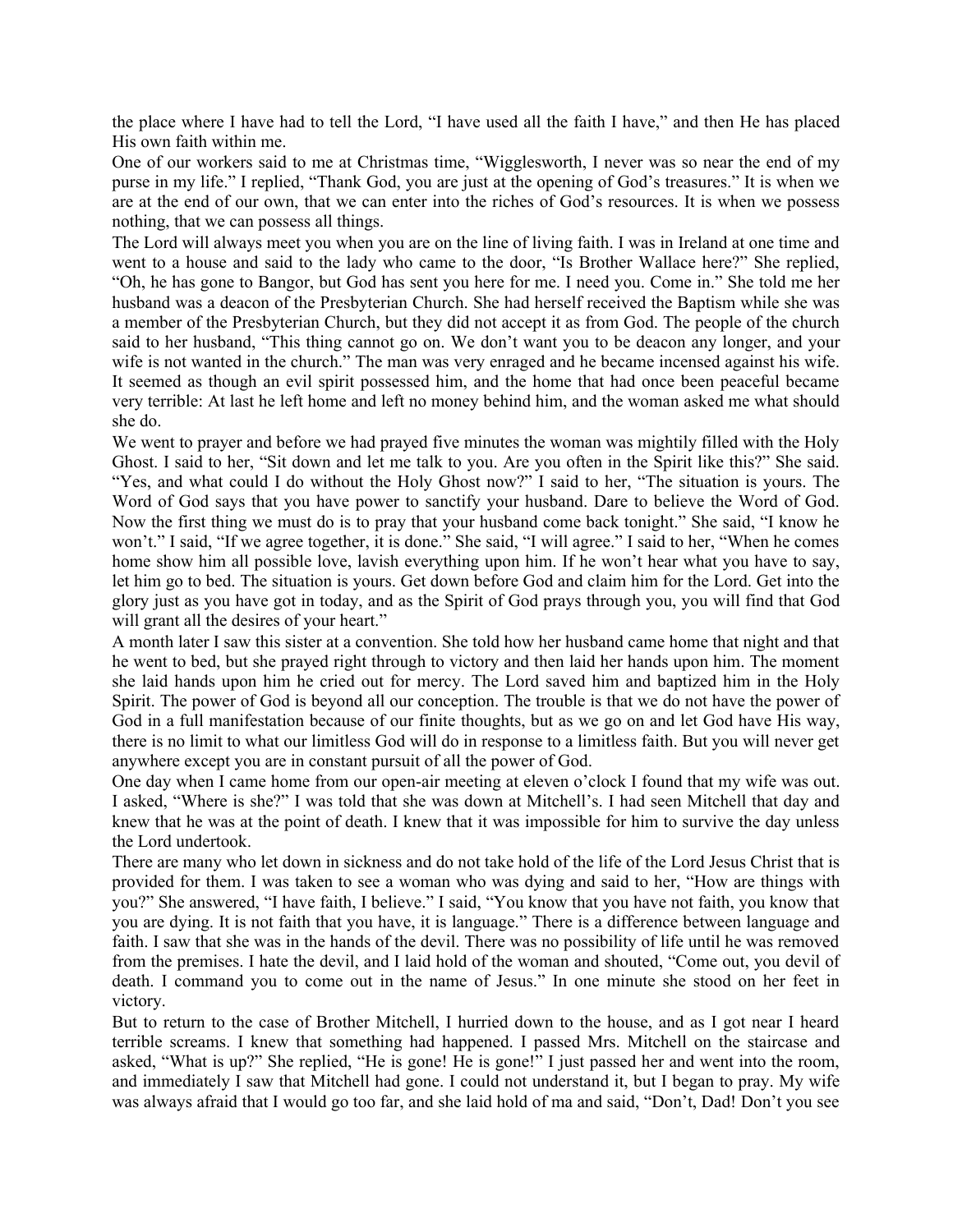the place where I have had to tell the Lord, "I have used all the faith I have," and then He has placed His own faith within me.

One of our workers said to me at Christmas time, "Wigglesworth, I never was so near the end of my purse in my life." I replied, "Thank God, you are just at the opening of God's treasures." It is when we are at the end of our own, that we can enter into the riches of God's resources. It is when we possess nothing, that we can possess all things.

The Lord will always meet you when you are on the line of living faith. I was in Ireland at one time and went to a house and said to the lady who came to the door, "Is Brother Wallace here?" She replied, "Oh, he has gone to Bangor, but God has sent you here for me. I need you. Come in." She told me her husband was a deacon of the Presbyterian Church. She had herself received the Baptism while she was a member of the Presbyterian Church, but they did not accept it as from God. The people of the church said to her husband, "This thing cannot go on. We don't want you to be deacon any longer, and your wife is not wanted in the church." The man was very enraged and he became incensed against his wife. It seemed as though an evil spirit possessed him, and the home that had once been peaceful became very terrible: At last he left home and left no money behind him, and the woman asked me what should she do.

We went to prayer and before we had prayed five minutes the woman was mightily filled with the Holy Ghost. I said to her, "Sit down and let me talk to you. Are you often in the Spirit like this?" She said. "Yes, and what could I do without the Holy Ghost now?" I said to her, "The situation is yours. The Word of God says that you have power to sanctify your husband. Dare to believe the Word of God. Now the first thing we must do is to pray that your husband come back tonight." She said, "I know he won't." I said, "If we agree together, it is done." She said, "I will agree." I said to her, "When he comes home show him all possible love, lavish everything upon him. If he won't hear what you have to say, let him go to bed. The situation is yours. Get down before God and claim him for the Lord. Get into the glory just as you have got in today, and as the Spirit of God prays through you, you will find that God will grant all the desires of your heart."

A month later I saw this sister at a convention. She told how her husband came home that night and that he went to bed, but she prayed right through to victory and then laid her hands upon him. The moment she laid hands upon him he cried out for mercy. The Lord saved him and baptized him in the Holy Spirit. The power of God is beyond all our conception. The trouble is that we do not have the power of God in a full manifestation because of our finite thoughts, but as we go on and let God have His way, there is no limit to what our limitless God will do in response to a limitless faith. But you will never get anywhere except you are in constant pursuit of all the power of God.

One day when I came home from our open-air meeting at eleven o'clock I found that my wife was out. I asked, "Where is she?" I was told that she was down at Mitchell's. I had seen Mitchell that day and knew that he was at the point of death. I knew that it was impossible for him to survive the day unless the Lord undertook.

There are many who let down in sickness and do not take hold of the life of the Lord Jesus Christ that is provided for them. I was taken to see a woman who was dying and said to her, "How are things with you?" She answered, "I have faith, I believe." I said, "You know that you have not faith, you know that you are dying. It is not faith that you have, it is language." There is a difference between language and faith. I saw that she was in the hands of the devil. There was no possibility of life until he was removed from the premises. I hate the devil, and I laid hold of the woman and shouted, "Come out, you devil of death. I command you to come out in the name of Jesus." In one minute she stood on her feet in victory.

But to return to the case of Brother Mitchell, I hurried down to the house, and as I got near I heard terrible screams. I knew that something had happened. I passed Mrs. Mitchell on the staircase and asked, "What is up?" She replied, "He is gone! He is gone!" I just passed her and went into the room, and immediately I saw that Mitchell had gone. I could not understand it, but I began to pray. My wife was always afraid that I would go too far, and she laid hold of ma and said, "Don't, Dad! Don't you see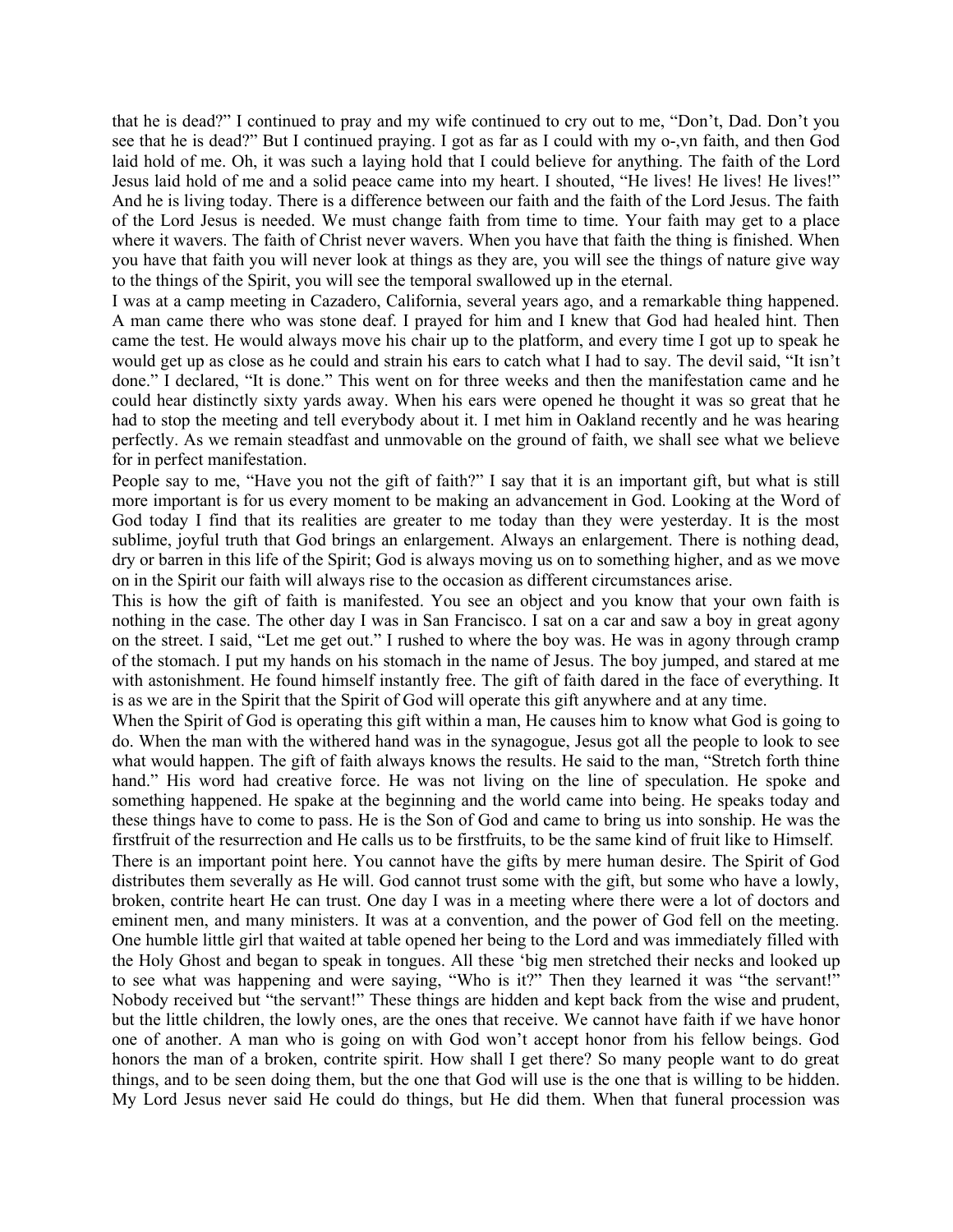that he is dead?" I continued to pray and my wife continued to cry out to me, "Don't, Dad. Don't you see that he is dead?" But I continued praying. I got as far as I could with my o-,vn faith, and then God laid hold of me. Oh, it was such a laying hold that I could believe for anything. The faith of the Lord Jesus laid hold of me and a solid peace came into my heart. I shouted, "He lives! He lives! He lives!" And he is living today. There is a difference between our faith and the faith of the Lord Jesus. The faith of the Lord Jesus is needed. We must change faith from time to time. Your faith may get to a place where it wavers. The faith of Christ never wavers. When you have that faith the thing is finished. When you have that faith you will never look at things as they are, you will see the things of nature give way to the things of the Spirit, you will see the temporal swallowed up in the eternal.

I was at a camp meeting in Cazadero, California, several years ago, and a remarkable thing happened. A man came there who was stone deaf. I prayed for him and I knew that God had healed hint. Then came the test. He would always move his chair up to the platform, and every time I got up to speak he would get up as close as he could and strain his ears to catch what I had to say. The devil said, "It isn't done." I declared, "It is done." This went on for three weeks and then the manifestation came and he could hear distinctly sixty yards away. When his ears were opened he thought it was so great that he had to stop the meeting and tell everybody about it. I met him in Oakland recently and he was hearing perfectly. As we remain steadfast and unmovable on the ground of faith, we shall see what we believe for in perfect manifestation.

People say to me, "Have you not the gift of faith?" I say that it is an important gift, but what is still more important is for us every moment to be making an advancement in God. Looking at the Word of God today I find that its realities are greater to me today than they were yesterday. It is the most sublime, joyful truth that God brings an enlargement. Always an enlargement. There is nothing dead, dry or barren in this life of the Spirit; God is always moving us on to something higher, and as we move on in the Spirit our faith will always rise to the occasion as different circumstances arise.

This is how the gift of faith is manifested. You see an object and you know that your own faith is nothing in the case. The other day I was in San Francisco. I sat on a car and saw a boy in great agony on the street. I said, "Let me get out." I rushed to where the boy was. He was in agony through cramp of the stomach. I put my hands on his stomach in the name of Jesus. The boy jumped, and stared at me with astonishment. He found himself instantly free. The gift of faith dared in the face of everything. It is as we are in the Spirit that the Spirit of God will operate this gift anywhere and at any time.

When the Spirit of God is operating this gift within a man, He causes him to know what God is going to do. When the man with the withered hand was in the synagogue, Jesus got all the people to look to see what would happen. The gift of faith always knows the results. He said to the man, "Stretch forth thine hand." His word had creative force. He was not living on the line of speculation. He spoke and something happened. He spake at the beginning and the world came into being. He speaks today and these things have to come to pass. He is the Son of God and came to bring us into sonship. He was the firstfruit of the resurrection and He calls us to be firstfruits, to be the same kind of fruit like to Himself.

There is an important point here. You cannot have the gifts by mere human desire. The Spirit of God distributes them severally as He will. God cannot trust some with the gift, but some who have a lowly, broken, contrite heart He can trust. One day I was in a meeting where there were a lot of doctors and eminent men, and many ministers. It was at a convention, and the power of God fell on the meeting. One humble little girl that waited at table opened her being to the Lord and was immediately filled with the Holy Ghost and began to speak in tongues. All these 'big men stretched their necks and looked up to see what was happening and were saying, "Who is it?" Then they learned it was "the servant!" Nobody received but "the servant!" These things are hidden and kept back from the wise and prudent, but the little children, the lowly ones, are the ones that receive. We cannot have faith if we have honor one of another. A man who is going on with God won't accept honor from his fellow beings. God honors the man of a broken, contrite spirit. How shall I get there? So many people want to do great things, and to be seen doing them, but the one that God will use is the one that is willing to be hidden. My Lord Jesus never said He could do things, but He did them. When that funeral procession was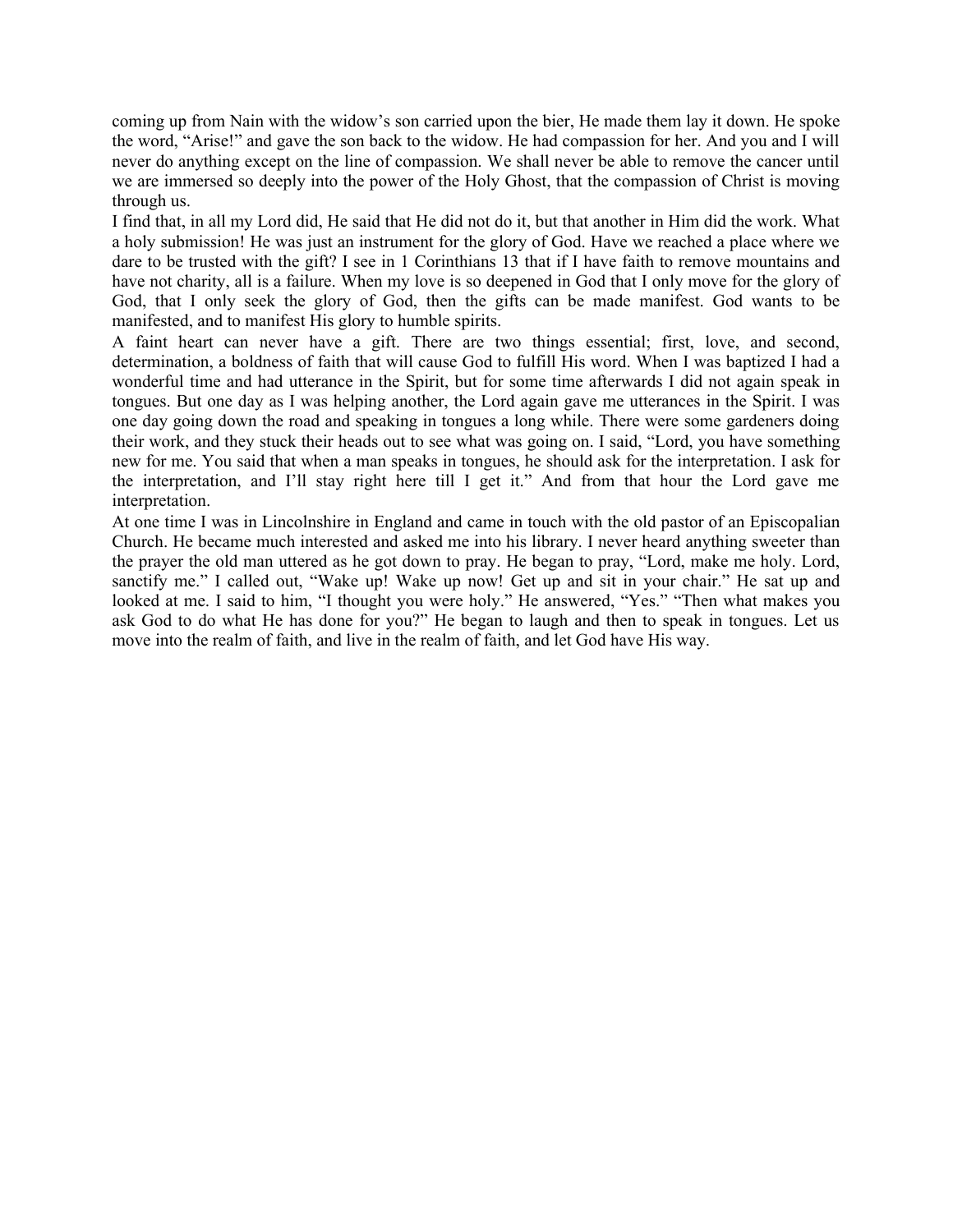coming up from Nain with the widow's son carried upon the bier, He made them lay it down. He spoke the word, "Arise!" and gave the son back to the widow. He had compassion for her. And you and I will never do anything except on the line of compassion. We shall never be able to remove the cancer until we are immersed so deeply into the power of the Holy Ghost, that the compassion of Christ is moving through us.

I find that, in all my Lord did, He said that He did not do it, but that another in Him did the work. What a holy submission! He was just an instrument for the glory of God. Have we reached a place where we dare to be trusted with the gift? I see in 1 Corinthians 13 that if I have faith to remove mountains and have not charity, all is a failure. When my love is so deepened in God that I only move for the glory of God, that I only seek the glory of God, then the gifts can be made manifest. God wants to be manifested, and to manifest His glory to humble spirits.

A faint heart can never have a gift. There are two things essential; first, love, and second, determination, a boldness of faith that will cause God to fulfill His word. When I was baptized I had a wonderful time and had utterance in the Spirit, but for some time afterwards I did not again speak in tongues. But one day as I was helping another, the Lord again gave me utterances in the Spirit. I was one day going down the road and speaking in tongues a long while. There were some gardeners doing their work, and they stuck their heads out to see what was going on. I said, "Lord, you have something new for me. You said that when a man speaks in tongues, he should ask for the interpretation. I ask for the interpretation, and I'll stay right here till I get it." And from that hour the Lord gave me interpretation.

At one time I was in Lincolnshire in England and came in touch with the old pastor of an Episcopalian Church. He became much interested and asked me into his library. I never heard anything sweeter than the prayer the old man uttered as he got down to pray. He began to pray, "Lord, make me holy. Lord, sanctify me." I called out, "Wake up! Wake up now! Get up and sit in your chair." He sat up and looked at me. I said to him, "I thought you were holy." He answered, "Yes." "Then what makes you ask God to do what He has done for you?" He began to laugh and then to speak in tongues. Let us move into the realm of faith, and live in the realm of faith, and let God have His way.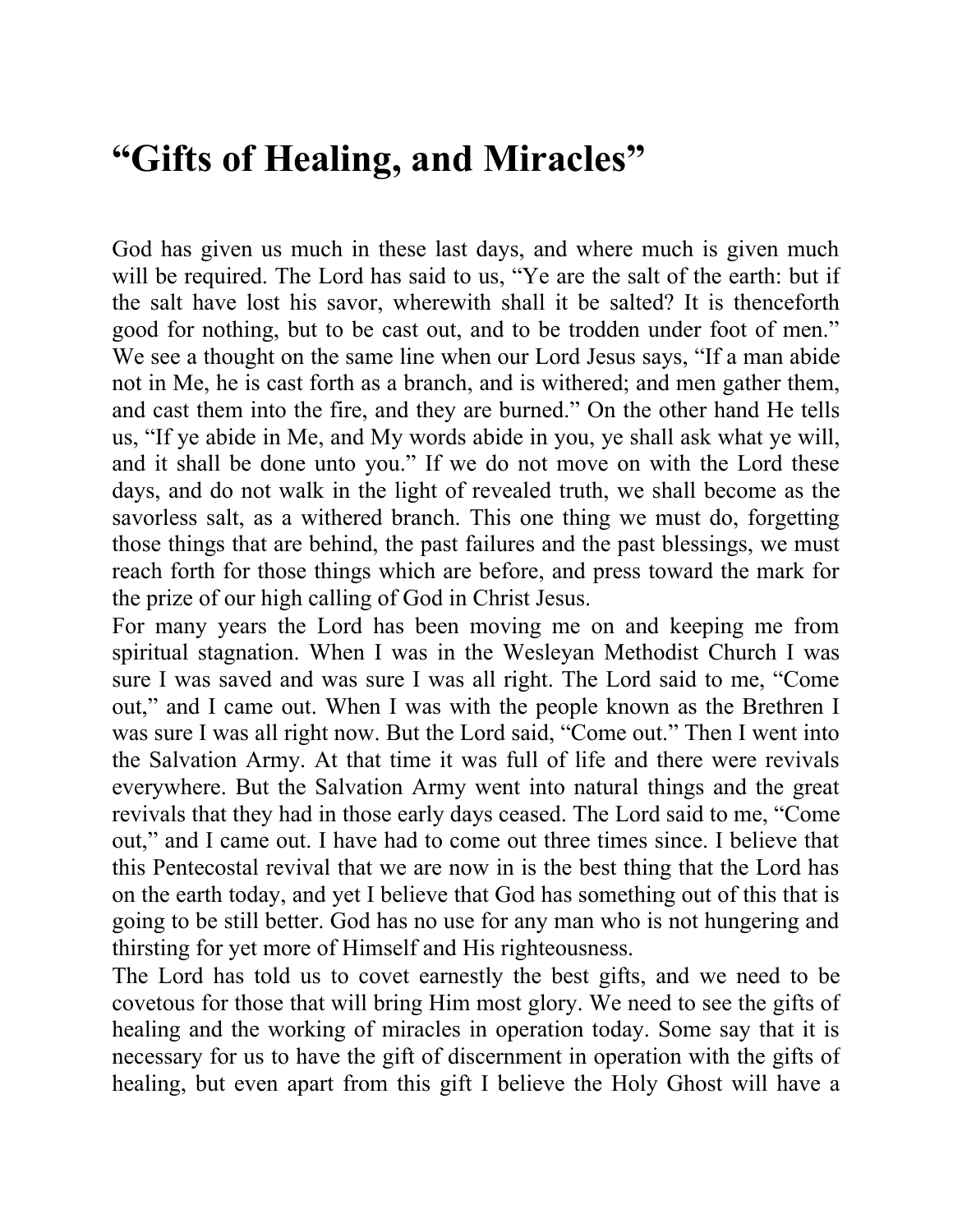#### **"Gifts of Healing, and Miracles"**

God has given us much in these last days, and where much is given much will be required. The Lord has said to us, "Ye are the salt of the earth: but if the salt have lost his savor, wherewith shall it be salted? It is thenceforth good for nothing, but to be cast out, and to be trodden under foot of men." We see a thought on the same line when our Lord Jesus says, "If a man abide not in Me, he is cast forth as a branch, and is withered; and men gather them, and cast them into the fire, and they are burned." On the other hand He tells us, "If ye abide in Me, and My words abide in you, ye shall ask what ye will, and it shall be done unto you." If we do not move on with the Lord these days, and do not walk in the light of revealed truth, we shall become as the savorless salt, as a withered branch. This one thing we must do, forgetting those things that are behind, the past failures and the past blessings, we must reach forth for those things which are before, and press toward the mark for the prize of our high calling of God in Christ Jesus.

For many years the Lord has been moving me on and keeping me from spiritual stagnation. When I was in the Wesleyan Methodist Church I was sure I was saved and was sure I was all right. The Lord said to me, "Come out," and I came out. When I was with the people known as the Brethren I was sure I was all right now. But the Lord said, "Come out." Then I went into the Salvation Army. At that time it was full of life and there were revivals everywhere. But the Salvation Army went into natural things and the great revivals that they had in those early days ceased. The Lord said to me, "Come out," and I came out. I have had to come out three times since. I believe that this Pentecostal revival that we are now in is the best thing that the Lord has on the earth today, and yet I believe that God has something out of this that is going to be still better. God has no use for any man who is not hungering and thirsting for yet more of Himself and His righteousness.

The Lord has told us to covet earnestly the best gifts, and we need to be covetous for those that will bring Him most glory. We need to see the gifts of healing and the working of miracles in operation today. Some say that it is necessary for us to have the gift of discernment in operation with the gifts of healing, but even apart from this gift I believe the Holy Ghost will have a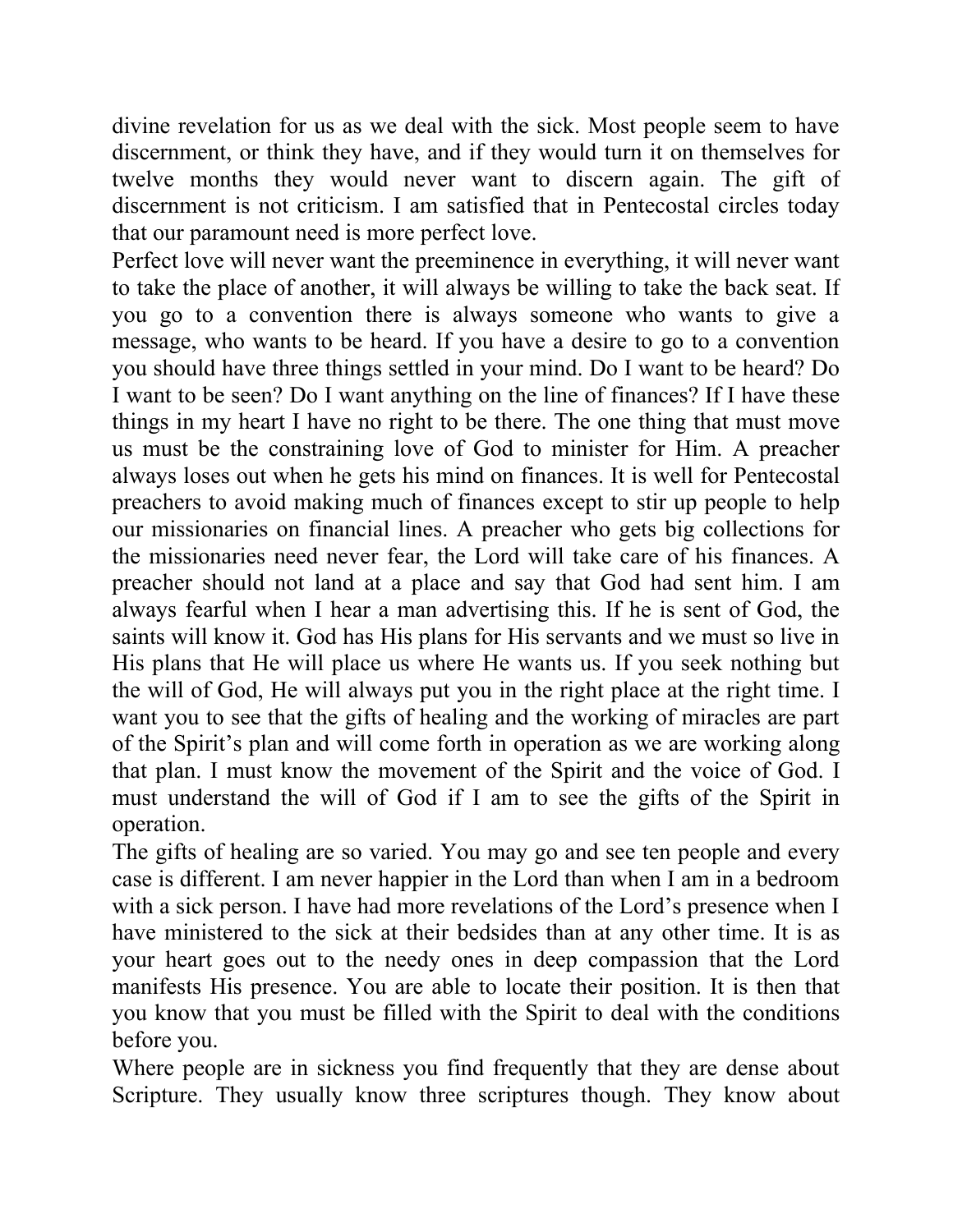divine revelation for us as we deal with the sick. Most people seem to have discernment, or think they have, and if they would turn it on themselves for twelve months they would never want to discern again. The gift of discernment is not criticism. I am satisfied that in Pentecostal circles today that our paramount need is more perfect love.

Perfect love will never want the preeminence in everything, it will never want to take the place of another, it will always be willing to take the back seat. If you go to a convention there is always someone who wants to give a message, who wants to be heard. If you have a desire to go to a convention you should have three things settled in your mind. Do I want to be heard? Do I want to be seen? Do I want anything on the line of finances? If I have these things in my heart I have no right to be there. The one thing that must move us must be the constraining love of God to minister for Him. A preacher always loses out when he gets his mind on finances. It is well for Pentecostal preachers to avoid making much of finances except to stir up people to help our missionaries on financial lines. A preacher who gets big collections for the missionaries need never fear, the Lord will take care of his finances. A preacher should not land at a place and say that God had sent him. I am always fearful when I hear a man advertising this. If he is sent of God, the saints will know it. God has His plans for His servants and we must so live in His plans that He will place us where He wants us. If you seek nothing but the will of God, He will always put you in the right place at the right time. I want you to see that the gifts of healing and the working of miracles are part of the Spirit's plan and will come forth in operation as we are working along that plan. I must know the movement of the Spirit and the voice of God. I must understand the will of God if I am to see the gifts of the Spirit in operation.

The gifts of healing are so varied. You may go and see ten people and every case is different. I am never happier in the Lord than when I am in a bedroom with a sick person. I have had more revelations of the Lord's presence when I have ministered to the sick at their bedsides than at any other time. It is as your heart goes out to the needy ones in deep compassion that the Lord manifests His presence. You are able to locate their position. It is then that you know that you must be filled with the Spirit to deal with the conditions before you.

Where people are in sickness you find frequently that they are dense about Scripture. They usually know three scriptures though. They know about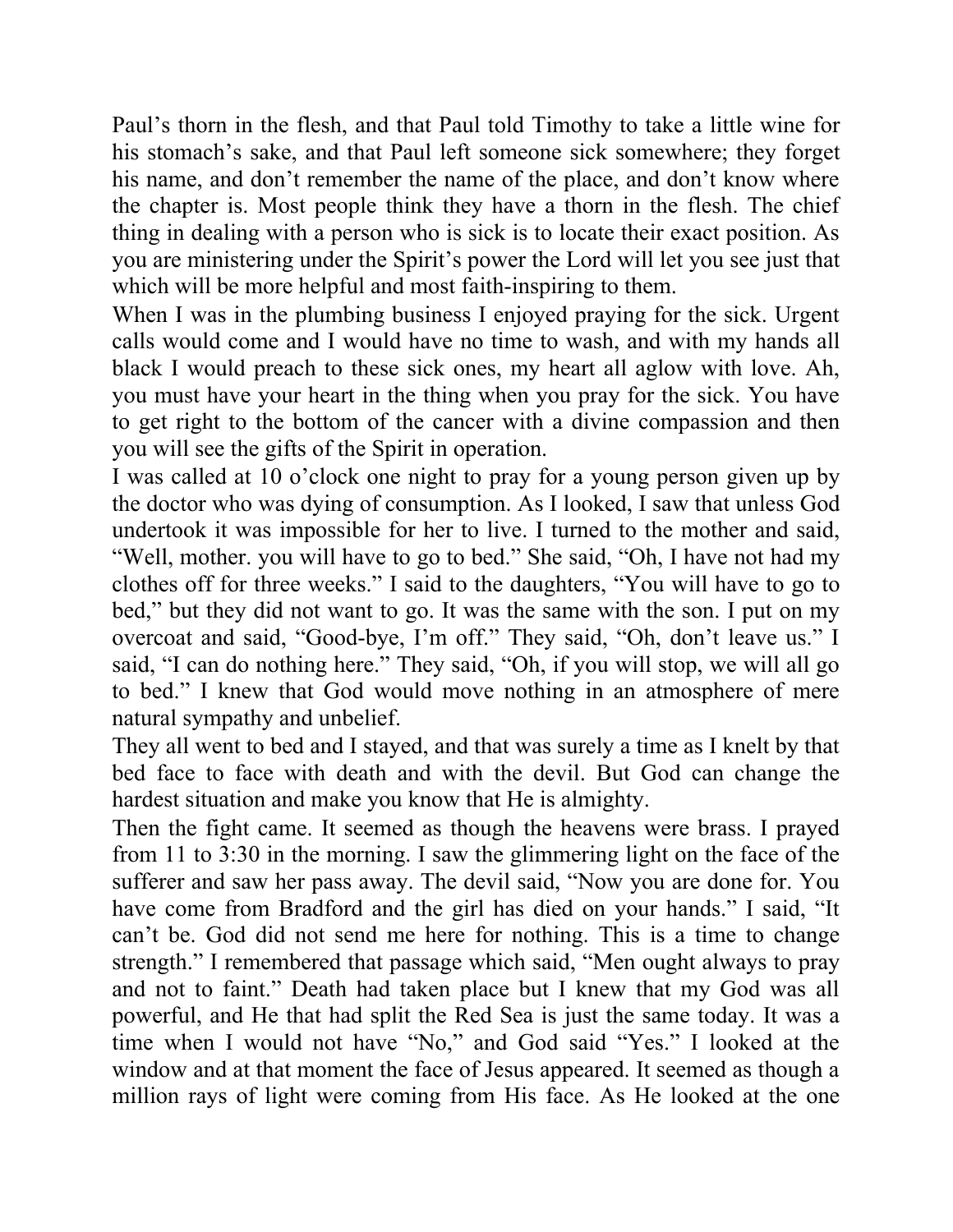Paul's thorn in the flesh, and that Paul told Timothy to take a little wine for his stomach's sake, and that Paul left someone sick somewhere; they forget his name, and don't remember the name of the place, and don't know where the chapter is. Most people think they have a thorn in the flesh. The chief thing in dealing with a person who is sick is to locate their exact position. As you are ministering under the Spirit's power the Lord will let you see just that which will be more helpful and most faith-inspiring to them.

When I was in the plumbing business I enjoyed praying for the sick. Urgent calls would come and I would have no time to wash, and with my hands all black I would preach to these sick ones, my heart all aglow with love. Ah, you must have your heart in the thing when you pray for the sick. You have to get right to the bottom of the cancer with a divine compassion and then you will see the gifts of the Spirit in operation.

I was called at 10 o'clock one night to pray for a young person given up by the doctor who was dying of consumption. As I looked, I saw that unless God undertook it was impossible for her to live. I turned to the mother and said, "Well, mother. you will have to go to bed." She said, "Oh, I have not had my clothes off for three weeks." I said to the daughters, "You will have to go to bed," but they did not want to go. It was the same with the son. I put on my overcoat and said, "Good-bye, I'm off." They said, "Oh, don't leave us." I said, "I can do nothing here." They said, "Oh, if you will stop, we will all go to bed." I knew that God would move nothing in an atmosphere of mere natural sympathy and unbelief.

They all went to bed and I stayed, and that was surely a time as I knelt by that bed face to face with death and with the devil. But God can change the hardest situation and make you know that He is almighty.

Then the fight came. It seemed as though the heavens were brass. I prayed from 11 to 3:30 in the morning. I saw the glimmering light on the face of the sufferer and saw her pass away. The devil said, "Now you are done for. You have come from Bradford and the girl has died on your hands." I said, "It can't be. God did not send me here for nothing. This is a time to change strength." I remembered that passage which said, "Men ought always to pray and not to faint." Death had taken place but I knew that my God was all powerful, and He that had split the Red Sea is just the same today. It was a time when I would not have "No," and God said "Yes." I looked at the window and at that moment the face of Jesus appeared. It seemed as though a million rays of light were coming from His face. As He looked at the one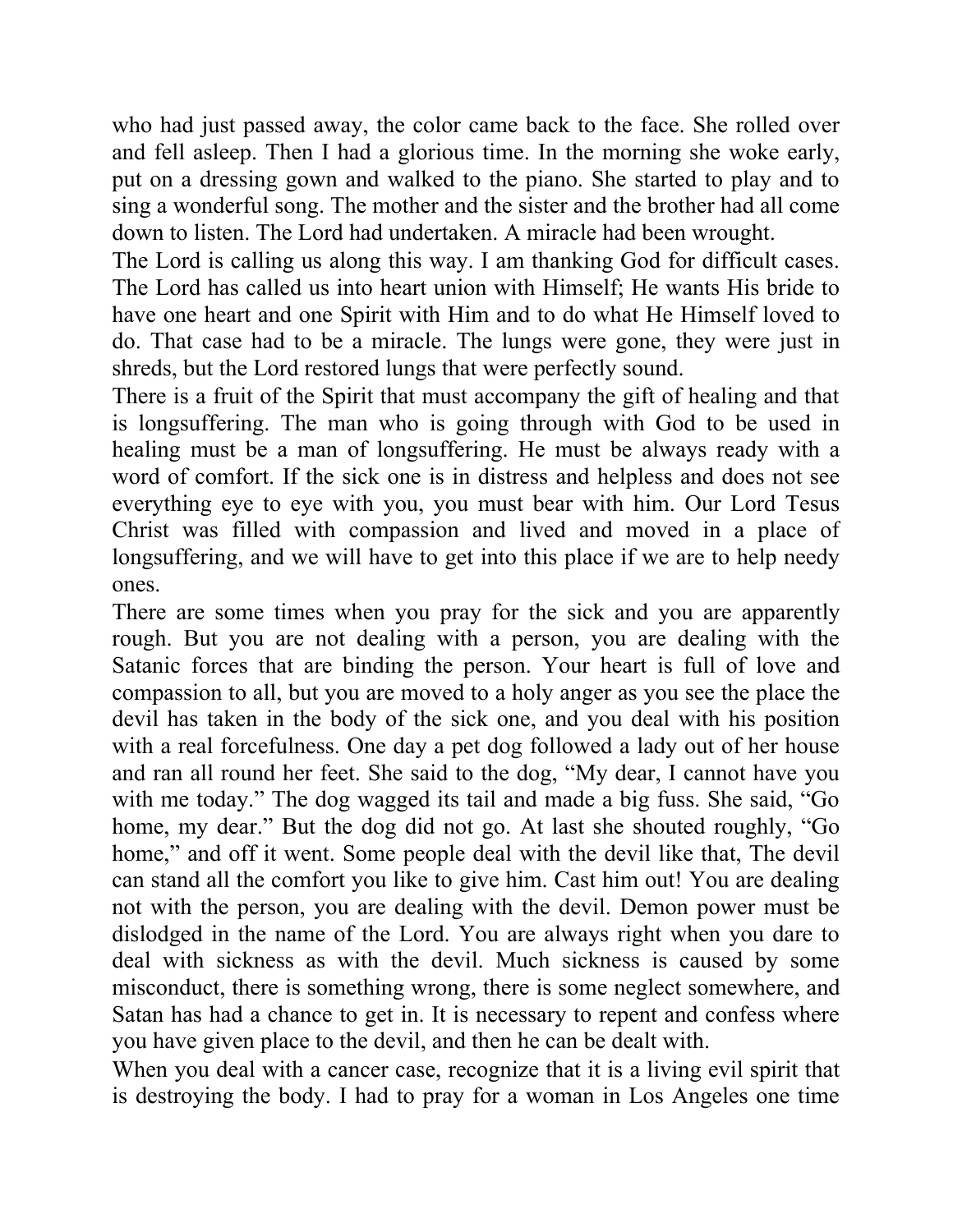who had just passed away, the color came back to the face. She rolled over and fell asleep. Then I had a glorious time. In the morning she woke early, put on a dressing gown and walked to the piano. She started to play and to sing a wonderful song. The mother and the sister and the brother had all come down to listen. The Lord had undertaken. A miracle had been wrought.

The Lord is calling us along this way. I am thanking God for difficult cases. The Lord has called us into heart union with Himself; He wants His bride to have one heart and one Spirit with Him and to do what He Himself loved to do. That case had to be a miracle. The lungs were gone, they were just in shreds, but the Lord restored lungs that were perfectly sound.

There is a fruit of the Spirit that must accompany the gift of healing and that is longsuffering. The man who is going through with God to be used in healing must be a man of longsuffering. He must be always ready with a word of comfort. If the sick one is in distress and helpless and does not see everything eye to eye with you, you must bear with him. Our Lord Tesus Christ was filled with compassion and lived and moved in a place of longsuffering, and we will have to get into this place if we are to help needy ones.

There are some times when you pray for the sick and you are apparently rough. But you are not dealing with a person, you are dealing with the Satanic forces that are binding the person. Your heart is full of love and compassion to all, but you are moved to a holy anger as you see the place the devil has taken in the body of the sick one, and you deal with his position with a real forcefulness. One day a pet dog followed a lady out of her house and ran all round her feet. She said to the dog, "My dear, I cannot have you with me today." The dog wagged its tail and made a big fuss. She said, "Go home, my dear." But the dog did not go. At last she shouted roughly, "Go home," and off it went. Some people deal with the devil like that, The devil can stand all the comfort you like to give him. Cast him out! You are dealing not with the person, you are dealing with the devil. Demon power must be dislodged in the name of the Lord. You are always right when you dare to deal with sickness as with the devil. Much sickness is caused by some misconduct, there is something wrong, there is some neglect somewhere, and Satan has had a chance to get in. It is necessary to repent and confess where you have given place to the devil, and then he can be dealt with.

When you deal with a cancer case, recognize that it is a living evil spirit that is destroying the body. I had to pray for a woman in Los Angeles one time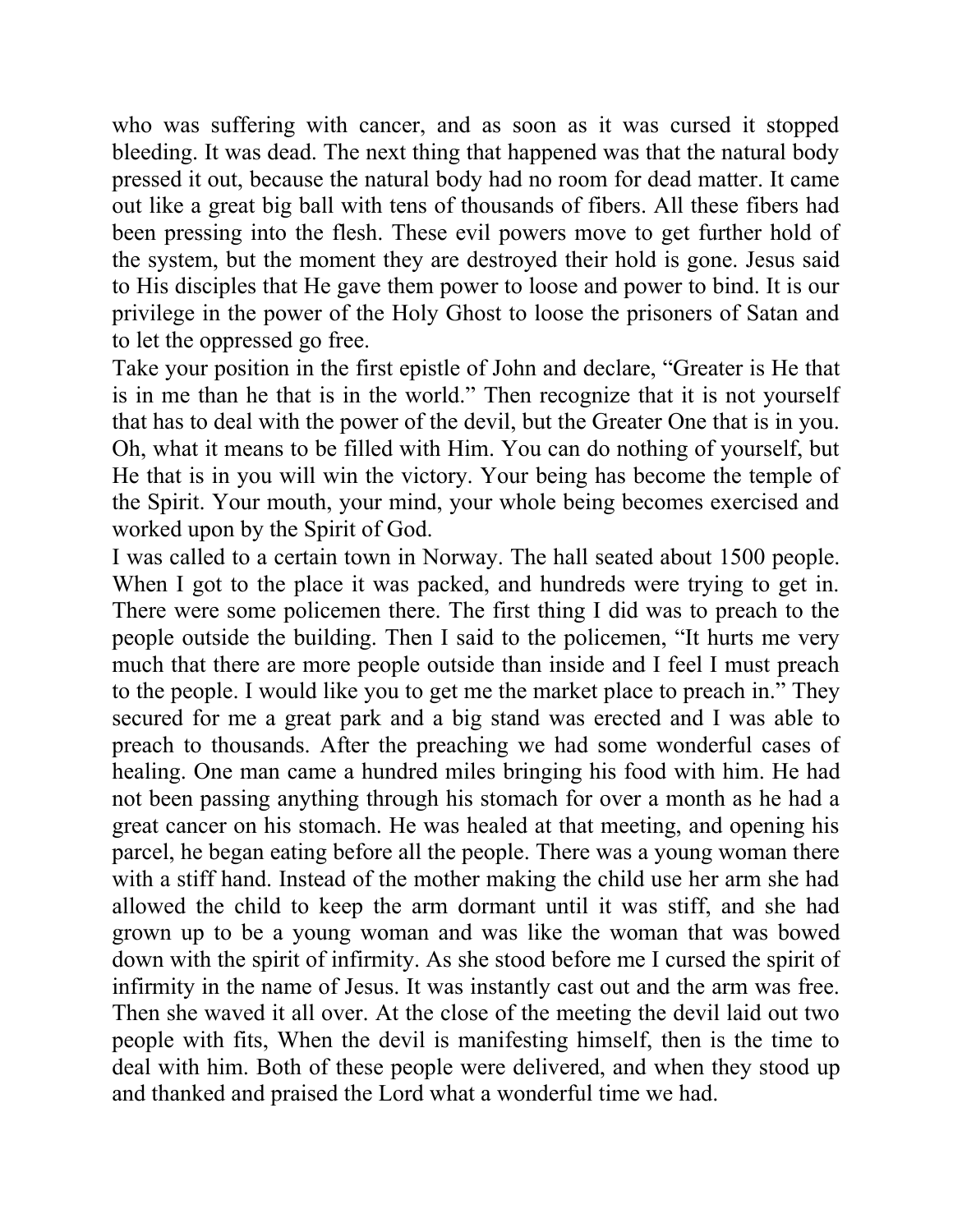who was suffering with cancer, and as soon as it was cursed it stopped bleeding. It was dead. The next thing that happened was that the natural body pressed it out, because the natural body had no room for dead matter. It came out like a great big ball with tens of thousands of fibers. All these fibers had been pressing into the flesh. These evil powers move to get further hold of the system, but the moment they are destroyed their hold is gone. Jesus said to His disciples that He gave them power to loose and power to bind. It is our privilege in the power of the Holy Ghost to loose the prisoners of Satan and to let the oppressed go free.

Take your position in the first epistle of John and declare, "Greater is He that is in me than he that is in the world." Then recognize that it is not yourself that has to deal with the power of the devil, but the Greater One that is in you. Oh, what it means to be filled with Him. You can do nothing of yourself, but He that is in you will win the victory. Your being has become the temple of the Spirit. Your mouth, your mind, your whole being becomes exercised and worked upon by the Spirit of God.

I was called to a certain town in Norway. The hall seated about 1500 people. When I got to the place it was packed, and hundreds were trying to get in. There were some policemen there. The first thing I did was to preach to the people outside the building. Then I said to the policemen, "It hurts me very much that there are more people outside than inside and I feel I must preach to the people. I would like you to get me the market place to preach in." They secured for me a great park and a big stand was erected and I was able to preach to thousands. After the preaching we had some wonderful cases of healing. One man came a hundred miles bringing his food with him. He had not been passing anything through his stomach for over a month as he had a great cancer on his stomach. He was healed at that meeting, and opening his parcel, he began eating before all the people. There was a young woman there with a stiff hand. Instead of the mother making the child use her arm she had allowed the child to keep the arm dormant until it was stiff, and she had grown up to be a young woman and was like the woman that was bowed down with the spirit of infirmity. As she stood before me I cursed the spirit of infirmity in the name of Jesus. It was instantly cast out and the arm was free. Then she waved it all over. At the close of the meeting the devil laid out two people with fits, When the devil is manifesting himself, then is the time to deal with him. Both of these people were delivered, and when they stood up and thanked and praised the Lord what a wonderful time we had.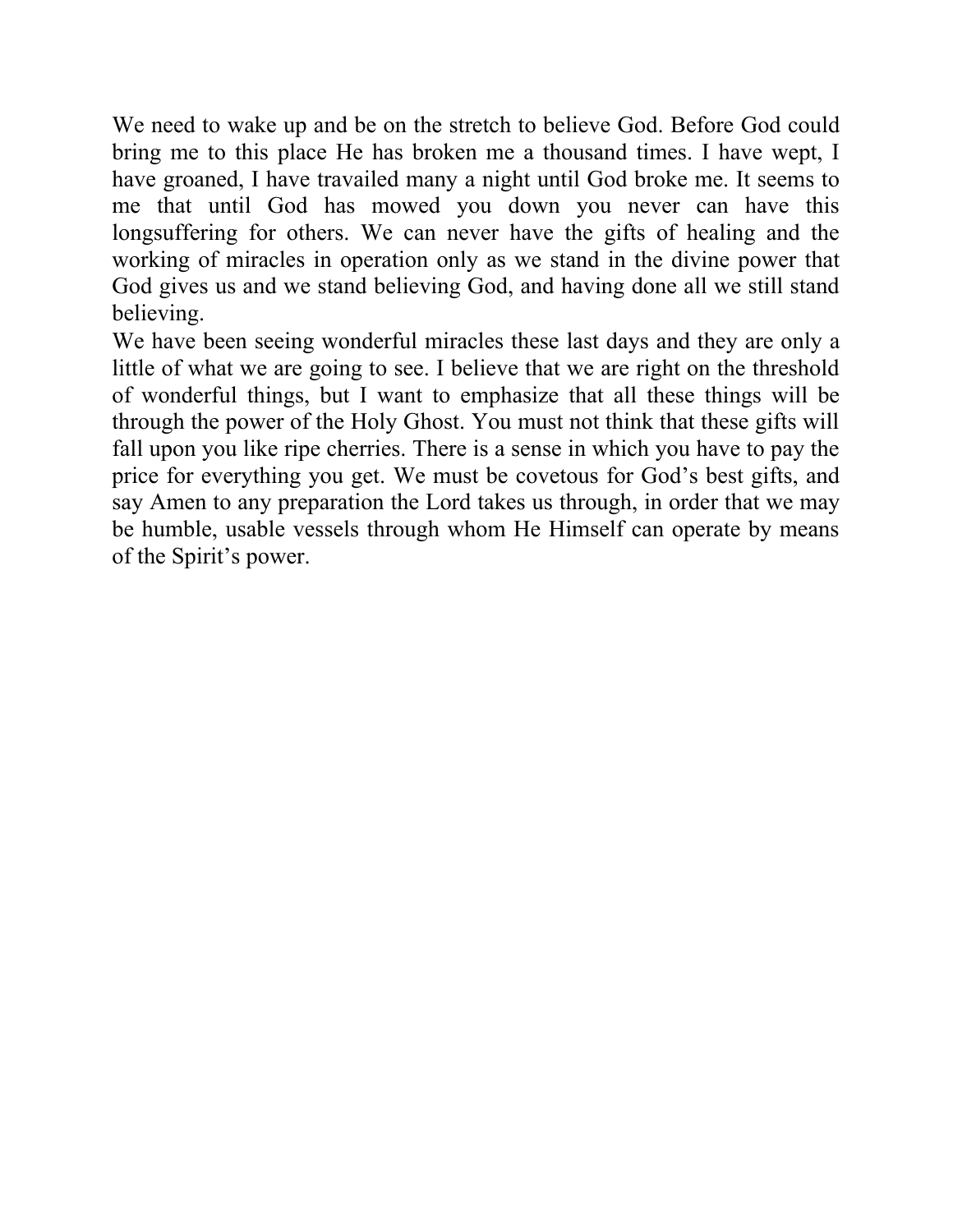We need to wake up and be on the stretch to believe God. Before God could bring me to this place He has broken me a thousand times. I have wept, I have groaned, I have travailed many a night until God broke me. It seems to me that until God has mowed you down you never can have this longsuffering for others. We can never have the gifts of healing and the working of miracles in operation only as we stand in the divine power that God gives us and we stand believing God, and having done all we still stand believing.

We have been seeing wonderful miracles these last days and they are only a little of what we are going to see. I believe that we are right on the threshold of wonderful things, but I want to emphasize that all these things will be through the power of the Holy Ghost. You must not think that these gifts will fall upon you like ripe cherries. There is a sense in which you have to pay the price for everything you get. We must be covetous for God's best gifts, and say Amen to any preparation the Lord takes us through, in order that we may be humble, usable vessels through whom He Himself can operate by means of the Spirit's power.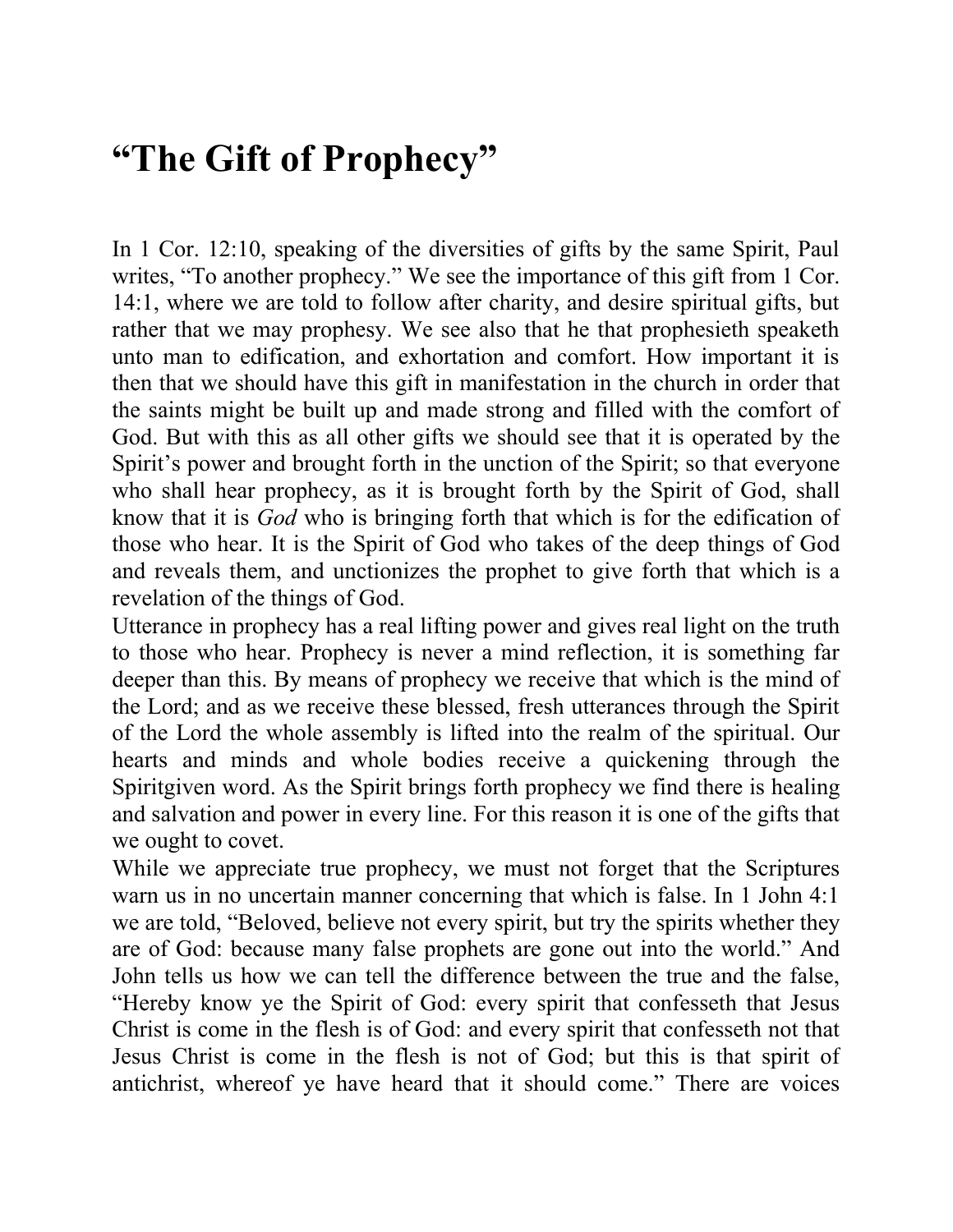## **"The Gift of Prophecy"**

In 1 Cor. 12:10, speaking of the diversities of gifts by the same Spirit, Paul writes, "To another prophecy." We see the importance of this gift from 1 Cor. 14:1, where we are told to follow after charity, and desire spiritual gifts, but rather that we may prophesy. We see also that he that prophesieth speaketh unto man to edification, and exhortation and comfort. How important it is then that we should have this gift in manifestation in the church in order that the saints might be built up and made strong and filled with the comfort of God. But with this as all other gifts we should see that it is operated by the Spirit's power and brought forth in the unction of the Spirit; so that everyone who shall hear prophecy, as it is brought forth by the Spirit of God, shall know that it is *God* who is bringing forth that which is for the edification of those who hear. It is the Spirit of God who takes of the deep things of God and reveals them, and unctionizes the prophet to give forth that which is a revelation of the things of God.

Utterance in prophecy has a real lifting power and gives real light on the truth to those who hear. Prophecy is never a mind reflection, it is something far deeper than this. By means of prophecy we receive that which is the mind of the Lord; and as we receive these blessed, fresh utterances through the Spirit of the Lord the whole assembly is lifted into the realm of the spiritual. Our hearts and minds and whole bodies receive a quickening through the Spiritgiven word. As the Spirit brings forth prophecy we find there is healing and salvation and power in every line. For this reason it is one of the gifts that we ought to covet.

While we appreciate true prophecy, we must not forget that the Scriptures warn us in no uncertain manner concerning that which is false. In 1 John 4:1 we are told, "Beloved, believe not every spirit, but try the spirits whether they are of God: because many false prophets are gone out into the world." And John tells us how we can tell the difference between the true and the false, "Hereby know ye the Spirit of God: every spirit that confesseth that Jesus Christ is come in the flesh is of God: and every spirit that confesseth not that Jesus Christ is come in the flesh is not of God; but this is that spirit of antichrist, whereof ye have heard that it should come." There are voices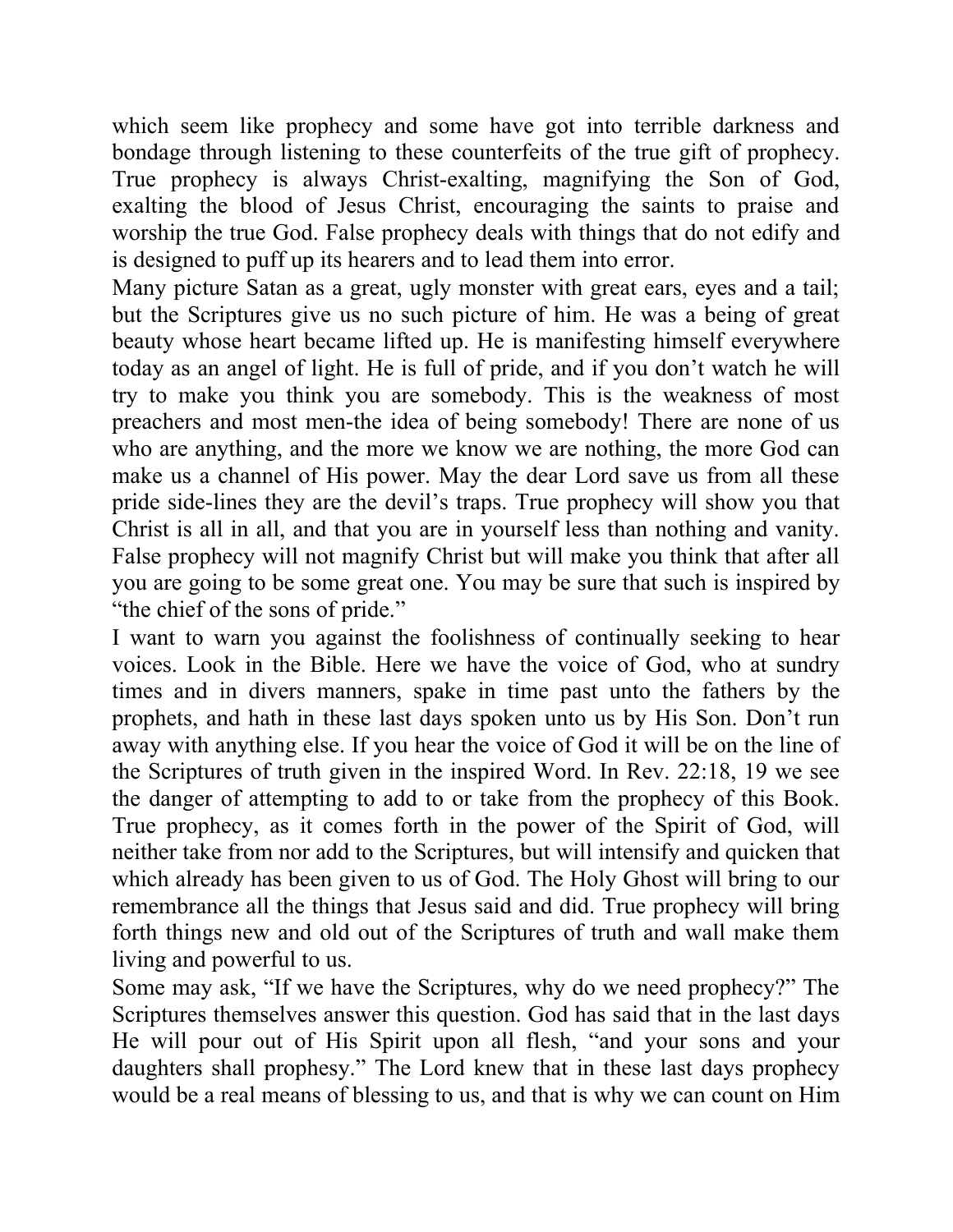which seem like prophecy and some have got into terrible darkness and bondage through listening to these counterfeits of the true gift of prophecy. True prophecy is always Christ-exalting, magnifying the Son of God, exalting the blood of Jesus Christ, encouraging the saints to praise and worship the true God. False prophecy deals with things that do not edify and is designed to puff up its hearers and to lead them into error.

Many picture Satan as a great, ugly monster with great ears, eyes and a tail; but the Scriptures give us no such picture of him. He was a being of great beauty whose heart became lifted up. He is manifesting himself everywhere today as an angel of light. He is full of pride, and if you don't watch he will try to make you think you are somebody. This is the weakness of most preachers and most men-the idea of being somebody! There are none of us who are anything, and the more we know we are nothing, the more God can make us a channel of His power. May the dear Lord save us from all these pride side-lines they are the devil's traps. True prophecy will show you that Christ is all in all, and that you are in yourself less than nothing and vanity. False prophecy will not magnify Christ but will make you think that after all you are going to be some great one. You may be sure that such is inspired by "the chief of the sons of pride."

I want to warn you against the foolishness of continually seeking to hear voices. Look in the Bible. Here we have the voice of God, who at sundry times and in divers manners, spake in time past unto the fathers by the prophets, and hath in these last days spoken unto us by His Son. Don't run away with anything else. If you hear the voice of God it will be on the line of the Scriptures of truth given in the inspired Word. In Rev. 22:18, 19 we see the danger of attempting to add to or take from the prophecy of this Book. True prophecy, as it comes forth in the power of the Spirit of God, will neither take from nor add to the Scriptures, but will intensify and quicken that which already has been given to us of God. The Holy Ghost will bring to our remembrance all the things that Jesus said and did. True prophecy will bring forth things new and old out of the Scriptures of truth and wall make them living and powerful to us.

Some may ask, "If we have the Scriptures, why do we need prophecy?" The Scriptures themselves answer this question. God has said that in the last days He will pour out of His Spirit upon all flesh, "and your sons and your daughters shall prophesy." The Lord knew that in these last days prophecy would be a real means of blessing to us, and that is why we can count on Him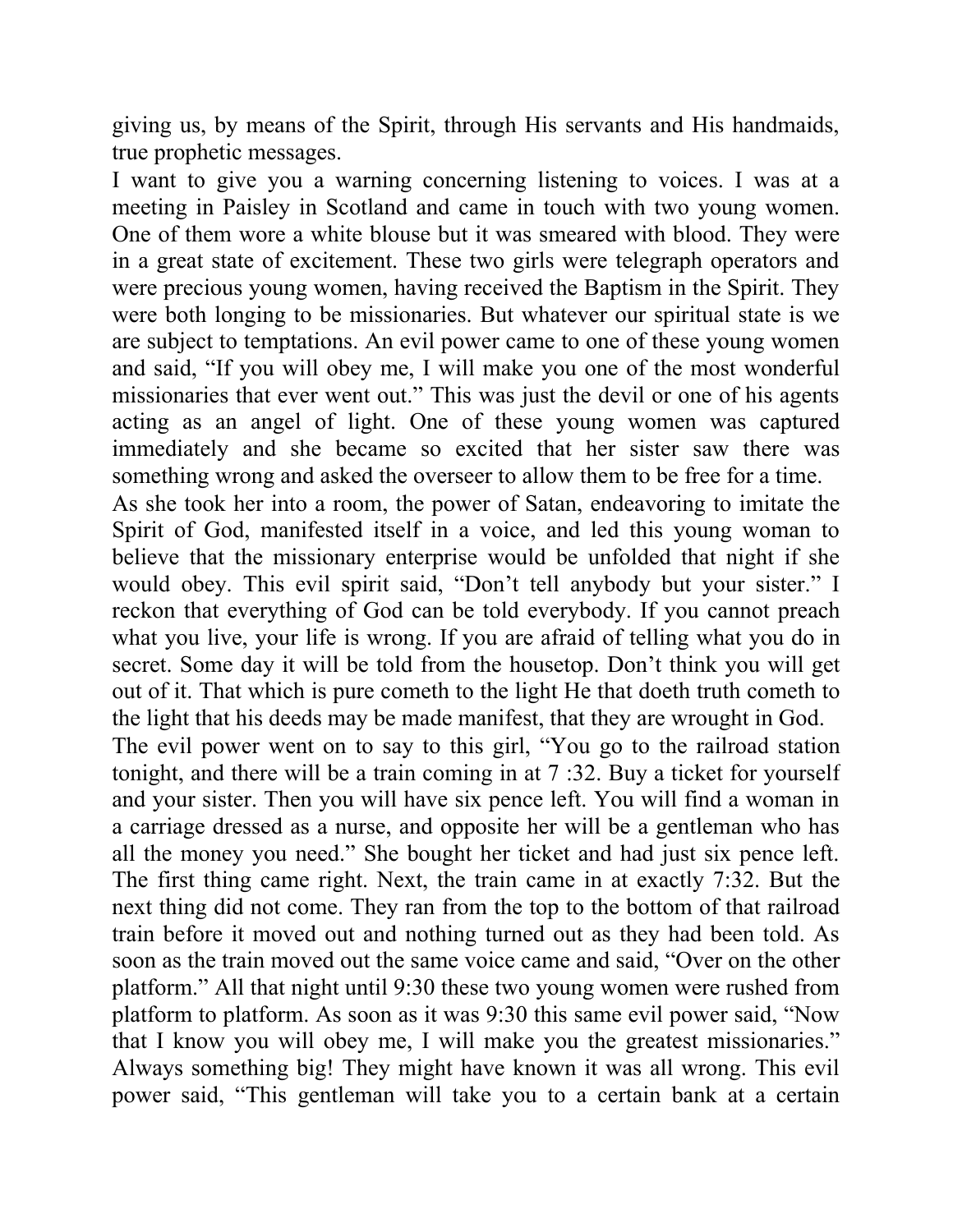giving us, by means of the Spirit, through His servants and His handmaids, true prophetic messages.

I want to give you a warning concerning listening to voices. I was at a meeting in Paisley in Scotland and came in touch with two young women. One of them wore a white blouse but it was smeared with blood. They were in a great state of excitement. These two girls were telegraph operators and were precious young women, having received the Baptism in the Spirit. They were both longing to be missionaries. But whatever our spiritual state is we are subject to temptations. An evil power came to one of these young women and said, "If you will obey me, I will make you one of the most wonderful missionaries that ever went out." This was just the devil or one of his agents acting as an angel of light. One of these young women was captured immediately and she became so excited that her sister saw there was something wrong and asked the overseer to allow them to be free for a time.

As she took her into a room, the power of Satan, endeavoring to imitate the Spirit of God, manifested itself in a voice, and led this young woman to believe that the missionary enterprise would be unfolded that night if she would obey. This evil spirit said, "Don't tell anybody but your sister." I reckon that everything of God can be told everybody. If you cannot preach what you live, your life is wrong. If you are afraid of telling what you do in secret. Some day it will be told from the housetop. Don't think you will get out of it. That which is pure cometh to the light He that doeth truth cometh to the light that his deeds may be made manifest, that they are wrought in God.

The evil power went on to say to this girl, "You go to the railroad station tonight, and there will be a train coming in at 7 :32. Buy a ticket for yourself and your sister. Then you will have six pence left. You will find a woman in a carriage dressed as a nurse, and opposite her will be a gentleman who has all the money you need." She bought her ticket and had just six pence left. The first thing came right. Next, the train came in at exactly 7:32. But the next thing did not come. They ran from the top to the bottom of that railroad train before it moved out and nothing turned out as they had been told. As soon as the train moved out the same voice came and said, "Over on the other platform." All that night until 9:30 these two young women were rushed from platform to platform. As soon as it was 9:30 this same evil power said, "Now that I know you will obey me, I will make you the greatest missionaries." Always something big! They might have known it was all wrong. This evil power said, "This gentleman will take you to a certain bank at a certain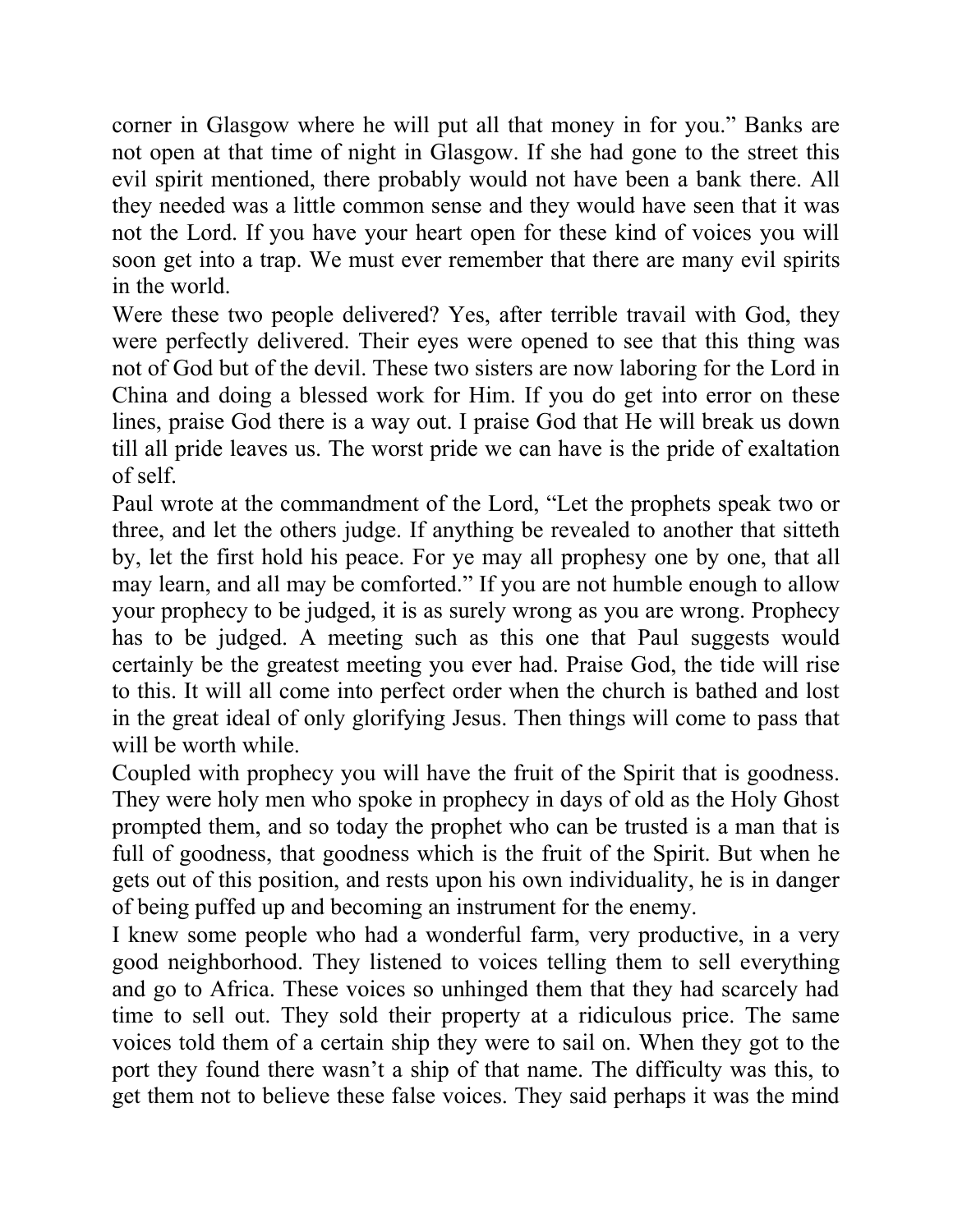corner in Glasgow where he will put all that money in for you." Banks are not open at that time of night in Glasgow. If she had gone to the street this evil spirit mentioned, there probably would not have been a bank there. All they needed was a little common sense and they would have seen that it was not the Lord. If you have your heart open for these kind of voices you will soon get into a trap. We must ever remember that there are many evil spirits in the world.

Were these two people delivered? Yes, after terrible travail with God, they were perfectly delivered. Their eyes were opened to see that this thing was not of God but of the devil. These two sisters are now laboring for the Lord in China and doing a blessed work for Him. If you do get into error on these lines, praise God there is a way out. I praise God that He will break us down till all pride leaves us. The worst pride we can have is the pride of exaltation of self.

Paul wrote at the commandment of the Lord, "Let the prophets speak two or three, and let the others judge. If anything be revealed to another that sitteth by, let the first hold his peace. For ye may all prophesy one by one, that all may learn, and all may be comforted." If you are not humble enough to allow your prophecy to be judged, it is as surely wrong as you are wrong. Prophecy has to be judged. A meeting such as this one that Paul suggests would certainly be the greatest meeting you ever had. Praise God, the tide will rise to this. It will all come into perfect order when the church is bathed and lost in the great ideal of only glorifying Jesus. Then things will come to pass that will be worth while.

Coupled with prophecy you will have the fruit of the Spirit that is goodness. They were holy men who spoke in prophecy in days of old as the Holy Ghost prompted them, and so today the prophet who can be trusted is a man that is full of goodness, that goodness which is the fruit of the Spirit. But when he gets out of this position, and rests upon his own individuality, he is in danger of being puffed up and becoming an instrument for the enemy.

I knew some people who had a wonderful farm, very productive, in a very good neighborhood. They listened to voices telling them to sell everything and go to Africa. These voices so unhinged them that they had scarcely had time to sell out. They sold their property at a ridiculous price. The same voices told them of a certain ship they were to sail on. When they got to the port they found there wasn't a ship of that name. The difficulty was this, to get them not to believe these false voices. They said perhaps it was the mind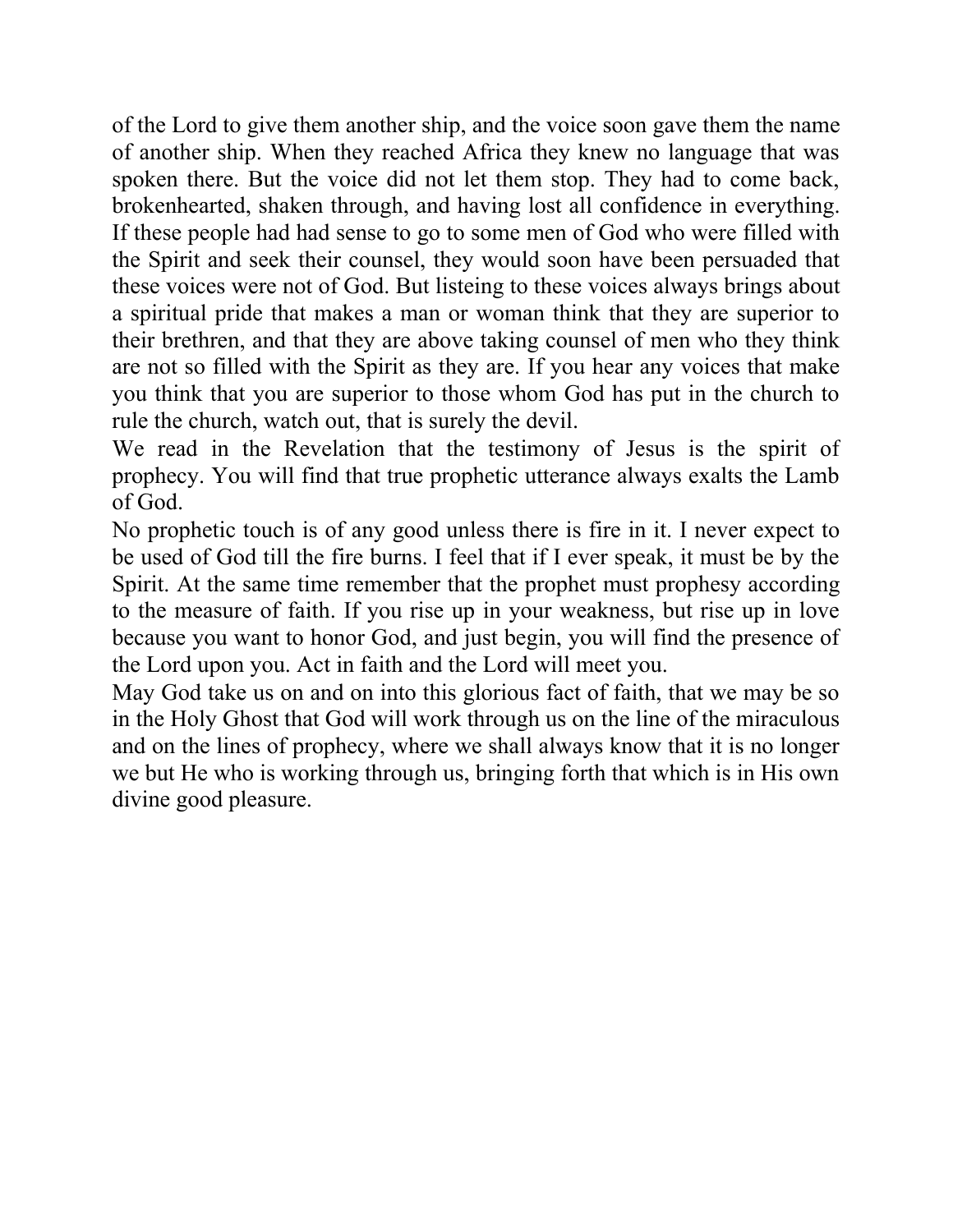of the Lord to give them another ship, and the voice soon gave them the name of another ship. When they reached Africa they knew no language that was spoken there. But the voice did not let them stop. They had to come back, brokenhearted, shaken through, and having lost all confidence in everything. If these people had had sense to go to some men of God who were filled with the Spirit and seek their counsel, they would soon have been persuaded that these voices were not of God. But listeing to these voices always brings about a spiritual pride that makes a man or woman think that they are superior to their brethren, and that they are above taking counsel of men who they think are not so filled with the Spirit as they are. If you hear any voices that make you think that you are superior to those whom God has put in the church to rule the church, watch out, that is surely the devil.

We read in the Revelation that the testimony of Jesus is the spirit of prophecy. You will find that true prophetic utterance always exalts the Lamb of God.

No prophetic touch is of any good unless there is fire in it. I never expect to be used of God till the fire burns. I feel that if I ever speak, it must be by the Spirit. At the same time remember that the prophet must prophesy according to the measure of faith. If you rise up in your weakness, but rise up in love because you want to honor God, and just begin, you will find the presence of the Lord upon you. Act in faith and the Lord will meet you.

May God take us on and on into this glorious fact of faith, that we may be so in the Holy Ghost that God will work through us on the line of the miraculous and on the lines of prophecy, where we shall always know that it is no longer we but He who is working through us, bringing forth that which is in His own divine good pleasure.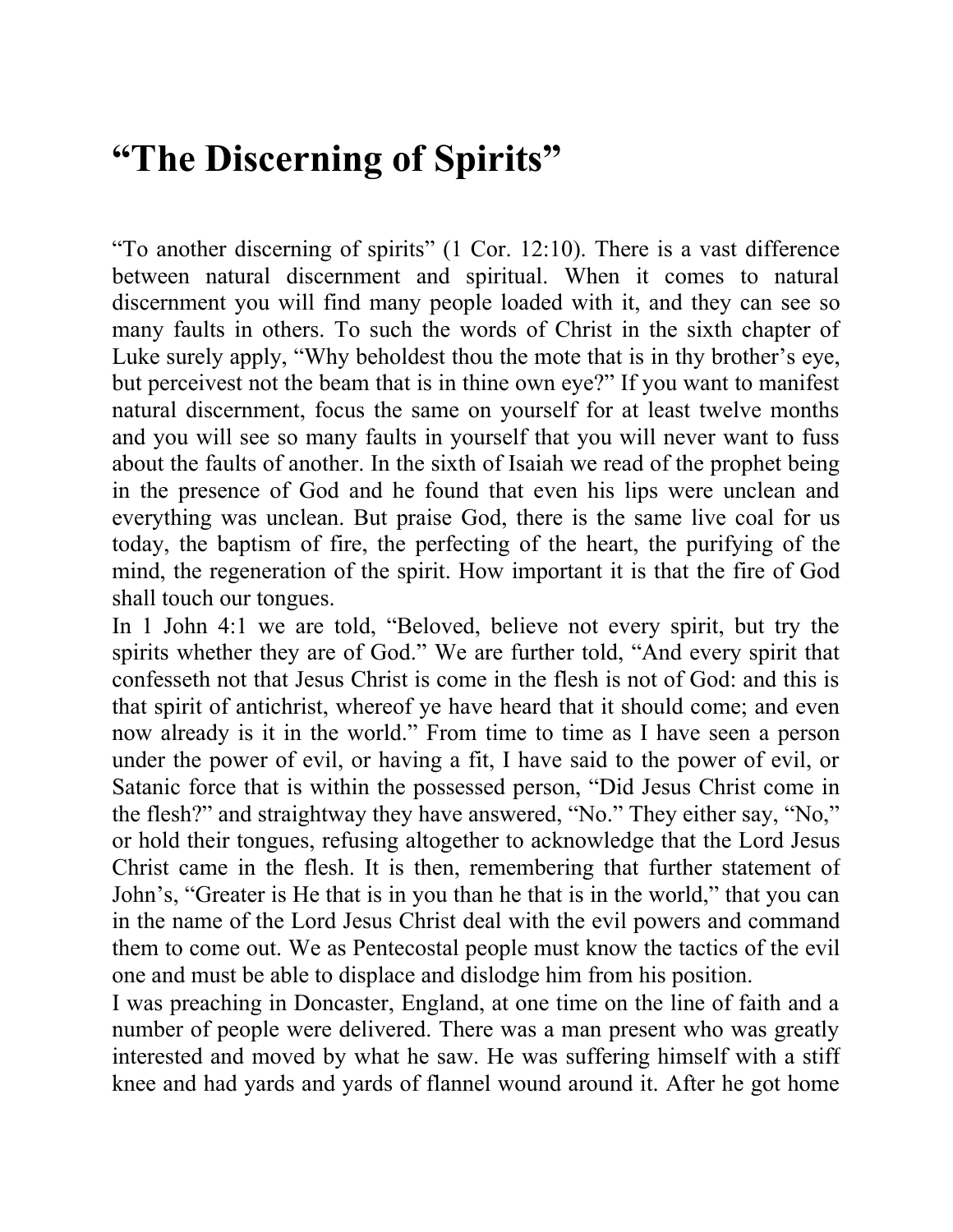#### **"The Discerning of Spirits"**

"To another discerning of spirits" (1 Cor. 12:10). There is a vast difference between natural discernment and spiritual. When it comes to natural discernment you will find many people loaded with it, and they can see so many faults in others. To such the words of Christ in the sixth chapter of Luke surely apply, "Why beholdest thou the mote that is in thy brother's eye, but perceivest not the beam that is in thine own eye?" If you want to manifest natural discernment, focus the same on yourself for at least twelve months and you will see so many faults in yourself that you will never want to fuss about the faults of another. In the sixth of Isaiah we read of the prophet being in the presence of God and he found that even his lips were unclean and everything was unclean. But praise God, there is the same live coal for us today, the baptism of fire, the perfecting of the heart, the purifying of the mind, the regeneration of the spirit. How important it is that the fire of God shall touch our tongues.

In 1 John 4:1 we are told, "Beloved, believe not every spirit, but try the spirits whether they are of God." We are further told, "And every spirit that confesseth not that Jesus Christ is come in the flesh is not of God: and this is that spirit of antichrist, whereof ye have heard that it should come; and even now already is it in the world." From time to time as I have seen a person under the power of evil, or having a fit, I have said to the power of evil, or Satanic force that is within the possessed person, "Did Jesus Christ come in the flesh?" and straightway they have answered, "No." They either say, "No," or hold their tongues, refusing altogether to acknowledge that the Lord Jesus Christ came in the flesh. It is then, remembering that further statement of John's, "Greater is He that is in you than he that is in the world," that you can in the name of the Lord Jesus Christ deal with the evil powers and command them to come out. We as Pentecostal people must know the tactics of the evil one and must be able to displace and dislodge him from his position.

I was preaching in Doncaster, England, at one time on the line of faith and a number of people were delivered. There was a man present who was greatly interested and moved by what he saw. He was suffering himself with a stiff knee and had yards and yards of flannel wound around it. After he got home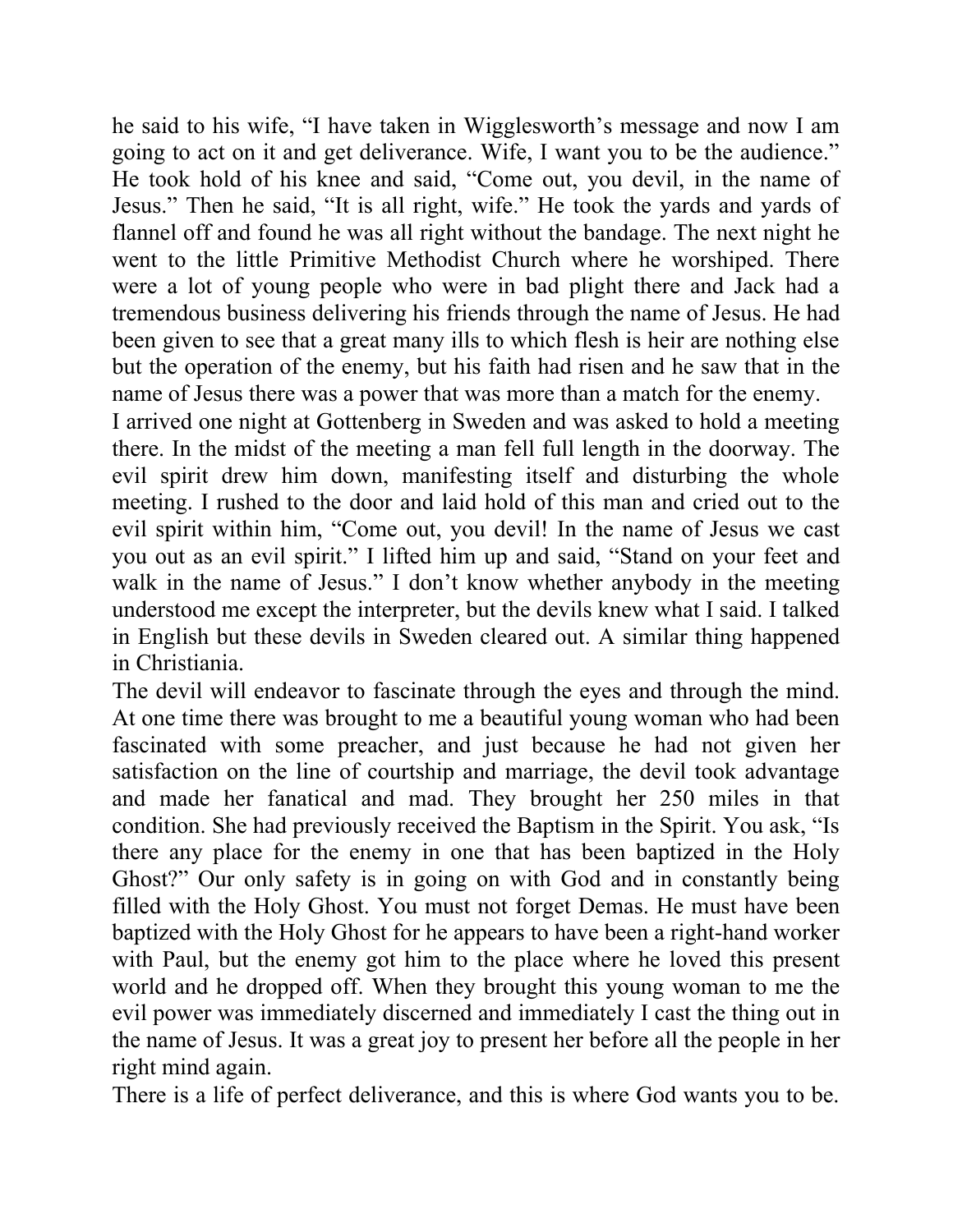he said to his wife, "I have taken in Wigglesworth's message and now I am going to act on it and get deliverance. Wife, I want you to be the audience." He took hold of his knee and said, "Come out, you devil, in the name of Jesus." Then he said, "It is all right, wife." He took the yards and yards of flannel off and found he was all right without the bandage. The next night he went to the little Primitive Methodist Church where he worshiped. There were a lot of young people who were in bad plight there and Jack had a tremendous business delivering his friends through the name of Jesus. He had been given to see that a great many ills to which flesh is heir are nothing else but the operation of the enemy, but his faith had risen and he saw that in the name of Jesus there was a power that was more than a match for the enemy.

I arrived one night at Gottenberg in Sweden and was asked to hold a meeting there. In the midst of the meeting a man fell full length in the doorway. The evil spirit drew him down, manifesting itself and disturbing the whole meeting. I rushed to the door and laid hold of this man and cried out to the evil spirit within him, "Come out, you devil! In the name of Jesus we cast you out as an evil spirit." I lifted him up and said, "Stand on your feet and walk in the name of Jesus." I don't know whether anybody in the meeting understood me except the interpreter, but the devils knew what I said. I talked in English but these devils in Sweden cleared out. A similar thing happened in Christiania.

The devil will endeavor to fascinate through the eyes and through the mind. At one time there was brought to me a beautiful young woman who had been fascinated with some preacher, and just because he had not given her satisfaction on the line of courtship and marriage, the devil took advantage and made her fanatical and mad. They brought her 250 miles in that condition. She had previously received the Baptism in the Spirit. You ask, "Is there any place for the enemy in one that has been baptized in the Holy Ghost?" Our only safety is in going on with God and in constantly being filled with the Holy Ghost. You must not forget Demas. He must have been baptized with the Holy Ghost for he appears to have been a right-hand worker with Paul, but the enemy got him to the place where he loved this present world and he dropped off. When they brought this young woman to me the evil power was immediately discerned and immediately I cast the thing out in the name of Jesus. It was a great joy to present her before all the people in her right mind again.

There is a life of perfect deliverance, and this is where God wants you to be.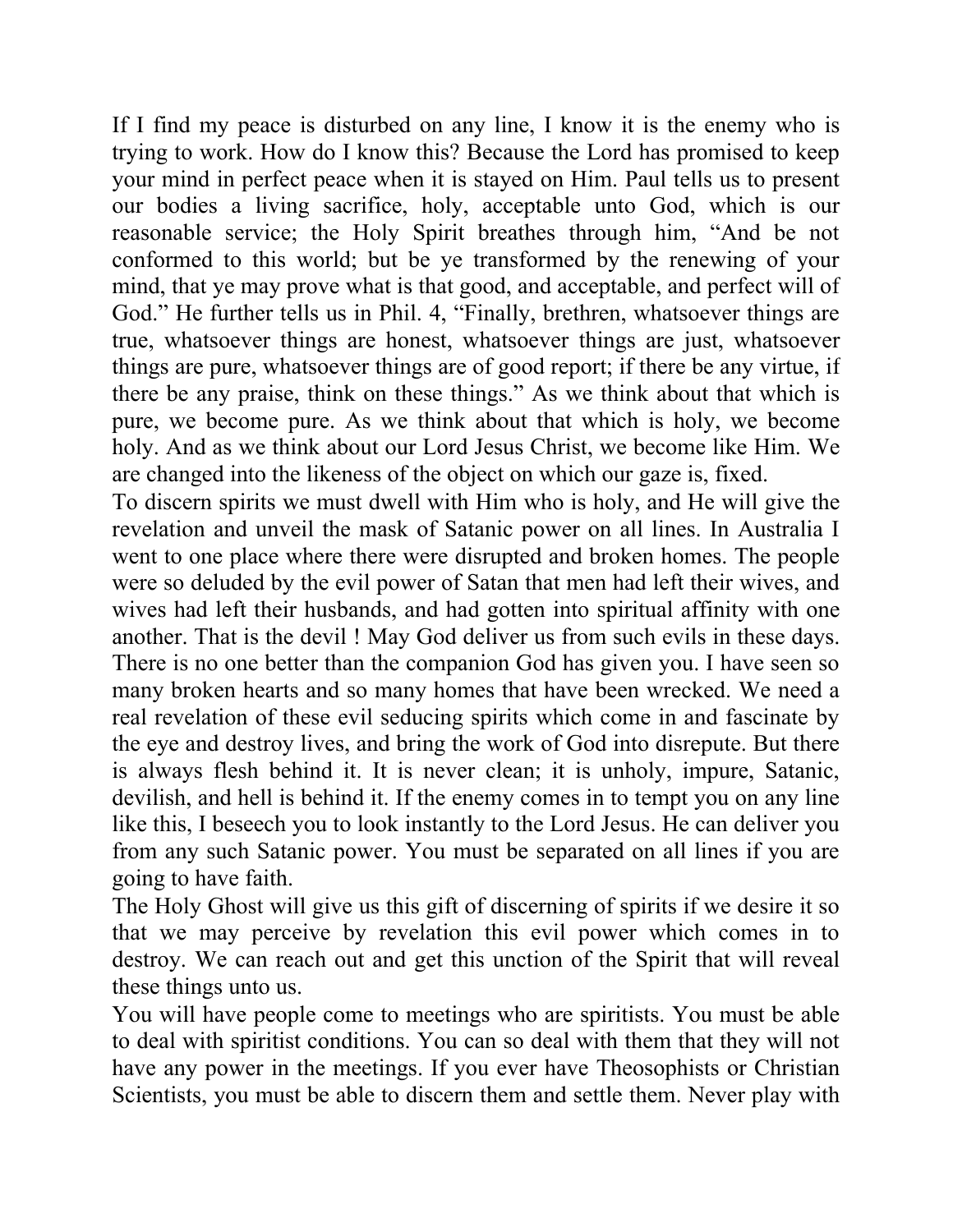If I find my peace is disturbed on any line, I know it is the enemy who is trying to work. How do I know this? Because the Lord has promised to keep your mind in perfect peace when it is stayed on Him. Paul tells us to present our bodies a living sacrifice, holy, acceptable unto God, which is our reasonable service; the Holy Spirit breathes through him, "And be not conformed to this world; but be ye transformed by the renewing of your mind, that ye may prove what is that good, and acceptable, and perfect will of God." He further tells us in Phil. 4, "Finally, brethren, whatsoever things are true, whatsoever things are honest, whatsoever things are just, whatsoever things are pure, whatsoever things are of good report; if there be any virtue, if there be any praise, think on these things." As we think about that which is pure, we become pure. As we think about that which is holy, we become holy. And as we think about our Lord Jesus Christ, we become like Him. We are changed into the likeness of the object on which our gaze is, fixed.

To discern spirits we must dwell with Him who is holy, and He will give the revelation and unveil the mask of Satanic power on all lines. In Australia I went to one place where there were disrupted and broken homes. The people were so deluded by the evil power of Satan that men had left their wives, and wives had left their husbands, and had gotten into spiritual affinity with one another. That is the devil ! May God deliver us from such evils in these days. There is no one better than the companion God has given you. I have seen so many broken hearts and so many homes that have been wrecked. We need a real revelation of these evil seducing spirits which come in and fascinate by the eye and destroy lives, and bring the work of God into disrepute. But there is always flesh behind it. It is never clean; it is unholy, impure, Satanic, devilish, and hell is behind it. If the enemy comes in to tempt you on any line like this, I beseech you to look instantly to the Lord Jesus. He can deliver you from any such Satanic power. You must be separated on all lines if you are going to have faith.

The Holy Ghost will give us this gift of discerning of spirits if we desire it so that we may perceive by revelation this evil power which comes in to destroy. We can reach out and get this unction of the Spirit that will reveal these things unto us.

You will have people come to meetings who are spiritists. You must be able to deal with spiritist conditions. You can so deal with them that they will not have any power in the meetings. If you ever have Theosophists or Christian Scientists, you must be able to discern them and settle them. Never play with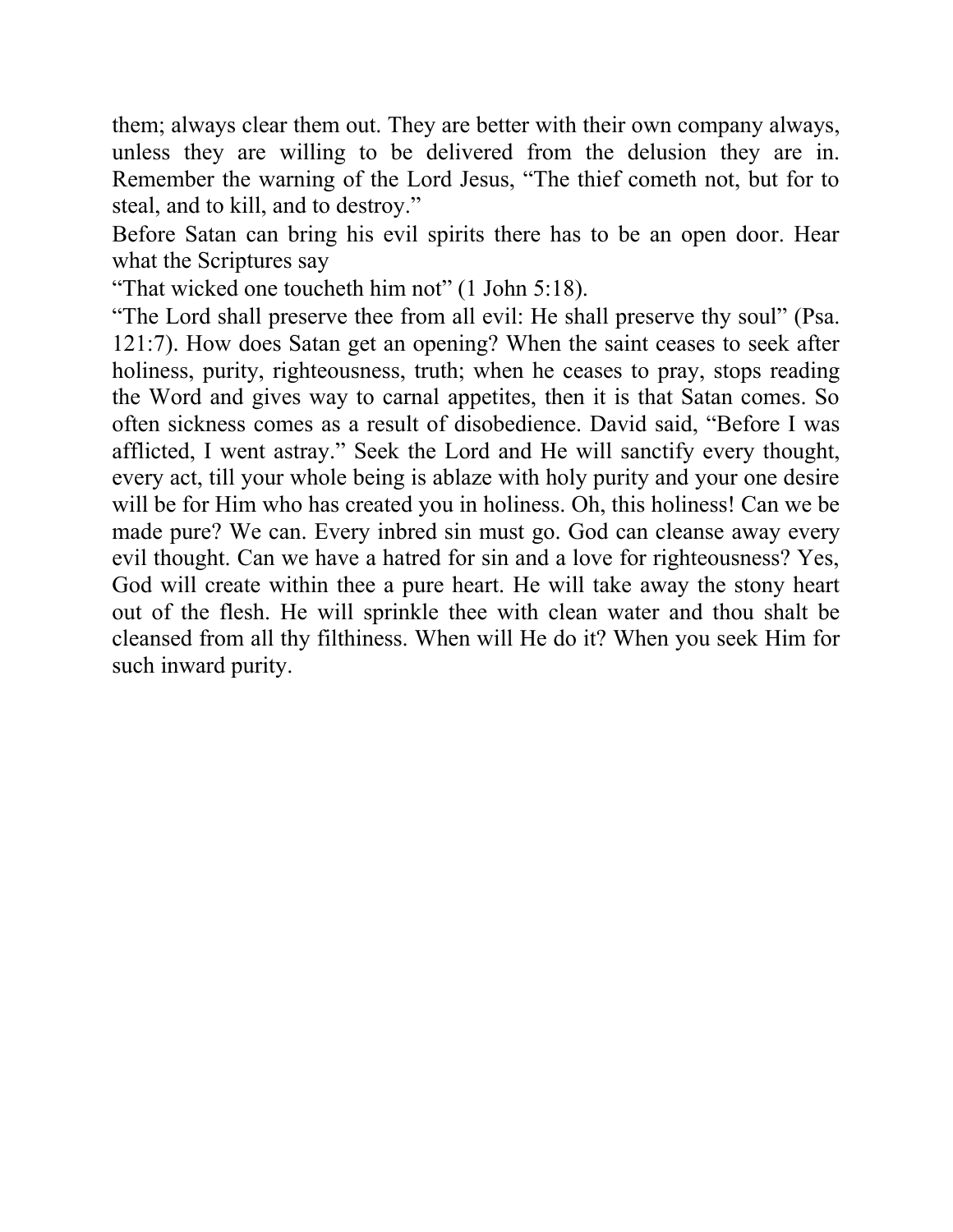them; always clear them out. They are better with their own company always, unless they are willing to be delivered from the delusion they are in. Remember the warning of the Lord Jesus, "The thief cometh not, but for to steal, and to kill, and to destroy."

Before Satan can bring his evil spirits there has to be an open door. Hear what the Scriptures say

"That wicked one toucheth him not" (1 John 5:18).

"The Lord shall preserve thee from all evil: He shall preserve thy soul" (Psa. 121:7). How does Satan get an opening? When the saint ceases to seek after holiness, purity, righteousness, truth; when he ceases to pray, stops reading the Word and gives way to carnal appetites, then it is that Satan comes. So often sickness comes as a result of disobedience. David said, "Before I was afflicted, I went astray." Seek the Lord and He will sanctify every thought, every act, till your whole being is ablaze with holy purity and your one desire will be for Him who has created you in holiness. Oh, this holiness! Can we be made pure? We can. Every inbred sin must go. God can cleanse away every evil thought. Can we have a hatred for sin and a love for righteousness? Yes, God will create within thee a pure heart. He will take away the stony heart out of the flesh. He will sprinkle thee with clean water and thou shalt be cleansed from all thy filthiness. When will He do it? When you seek Him for such inward purity.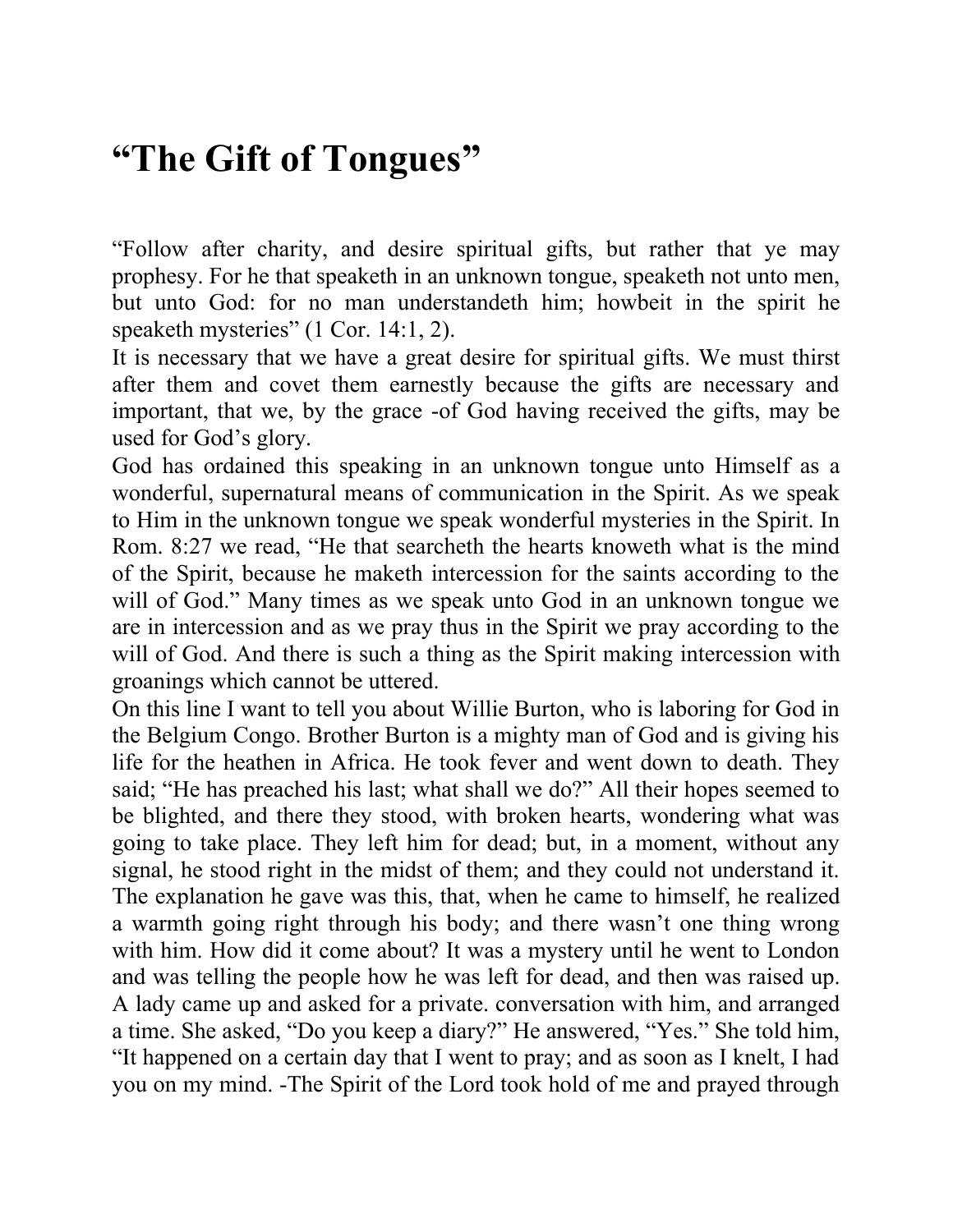### **"The Gift of Tongues"**

"Follow after charity, and desire spiritual gifts, but rather that ye may prophesy. For he that speaketh in an unknown tongue, speaketh not unto men, but unto God: for no man understandeth him; howbeit in the spirit he speaketh mysteries" (1 Cor. 14:1, 2).

It is necessary that we have a great desire for spiritual gifts. We must thirst after them and covet them earnestly because the gifts are necessary and important, that we, by the grace -of God having received the gifts, may be used for God's glory.

God has ordained this speaking in an unknown tongue unto Himself as a wonderful, supernatural means of communication in the Spirit. As we speak to Him in the unknown tongue we speak wonderful mysteries in the Spirit. In Rom. 8:27 we read, "He that searcheth the hearts knoweth what is the mind of the Spirit, because he maketh intercession for the saints according to the will of God." Many times as we speak unto God in an unknown tongue we are in intercession and as we pray thus in the Spirit we pray according to the will of God. And there is such a thing as the Spirit making intercession with groanings which cannot be uttered.

On this line I want to tell you about Willie Burton, who is laboring for God in the Belgium Congo. Brother Burton is a mighty man of God and is giving his life for the heathen in Africa. He took fever and went down to death. They said; "He has preached his last; what shall we do?" All their hopes seemed to be blighted, and there they stood, with broken hearts, wondering what was going to take place. They left him for dead; but, in a moment, without any signal, he stood right in the midst of them; and they could not understand it. The explanation he gave was this, that, when he came to himself, he realized a warmth going right through his body; and there wasn't one thing wrong with him. How did it come about? It was a mystery until he went to London and was telling the people how he was left for dead, and then was raised up. A lady came up and asked for a private. conversation with him, and arranged a time. She asked, "Do you keep a diary?" He answered, "Yes." She told him, "It happened on a certain day that I went to pray; and as soon as I knelt, I had you on my mind. -The Spirit of the Lord took hold of me and prayed through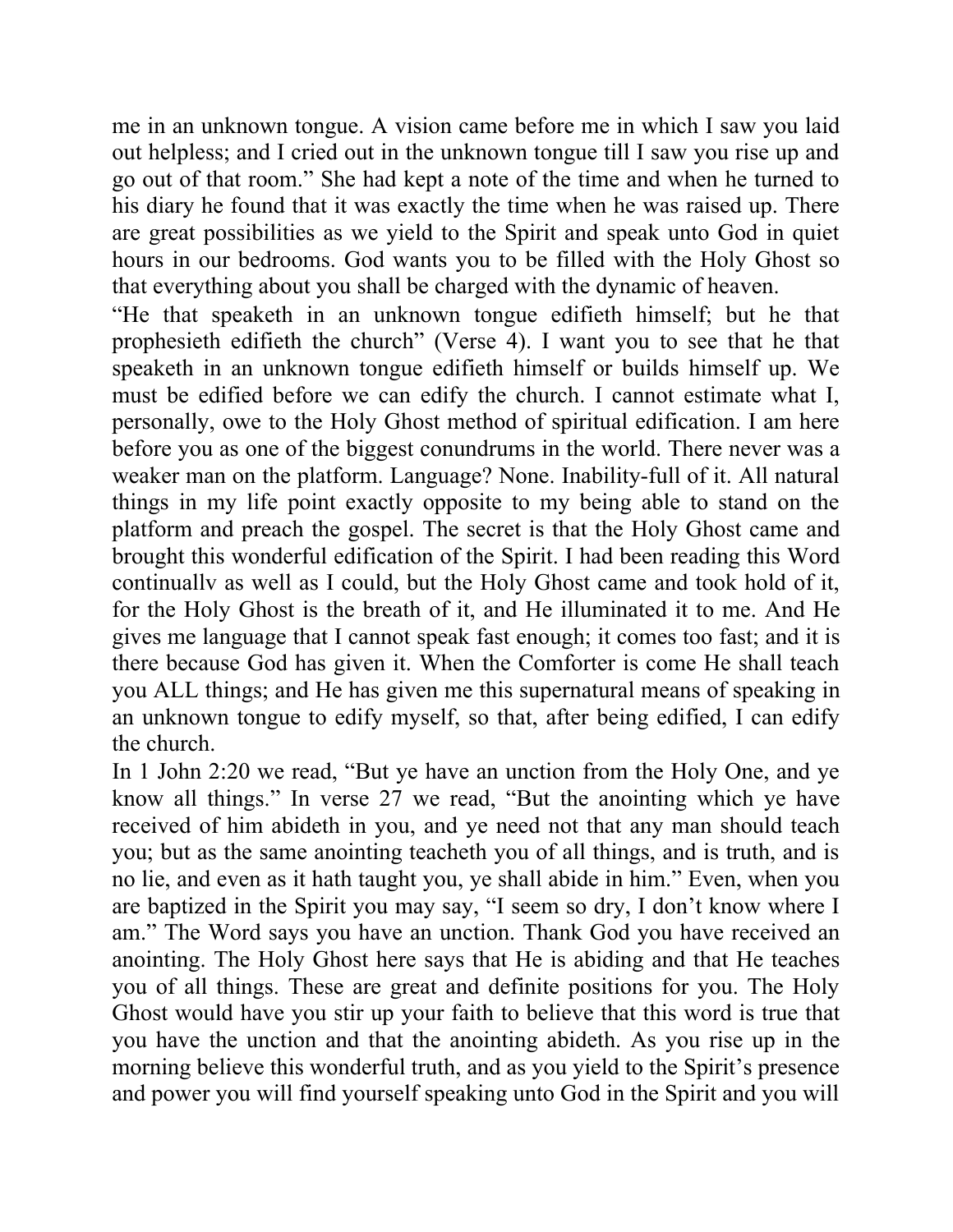me in an unknown tongue. A vision came before me in which I saw you laid out helpless; and I cried out in the unknown tongue till I saw you rise up and go out of that room." She had kept a note of the time and when he turned to his diary he found that it was exactly the time when he was raised up. There are great possibilities as we yield to the Spirit and speak unto God in quiet hours in our bedrooms. God wants you to be filled with the Holy Ghost so that everything about you shall be charged with the dynamic of heaven.

"He that speaketh in an unknown tongue edifieth himself; but he that prophesieth edifieth the church" (Verse 4). I want you to see that he that speaketh in an unknown tongue edifieth himself or builds himself up. We must be edified before we can edify the church. I cannot estimate what I, personally, owe to the Holy Ghost method of spiritual edification. I am here before you as one of the biggest conundrums in the world. There never was a weaker man on the platform. Language? None. Inability-full of it. All natural things in my life point exactly opposite to my being able to stand on the platform and preach the gospel. The secret is that the Holy Ghost came and brought this wonderful edification of the Spirit. I had been reading this Word continuallv as well as I could, but the Holy Ghost came and took hold of it, for the Holy Ghost is the breath of it, and He illuminated it to me. And He gives me language that I cannot speak fast enough; it comes too fast; and it is there because God has given it. When the Comforter is come He shall teach you ALL things; and He has given me this supernatural means of speaking in an unknown tongue to edify myself, so that, after being edified, I can edify the church.

In 1 John 2:20 we read, "But ye have an unction from the Holy One, and ye know all things." In verse 27 we read, "But the anointing which ye have received of him abideth in you, and ye need not that any man should teach you; but as the same anointing teacheth you of all things, and is truth, and is no lie, and even as it hath taught you, ye shall abide in him." Even, when you are baptized in the Spirit you may say, "I seem so dry, I don't know where I am." The Word says you have an unction. Thank God you have received an anointing. The Holy Ghost here says that He is abiding and that He teaches you of all things. These are great and definite positions for you. The Holy Ghost would have you stir up your faith to believe that this word is true that you have the unction and that the anointing abideth. As you rise up in the morning believe this wonderful truth, and as you yield to the Spirit's presence and power you will find yourself speaking unto God in the Spirit and you will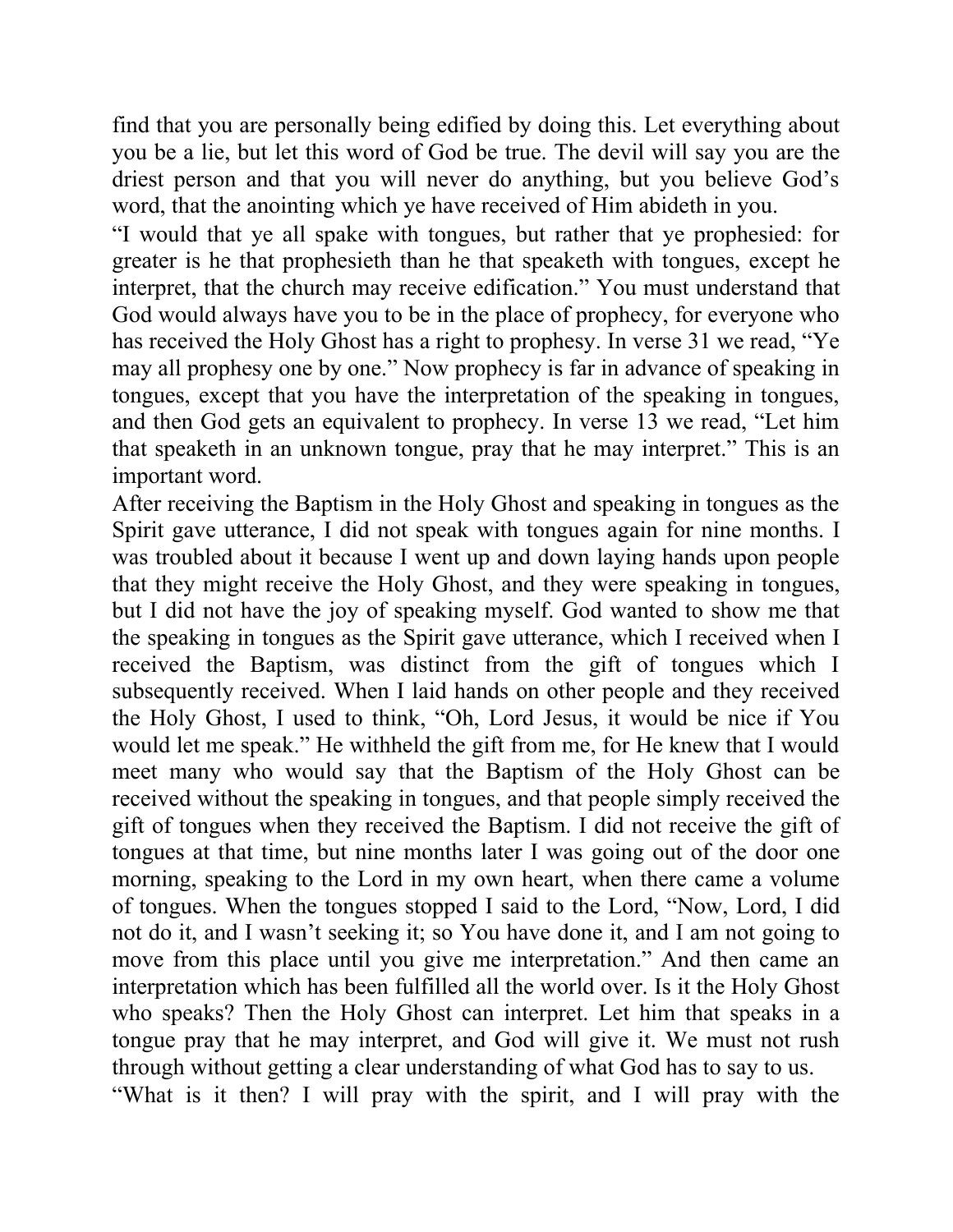find that you are personally being edified by doing this. Let everything about you be a lie, but let this word of God be true. The devil will say you are the driest person and that you will never do anything, but you believe God's word, that the anointing which ye have received of Him abideth in you.

"I would that ye all spake with tongues, but rather that ye prophesied: for greater is he that prophesieth than he that speaketh with tongues, except he interpret, that the church may receive edification." You must understand that God would always have you to be in the place of prophecy, for everyone who has received the Holy Ghost has a right to prophesy. In verse 31 we read, "Ye may all prophesy one by one." Now prophecy is far in advance of speaking in tongues, except that you have the interpretation of the speaking in tongues, and then God gets an equivalent to prophecy. In verse 13 we read, "Let him that speaketh in an unknown tongue, pray that he may interpret." This is an important word.

After receiving the Baptism in the Holy Ghost and speaking in tongues as the Spirit gave utterance, I did not speak with tongues again for nine months. I was troubled about it because I went up and down laying hands upon people that they might receive the Holy Ghost, and they were speaking in tongues, but I did not have the joy of speaking myself. God wanted to show me that the speaking in tongues as the Spirit gave utterance, which I received when I received the Baptism, was distinct from the gift of tongues which I subsequently received. When I laid hands on other people and they received the Holy Ghost, I used to think, "Oh, Lord Jesus, it would be nice if You would let me speak." He withheld the gift from me, for He knew that I would meet many who would say that the Baptism of the Holy Ghost can be received without the speaking in tongues, and that people simply received the gift of tongues when they received the Baptism. I did not receive the gift of tongues at that time, but nine months later I was going out of the door one morning, speaking to the Lord in my own heart, when there came a volume of tongues. When the tongues stopped I said to the Lord, "Now, Lord, I did not do it, and I wasn't seeking it; so You have done it, and I am not going to move from this place until you give me interpretation." And then came an interpretation which has been fulfilled all the world over. Is it the Holy Ghost who speaks? Then the Holy Ghost can interpret. Let him that speaks in a tongue pray that he may interpret, and God will give it. We must not rush through without getting a clear understanding of what God has to say to us. "What is it then? I will pray with the spirit, and I will pray with the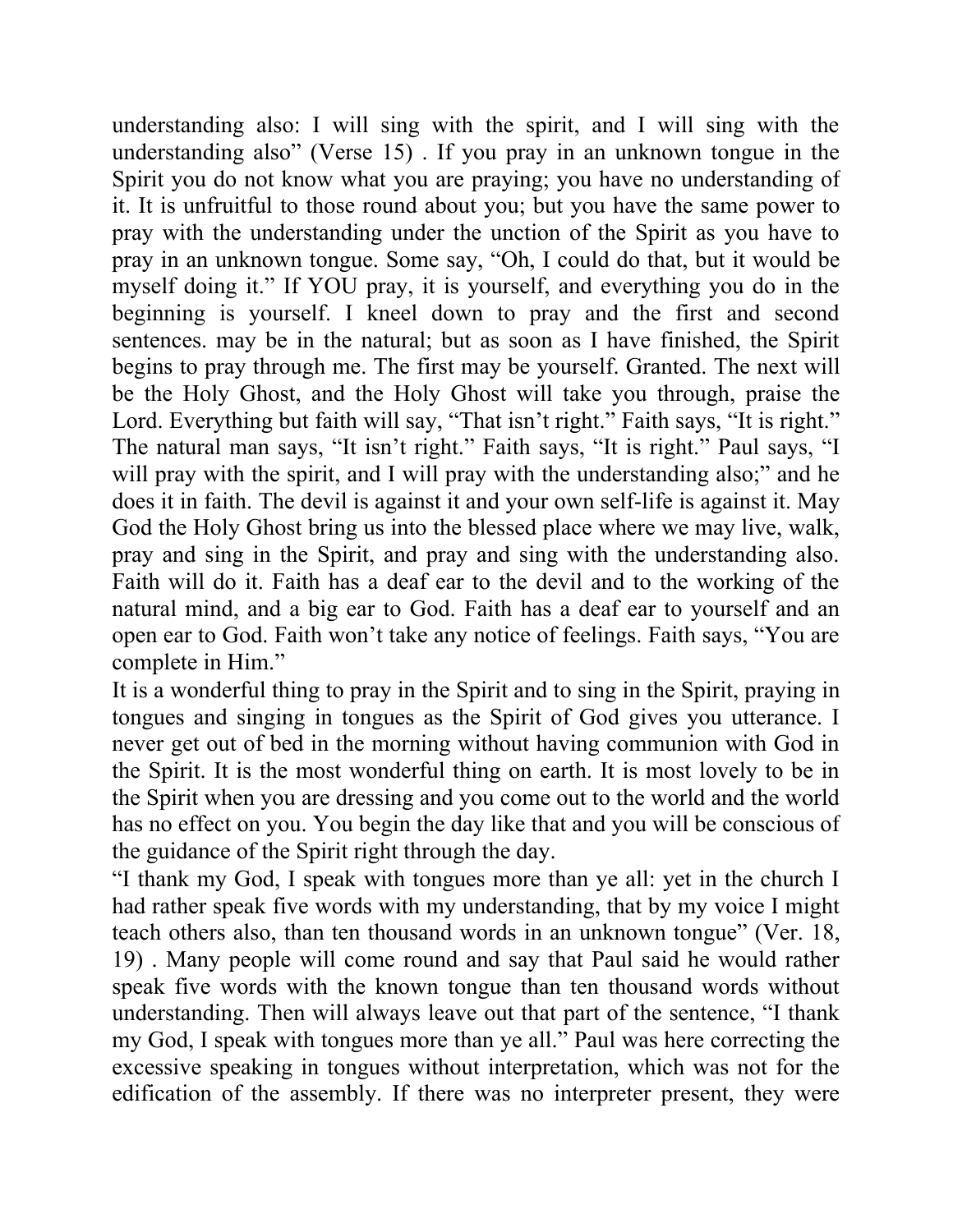understanding also: I will sing with the spirit, and I will sing with the understanding also" (Verse 15) . If you pray in an unknown tongue in the Spirit you do not know what you are praying; you have no understanding of it. It is unfruitful to those round about you; but you have the same power to pray with the understanding under the unction of the Spirit as you have to pray in an unknown tongue. Some say, "Oh, I could do that, but it would be myself doing it." If YOU pray, it is yourself, and everything you do in the beginning is yourself. I kneel down to pray and the first and second sentences. may be in the natural; but as soon as I have finished, the Spirit begins to pray through me. The first may be yourself. Granted. The next will be the Holy Ghost, and the Holy Ghost will take you through, praise the Lord. Everything but faith will say, "That isn't right." Faith says, "It is right." The natural man says, "It isn't right." Faith says, "It is right." Paul says, "I will pray with the spirit, and I will pray with the understanding also;" and he does it in faith. The devil is against it and your own self-life is against it. May God the Holy Ghost bring us into the blessed place where we may live, walk, pray and sing in the Spirit, and pray and sing with the understanding also. Faith will do it. Faith has a deaf ear to the devil and to the working of the natural mind, and a big ear to God. Faith has a deaf ear to yourself and an open ear to God. Faith won't take any notice of feelings. Faith says, "You are complete in Him."

It is a wonderful thing to pray in the Spirit and to sing in the Spirit, praying in tongues and singing in tongues as the Spirit of God gives you utterance. I never get out of bed in the morning without having communion with God in the Spirit. It is the most wonderful thing on earth. It is most lovely to be in the Spirit when you are dressing and you come out to the world and the world has no effect on you. You begin the day like that and you will be conscious of the guidance of the Spirit right through the day.

"I thank my God, I speak with tongues more than ye all: yet in the church I had rather speak five words with my understanding, that by my voice I might teach others also, than ten thousand words in an unknown tongue" (Ver. 18, 19) . Many people will come round and say that Paul said he would rather speak five words with the known tongue than ten thousand words without understanding. Then will always leave out that part of the sentence, "I thank my God, I speak with tongues more than ye all." Paul was here correcting the excessive speaking in tongues without interpretation, which was not for the edification of the assembly. If there was no interpreter present, they were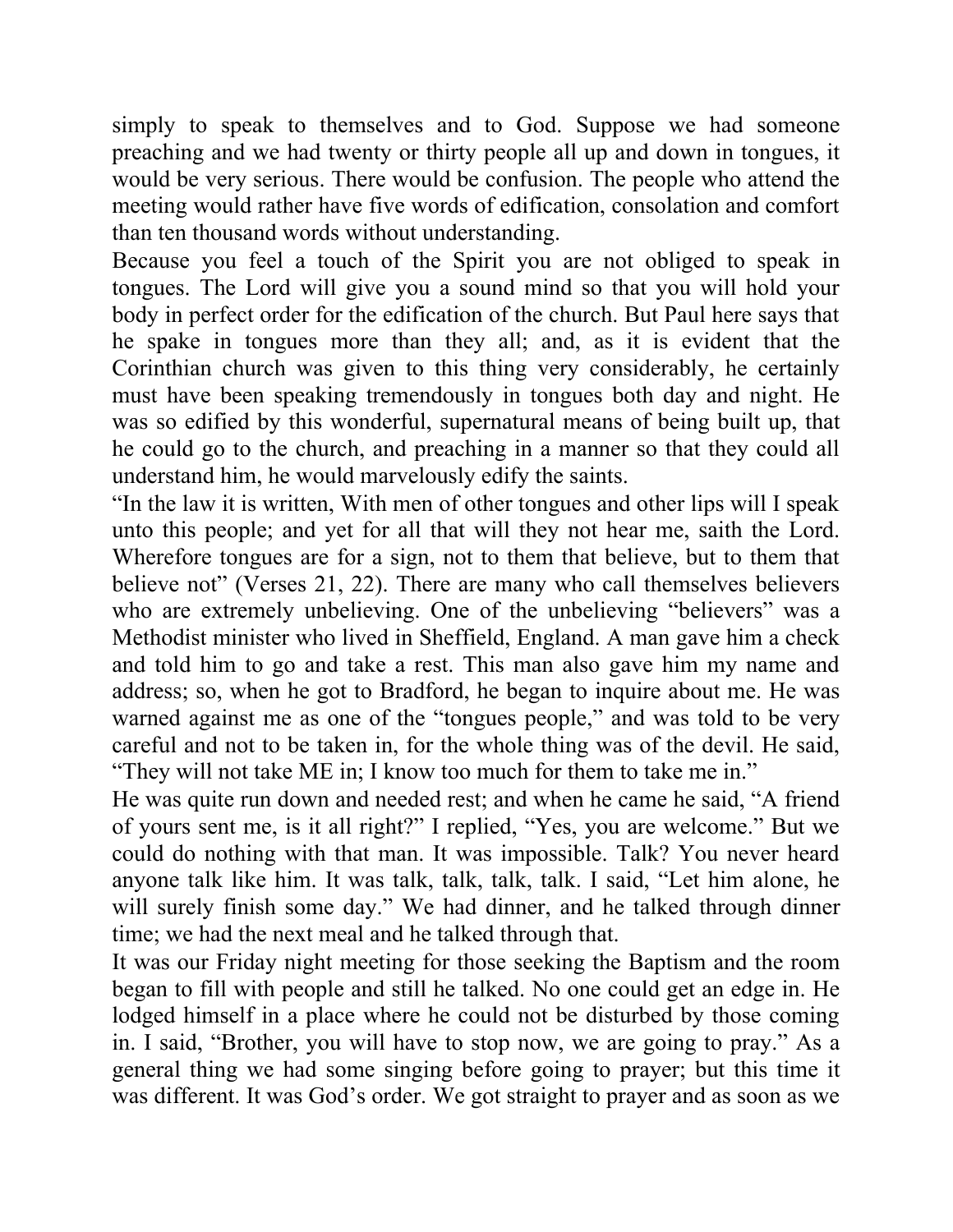simply to speak to themselves and to God. Suppose we had someone preaching and we had twenty or thirty people all up and down in tongues, it would be very serious. There would be confusion. The people who attend the meeting would rather have five words of edification, consolation and comfort than ten thousand words without understanding.

Because you feel a touch of the Spirit you are not obliged to speak in tongues. The Lord will give you a sound mind so that you will hold your body in perfect order for the edification of the church. But Paul here says that he spake in tongues more than they all; and, as it is evident that the Corinthian church was given to this thing very considerably, he certainly must have been speaking tremendously in tongues both day and night. He was so edified by this wonderful, supernatural means of being built up, that he could go to the church, and preaching in a manner so that they could all understand him, he would marvelously edify the saints.

"In the law it is written, With men of other tongues and other lips will I speak unto this people; and yet for all that will they not hear me, saith the Lord. Wherefore tongues are for a sign, not to them that believe, but to them that believe not" (Verses 21, 22). There are many who call themselves believers who are extremely unbelieving. One of the unbelieving "believers" was a Methodist minister who lived in Sheffield, England. A man gave him a check and told him to go and take a rest. This man also gave him my name and address; so, when he got to Bradford, he began to inquire about me. He was warned against me as one of the "tongues people," and was told to be very careful and not to be taken in, for the whole thing was of the devil. He said, "They will not take ME in; I know too much for them to take me in."

He was quite run down and needed rest; and when he came he said, "A friend of yours sent me, is it all right?" I replied, "Yes, you are welcome." But we could do nothing with that man. It was impossible. Talk? You never heard anyone talk like him. It was talk, talk, talk, talk. I said, "Let him alone, he will surely finish some day." We had dinner, and he talked through dinner time; we had the next meal and he talked through that.

It was our Friday night meeting for those seeking the Baptism and the room began to fill with people and still he talked. No one could get an edge in. He lodged himself in a place where he could not be disturbed by those coming in. I said, "Brother, you will have to stop now, we are going to pray." As a general thing we had some singing before going to prayer; but this time it was different. It was God's order. We got straight to prayer and as soon as we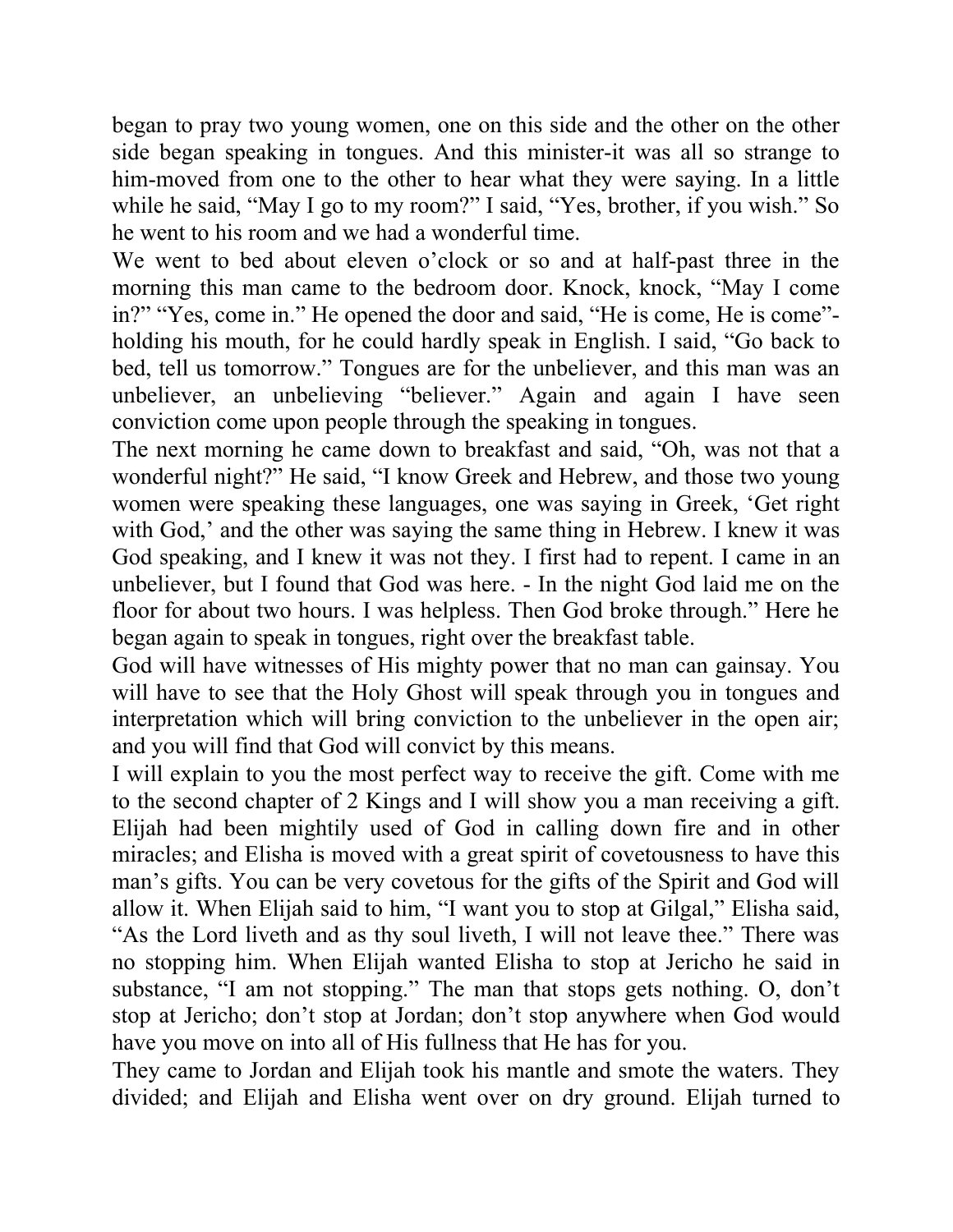began to pray two young women, one on this side and the other on the other side began speaking in tongues. And this minister-it was all so strange to him-moved from one to the other to hear what they were saying. In a little while he said, "May I go to my room?" I said, "Yes, brother, if you wish." So he went to his room and we had a wonderful time.

We went to bed about eleven o'clock or so and at half-past three in the morning this man came to the bedroom door. Knock, knock, "May I come in?" "Yes, come in." He opened the door and said, "He is come, He is come" holding his mouth, for he could hardly speak in English. I said, "Go back to bed, tell us tomorrow." Tongues are for the unbeliever, and this man was an unbeliever, an unbelieving "believer." Again and again I have seen conviction come upon people through the speaking in tongues.

The next morning he came down to breakfast and said, "Oh, was not that a wonderful night?" He said, "I know Greek and Hebrew, and those two young women were speaking these languages, one was saying in Greek, 'Get right with God,' and the other was saying the same thing in Hebrew. I knew it was God speaking, and I knew it was not they. I first had to repent. I came in an unbeliever, but I found that God was here. - In the night God laid me on the floor for about two hours. I was helpless. Then God broke through." Here he began again to speak in tongues, right over the breakfast table.

God will have witnesses of His mighty power that no man can gainsay. You will have to see that the Holy Ghost will speak through you in tongues and interpretation which will bring conviction to the unbeliever in the open air; and you will find that God will convict by this means.

I will explain to you the most perfect way to receive the gift. Come with me to the second chapter of 2 Kings and I will show you a man receiving a gift. Elijah had been mightily used of God in calling down fire and in other miracles; and Elisha is moved with a great spirit of covetousness to have this man's gifts. You can be very covetous for the gifts of the Spirit and God will allow it. When Elijah said to him, "I want you to stop at Gilgal," Elisha said, "As the Lord liveth and as thy soul liveth, I will not leave thee." There was no stopping him. When Elijah wanted Elisha to stop at Jericho he said in substance, "I am not stopping." The man that stops gets nothing. O, don't stop at Jericho; don't stop at Jordan; don't stop anywhere when God would have you move on into all of His fullness that He has for you.

They came to Jordan and Elijah took his mantle and smote the waters. They divided; and Elijah and Elisha went over on dry ground. Elijah turned to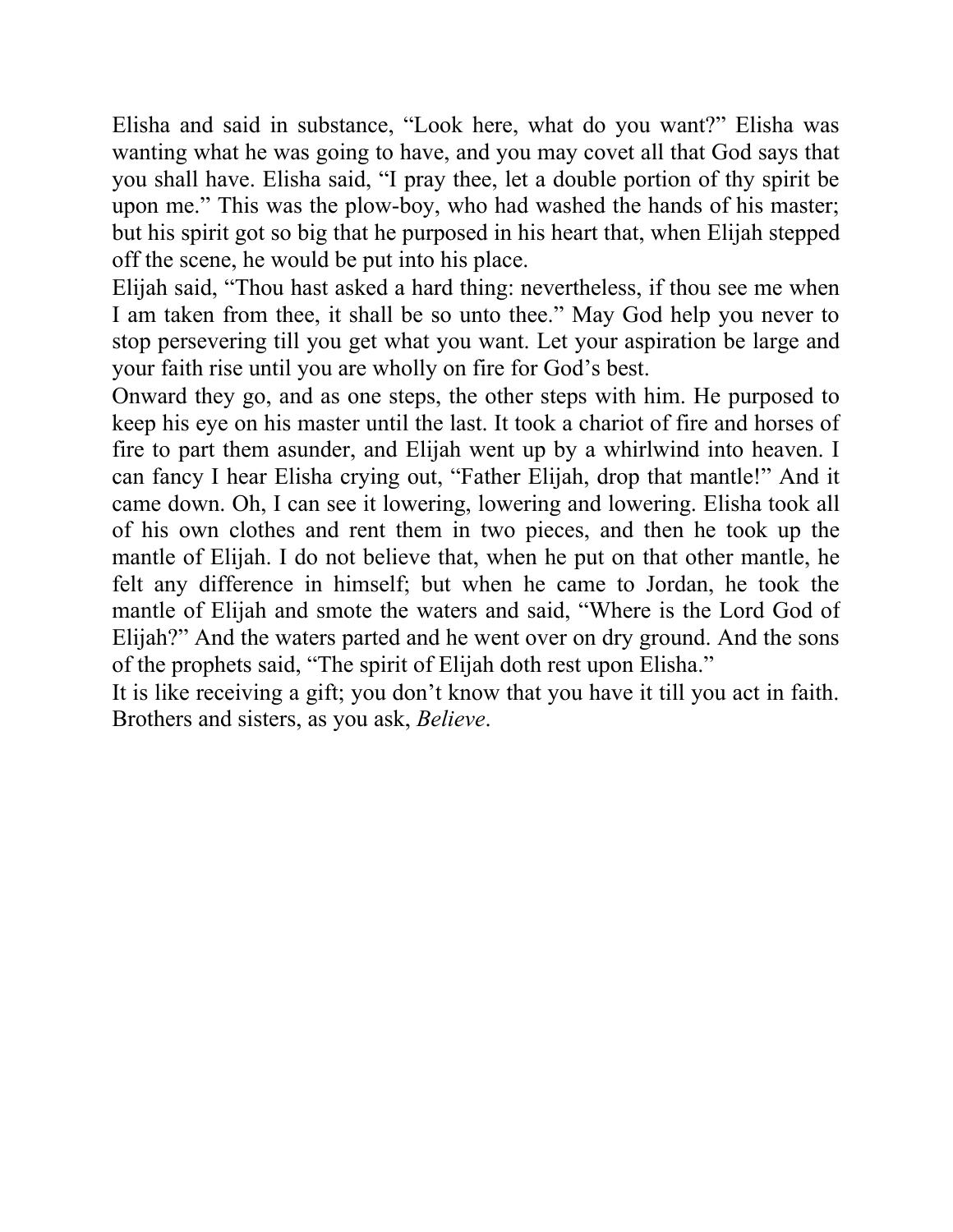Elisha and said in substance, "Look here, what do you want?" Elisha was wanting what he was going to have, and you may covet all that God says that you shall have. Elisha said, "I pray thee, let a double portion of thy spirit be upon me." This was the plow-boy, who had washed the hands of his master; but his spirit got so big that he purposed in his heart that, when Elijah stepped off the scene, he would be put into his place.

Elijah said, "Thou hast asked a hard thing: nevertheless, if thou see me when I am taken from thee, it shall be so unto thee." May God help you never to stop persevering till you get what you want. Let your aspiration be large and your faith rise until you are wholly on fire for God's best.

Onward they go, and as one steps, the other steps with him. He purposed to keep his eye on his master until the last. It took a chariot of fire and horses of fire to part them asunder, and Elijah went up by a whirlwind into heaven. I can fancy I hear Elisha crying out, "Father Elijah, drop that mantle!" And it came down. Oh, I can see it lowering, lowering and lowering. Elisha took all of his own clothes and rent them in two pieces, and then he took up the mantle of Elijah. I do not believe that, when he put on that other mantle, he felt any difference in himself; but when he came to Jordan, he took the mantle of Elijah and smote the waters and said, "Where is the Lord God of Elijah?" And the waters parted and he went over on dry ground. And the sons of the prophets said, "The spirit of Elijah doth rest upon Elisha."

It is like receiving a gift; you don't know that you have it till you act in faith. Brothers and sisters, as you ask, *Believe*.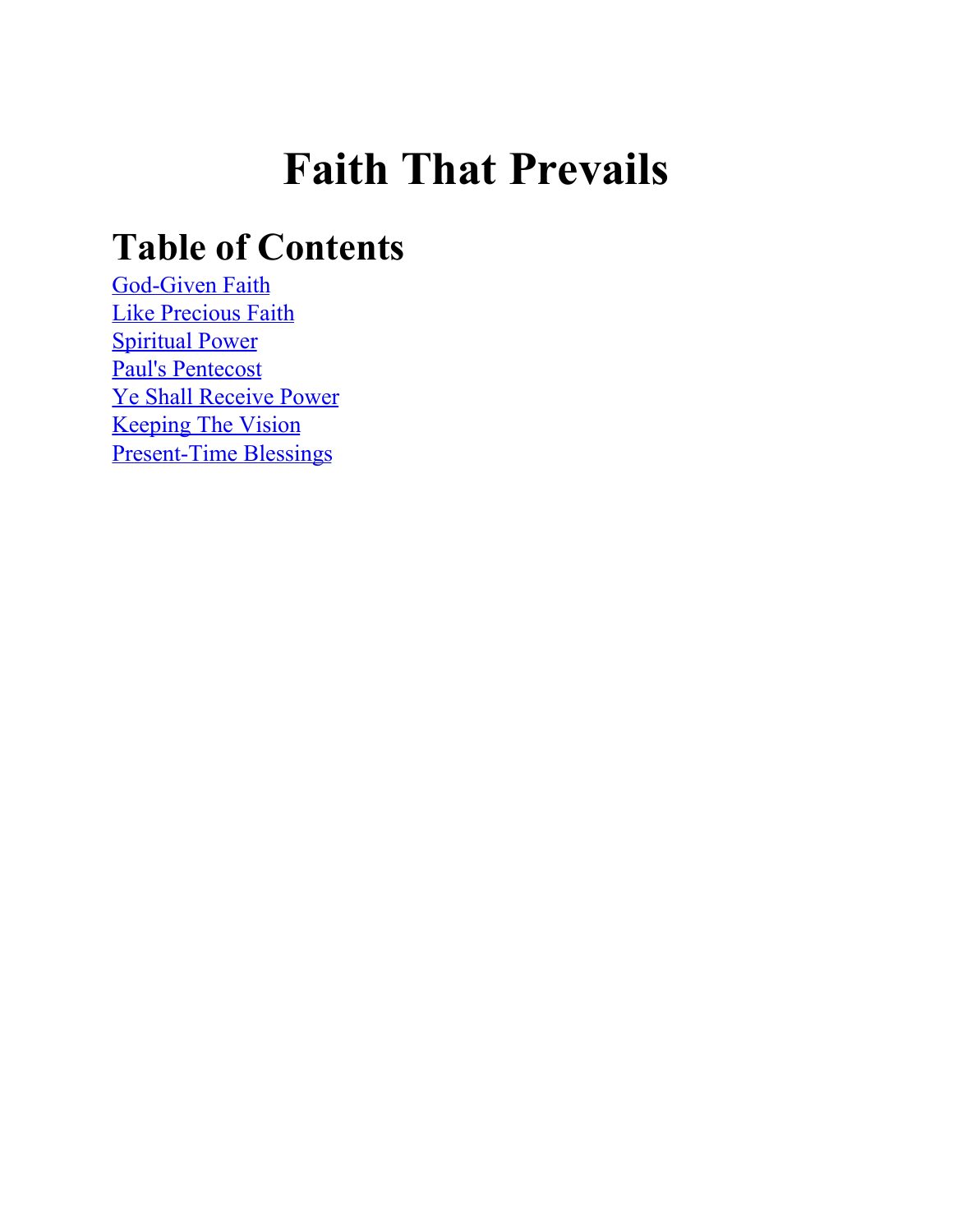# **Faith That Prevails**

#### **Table of Contents**

[God-Given](#page-122-0) Faith Like [Precious](#page-126-0) Faith [Spiritual](#page-130-0) Power Paul's [Pentecost](#page-135-0) Ye Shall [Receive](#page-142-0) Power [Keeping](#page-146-0) The Vision [Present-Time](#page-152-0) Blessings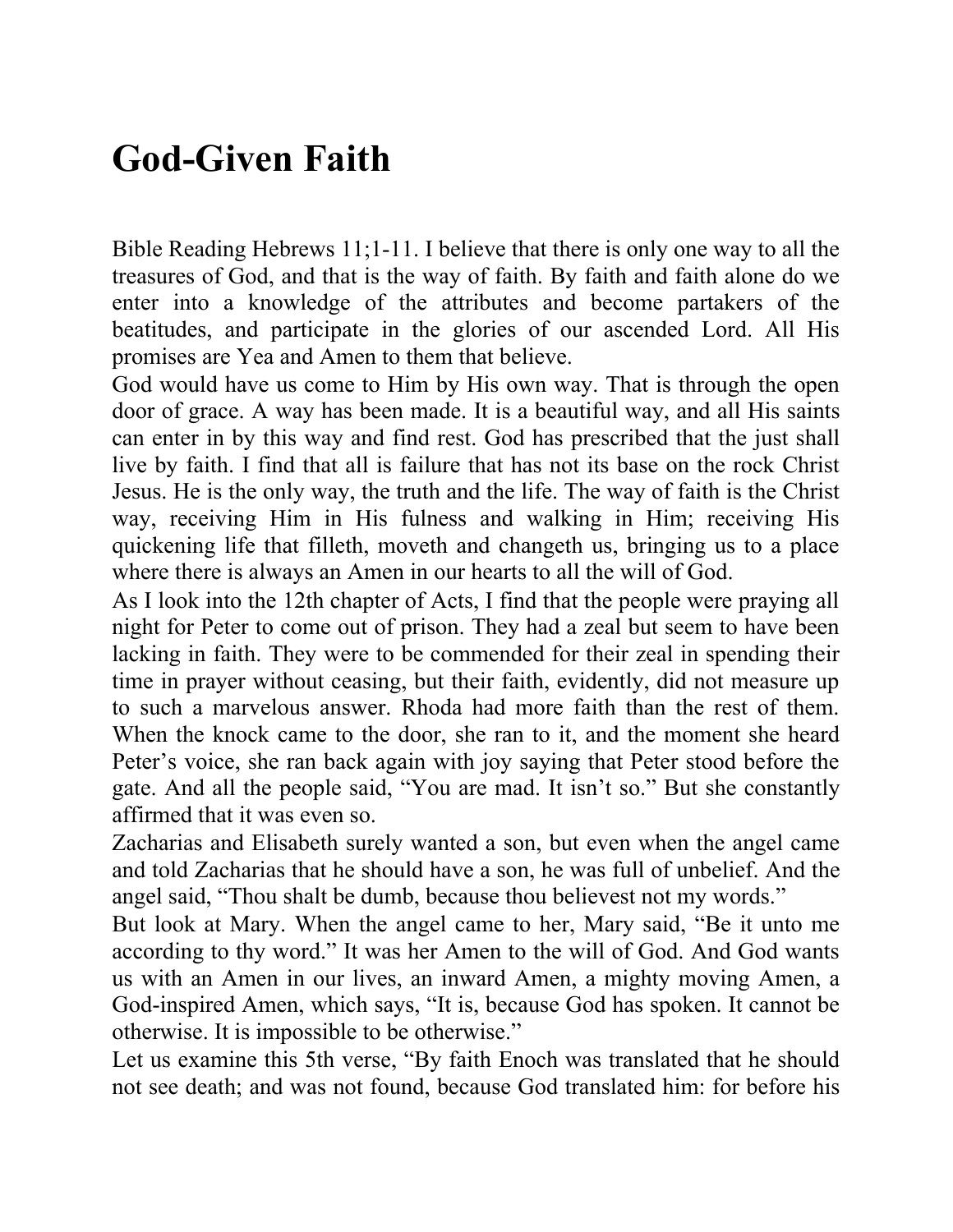## <span id="page-122-0"></span>**God-Given Faith**

Bible Reading Hebrews 11;1-11. I believe that there is only one way to all the treasures of God, and that is the way of faith. By faith and faith alone do we enter into a knowledge of the attributes and become partakers of the beatitudes, and participate in the glories of our ascended Lord. All His promises are Yea and Amen to them that believe.

God would have us come to Him by His own way. That is through the open door of grace. A way has been made. It is a beautiful way, and all His saints can enter in by this way and find rest. God has prescribed that the just shall live by faith. I find that all is failure that has not its base on the rock Christ Jesus. He is the only way, the truth and the life. The way of faith is the Christ way, receiving Him in His fulness and walking in Him; receiving His quickening life that filleth, moveth and changeth us, bringing us to a place where there is always an Amen in our hearts to all the will of God.

As I look into the 12th chapter of Acts, I find that the people were praying all night for Peter to come out of prison. They had a zeal but seem to have been lacking in faith. They were to be commended for their zeal in spending their time in prayer without ceasing, but their faith, evidently, did not measure up to such a marvelous answer. Rhoda had more faith than the rest of them. When the knock came to the door, she ran to it, and the moment she heard Peter's voice, she ran back again with joy saying that Peter stood before the gate. And all the people said, "You are mad. It isn't so." But she constantly affirmed that it was even so.

Zacharias and Elisabeth surely wanted a son, but even when the angel came and told Zacharias that he should have a son, he was full of unbelief. And the angel said, "Thou shalt be dumb, because thou believest not my words."

But look at Mary. When the angel came to her, Mary said, "Be it unto me according to thy word." It was her Amen to the will of God. And God wants us with an Amen in our lives, an inward Amen, a mighty moving Amen, a God-inspired Amen, which says, "It is, because God has spoken. It cannot be otherwise. It is impossible to be otherwise."

Let us examine this 5th verse, "By faith Enoch was translated that he should not see death; and was not found, because God translated him: for before his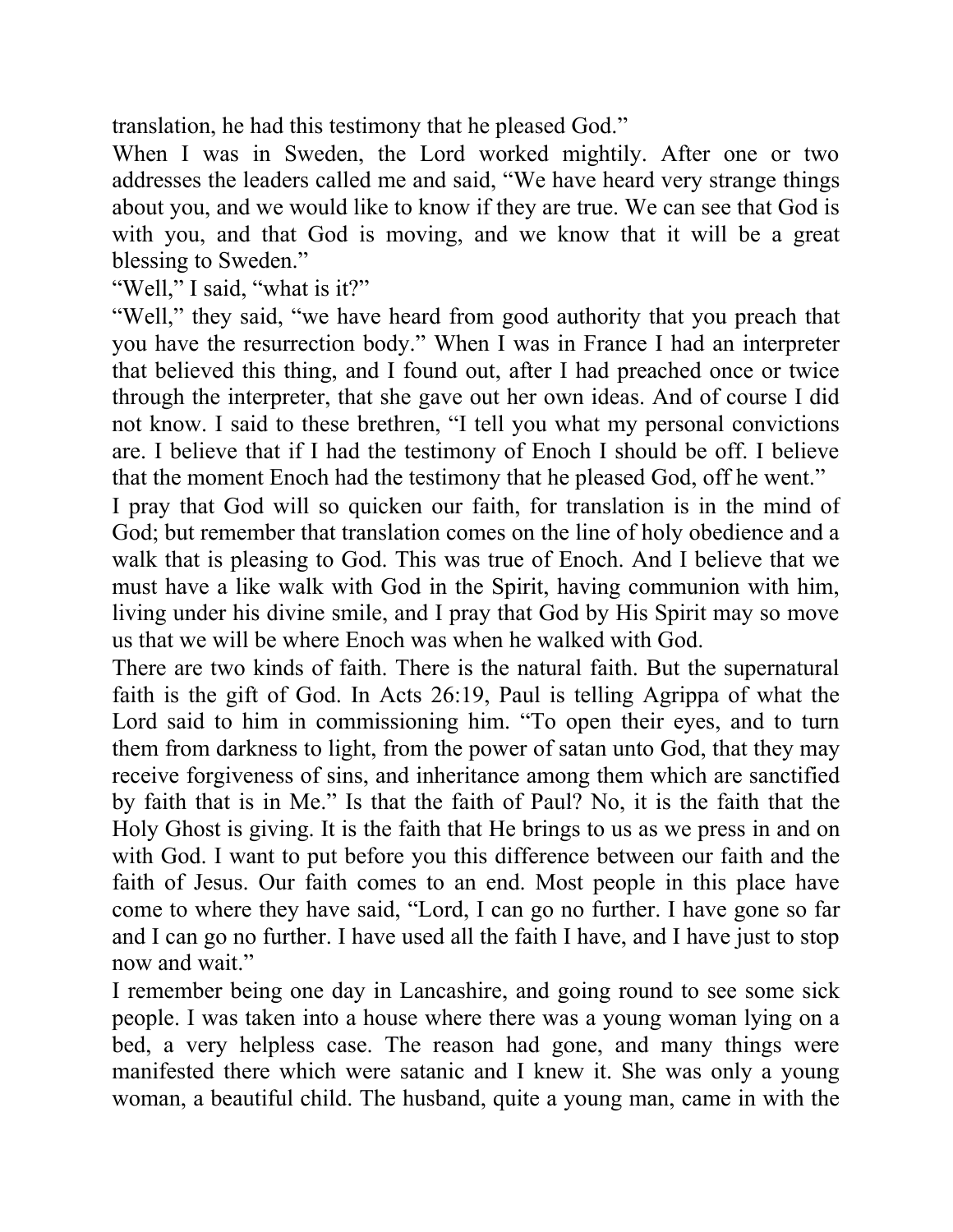translation, he had this testimony that he pleased God."

When I was in Sweden, the Lord worked mightily. After one or two addresses the leaders called me and said, "We have heard very strange things about you, and we would like to know if they are true. We can see that God is with you, and that God is moving, and we know that it will be a great blessing to Sweden."

"Well," I said, "what is it?"

"Well," they said, "we have heard from good authority that you preach that you have the resurrection body." When I was in France I had an interpreter that believed this thing, and I found out, after I had preached once or twice through the interpreter, that she gave out her own ideas. And of course I did not know. I said to these brethren, "I tell you what my personal convictions are. I believe that if I had the testimony of Enoch I should be off. I believe that the moment Enoch had the testimony that he pleased God, off he went."

I pray that God will so quicken our faith, for translation is in the mind of God; but remember that translation comes on the line of holy obedience and a walk that is pleasing to God. This was true of Enoch. And I believe that we must have a like walk with God in the Spirit, having communion with him, living under his divine smile, and I pray that God by His Spirit may so move us that we will be where Enoch was when he walked with God.

There are two kinds of faith. There is the natural faith. But the supernatural faith is the gift of God. In Acts 26:19, Paul is telling Agrippa of what the Lord said to him in commissioning him. "To open their eyes, and to turn them from darkness to light, from the power of satan unto God, that they may receive forgiveness of sins, and inheritance among them which are sanctified by faith that is in Me." Is that the faith of Paul? No, it is the faith that the Holy Ghost is giving. It is the faith that He brings to us as we press in and on with God. I want to put before you this difference between our faith and the faith of Jesus. Our faith comes to an end. Most people in this place have come to where they have said, "Lord, I can go no further. I have gone so far and I can go no further. I have used all the faith I have, and I have just to stop now and wait."

I remember being one day in Lancashire, and going round to see some sick people. I was taken into a house where there was a young woman lying on a bed, a very helpless case. The reason had gone, and many things were manifested there which were satanic and I knew it. She was only a young woman, a beautiful child. The husband, quite a young man, came in with the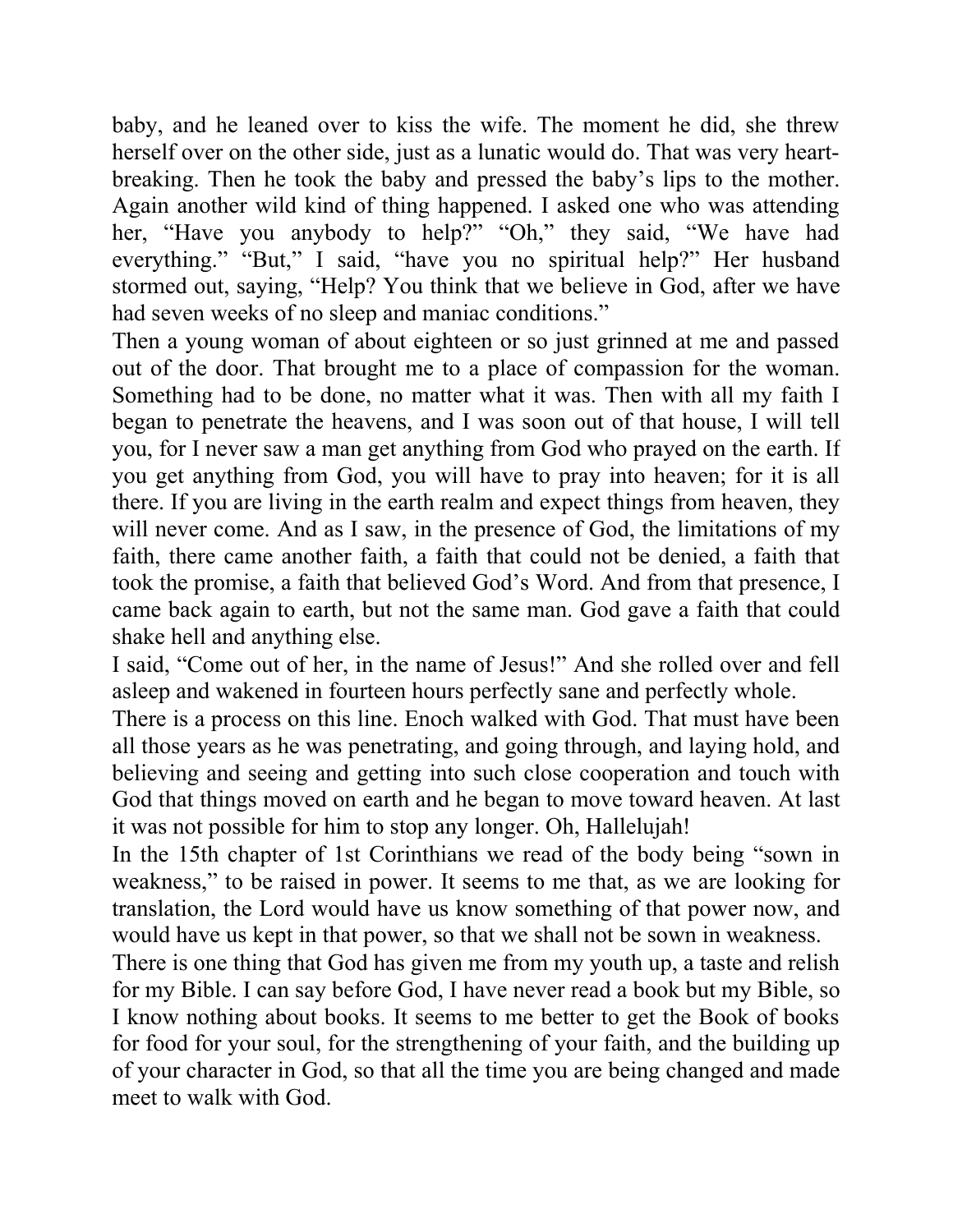baby, and he leaned over to kiss the wife. The moment he did, she threw herself over on the other side, just as a lunatic would do. That was very heartbreaking. Then he took the baby and pressed the baby's lips to the mother. Again another wild kind of thing happened. I asked one who was attending her, "Have you anybody to help?" "Oh," they said, "We have had everything." "But," I said, "have you no spiritual help?" Her husband stormed out, saying, "Help? You think that we believe in God, after we have had seven weeks of no sleep and maniac conditions."

Then a young woman of about eighteen or so just grinned at me and passed out of the door. That brought me to a place of compassion for the woman. Something had to be done, no matter what it was. Then with all my faith I began to penetrate the heavens, and I was soon out of that house, I will tell you, for I never saw a man get anything from God who prayed on the earth. If you get anything from God, you will have to pray into heaven; for it is all there. If you are living in the earth realm and expect things from heaven, they will never come. And as I saw, in the presence of God, the limitations of my faith, there came another faith, a faith that could not be denied, a faith that took the promise, a faith that believed God's Word. And from that presence, I came back again to earth, but not the same man. God gave a faith that could shake hell and anything else.

I said, "Come out of her, in the name of Jesus!" And she rolled over and fell asleep and wakened in fourteen hours perfectly sane and perfectly whole.

There is a process on this line. Enoch walked with God. That must have been all those years as he was penetrating, and going through, and laying hold, and believing and seeing and getting into such close cooperation and touch with God that things moved on earth and he began to move toward heaven. At last it was not possible for him to stop any longer. Oh, Hallelujah!

In the 15th chapter of 1st Corinthians we read of the body being "sown in weakness," to be raised in power. It seems to me that, as we are looking for translation, the Lord would have us know something of that power now, and would have us kept in that power, so that we shall not be sown in weakness.

There is one thing that God has given me from my youth up, a taste and relish for my Bible. I can say before God, I have never read a book but my Bible, so I know nothing about books. It seems to me better to get the Book of books for food for your soul, for the strengthening of your faith, and the building up of your character in God, so that all the time you are being changed and made meet to walk with God.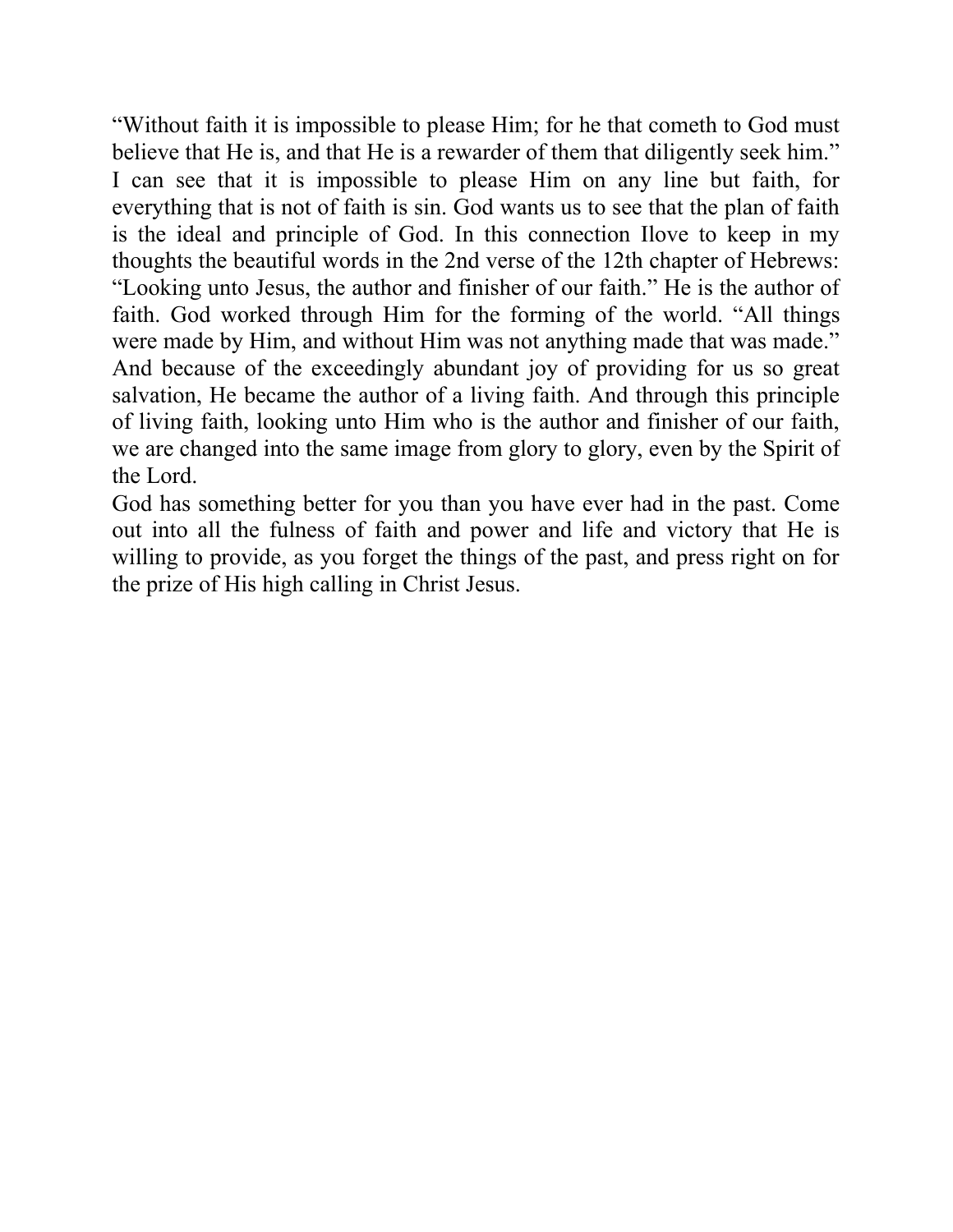"Without faith it is impossible to please Him; for he that cometh to God must believe that He is, and that He is a rewarder of them that diligently seek him." I can see that it is impossible to please Him on any line but faith, for everything that is not of faith is sin. God wants us to see that the plan of faith is the ideal and principle of God. In this connection Ilove to keep in my thoughts the beautiful words in the 2nd verse of the 12th chapter of Hebrews: "Looking unto Jesus, the author and finisher of our faith." He is the author of faith. God worked through Him for the forming of the world. "All things were made by Him, and without Him was not anything made that was made." And because of the exceedingly abundant joy of providing for us so great salvation, He became the author of a living faith. And through this principle of living faith, looking unto Him who is the author and finisher of our faith, we are changed into the same image from glory to glory, even by the Spirit of the Lord.

God has something better for you than you have ever had in the past. Come out into all the fulness of faith and power and life and victory that He is willing to provide, as you forget the things of the past, and press right on for the prize of His high calling in Christ Jesus.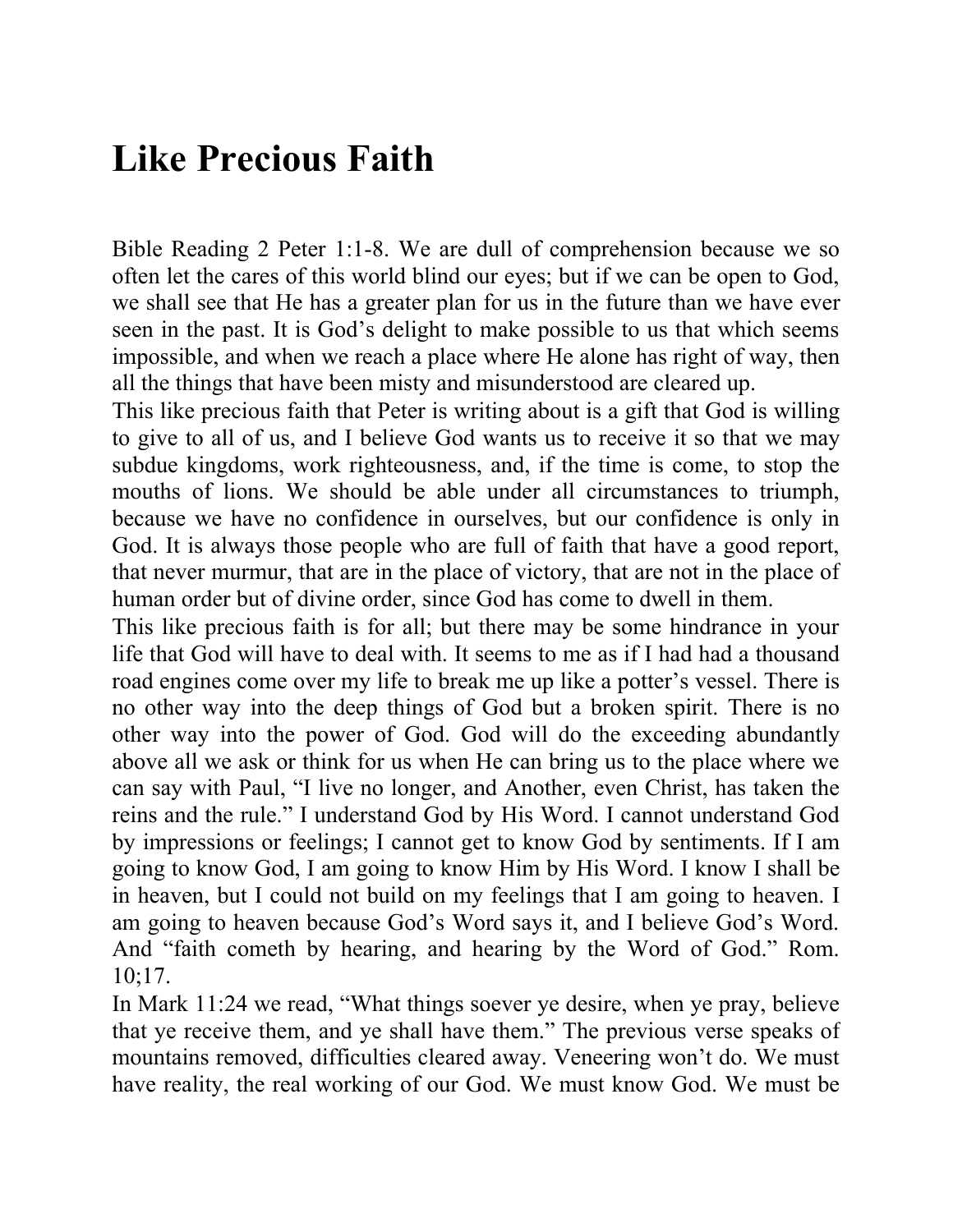### <span id="page-126-0"></span>**Like Precious Faith**

Bible Reading 2 Peter 1:1-8. We are dull of comprehension because we so often let the cares of this world blind our eyes; but if we can be open to God, we shall see that He has a greater plan for us in the future than we have ever seen in the past. It is God's delight to make possible to us that which seems impossible, and when we reach a place where He alone has right of way, then all the things that have been misty and misunderstood are cleared up.

This like precious faith that Peter is writing about is a gift that God is willing to give to all of us, and I believe God wants us to receive it so that we may subdue kingdoms, work righteousness, and, if the time is come, to stop the mouths of lions. We should be able under all circumstances to triumph, because we have no confidence in ourselves, but our confidence is only in God. It is always those people who are full of faith that have a good report, that never murmur, that are in the place of victory, that are not in the place of human order but of divine order, since God has come to dwell in them.

This like precious faith is for all; but there may be some hindrance in your life that God will have to deal with. It seems to me as if I had had a thousand road engines come over my life to break me up like a potter's vessel. There is no other way into the deep things of God but a broken spirit. There is no other way into the power of God. God will do the exceeding abundantly above all we ask or think for us when He can bring us to the place where we can say with Paul, "I live no longer, and Another, even Christ, has taken the reins and the rule." I understand God by His Word. I cannot understand God by impressions or feelings; I cannot get to know God by sentiments. If I am going to know God, I am going to know Him by His Word. I know I shall be in heaven, but I could not build on my feelings that I am going to heaven. I am going to heaven because God's Word says it, and I believe God's Word. And "faith cometh by hearing, and hearing by the Word of God." Rom. 10;17.

In Mark 11:24 we read, "What things soever ye desire, when ye pray, believe that ye receive them, and ye shall have them." The previous verse speaks of mountains removed, difficulties cleared away. Veneering won't do. We must have reality, the real working of our God. We must know God. We must be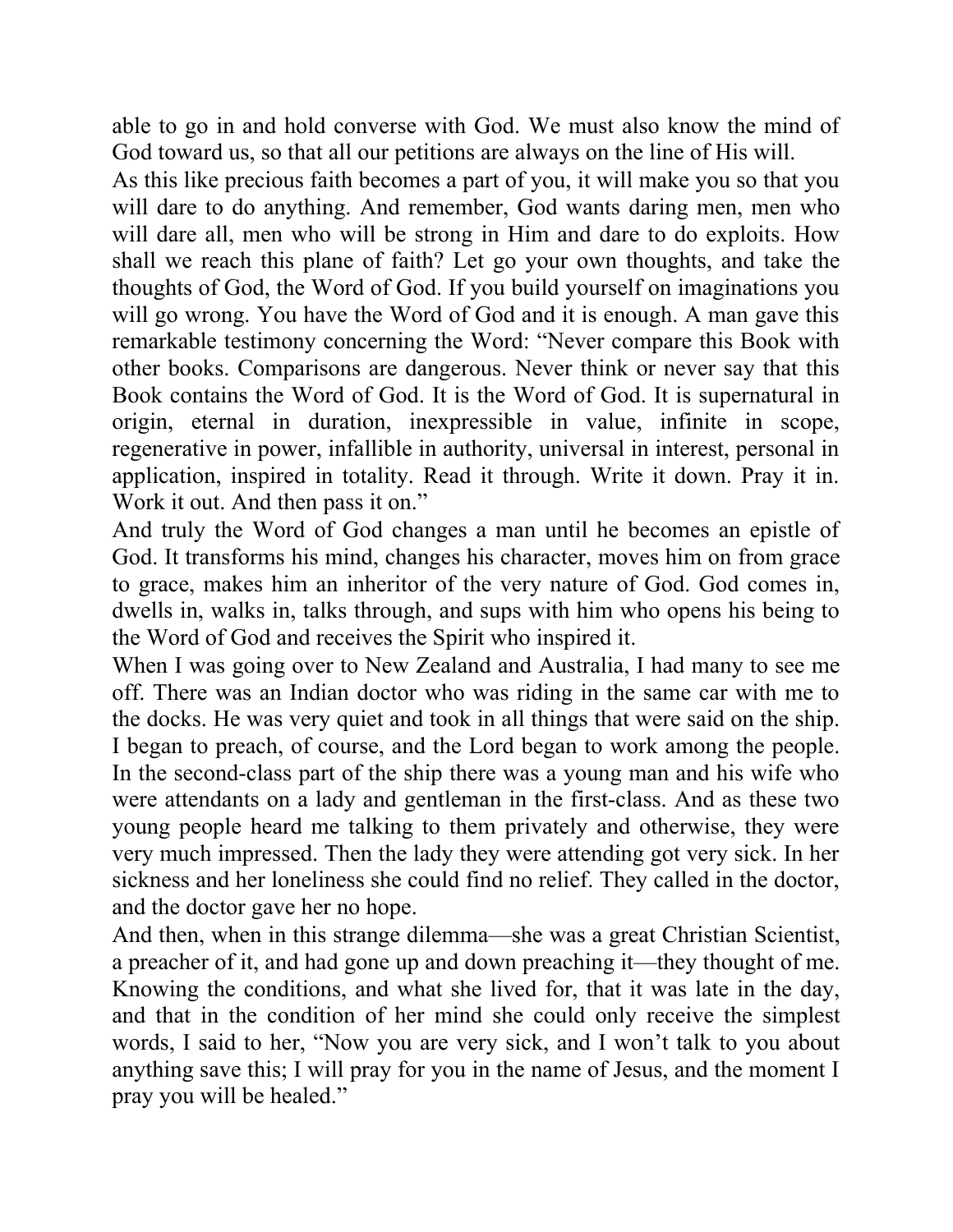able to go in and hold converse with God. We must also know the mind of God toward us, so that all our petitions are always on the line of His will.

As this like precious faith becomes a part of you, it will make you so that you will dare to do anything. And remember, God wants daring men, men who will dare all, men who will be strong in Him and dare to do exploits. How shall we reach this plane of faith? Let go your own thoughts, and take the thoughts of God, the Word of God. If you build yourself on imaginations you will go wrong. You have the Word of God and it is enough. A man gave this remarkable testimony concerning the Word: "Never compare this Book with other books. Comparisons are dangerous. Never think or never say that this Book contains the Word of God. It is the Word of God. It is supernatural in origin, eternal in duration, inexpressible in value, infinite in scope, regenerative in power, infallible in authority, universal in interest, personal in application, inspired in totality. Read it through. Write it down. Pray it in. Work it out. And then pass it on."

And truly the Word of God changes a man until he becomes an epistle of God. It transforms his mind, changes his character, moves him on from grace to grace, makes him an inheritor of the very nature of God. God comes in, dwells in, walks in, talks through, and sups with him who opens his being to the Word of God and receives the Spirit who inspired it.

When I was going over to New Zealand and Australia, I had many to see me off. There was an Indian doctor who was riding in the same car with me to the docks. He was very quiet and took in all things that were said on the ship. I began to preach, of course, and the Lord began to work among the people. In the second-class part of the ship there was a young man and his wife who were attendants on a lady and gentleman in the first-class. And as these two young people heard me talking to them privately and otherwise, they were very much impressed. Then the lady they were attending got very sick. In her sickness and her loneliness she could find no relief. They called in the doctor, and the doctor gave her no hope.

And then, when in this strange dilemma—she was a great Christian Scientist, a preacher of it, and had gone up and down preaching it—they thought of me. Knowing the conditions, and what she lived for, that it was late in the day, and that in the condition of her mind she could only receive the simplest words, I said to her, "Now you are very sick, and I won't talk to you about anything save this; I will pray for you in the name of Jesus, and the moment I pray you will be healed."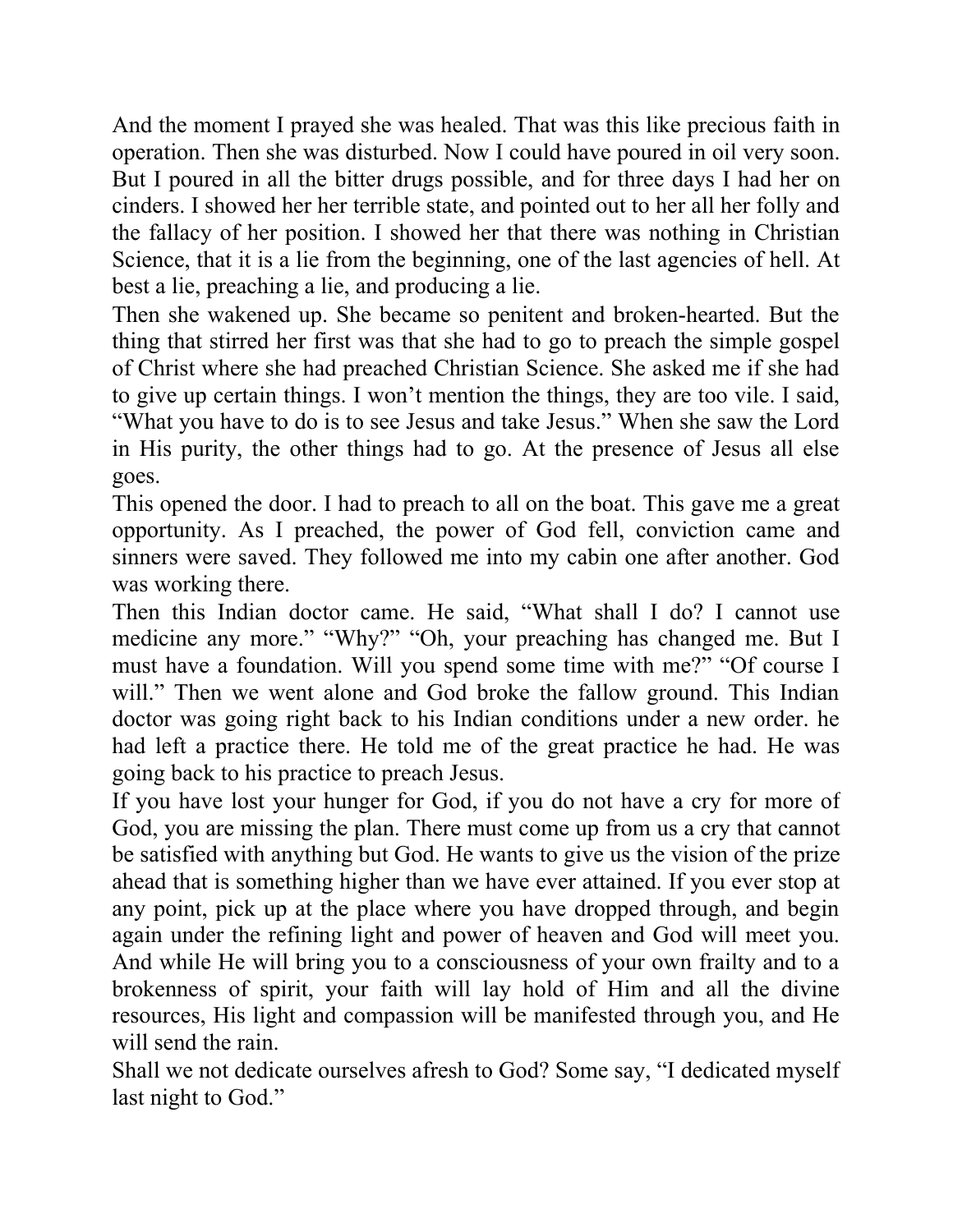And the moment I prayed she was healed. That was this like precious faith in operation. Then she was disturbed. Now I could have poured in oil very soon. But I poured in all the bitter drugs possible, and for three days I had her on cinders. I showed her her terrible state, and pointed out to her all her folly and the fallacy of her position. I showed her that there was nothing in Christian Science, that it is a lie from the beginning, one of the last agencies of hell. At best a lie, preaching a lie, and producing a lie.

Then she wakened up. She became so penitent and broken-hearted. But the thing that stirred her first was that she had to go to preach the simple gospel of Christ where she had preached Christian Science. She asked me if she had to give up certain things. I won't mention the things, they are too vile. I said, "What you have to do is to see Jesus and take Jesus." When she saw the Lord in His purity, the other things had to go. At the presence of Jesus all else goes.

This opened the door. I had to preach to all on the boat. This gave me a great opportunity. As I preached, the power of God fell, conviction came and sinners were saved. They followed me into my cabin one after another. God was working there.

Then this Indian doctor came. He said, "What shall I do? I cannot use medicine any more." "Why?" "Oh, your preaching has changed me. But I must have a foundation. Will you spend some time with me?" "Of course I will." Then we went alone and God broke the fallow ground. This Indian doctor was going right back to his Indian conditions under a new order. he had left a practice there. He told me of the great practice he had. He was going back to his practice to preach Jesus.

If you have lost your hunger for God, if you do not have a cry for more of God, you are missing the plan. There must come up from us a cry that cannot be satisfied with anything but God. He wants to give us the vision of the prize ahead that is something higher than we have ever attained. If you ever stop at any point, pick up at the place where you have dropped through, and begin again under the refining light and power of heaven and God will meet you. And while He will bring you to a consciousness of your own frailty and to a brokenness of spirit, your faith will lay hold of Him and all the divine resources, His light and compassion will be manifested through you, and He will send the rain.

Shall we not dedicate ourselves afresh to God? Some say, "I dedicated myself last night to God."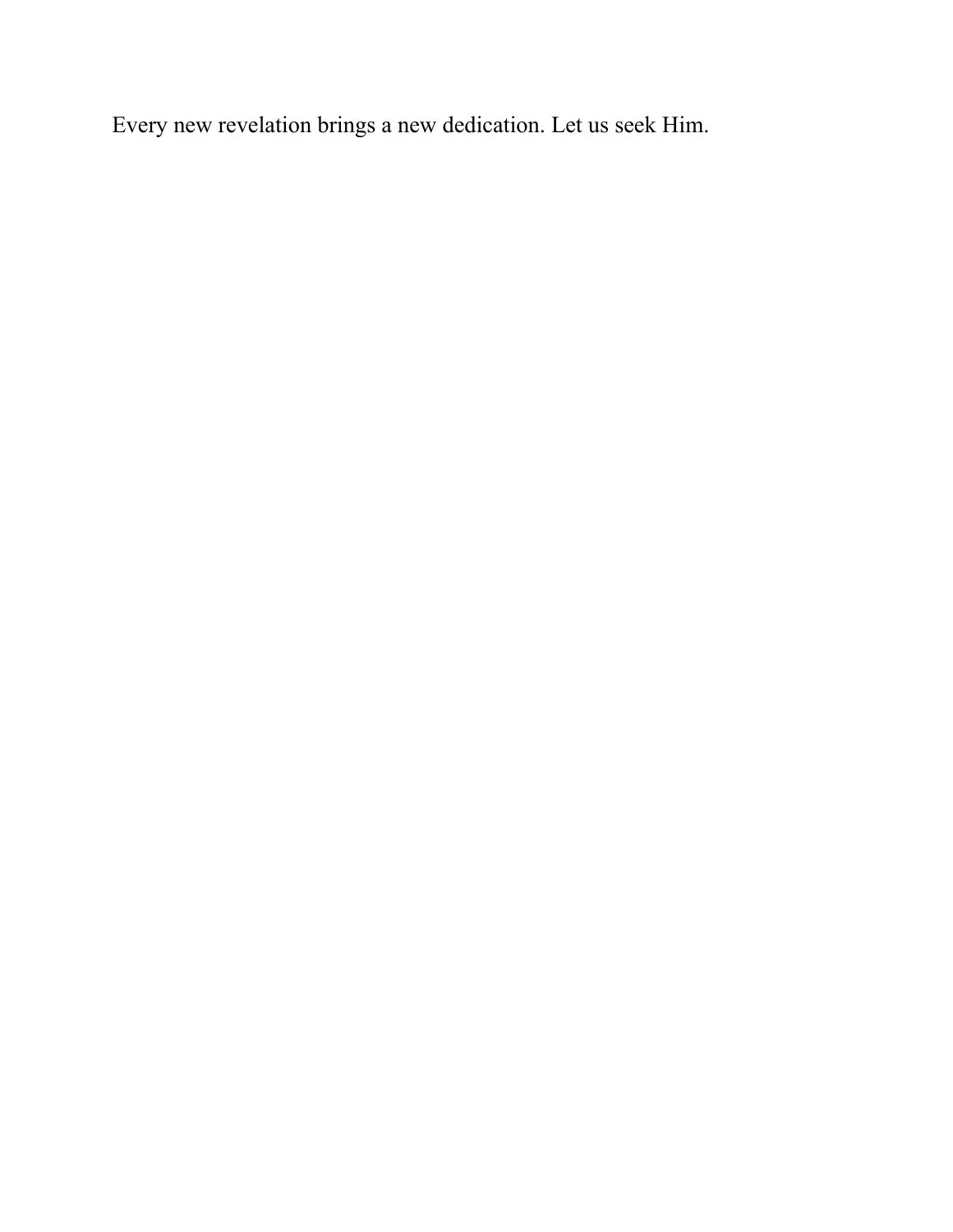Every new revelation brings a new dedication. Let us seek Him.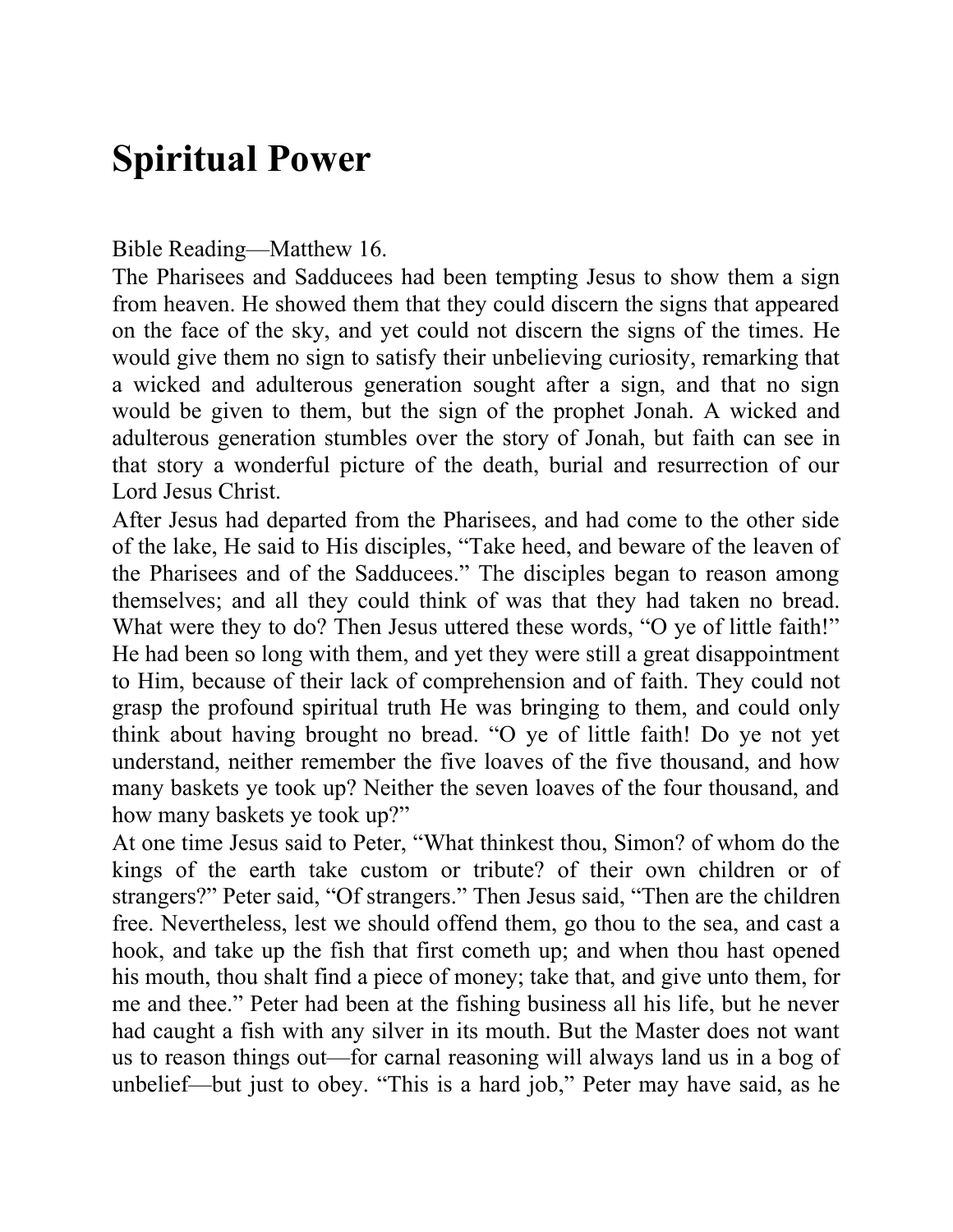## <span id="page-130-0"></span>**Spiritual Power**

#### Bible Reading—Matthew 16.

The Pharisees and Sadducees had been tempting Jesus to show them a sign from heaven. He showed them that they could discern the signs that appeared on the face of the sky, and yet could not discern the signs of the times. He would give them no sign to satisfy their unbelieving curiosity, remarking that a wicked and adulterous generation sought after a sign, and that no sign would be given to them, but the sign of the prophet Jonah. A wicked and adulterous generation stumbles over the story of Jonah, but faith can see in that story a wonderful picture of the death, burial and resurrection of our Lord Jesus Christ.

After Jesus had departed from the Pharisees, and had come to the other side of the lake, He said to His disciples, "Take heed, and beware of the leaven of the Pharisees and of the Sadducees." The disciples began to reason among themselves; and all they could think of was that they had taken no bread. What were they to do? Then Jesus uttered these words, "O ye of little faith!" He had been so long with them, and yet they were still a great disappointment to Him, because of their lack of comprehension and of faith. They could not grasp the profound spiritual truth He was bringing to them, and could only think about having brought no bread. "O ye of little faith! Do ye not yet understand, neither remember the five loaves of the five thousand, and how many baskets ye took up? Neither the seven loaves of the four thousand, and how many baskets ye took up?"

At one time Jesus said to Peter, "What thinkest thou, Simon? of whom do the kings of the earth take custom or tribute? of their own children or of strangers?" Peter said, "Of strangers." Then Jesus said, "Then are the children free. Nevertheless, lest we should offend them, go thou to the sea, and cast a hook, and take up the fish that first cometh up; and when thou hast opened his mouth, thou shalt find a piece of money; take that, and give unto them, for me and thee." Peter had been at the fishing business all his life, but he never had caught a fish with any silver in its mouth. But the Master does not want us to reason things out—for carnal reasoning will always land us in a bog of unbelief—but just to obey. "This is a hard job," Peter may have said, as he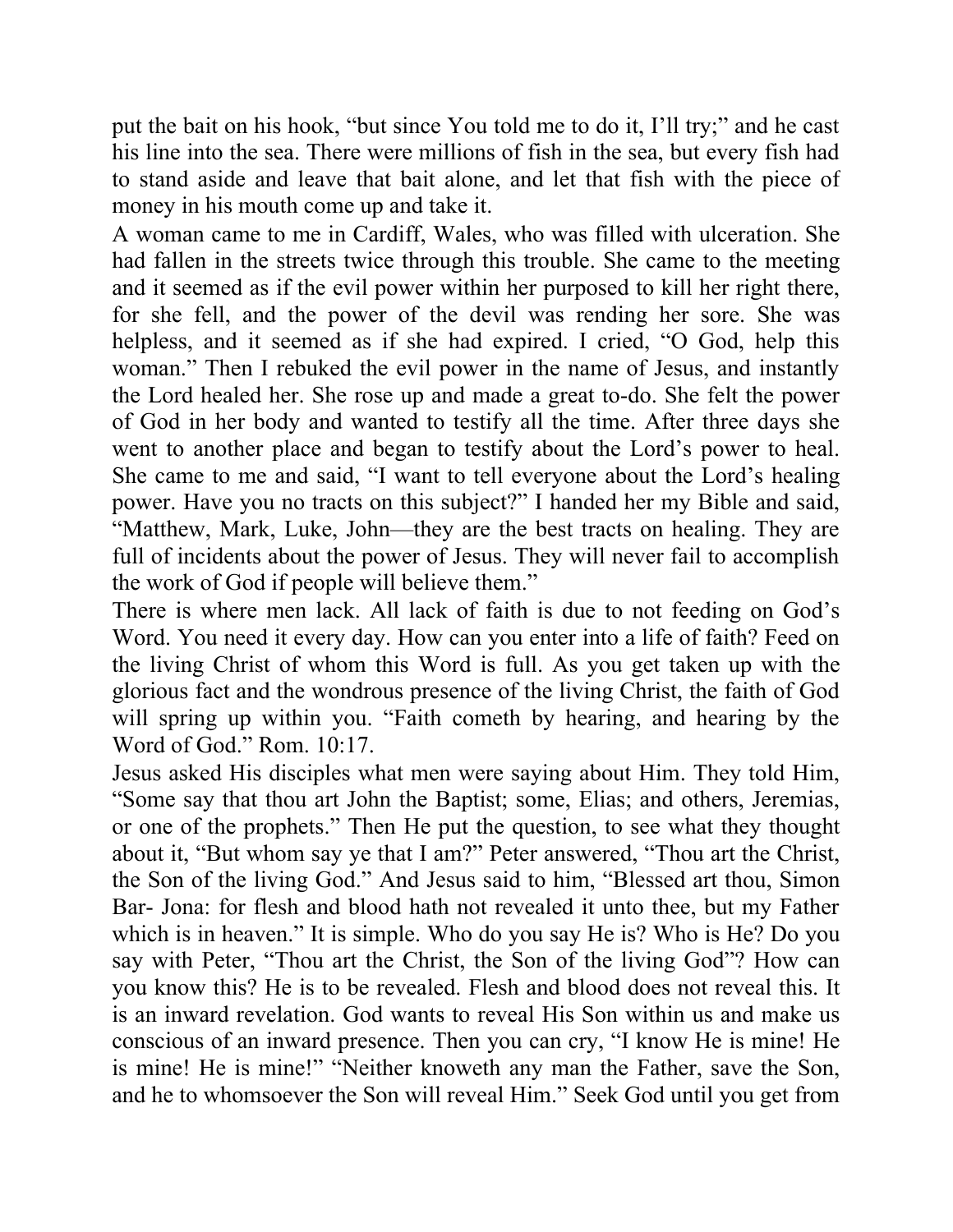put the bait on his hook, "but since You told me to do it, I'll try;" and he cast his line into the sea. There were millions of fish in the sea, but every fish had to stand aside and leave that bait alone, and let that fish with the piece of money in his mouth come up and take it.

A woman came to me in Cardiff, Wales, who was filled with ulceration. She had fallen in the streets twice through this trouble. She came to the meeting and it seemed as if the evil power within her purposed to kill her right there, for she fell, and the power of the devil was rending her sore. She was helpless, and it seemed as if she had expired. I cried, "O God, help this woman." Then I rebuked the evil power in the name of Jesus, and instantly the Lord healed her. She rose up and made a great to-do. She felt the power of God in her body and wanted to testify all the time. After three days she went to another place and began to testify about the Lord's power to heal. She came to me and said, "I want to tell everyone about the Lord's healing power. Have you no tracts on this subject?" I handed her my Bible and said, "Matthew, Mark, Luke, John—they are the best tracts on healing. They are full of incidents about the power of Jesus. They will never fail to accomplish the work of God if people will believe them."

There is where men lack. All lack of faith is due to not feeding on God's Word. You need it every day. How can you enter into a life of faith? Feed on the living Christ of whom this Word is full. As you get taken up with the glorious fact and the wondrous presence of the living Christ, the faith of God will spring up within you. "Faith cometh by hearing, and hearing by the Word of God." Rom. 10:17.

Jesus asked His disciples what men were saying about Him. They told Him, "Some say that thou art John the Baptist; some, Elias; and others, Jeremias, or one of the prophets." Then He put the question, to see what they thought about it, "But whom say ye that I am?" Peter answered, "Thou art the Christ, the Son of the living God." And Jesus said to him, "Blessed art thou, Simon Bar- Jona: for flesh and blood hath not revealed it unto thee, but my Father which is in heaven." It is simple. Who do you say He is? Who is He? Do you say with Peter, "Thou art the Christ, the Son of the living God"? How can you know this? He is to be revealed. Flesh and blood does not reveal this. It is an inward revelation. God wants to reveal His Son within us and make us conscious of an inward presence. Then you can cry, "I know He is mine! He is mine! He is mine!" "Neither knoweth any man the Father, save the Son, and he to whomsoever the Son will reveal Him." Seek God until you get from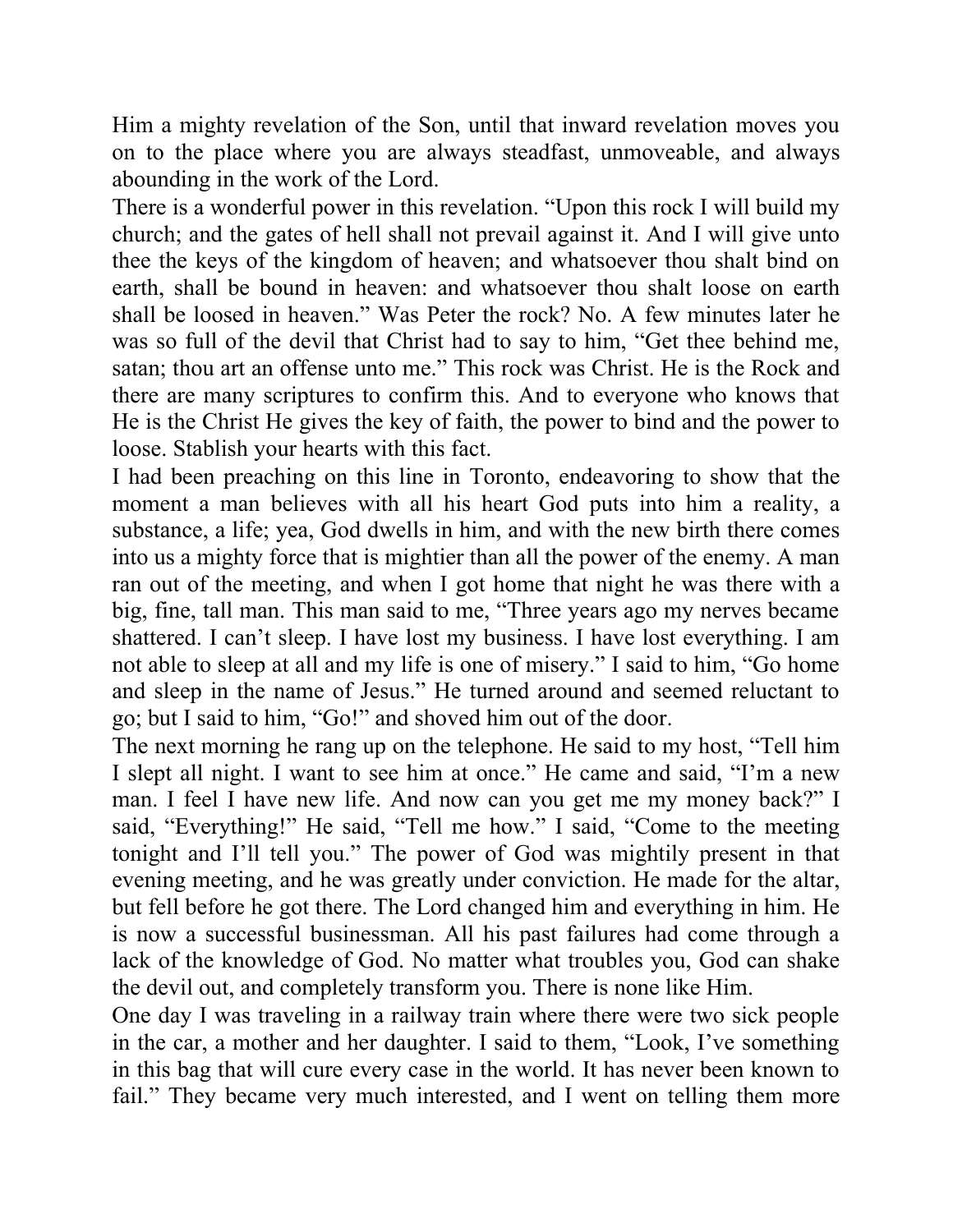Him a mighty revelation of the Son, until that inward revelation moves you on to the place where you are always steadfast, unmoveable, and always abounding in the work of the Lord.

There is a wonderful power in this revelation. "Upon this rock I will build my church; and the gates of hell shall not prevail against it. And I will give unto thee the keys of the kingdom of heaven; and whatsoever thou shalt bind on earth, shall be bound in heaven: and whatsoever thou shalt loose on earth shall be loosed in heaven." Was Peter the rock? No. A few minutes later he was so full of the devil that Christ had to say to him, "Get thee behind me, satan; thou art an offense unto me." This rock was Christ. He is the Rock and there are many scriptures to confirm this. And to everyone who knows that He is the Christ He gives the key of faith, the power to bind and the power to loose. Stablish your hearts with this fact.

I had been preaching on this line in Toronto, endeavoring to show that the moment a man believes with all his heart God puts into him a reality, a substance, a life; yea, God dwells in him, and with the new birth there comes into us a mighty force that is mightier than all the power of the enemy. A man ran out of the meeting, and when I got home that night he was there with a big, fine, tall man. This man said to me, "Three years ago my nerves became shattered. I can't sleep. I have lost my business. I have lost everything. I am not able to sleep at all and my life is one of misery." I said to him, "Go home and sleep in the name of Jesus." He turned around and seemed reluctant to go; but I said to him, "Go!" and shoved him out of the door.

The next morning he rang up on the telephone. He said to my host, "Tell him I slept all night. I want to see him at once." He came and said, "I'm a new man. I feel I have new life. And now can you get me my money back?" I said, "Everything!" He said, "Tell me how." I said, "Come to the meeting tonight and I'll tell you." The power of God was mightily present in that evening meeting, and he was greatly under conviction. He made for the altar, but fell before he got there. The Lord changed him and everything in him. He is now a successful businessman. All his past failures had come through a lack of the knowledge of God. No matter what troubles you, God can shake the devil out, and completely transform you. There is none like Him.

One day I was traveling in a railway train where there were two sick people in the car, a mother and her daughter. I said to them, "Look, I've something in this bag that will cure every case in the world. It has never been known to fail." They became very much interested, and I went on telling them more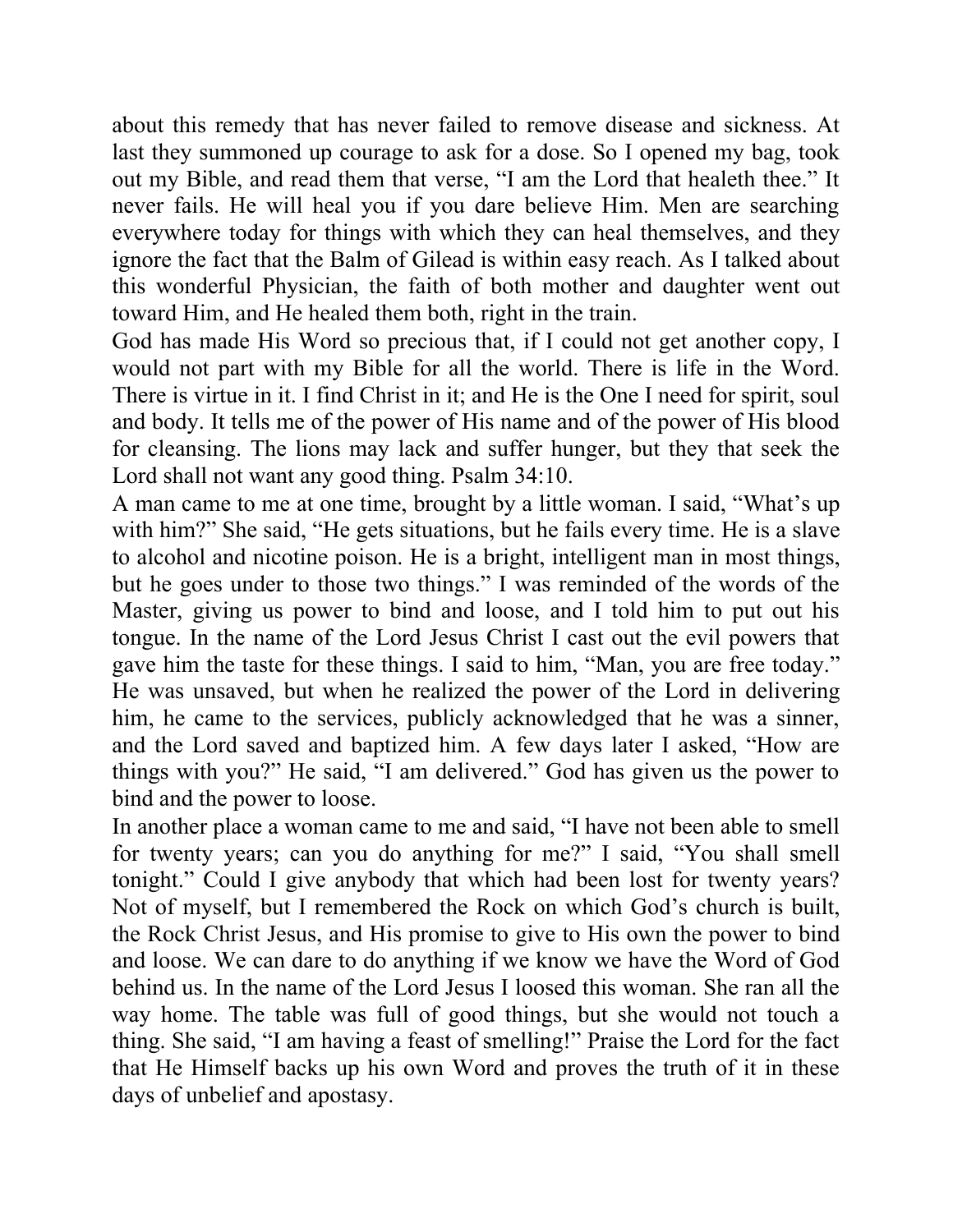about this remedy that has never failed to remove disease and sickness. At last they summoned up courage to ask for a dose. So I opened my bag, took out my Bible, and read them that verse, "I am the Lord that healeth thee." It never fails. He will heal you if you dare believe Him. Men are searching everywhere today for things with which they can heal themselves, and they ignore the fact that the Balm of Gilead is within easy reach. As I talked about this wonderful Physician, the faith of both mother and daughter went out toward Him, and He healed them both, right in the train.

God has made His Word so precious that, if I could not get another copy, I would not part with my Bible for all the world. There is life in the Word. There is virtue in it. I find Christ in it; and He is the One I need for spirit, soul and body. It tells me of the power of His name and of the power of His blood for cleansing. The lions may lack and suffer hunger, but they that seek the Lord shall not want any good thing. Psalm 34:10.

A man came to me at one time, brought by a little woman. I said, "What's up with him?" She said, "He gets situations, but he fails every time. He is a slave to alcohol and nicotine poison. He is a bright, intelligent man in most things, but he goes under to those two things." I was reminded of the words of the Master, giving us power to bind and loose, and I told him to put out his tongue. In the name of the Lord Jesus Christ I cast out the evil powers that gave him the taste for these things. I said to him, "Man, you are free today." He was unsaved, but when he realized the power of the Lord in delivering him, he came to the services, publicly acknowledged that he was a sinner, and the Lord saved and baptized him. A few days later I asked, "How are things with you?" He said, "I am delivered." God has given us the power to bind and the power to loose.

In another place a woman came to me and said, "I have not been able to smell for twenty years; can you do anything for me?" I said, "You shall smell tonight." Could I give anybody that which had been lost for twenty years? Not of myself, but I remembered the Rock on which God's church is built, the Rock Christ Jesus, and His promise to give to His own the power to bind and loose. We can dare to do anything if we know we have the Word of God behind us. In the name of the Lord Jesus I loosed this woman. She ran all the way home. The table was full of good things, but she would not touch a thing. She said, "I am having a feast of smelling!" Praise the Lord for the fact that He Himself backs up his own Word and proves the truth of it in these days of unbelief and apostasy.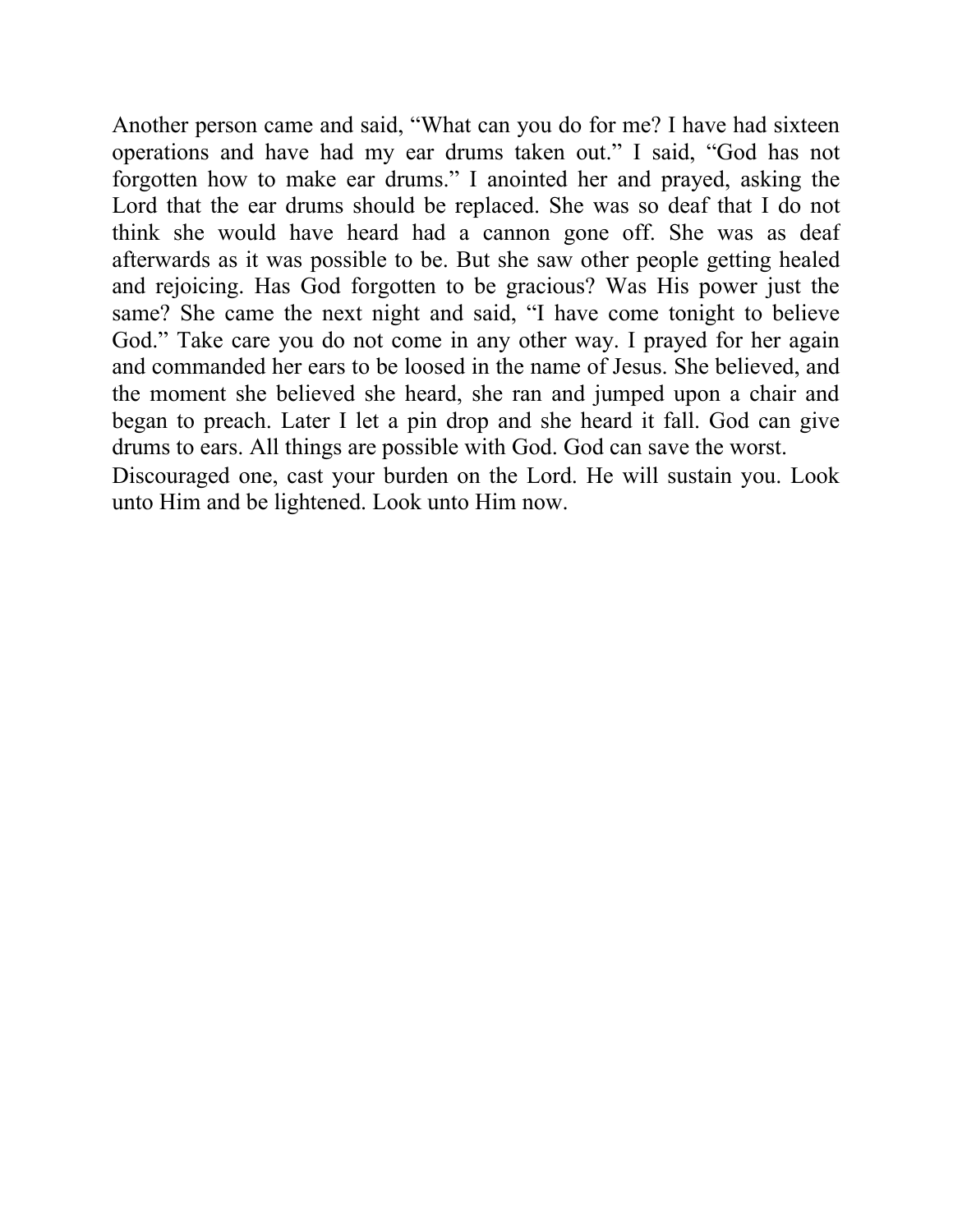Another person came and said, "What can you do for me? I have had sixteen operations and have had my ear drums taken out." I said, "God has not forgotten how to make ear drums." I anointed her and prayed, asking the Lord that the ear drums should be replaced. She was so deaf that I do not think she would have heard had a cannon gone off. She was as deaf afterwards as it was possible to be. But she saw other people getting healed and rejoicing. Has God forgotten to be gracious? Was His power just the same? She came the next night and said, "I have come tonight to believe God." Take care you do not come in any other way. I prayed for her again and commanded her ears to be loosed in the name of Jesus. She believed, and the moment she believed she heard, she ran and jumped upon a chair and began to preach. Later I let a pin drop and she heard it fall. God can give drums to ears. All things are possible with God. God can save the worst. Discouraged one, cast your burden on the Lord. He will sustain you. Look

unto Him and be lightened. Look unto Him now.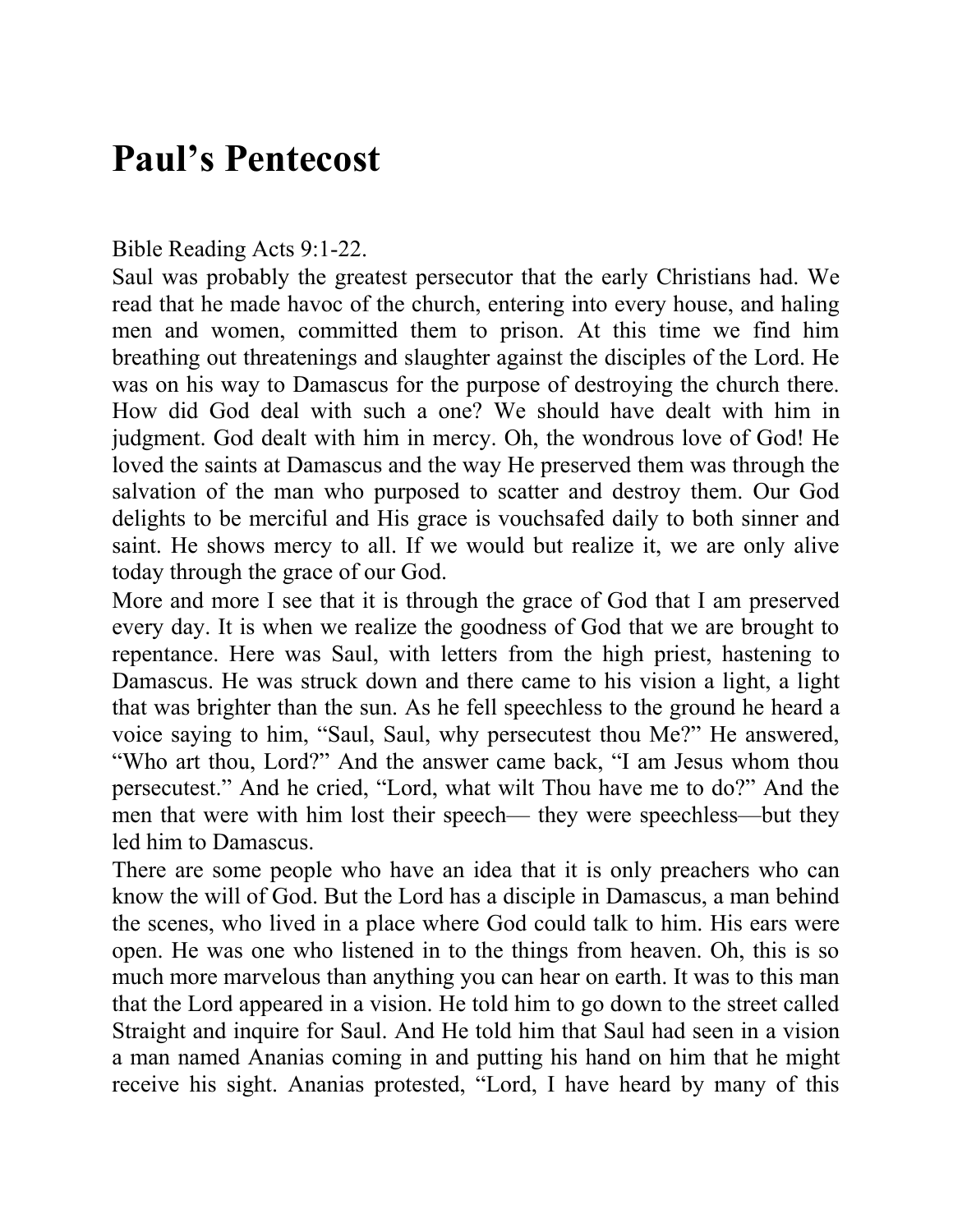#### <span id="page-135-0"></span>**Paul's Pentecost**

#### Bible Reading Acts 9:1-22.

Saul was probably the greatest persecutor that the early Christians had. We read that he made havoc of the church, entering into every house, and haling men and women, committed them to prison. At this time we find him breathing out threatenings and slaughter against the disciples of the Lord. He was on his way to Damascus for the purpose of destroying the church there. How did God deal with such a one? We should have dealt with him in judgment. God dealt with him in mercy. Oh, the wondrous love of God! He loved the saints at Damascus and the way He preserved them was through the salvation of the man who purposed to scatter and destroy them. Our God delights to be merciful and His grace is vouchsafed daily to both sinner and saint. He shows mercy to all. If we would but realize it, we are only alive today through the grace of our God.

More and more I see that it is through the grace of God that I am preserved every day. It is when we realize the goodness of God that we are brought to repentance. Here was Saul, with letters from the high priest, hastening to Damascus. He was struck down and there came to his vision a light, a light that was brighter than the sun. As he fell speechless to the ground he heard a voice saying to him, "Saul, Saul, why persecutest thou Me?" He answered, "Who art thou, Lord?" And the answer came back, "I am Jesus whom thou persecutest." And he cried, "Lord, what wilt Thou have me to do?" And the men that were with him lost their speech— they were speechless—but they led him to Damascus.

There are some people who have an idea that it is only preachers who can know the will of God. But the Lord has a disciple in Damascus, a man behind the scenes, who lived in a place where God could talk to him. His ears were open. He was one who listened in to the things from heaven. Oh, this is so much more marvelous than anything you can hear on earth. It was to this man that the Lord appeared in a vision. He told him to go down to the street called Straight and inquire for Saul. And He told him that Saul had seen in a vision a man named Ananias coming in and putting his hand on him that he might receive his sight. Ananias protested, "Lord, I have heard by many of this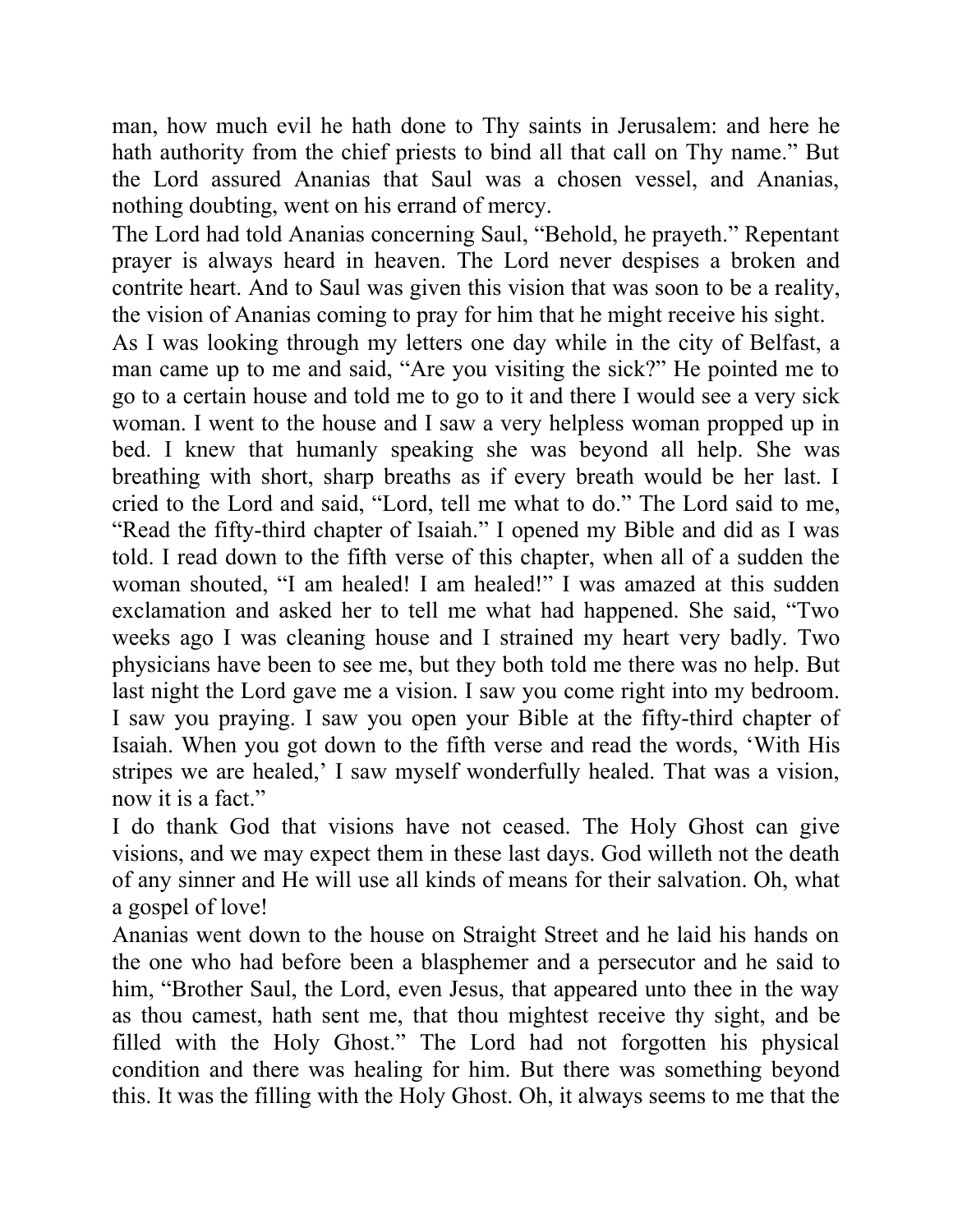man, how much evil he hath done to Thy saints in Jerusalem: and here he hath authority from the chief priests to bind all that call on Thy name." But the Lord assured Ananias that Saul was a chosen vessel, and Ananias, nothing doubting, went on his errand of mercy.

The Lord had told Ananias concerning Saul, "Behold, he prayeth." Repentant prayer is always heard in heaven. The Lord never despises a broken and contrite heart. And to Saul was given this vision that was soon to be a reality, the vision of Ananias coming to pray for him that he might receive his sight.

As I was looking through my letters one day while in the city of Belfast, a man came up to me and said, "Are you visiting the sick?" He pointed me to go to a certain house and told me to go to it and there I would see a very sick woman. I went to the house and I saw a very helpless woman propped up in bed. I knew that humanly speaking she was beyond all help. She was breathing with short, sharp breaths as if every breath would be her last. I cried to the Lord and said, "Lord, tell me what to do." The Lord said to me, "Read the fifty-third chapter of Isaiah." I opened my Bible and did as I was told. I read down to the fifth verse of this chapter, when all of a sudden the woman shouted, "I am healed! I am healed!" I was amazed at this sudden exclamation and asked her to tell me what had happened. She said, "Two weeks ago I was cleaning house and I strained my heart very badly. Two physicians have been to see me, but they both told me there was no help. But last night the Lord gave me a vision. I saw you come right into my bedroom. I saw you praying. I saw you open your Bible at the fifty-third chapter of Isaiah. When you got down to the fifth verse and read the words, 'With His stripes we are healed,' I saw myself wonderfully healed. That was a vision, now it is a fact."

I do thank God that visions have not ceased. The Holy Ghost can give visions, and we may expect them in these last days. God willeth not the death of any sinner and He will use all kinds of means for their salvation. Oh, what a gospel of love!

Ananias went down to the house on Straight Street and he laid his hands on the one who had before been a blasphemer and a persecutor and he said to him, "Brother Saul, the Lord, even Jesus, that appeared unto thee in the way as thou camest, hath sent me, that thou mightest receive thy sight, and be filled with the Holy Ghost." The Lord had not forgotten his physical condition and there was healing for him. But there was something beyond this. It was the filling with the Holy Ghost. Oh, it always seems to me that the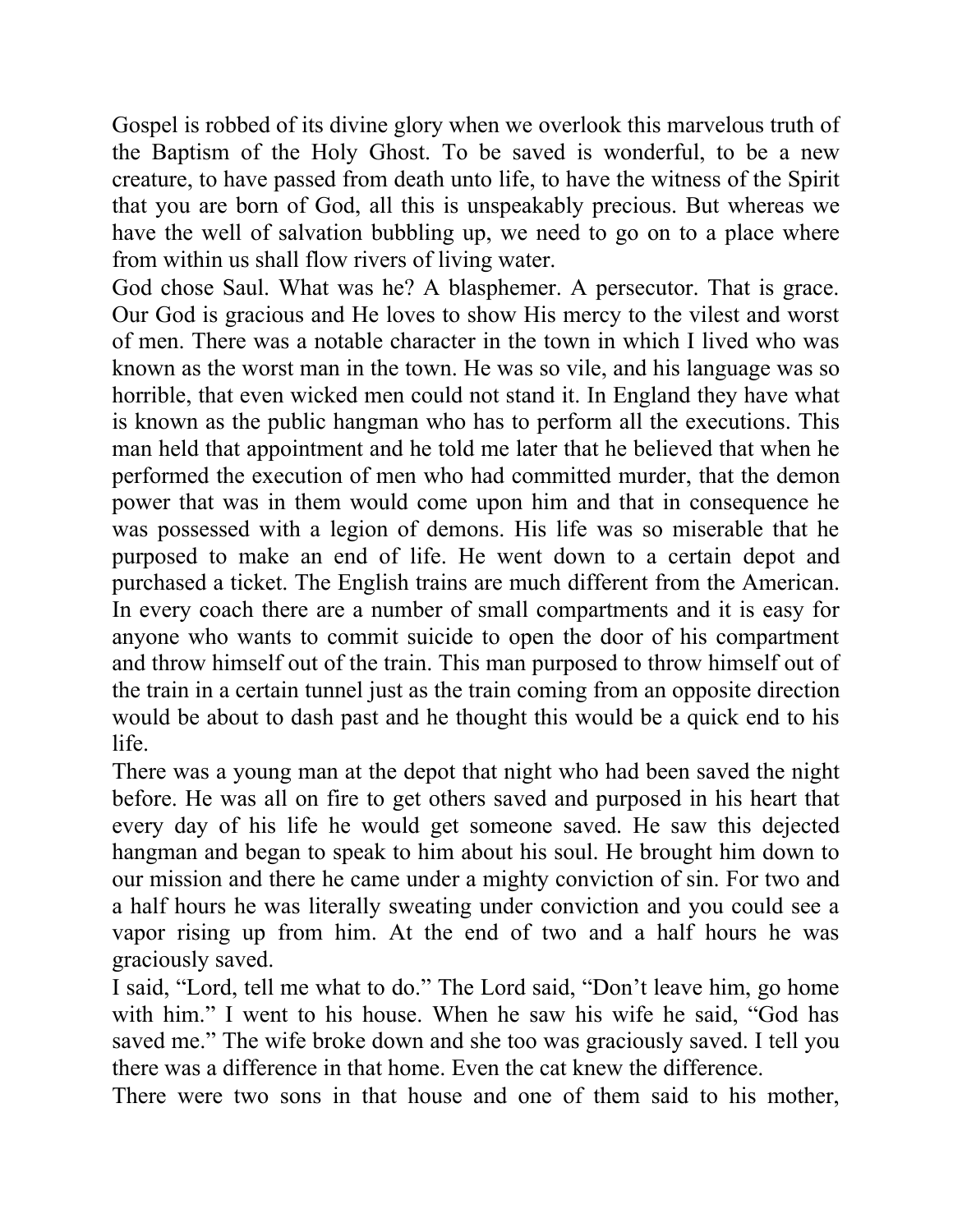Gospel is robbed of its divine glory when we overlook this marvelous truth of the Baptism of the Holy Ghost. To be saved is wonderful, to be a new creature, to have passed from death unto life, to have the witness of the Spirit that you are born of God, all this is unspeakably precious. But whereas we have the well of salvation bubbling up, we need to go on to a place where from within us shall flow rivers of living water.

God chose Saul. What was he? A blasphemer. A persecutor. That is grace. Our God is gracious and He loves to show His mercy to the vilest and worst of men. There was a notable character in the town in which I lived who was known as the worst man in the town. He was so vile, and his language was so horrible, that even wicked men could not stand it. In England they have what is known as the public hangman who has to perform all the executions. This man held that appointment and he told me later that he believed that when he performed the execution of men who had committed murder, that the demon power that was in them would come upon him and that in consequence he was possessed with a legion of demons. His life was so miserable that he purposed to make an end of life. He went down to a certain depot and purchased a ticket. The English trains are much different from the American. In every coach there are a number of small compartments and it is easy for anyone who wants to commit suicide to open the door of his compartment and throw himself out of the train. This man purposed to throw himself out of the train in a certain tunnel just as the train coming from an opposite direction would be about to dash past and he thought this would be a quick end to his life.

There was a young man at the depot that night who had been saved the night before. He was all on fire to get others saved and purposed in his heart that every day of his life he would get someone saved. He saw this dejected hangman and began to speak to him about his soul. He brought him down to our mission and there he came under a mighty conviction of sin. For two and a half hours he was literally sweating under conviction and you could see a vapor rising up from him. At the end of two and a half hours he was graciously saved.

I said, "Lord, tell me what to do." The Lord said, "Don't leave him, go home with him." I went to his house. When he saw his wife he said, "God has saved me." The wife broke down and she too was graciously saved. I tell you there was a difference in that home. Even the cat knew the difference.

There were two sons in that house and one of them said to his mother,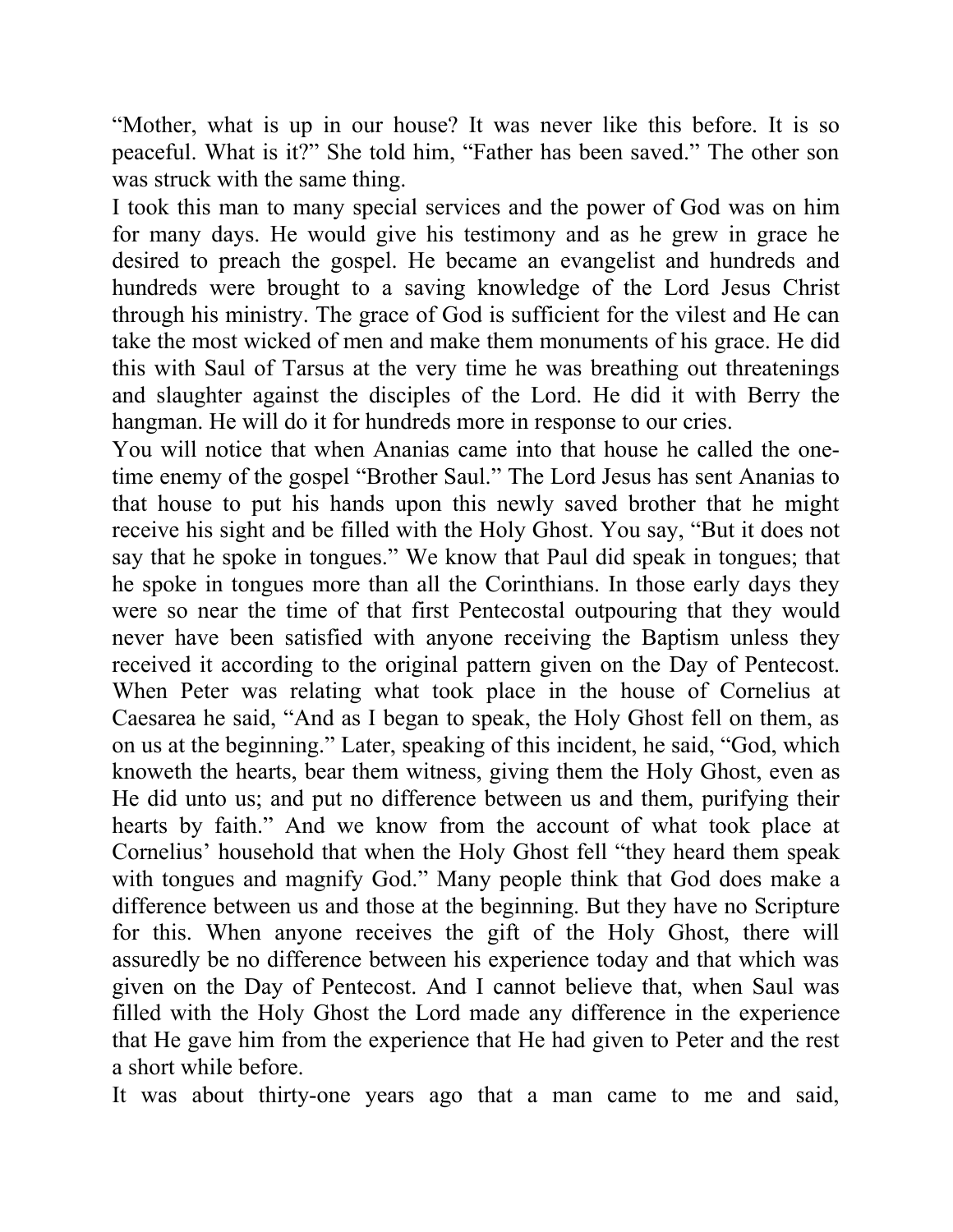"Mother, what is up in our house? It was never like this before. It is so peaceful. What is it?" She told him, "Father has been saved." The other son was struck with the same thing.

I took this man to many special services and the power of God was on him for many days. He would give his testimony and as he grew in grace he desired to preach the gospel. He became an evangelist and hundreds and hundreds were brought to a saving knowledge of the Lord Jesus Christ through his ministry. The grace of God is sufficient for the vilest and He can take the most wicked of men and make them monuments of his grace. He did this with Saul of Tarsus at the very time he was breathing out threatenings and slaughter against the disciples of the Lord. He did it with Berry the hangman. He will do it for hundreds more in response to our cries.

You will notice that when Ananias came into that house he called the onetime enemy of the gospel "Brother Saul." The Lord Jesus has sent Ananias to that house to put his hands upon this newly saved brother that he might receive his sight and be filled with the Holy Ghost. You say, "But it does not say that he spoke in tongues." We know that Paul did speak in tongues; that he spoke in tongues more than all the Corinthians. In those early days they were so near the time of that first Pentecostal outpouring that they would never have been satisfied with anyone receiving the Baptism unless they received it according to the original pattern given on the Day of Pentecost. When Peter was relating what took place in the house of Cornelius at Caesarea he said, "And as I began to speak, the Holy Ghost fell on them, as on us at the beginning." Later, speaking of this incident, he said, "God, which knoweth the hearts, bear them witness, giving them the Holy Ghost, even as He did unto us; and put no difference between us and them, purifying their hearts by faith." And we know from the account of what took place at Cornelius' household that when the Holy Ghost fell "they heard them speak with tongues and magnify God." Many people think that God does make a difference between us and those at the beginning. But they have no Scripture for this. When anyone receives the gift of the Holy Ghost, there will assuredly be no difference between his experience today and that which was given on the Day of Pentecost. And I cannot believe that, when Saul was filled with the Holy Ghost the Lord made any difference in the experience that He gave him from the experience that He had given to Peter and the rest a short while before.

It was about thirty-one years ago that a man came to me and said,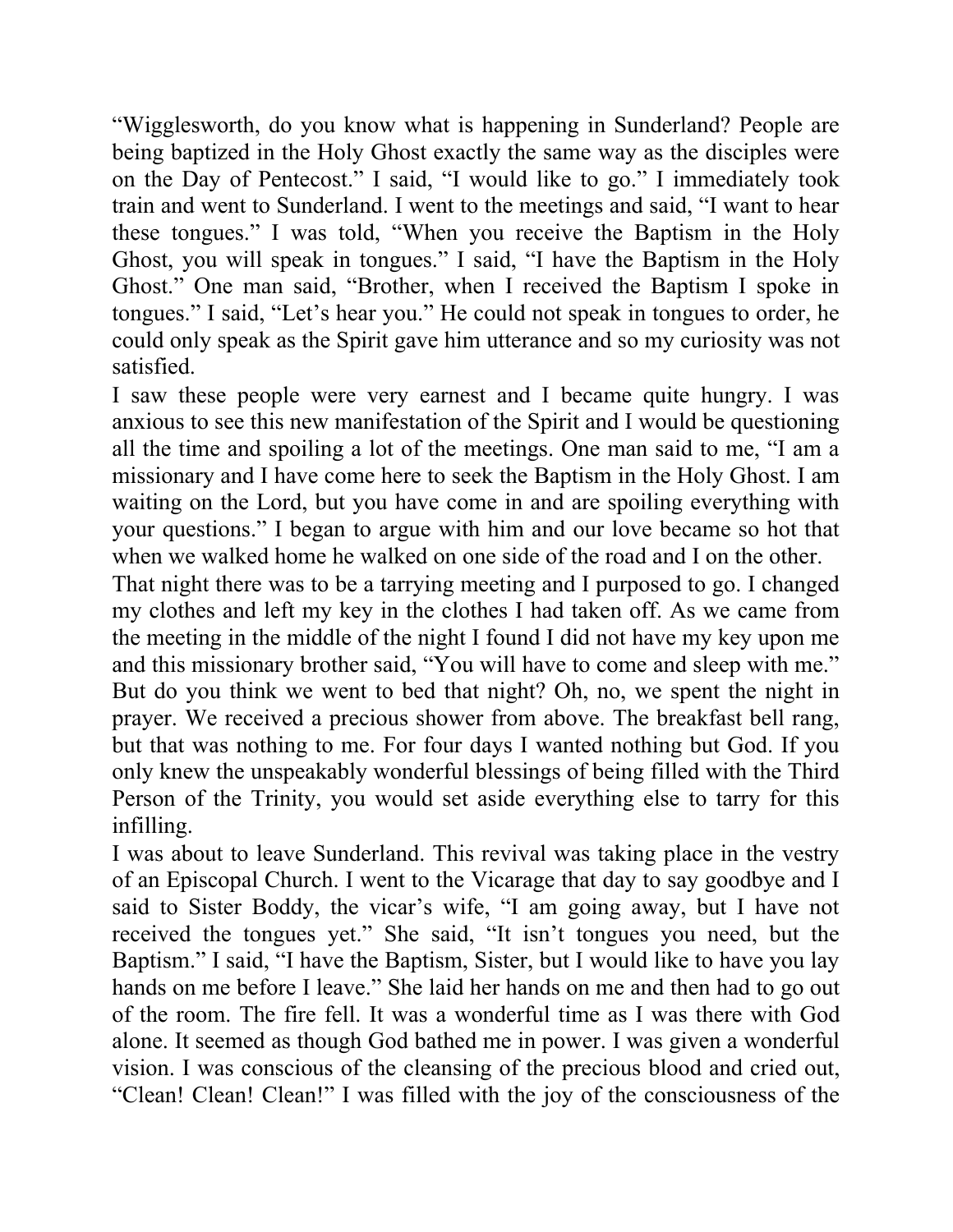"Wigglesworth, do you know what is happening in Sunderland? People are being baptized in the Holy Ghost exactly the same way as the disciples were on the Day of Pentecost." I said, "I would like to go." I immediately took train and went to Sunderland. I went to the meetings and said, "I want to hear these tongues." I was told, "When you receive the Baptism in the Holy Ghost, you will speak in tongues." I said, "I have the Baptism in the Holy Ghost." One man said, "Brother, when I received the Baptism I spoke in tongues." I said, "Let's hear you." He could not speak in tongues to order, he could only speak as the Spirit gave him utterance and so my curiosity was not satisfied.

I saw these people were very earnest and I became quite hungry. I was anxious to see this new manifestation of the Spirit and I would be questioning all the time and spoiling a lot of the meetings. One man said to me, "I am a missionary and I have come here to seek the Baptism in the Holy Ghost. I am waiting on the Lord, but you have come in and are spoiling everything with your questions." I began to argue with him and our love became so hot that when we walked home he walked on one side of the road and I on the other.

That night there was to be a tarrying meeting and I purposed to go. I changed my clothes and left my key in the clothes I had taken off. As we came from the meeting in the middle of the night I found I did not have my key upon me and this missionary brother said, "You will have to come and sleep with me." But do you think we went to bed that night? Oh, no, we spent the night in prayer. We received a precious shower from above. The breakfast bell rang, but that was nothing to me. For four days I wanted nothing but God. If you only knew the unspeakably wonderful blessings of being filled with the Third Person of the Trinity, you would set aside everything else to tarry for this infilling.

I was about to leave Sunderland. This revival was taking place in the vestry of an Episcopal Church. I went to the Vicarage that day to say goodbye and I said to Sister Boddy, the vicar's wife, "I am going away, but I have not received the tongues yet." She said, "It isn't tongues you need, but the Baptism." I said, "I have the Baptism, Sister, but I would like to have you lay hands on me before I leave." She laid her hands on me and then had to go out of the room. The fire fell. It was a wonderful time as I was there with God alone. It seemed as though God bathed me in power. I was given a wonderful vision. I was conscious of the cleansing of the precious blood and cried out, "Clean! Clean! Clean!" I was filled with the joy of the consciousness of the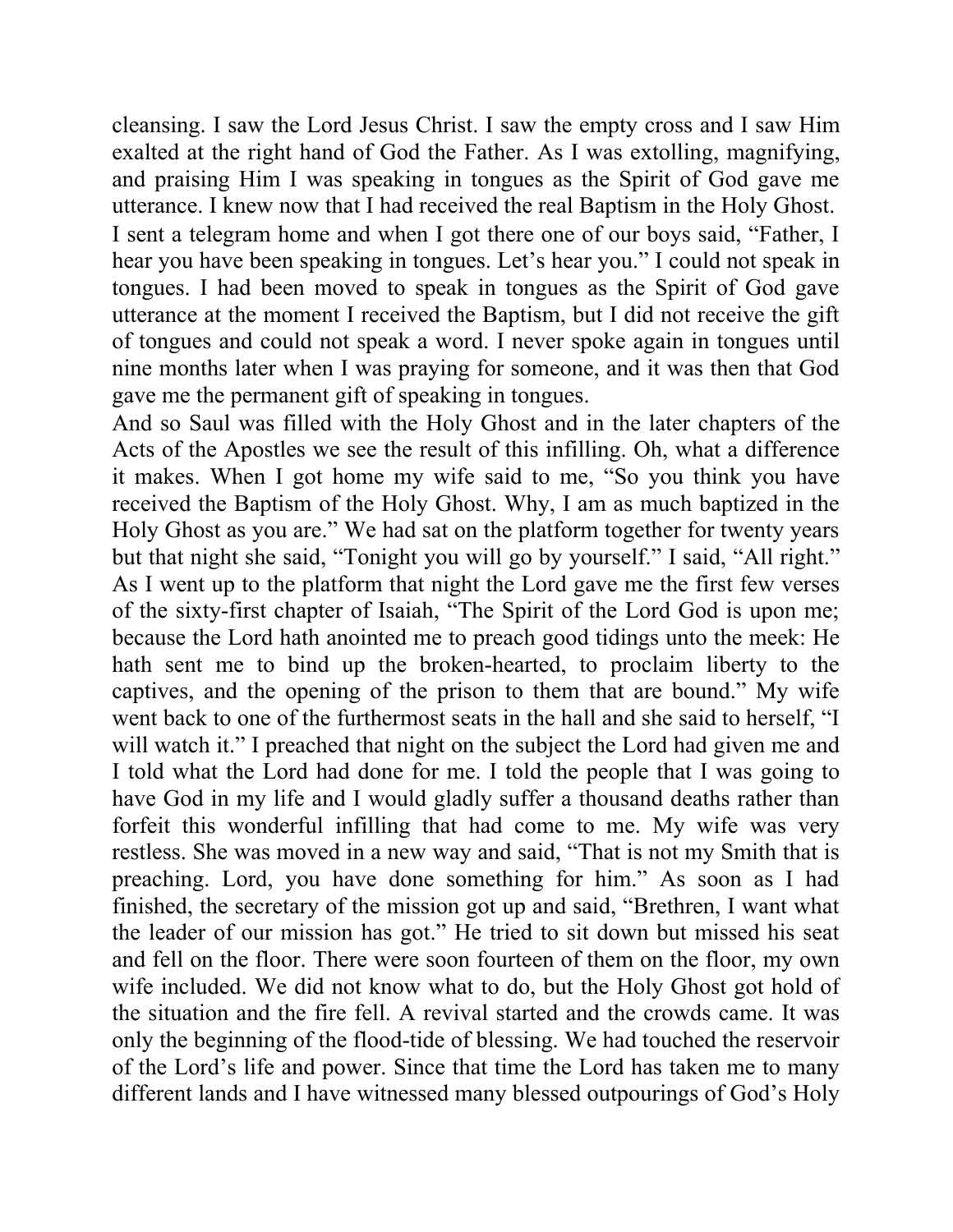cleansing. I saw the Lord Jesus Christ. I saw the empty cross and I saw Him exalted at the right hand of God the Father. As I was extolling, magnifying, and praising Him I was speaking in tongues as the Spirit of God gave me utterance. I knew now that I had received the real Baptism in the Holy Ghost. I sent a telegram home and when I got there one of our boys said, "Father, I hear you have been speaking in tongues. Let's hear you." I could not speak in tongues. I had been moved to speak in tongues as the Spirit of God gave utterance at the moment I received the Baptism, but I did not receive the gift of tongues and could not speak a word. I never spoke again in tongues until nine months later when I was praying for someone, and it was then that God gave me the permanent gift of speaking in tongues.

And so Saul was filled with the Holy Ghost and in the later chapters of the Acts of the Apostles we see the result of this infilling. Oh, what a difference it makes. When I got home my wife said to me, "So you think you have received the Baptism of the Holy Ghost. Why, I am as much baptized in the Holy Ghost as you are." We had sat on the platform together for twenty years but that night she said, "Tonight you will go by yourself." I said, "All right." As I went up to the platform that night the Lord gave me the first few verses of the sixty-first chapter of Isaiah, "The Spirit of the Lord God is upon me; because the Lord hath anointed me to preach good tidings unto the meek: He hath sent me to bind up the broken-hearted, to proclaim liberty to the captives, and the opening of the prison to them that are bound." My wife went back to one of the furthermost seats in the hall and she said to herself, "I will watch it." I preached that night on the subject the Lord had given me and I told what the Lord had done for me. I told the people that I was going to have God in my life and I would gladly suffer a thousand deaths rather than forfeit this wonderful infilling that had come to me. My wife was very restless. She was moved in a new way and said, "That is not my Smith that is preaching. Lord, you have done something for him." As soon as I had finished, the secretary of the mission got up and said, "Brethren, I want what the leader of our mission has got." He tried to sit down but missed his seat and fell on the floor. There were soon fourteen of them on the floor, my own wife included. We did not know what to do, but the Holy Ghost got hold of the situation and the fire fell. A revival started and the crowds came. It was only the beginning of the flood-tide of blessing. We had touched the reservoir of the Lord's life and power. Since that time the Lord has taken me to many different lands and I have witnessed many blessed outpourings of God's Holy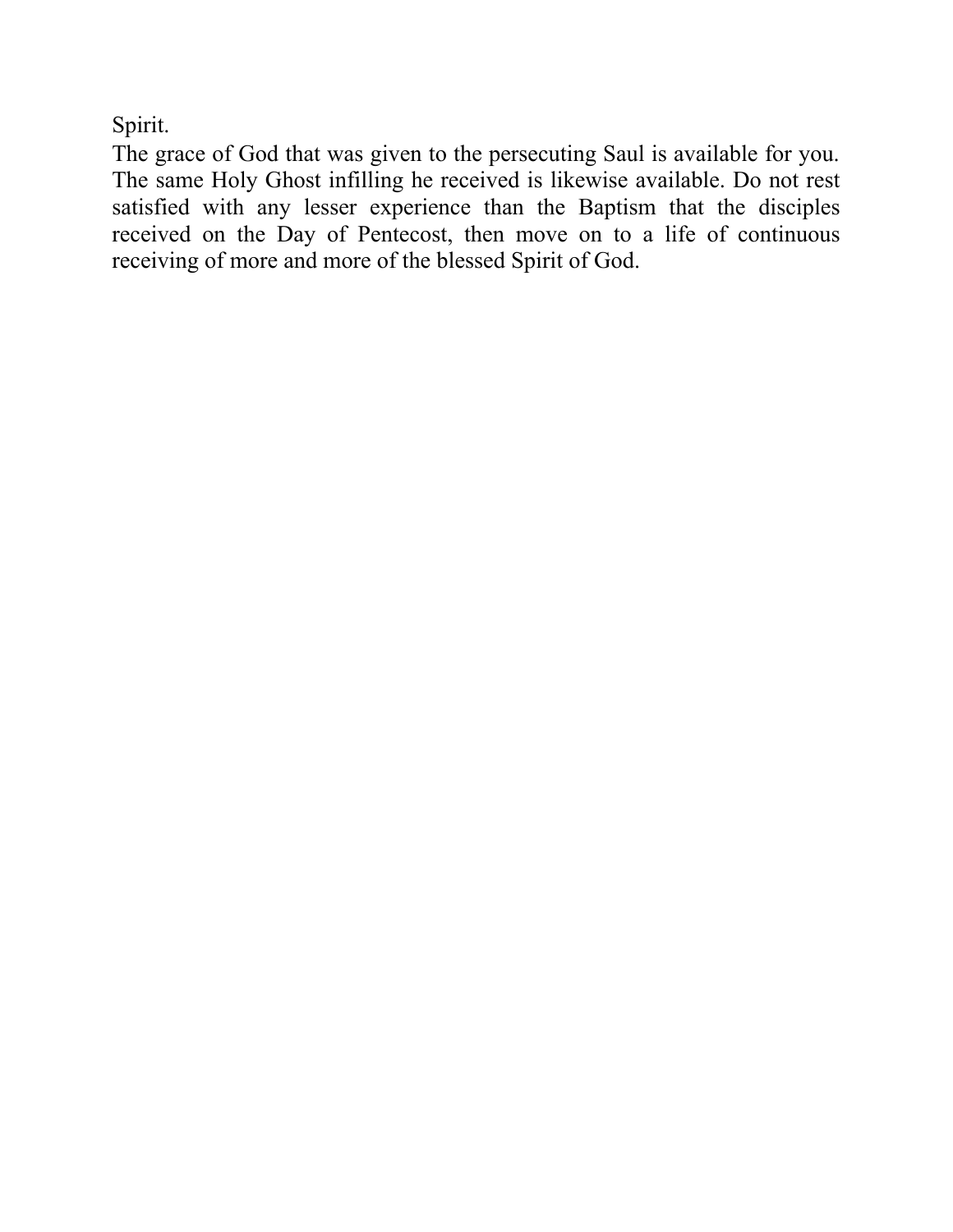Spirit.

The grace of God that was given to the persecuting Saul is available for you. The same Holy Ghost infilling he received is likewise available. Do not rest satisfied with any lesser experience than the Baptism that the disciples received on the Day of Pentecost, then move on to a life of continuous receiving of more and more of the blessed Spirit of God.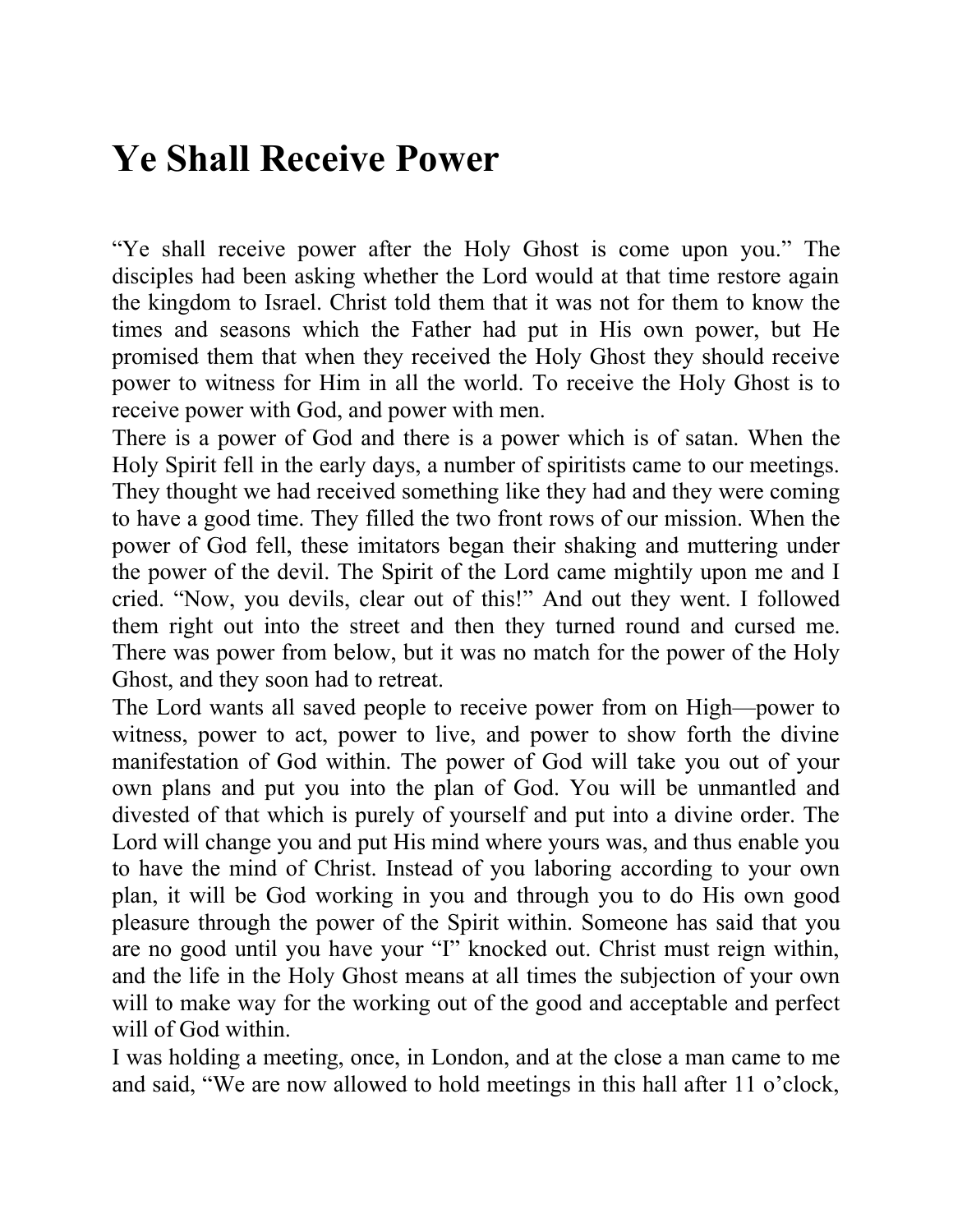### <span id="page-142-0"></span>**Ye Shall Receive Power**

"Ye shall receive power after the Holy Ghost is come upon you." The disciples had been asking whether the Lord would at that time restore again the kingdom to Israel. Christ told them that it was not for them to know the times and seasons which the Father had put in His own power, but He promised them that when they received the Holy Ghost they should receive power to witness for Him in all the world. To receive the Holy Ghost is to receive power with God, and power with men.

There is a power of God and there is a power which is of satan. When the Holy Spirit fell in the early days, a number of spiritists came to our meetings. They thought we had received something like they had and they were coming to have a good time. They filled the two front rows of our mission. When the power of God fell, these imitators began their shaking and muttering under the power of the devil. The Spirit of the Lord came mightily upon me and I cried. "Now, you devils, clear out of this!" And out they went. I followed them right out into the street and then they turned round and cursed me. There was power from below, but it was no match for the power of the Holy Ghost, and they soon had to retreat.

The Lord wants all saved people to receive power from on High—power to witness, power to act, power to live, and power to show forth the divine manifestation of God within. The power of God will take you out of your own plans and put you into the plan of God. You will be unmantled and divested of that which is purely of yourself and put into a divine order. The Lord will change you and put His mind where yours was, and thus enable you to have the mind of Christ. Instead of you laboring according to your own plan, it will be God working in you and through you to do His own good pleasure through the power of the Spirit within. Someone has said that you are no good until you have your "I" knocked out. Christ must reign within, and the life in the Holy Ghost means at all times the subjection of your own will to make way for the working out of the good and acceptable and perfect will of God within.

I was holding a meeting, once, in London, and at the close a man came to me and said, "We are now allowed to hold meetings in this hall after 11 o'clock,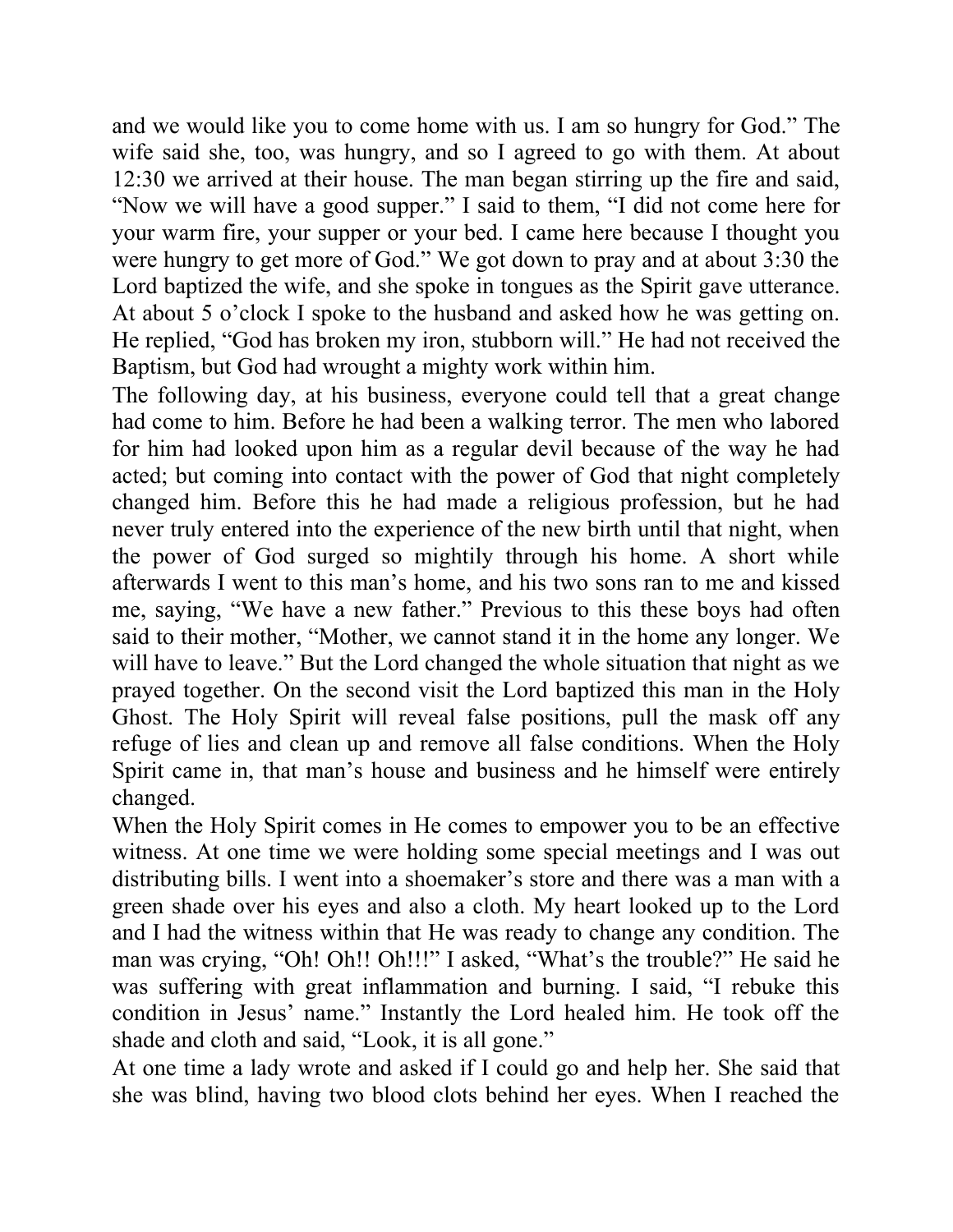and we would like you to come home with us. I am so hungry for God." The wife said she, too, was hungry, and so I agreed to go with them. At about 12:30 we arrived at their house. The man began stirring up the fire and said, "Now we will have a good supper." I said to them, "I did not come here for your warm fire, your supper or your bed. I came here because I thought you were hungry to get more of God." We got down to pray and at about 3:30 the Lord baptized the wife, and she spoke in tongues as the Spirit gave utterance. At about 5 o'clock I spoke to the husband and asked how he was getting on. He replied, "God has broken my iron, stubborn will." He had not received the Baptism, but God had wrought a mighty work within him.

The following day, at his business, everyone could tell that a great change had come to him. Before he had been a walking terror. The men who labored for him had looked upon him as a regular devil because of the way he had acted; but coming into contact with the power of God that night completely changed him. Before this he had made a religious profession, but he had never truly entered into the experience of the new birth until that night, when the power of God surged so mightily through his home. A short while afterwards I went to this man's home, and his two sons ran to me and kissed me, saying, "We have a new father." Previous to this these boys had often said to their mother, "Mother, we cannot stand it in the home any longer. We will have to leave." But the Lord changed the whole situation that night as we prayed together. On the second visit the Lord baptized this man in the Holy Ghost. The Holy Spirit will reveal false positions, pull the mask off any refuge of lies and clean up and remove all false conditions. When the Holy Spirit came in, that man's house and business and he himself were entirely changed.

When the Holy Spirit comes in He comes to empower you to be an effective witness. At one time we were holding some special meetings and I was out distributing bills. I went into a shoemaker's store and there was a man with a green shade over his eyes and also a cloth. My heart looked up to the Lord and I had the witness within that He was ready to change any condition. The man was crying, "Oh! Oh!! Oh!!!" I asked, "What's the trouble?" He said he was suffering with great inflammation and burning. I said, "I rebuke this condition in Jesus' name." Instantly the Lord healed him. He took off the shade and cloth and said, "Look, it is all gone."

At one time a lady wrote and asked if I could go and help her. She said that she was blind, having two blood clots behind her eyes. When I reached the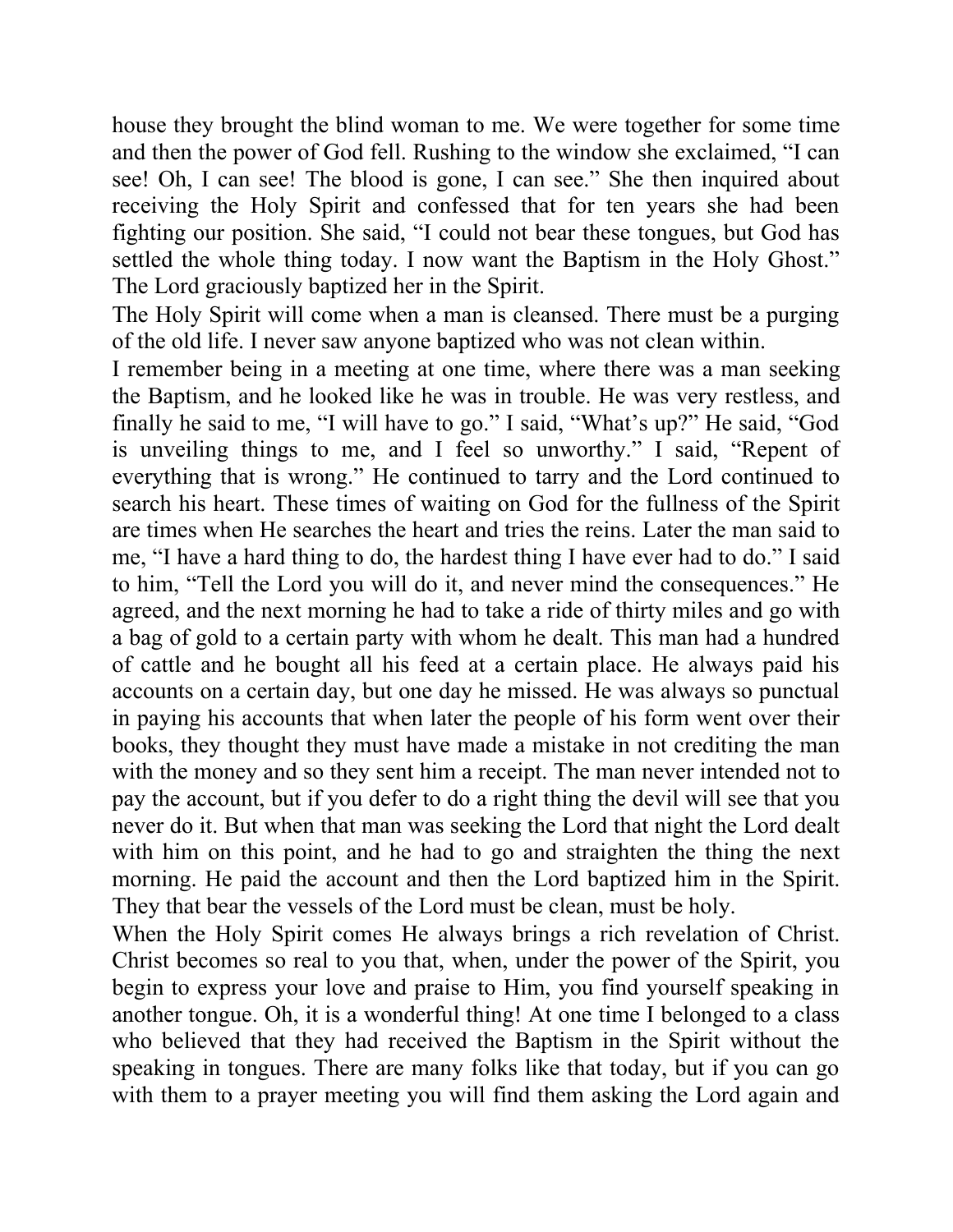house they brought the blind woman to me. We were together for some time and then the power of God fell. Rushing to the window she exclaimed, "I can see! Oh, I can see! The blood is gone, I can see." She then inquired about receiving the Holy Spirit and confessed that for ten years she had been fighting our position. She said, "I could not bear these tongues, but God has settled the whole thing today. I now want the Baptism in the Holy Ghost." The Lord graciously baptized her in the Spirit.

The Holy Spirit will come when a man is cleansed. There must be a purging of the old life. I never saw anyone baptized who was not clean within.

I remember being in a meeting at one time, where there was a man seeking the Baptism, and he looked like he was in trouble. He was very restless, and finally he said to me, "I will have to go." I said, "What's up?" He said, "God is unveiling things to me, and I feel so unworthy." I said, "Repent of everything that is wrong." He continued to tarry and the Lord continued to search his heart. These times of waiting on God for the fullness of the Spirit are times when He searches the heart and tries the reins. Later the man said to me, "I have a hard thing to do, the hardest thing I have ever had to do." I said to him, "Tell the Lord you will do it, and never mind the consequences." He agreed, and the next morning he had to take a ride of thirty miles and go with a bag of gold to a certain party with whom he dealt. This man had a hundred of cattle and he bought all his feed at a certain place. He always paid his accounts on a certain day, but one day he missed. He was always so punctual in paying his accounts that when later the people of his form went over their books, they thought they must have made a mistake in not crediting the man with the money and so they sent him a receipt. The man never intended not to pay the account, but if you defer to do a right thing the devil will see that you never do it. But when that man was seeking the Lord that night the Lord dealt with him on this point, and he had to go and straighten the thing the next morning. He paid the account and then the Lord baptized him in the Spirit. They that bear the vessels of the Lord must be clean, must be holy.

When the Holy Spirit comes He always brings a rich revelation of Christ. Christ becomes so real to you that, when, under the power of the Spirit, you begin to express your love and praise to Him, you find yourself speaking in another tongue. Oh, it is a wonderful thing! At one time I belonged to a class who believed that they had received the Baptism in the Spirit without the speaking in tongues. There are many folks like that today, but if you can go with them to a prayer meeting you will find them asking the Lord again and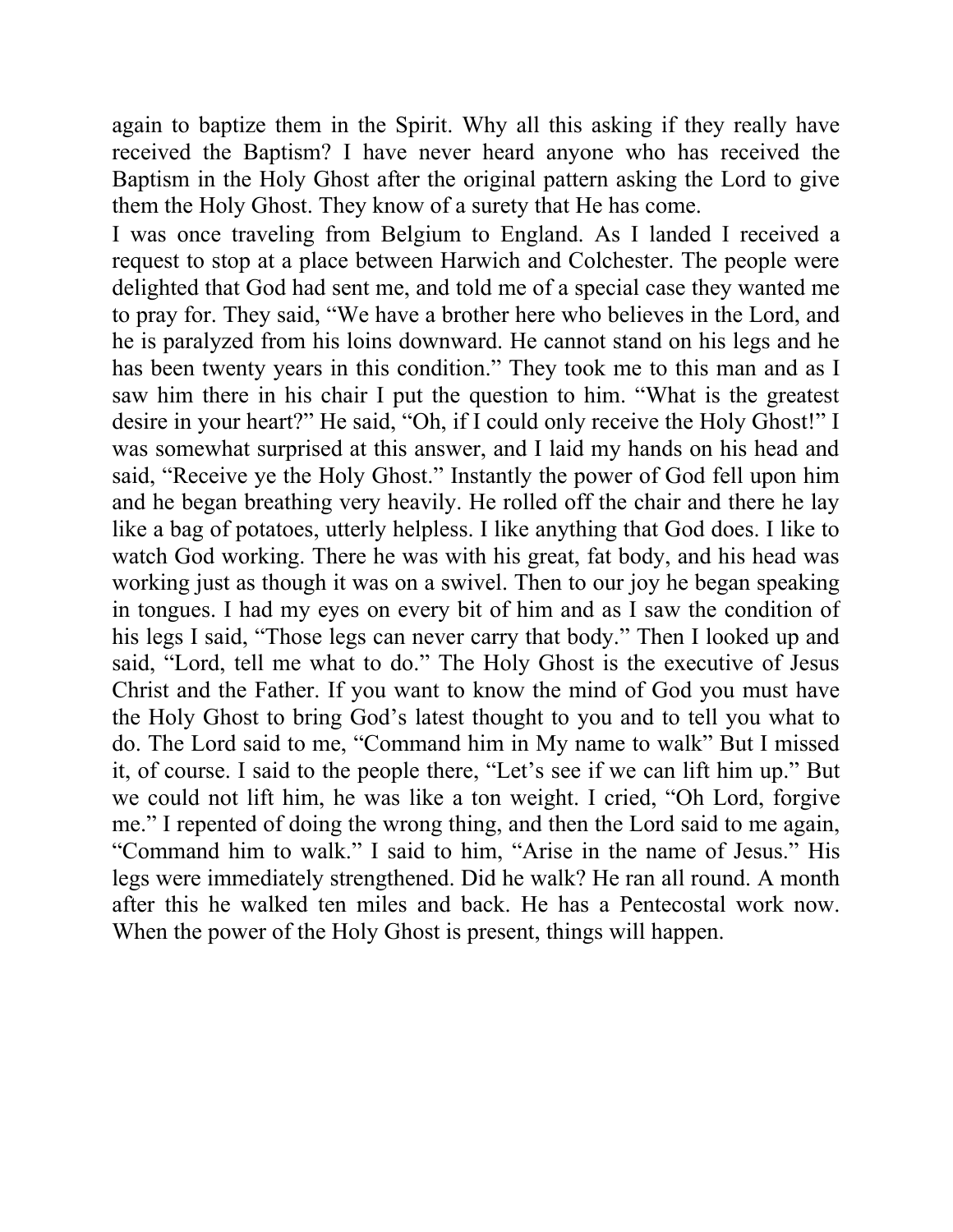again to baptize them in the Spirit. Why all this asking if they really have received the Baptism? I have never heard anyone who has received the Baptism in the Holy Ghost after the original pattern asking the Lord to give them the Holy Ghost. They know of a surety that He has come.

I was once traveling from Belgium to England. As I landed I received a request to stop at a place between Harwich and Colchester. The people were delighted that God had sent me, and told me of a special case they wanted me to pray for. They said, "We have a brother here who believes in the Lord, and he is paralyzed from his loins downward. He cannot stand on his legs and he has been twenty years in this condition." They took me to this man and as I saw him there in his chair I put the question to him. "What is the greatest desire in your heart?" He said, "Oh, if I could only receive the Holy Ghost!" I was somewhat surprised at this answer, and I laid my hands on his head and said, "Receive ye the Holy Ghost." Instantly the power of God fell upon him and he began breathing very heavily. He rolled off the chair and there he lay like a bag of potatoes, utterly helpless. I like anything that God does. I like to watch God working. There he was with his great, fat body, and his head was working just as though it was on a swivel. Then to our joy he began speaking in tongues. I had my eyes on every bit of him and as I saw the condition of his legs I said, "Those legs can never carry that body." Then I looked up and said, "Lord, tell me what to do." The Holy Ghost is the executive of Jesus Christ and the Father. If you want to know the mind of God you must have the Holy Ghost to bring God's latest thought to you and to tell you what to do. The Lord said to me, "Command him in My name to walk" But I missed it, of course. I said to the people there, "Let's see if we can lift him up." But we could not lift him, he was like a ton weight. I cried, "Oh Lord, forgive me." I repented of doing the wrong thing, and then the Lord said to me again, "Command him to walk." I said to him, "Arise in the name of Jesus." His legs were immediately strengthened. Did he walk? He ran all round. A month after this he walked ten miles and back. He has a Pentecostal work now. When the power of the Holy Ghost is present, things will happen.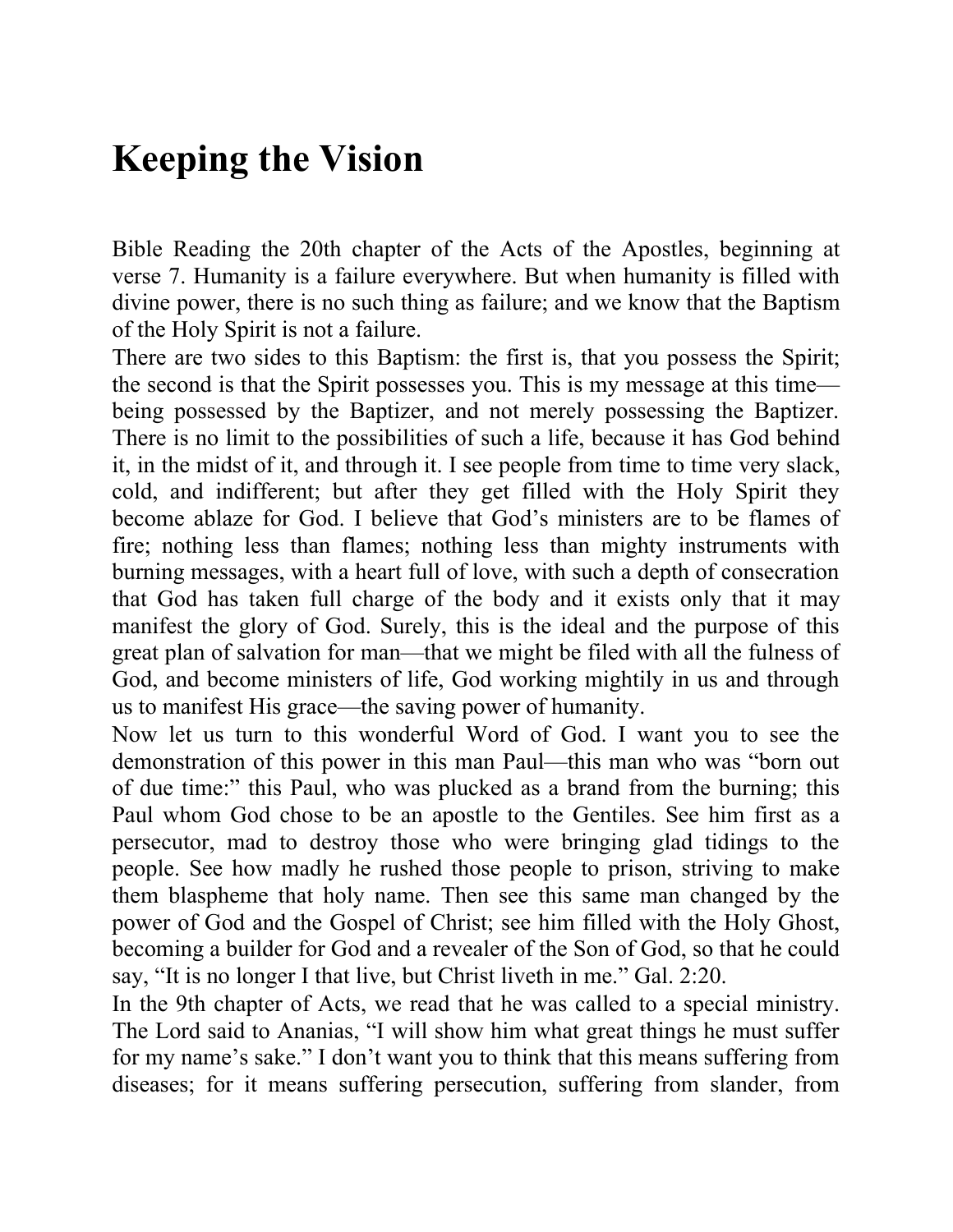## **Keeping the Vision**

Bible Reading the 20th chapter of the Acts of the Apostles, beginning at verse 7. Humanity is a failure everywhere. But when humanity is filled with divine power, there is no such thing as failure; and we know that the Baptism of the Holy Spirit is not a failure.

There are two sides to this Baptism: the first is, that you possess the Spirit; the second is that the Spirit possesses you. This is my message at this time being possessed by the Baptizer, and not merely possessing the Baptizer. There is no limit to the possibilities of such a life, because it has God behind it, in the midst of it, and through it. I see people from time to time very slack, cold, and indifferent; but after they get filled with the Holy Spirit they become ablaze for God. I believe that God's ministers are to be flames of fire; nothing less than flames; nothing less than mighty instruments with burning messages, with a heart full of love, with such a depth of consecration that God has taken full charge of the body and it exists only that it may manifest the glory of God. Surely, this is the ideal and the purpose of this great plan of salvation for man—that we might be filed with all the fulness of God, and become ministers of life, God working mightily in us and through us to manifest His grace—the saving power of humanity.

Now let us turn to this wonderful Word of God. I want you to see the demonstration of this power in this man Paul—this man who was "born out of due time:" this Paul, who was plucked as a brand from the burning; this Paul whom God chose to be an apostle to the Gentiles. See him first as a persecutor, mad to destroy those who were bringing glad tidings to the people. See how madly he rushed those people to prison, striving to make them blaspheme that holy name. Then see this same man changed by the power of God and the Gospel of Christ; see him filled with the Holy Ghost, becoming a builder for God and a revealer of the Son of God, so that he could say, "It is no longer I that live, but Christ liveth in me." Gal. 2:20.

In the 9th chapter of Acts, we read that he was called to a special ministry. The Lord said to Ananias, "I will show him what great things he must suffer for my name's sake." I don't want you to think that this means suffering from diseases; for it means suffering persecution, suffering from slander, from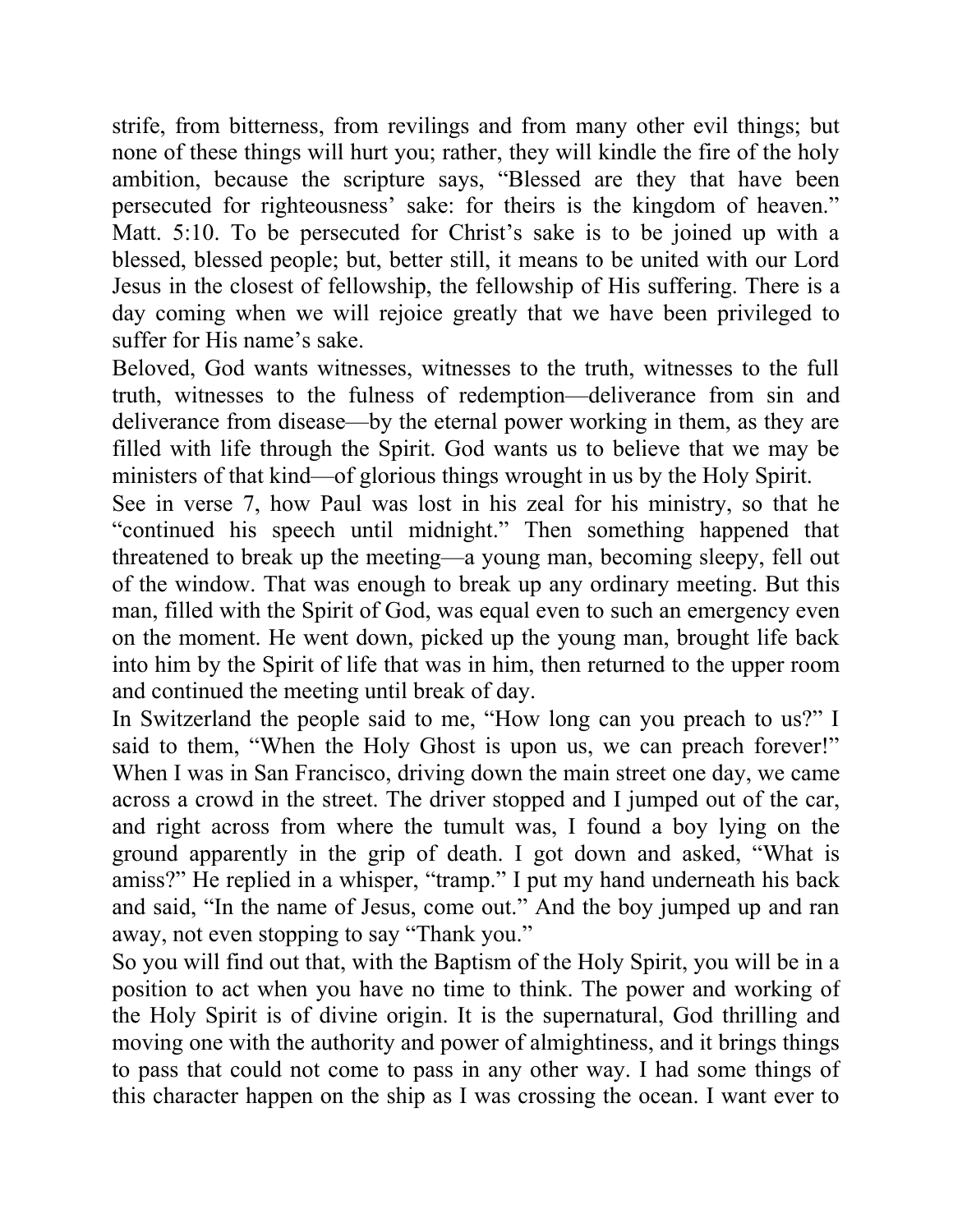strife, from bitterness, from revilings and from many other evil things; but none of these things will hurt you; rather, they will kindle the fire of the holy ambition, because the scripture says, "Blessed are they that have been persecuted for righteousness' sake: for theirs is the kingdom of heaven." Matt. 5:10. To be persecuted for Christ's sake is to be joined up with a blessed, blessed people; but, better still, it means to be united with our Lord Jesus in the closest of fellowship, the fellowship of His suffering. There is a day coming when we will rejoice greatly that we have been privileged to suffer for His name's sake.

Beloved, God wants witnesses, witnesses to the truth, witnesses to the full truth, witnesses to the fulness of redemption—deliverance from sin and deliverance from disease—by the eternal power working in them, as they are filled with life through the Spirit. God wants us to believe that we may be ministers of that kind—of glorious things wrought in us by the Holy Spirit.

See in verse 7, how Paul was lost in his zeal for his ministry, so that he "continued his speech until midnight." Then something happened that threatened to break up the meeting—a young man, becoming sleepy, fell out of the window. That was enough to break up any ordinary meeting. But this man, filled with the Spirit of God, was equal even to such an emergency even on the moment. He went down, picked up the young man, brought life back into him by the Spirit of life that was in him, then returned to the upper room and continued the meeting until break of day.

In Switzerland the people said to me, "How long can you preach to us?" I said to them, "When the Holy Ghost is upon us, we can preach forever!" When I was in San Francisco, driving down the main street one day, we came across a crowd in the street. The driver stopped and I jumped out of the car, and right across from where the tumult was, I found a boy lying on the ground apparently in the grip of death. I got down and asked, "What is amiss?" He replied in a whisper, "tramp." I put my hand underneath his back and said, "In the name of Jesus, come out." And the boy jumped up and ran away, not even stopping to say "Thank you."

So you will find out that, with the Baptism of the Holy Spirit, you will be in a position to act when you have no time to think. The power and working of the Holy Spirit is of divine origin. It is the supernatural, God thrilling and moving one with the authority and power of almightiness, and it brings things to pass that could not come to pass in any other way. I had some things of this character happen on the ship as I was crossing the ocean. I want ever to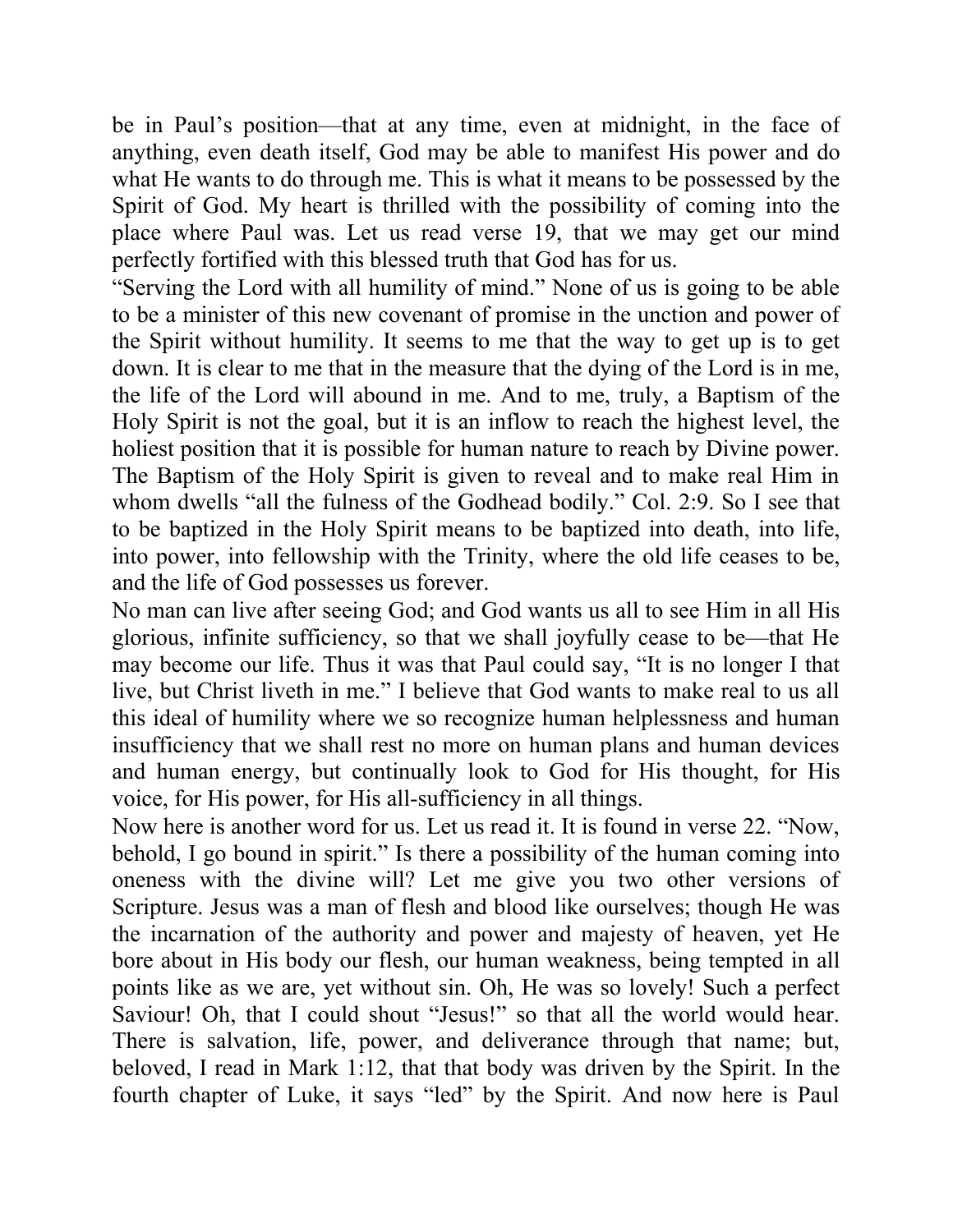be in Paul's position—that at any time, even at midnight, in the face of anything, even death itself, God may be able to manifest His power and do what He wants to do through me. This is what it means to be possessed by the Spirit of God. My heart is thrilled with the possibility of coming into the place where Paul was. Let us read verse 19, that we may get our mind perfectly fortified with this blessed truth that God has for us.

"Serving the Lord with all humility of mind." None of us is going to be able to be a minister of this new covenant of promise in the unction and power of the Spirit without humility. It seems to me that the way to get up is to get down. It is clear to me that in the measure that the dying of the Lord is in me, the life of the Lord will abound in me. And to me, truly, a Baptism of the Holy Spirit is not the goal, but it is an inflow to reach the highest level, the holiest position that it is possible for human nature to reach by Divine power. The Baptism of the Holy Spirit is given to reveal and to make real Him in whom dwells "all the fulness of the Godhead bodily." Col. 2:9. So I see that to be baptized in the Holy Spirit means to be baptized into death, into life, into power, into fellowship with the Trinity, where the old life ceases to be, and the life of God possesses us forever.

No man can live after seeing God; and God wants us all to see Him in all His glorious, infinite sufficiency, so that we shall joyfully cease to be—that He may become our life. Thus it was that Paul could say, "It is no longer I that live, but Christ liveth in me." I believe that God wants to make real to us all this ideal of humility where we so recognize human helplessness and human insufficiency that we shall rest no more on human plans and human devices and human energy, but continually look to God for His thought, for His voice, for His power, for His all-sufficiency in all things.

Now here is another word for us. Let us read it. It is found in verse 22. "Now, behold, I go bound in spirit." Is there a possibility of the human coming into oneness with the divine will? Let me give you two other versions of Scripture. Jesus was a man of flesh and blood like ourselves; though He was the incarnation of the authority and power and majesty of heaven, yet He bore about in His body our flesh, our human weakness, being tempted in all points like as we are, yet without sin. Oh, He was so lovely! Such a perfect Saviour! Oh, that I could shout "Jesus!" so that all the world would hear. There is salvation, life, power, and deliverance through that name; but, beloved, I read in Mark 1:12, that that body was driven by the Spirit. In the fourth chapter of Luke, it says "led" by the Spirit. And now here is Paul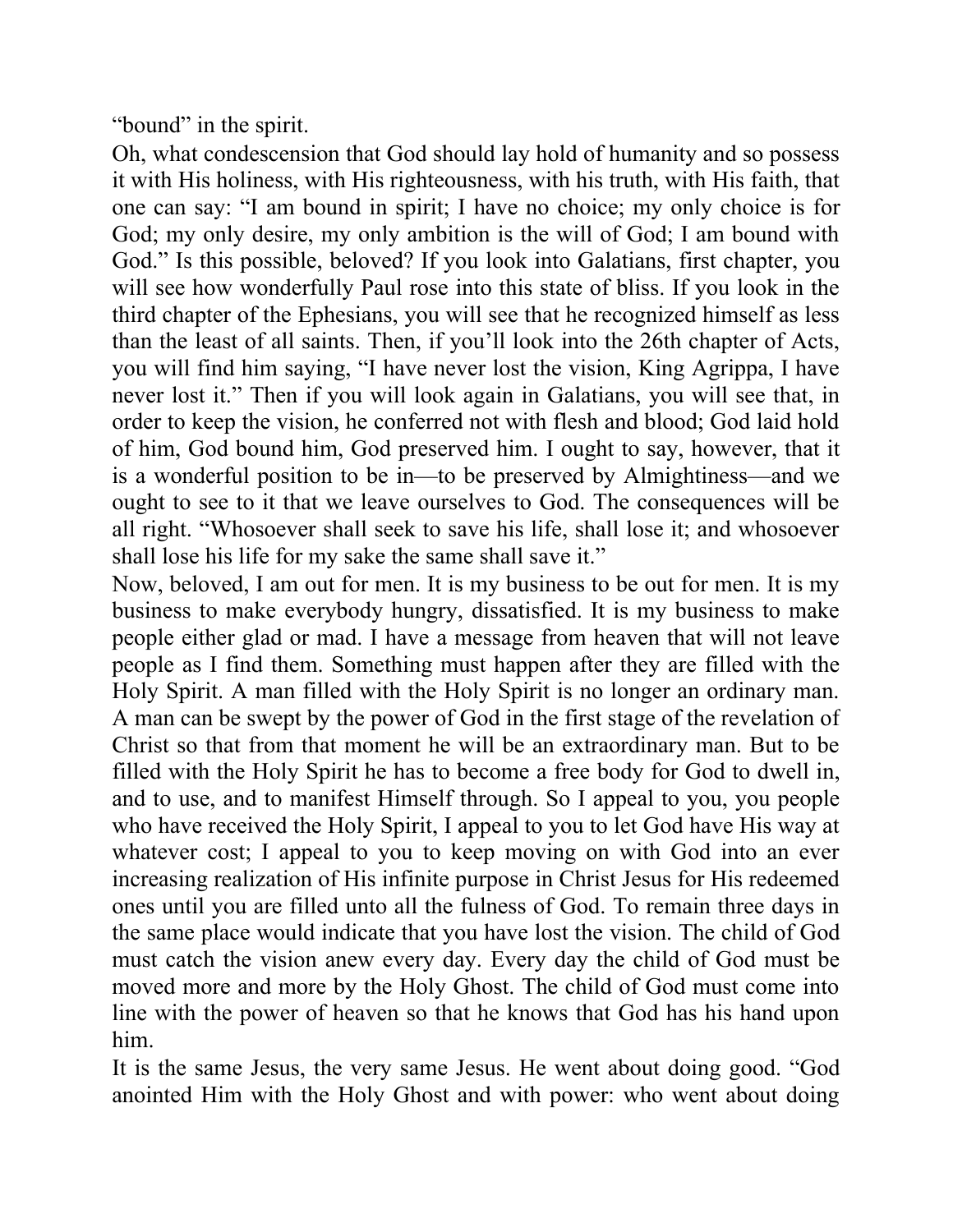"bound" in the spirit.

Oh, what condescension that God should lay hold of humanity and so possess it with His holiness, with His righteousness, with his truth, with His faith, that one can say: "I am bound in spirit; I have no choice; my only choice is for God; my only desire, my only ambition is the will of God; I am bound with God." Is this possible, beloved? If you look into Galatians, first chapter, you will see how wonderfully Paul rose into this state of bliss. If you look in the third chapter of the Ephesians, you will see that he recognized himself as less than the least of all saints. Then, if you'll look into the 26th chapter of Acts, you will find him saying, "I have never lost the vision, King Agrippa, I have never lost it." Then if you will look again in Galatians, you will see that, in order to keep the vision, he conferred not with flesh and blood; God laid hold of him, God bound him, God preserved him. I ought to say, however, that it is a wonderful position to be in—to be preserved by Almightiness—and we ought to see to it that we leave ourselves to God. The consequences will be all right. "Whosoever shall seek to save his life, shall lose it; and whosoever shall lose his life for my sake the same shall save it."

Now, beloved, I am out for men. It is my business to be out for men. It is my business to make everybody hungry, dissatisfied. It is my business to make people either glad or mad. I have a message from heaven that will not leave people as I find them. Something must happen after they are filled with the Holy Spirit. A man filled with the Holy Spirit is no longer an ordinary man. A man can be swept by the power of God in the first stage of the revelation of Christ so that from that moment he will be an extraordinary man. But to be filled with the Holy Spirit he has to become a free body for God to dwell in, and to use, and to manifest Himself through. So I appeal to you, you people who have received the Holy Spirit, I appeal to you to let God have His way at whatever cost; I appeal to you to keep moving on with God into an ever increasing realization of His infinite purpose in Christ Jesus for His redeemed ones until you are filled unto all the fulness of God. To remain three days in the same place would indicate that you have lost the vision. The child of God must catch the vision anew every day. Every day the child of God must be moved more and more by the Holy Ghost. The child of God must come into line with the power of heaven so that he knows that God has his hand upon him.

It is the same Jesus, the very same Jesus. He went about doing good. "God anointed Him with the Holy Ghost and with power: who went about doing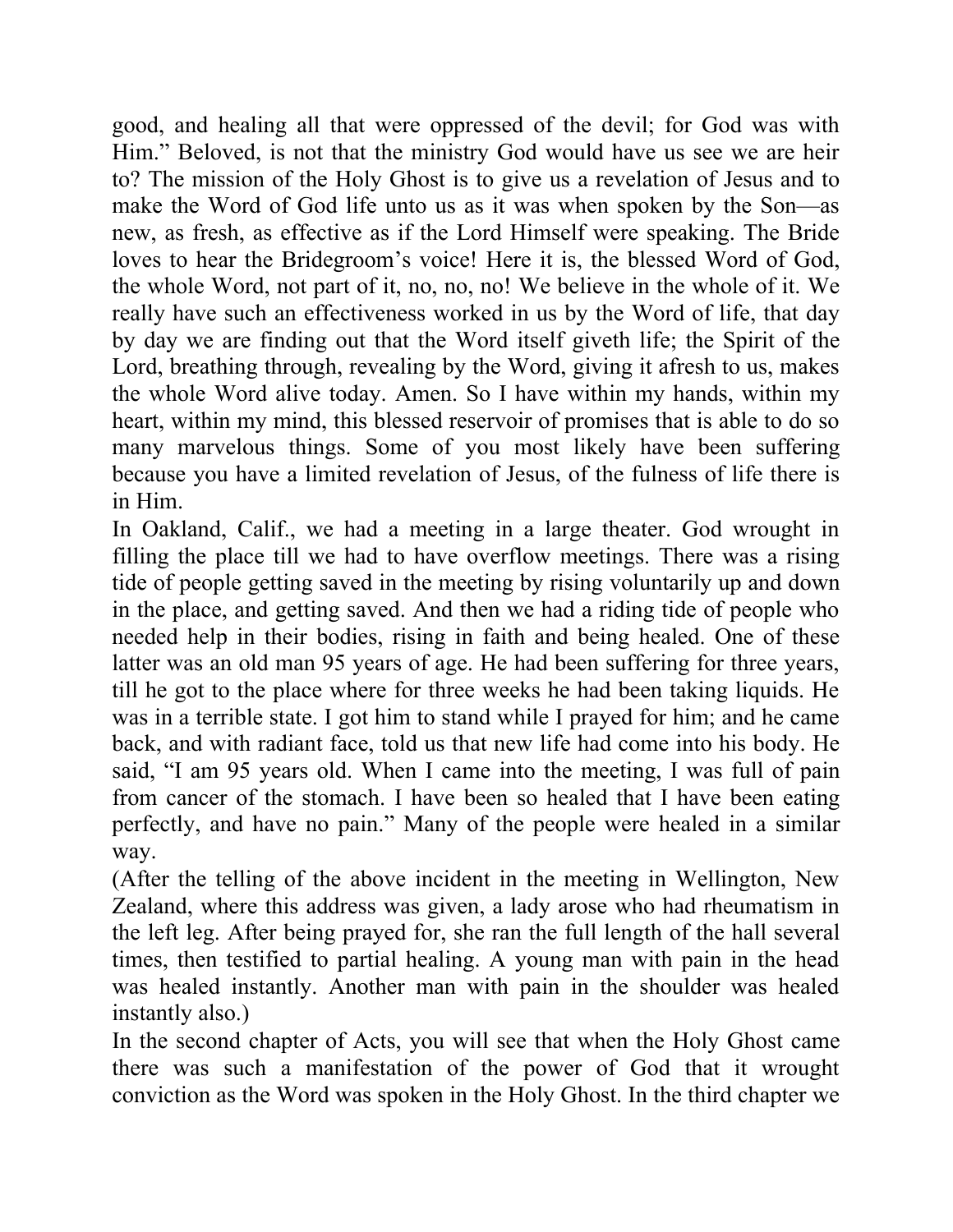good, and healing all that were oppressed of the devil; for God was with Him." Beloved, is not that the ministry God would have us see we are heir to? The mission of the Holy Ghost is to give us a revelation of Jesus and to make the Word of God life unto us as it was when spoken by the Son—as new, as fresh, as effective as if the Lord Himself were speaking. The Bride loves to hear the Bridegroom's voice! Here it is, the blessed Word of God, the whole Word, not part of it, no, no, no! We believe in the whole of it. We really have such an effectiveness worked in us by the Word of life, that day by day we are finding out that the Word itself giveth life; the Spirit of the Lord, breathing through, revealing by the Word, giving it afresh to us, makes the whole Word alive today. Amen. So I have within my hands, within my heart, within my mind, this blessed reservoir of promises that is able to do so many marvelous things. Some of you most likely have been suffering because you have a limited revelation of Jesus, of the fulness of life there is in Him.

In Oakland, Calif., we had a meeting in a large theater. God wrought in filling the place till we had to have overflow meetings. There was a rising tide of people getting saved in the meeting by rising voluntarily up and down in the place, and getting saved. And then we had a riding tide of people who needed help in their bodies, rising in faith and being healed. One of these latter was an old man 95 years of age. He had been suffering for three years, till he got to the place where for three weeks he had been taking liquids. He was in a terrible state. I got him to stand while I prayed for him; and he came back, and with radiant face, told us that new life had come into his body. He said, "I am 95 years old. When I came into the meeting, I was full of pain from cancer of the stomach. I have been so healed that I have been eating perfectly, and have no pain." Many of the people were healed in a similar way.

(After the telling of the above incident in the meeting in Wellington, New Zealand, where this address was given, a lady arose who had rheumatism in the left leg. After being prayed for, she ran the full length of the hall several times, then testified to partial healing. A young man with pain in the head was healed instantly. Another man with pain in the shoulder was healed instantly also.)

In the second chapter of Acts, you will see that when the Holy Ghost came there was such a manifestation of the power of God that it wrought conviction as the Word was spoken in the Holy Ghost. In the third chapter we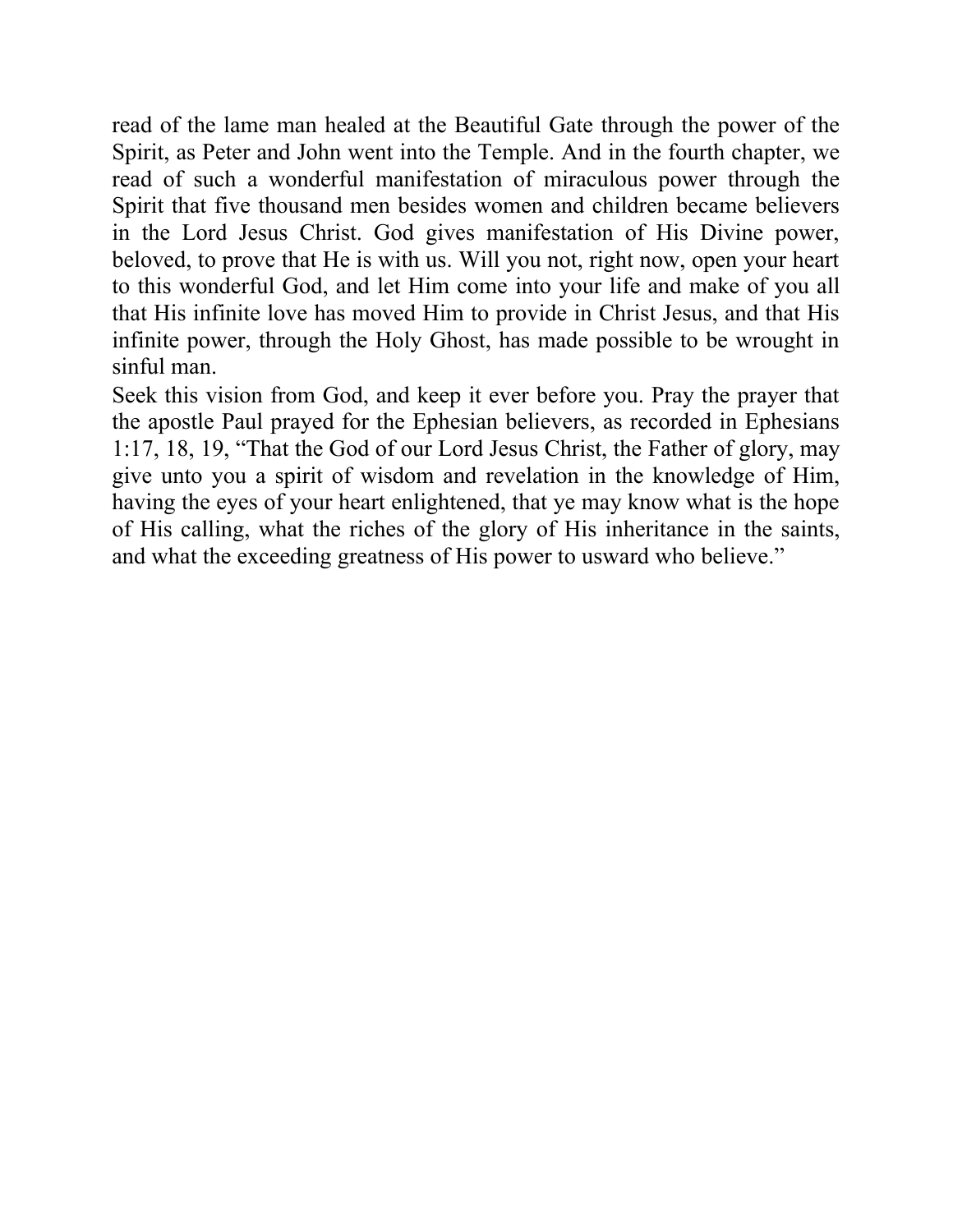read of the lame man healed at the Beautiful Gate through the power of the Spirit, as Peter and John went into the Temple. And in the fourth chapter, we read of such a wonderful manifestation of miraculous power through the Spirit that five thousand men besides women and children became believers in the Lord Jesus Christ. God gives manifestation of His Divine power, beloved, to prove that He is with us. Will you not, right now, open your heart to this wonderful God, and let Him come into your life and make of you all that His infinite love has moved Him to provide in Christ Jesus, and that His infinite power, through the Holy Ghost, has made possible to be wrought in sinful man.

Seek this vision from God, and keep it ever before you. Pray the prayer that the apostle Paul prayed for the Ephesian believers, as recorded in Ephesians 1:17, 18, 19, "That the God of our Lord Jesus Christ, the Father of glory, may give unto you a spirit of wisdom and revelation in the knowledge of Him, having the eyes of your heart enlightened, that ye may know what is the hope of His calling, what the riches of the glory of His inheritance in the saints, and what the exceeding greatness of His power to usward who believe."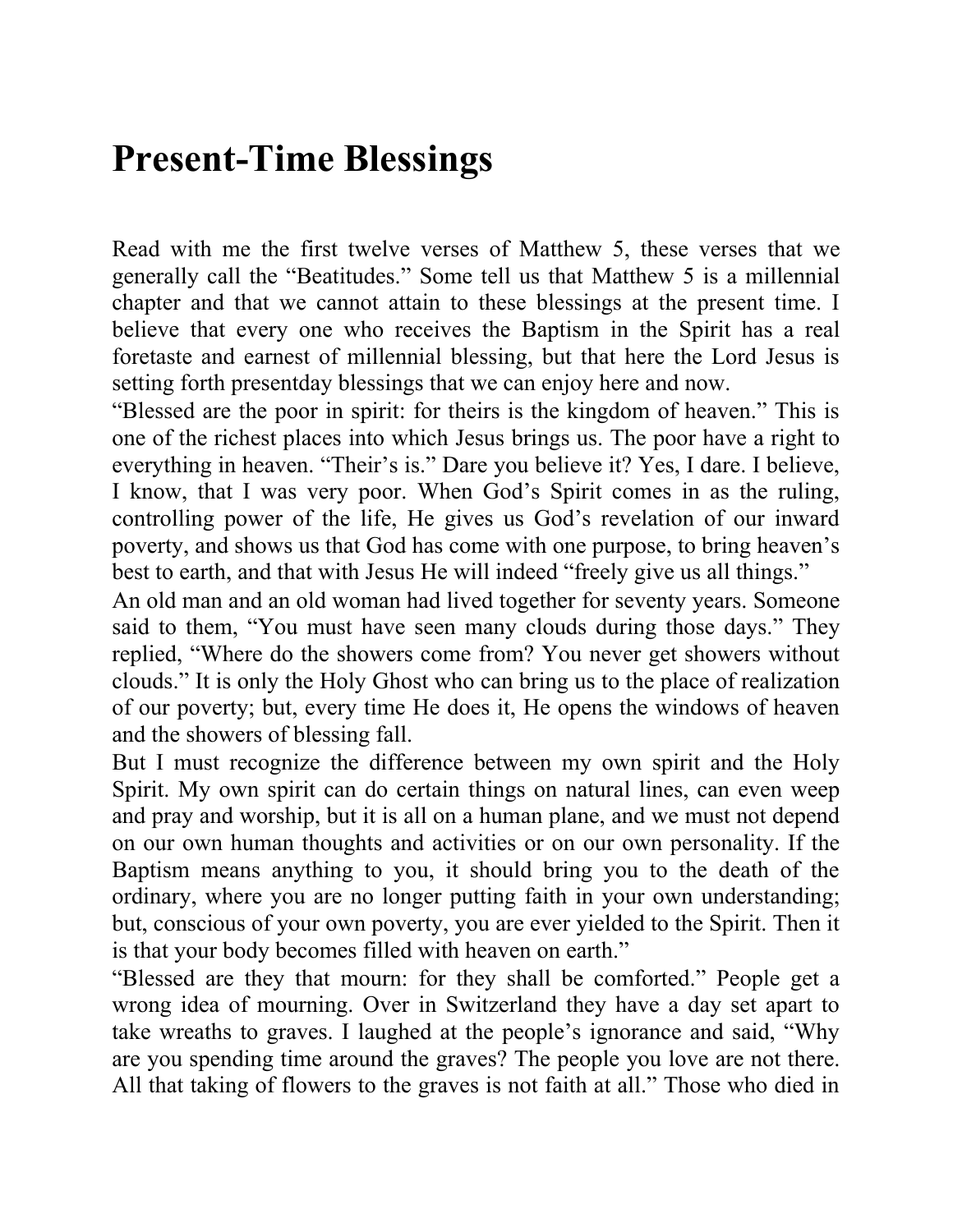## **Present-Time Blessings**

Read with me the first twelve verses of Matthew 5, these verses that we generally call the "Beatitudes." Some tell us that Matthew 5 is a millennial chapter and that we cannot attain to these blessings at the present time. I believe that every one who receives the Baptism in the Spirit has a real foretaste and earnest of millennial blessing, but that here the Lord Jesus is setting forth presentday blessings that we can enjoy here and now.

"Blessed are the poor in spirit: for theirs is the kingdom of heaven." This is one of the richest places into which Jesus brings us. The poor have a right to everything in heaven. "Their's is." Dare you believe it? Yes, I dare. I believe, I know, that I was very poor. When God's Spirit comes in as the ruling, controlling power of the life, He gives us God's revelation of our inward poverty, and shows us that God has come with one purpose, to bring heaven's best to earth, and that with Jesus He will indeed "freely give us all things."

An old man and an old woman had lived together for seventy years. Someone said to them, "You must have seen many clouds during those days." They replied, "Where do the showers come from? You never get showers without clouds." It is only the Holy Ghost who can bring us to the place of realization of our poverty; but, every time He does it, He opens the windows of heaven and the showers of blessing fall.

But I must recognize the difference between my own spirit and the Holy Spirit. My own spirit can do certain things on natural lines, can even weep and pray and worship, but it is all on a human plane, and we must not depend on our own human thoughts and activities or on our own personality. If the Baptism means anything to you, it should bring you to the death of the ordinary, where you are no longer putting faith in your own understanding; but, conscious of your own poverty, you are ever yielded to the Spirit. Then it is that your body becomes filled with heaven on earth."

"Blessed are they that mourn: for they shall be comforted." People get a wrong idea of mourning. Over in Switzerland they have a day set apart to take wreaths to graves. I laughed at the people's ignorance and said, "Why are you spending time around the graves? The people you love are not there. All that taking of flowers to the graves is not faith at all." Those who died in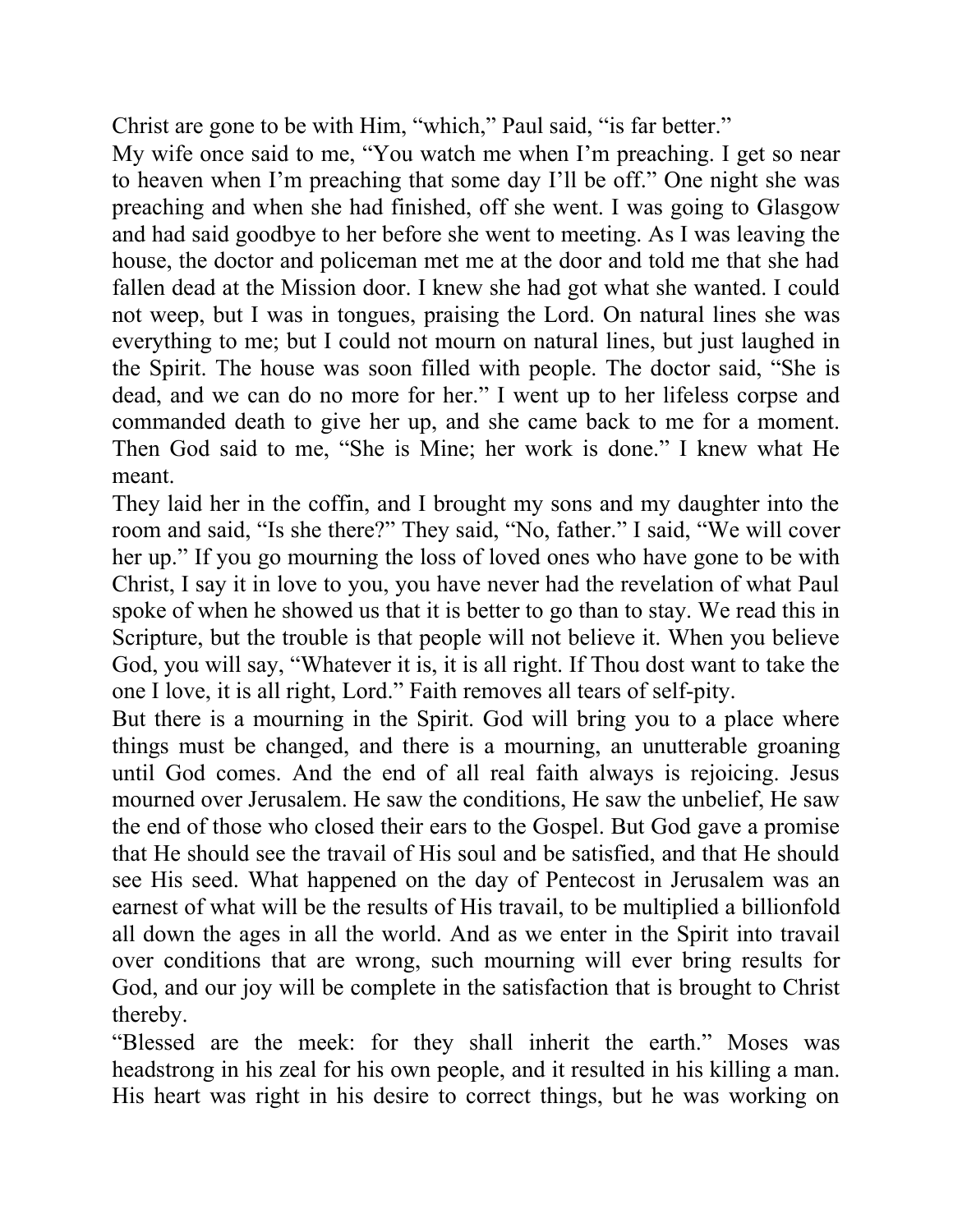Christ are gone to be with Him, "which," Paul said, "is far better."

My wife once said to me, "You watch me when I'm preaching. I get so near to heaven when I'm preaching that some day I'll be off." One night she was preaching and when she had finished, off she went. I was going to Glasgow and had said goodbye to her before she went to meeting. As I was leaving the house, the doctor and policeman met me at the door and told me that she had fallen dead at the Mission door. I knew she had got what she wanted. I could not weep, but I was in tongues, praising the Lord. On natural lines she was everything to me; but I could not mourn on natural lines, but just laughed in the Spirit. The house was soon filled with people. The doctor said, "She is dead, and we can do no more for her." I went up to her lifeless corpse and commanded death to give her up, and she came back to me for a moment. Then God said to me, "She is Mine; her work is done." I knew what He meant.

They laid her in the coffin, and I brought my sons and my daughter into the room and said, "Is she there?" They said, "No, father." I said, "We will cover her up." If you go mourning the loss of loved ones who have gone to be with Christ, I say it in love to you, you have never had the revelation of what Paul spoke of when he showed us that it is better to go than to stay. We read this in Scripture, but the trouble is that people will not believe it. When you believe God, you will say, "Whatever it is, it is all right. If Thou dost want to take the one I love, it is all right, Lord." Faith removes all tears of self-pity.

But there is a mourning in the Spirit. God will bring you to a place where things must be changed, and there is a mourning, an unutterable groaning until God comes. And the end of all real faith always is rejoicing. Jesus mourned over Jerusalem. He saw the conditions, He saw the unbelief, He saw the end of those who closed their ears to the Gospel. But God gave a promise that He should see the travail of His soul and be satisfied, and that He should see His seed. What happened on the day of Pentecost in Jerusalem was an earnest of what will be the results of His travail, to be multiplied a billionfold all down the ages in all the world. And as we enter in the Spirit into travail over conditions that are wrong, such mourning will ever bring results for God, and our joy will be complete in the satisfaction that is brought to Christ thereby.

"Blessed are the meek: for they shall inherit the earth." Moses was headstrong in his zeal for his own people, and it resulted in his killing a man. His heart was right in his desire to correct things, but he was working on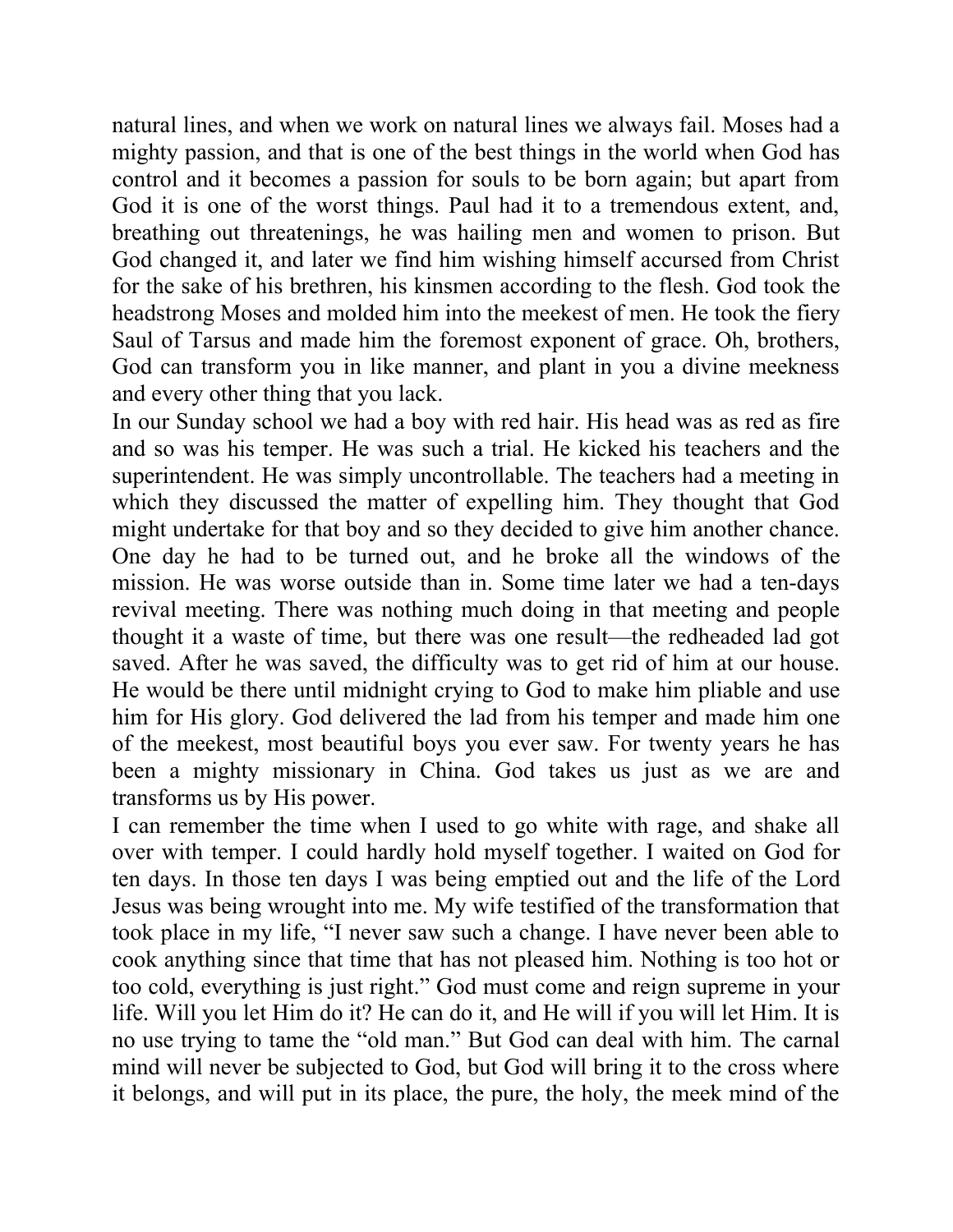natural lines, and when we work on natural lines we always fail. Moses had a mighty passion, and that is one of the best things in the world when God has control and it becomes a passion for souls to be born again; but apart from God it is one of the worst things. Paul had it to a tremendous extent, and, breathing out threatenings, he was hailing men and women to prison. But God changed it, and later we find him wishing himself accursed from Christ for the sake of his brethren, his kinsmen according to the flesh. God took the headstrong Moses and molded him into the meekest of men. He took the fiery Saul of Tarsus and made him the foremost exponent of grace. Oh, brothers, God can transform you in like manner, and plant in you a divine meekness and every other thing that you lack.

In our Sunday school we had a boy with red hair. His head was as red as fire and so was his temper. He was such a trial. He kicked his teachers and the superintendent. He was simply uncontrollable. The teachers had a meeting in which they discussed the matter of expelling him. They thought that God might undertake for that boy and so they decided to give him another chance. One day he had to be turned out, and he broke all the windows of the mission. He was worse outside than in. Some time later we had a ten-days revival meeting. There was nothing much doing in that meeting and people thought it a waste of time, but there was one result—the redheaded lad got saved. After he was saved, the difficulty was to get rid of him at our house. He would be there until midnight crying to God to make him pliable and use him for His glory. God delivered the lad from his temper and made him one of the meekest, most beautiful boys you ever saw. For twenty years he has been a mighty missionary in China. God takes us just as we are and transforms us by His power.

I can remember the time when I used to go white with rage, and shake all over with temper. I could hardly hold myself together. I waited on God for ten days. In those ten days I was being emptied out and the life of the Lord Jesus was being wrought into me. My wife testified of the transformation that took place in my life, "I never saw such a change. I have never been able to cook anything since that time that has not pleased him. Nothing is too hot or too cold, everything is just right." God must come and reign supreme in your life. Will you let Him do it? He can do it, and He will if you will let Him. It is no use trying to tame the "old man." But God can deal with him. The carnal mind will never be subjected to God, but God will bring it to the cross where it belongs, and will put in its place, the pure, the holy, the meek mind of the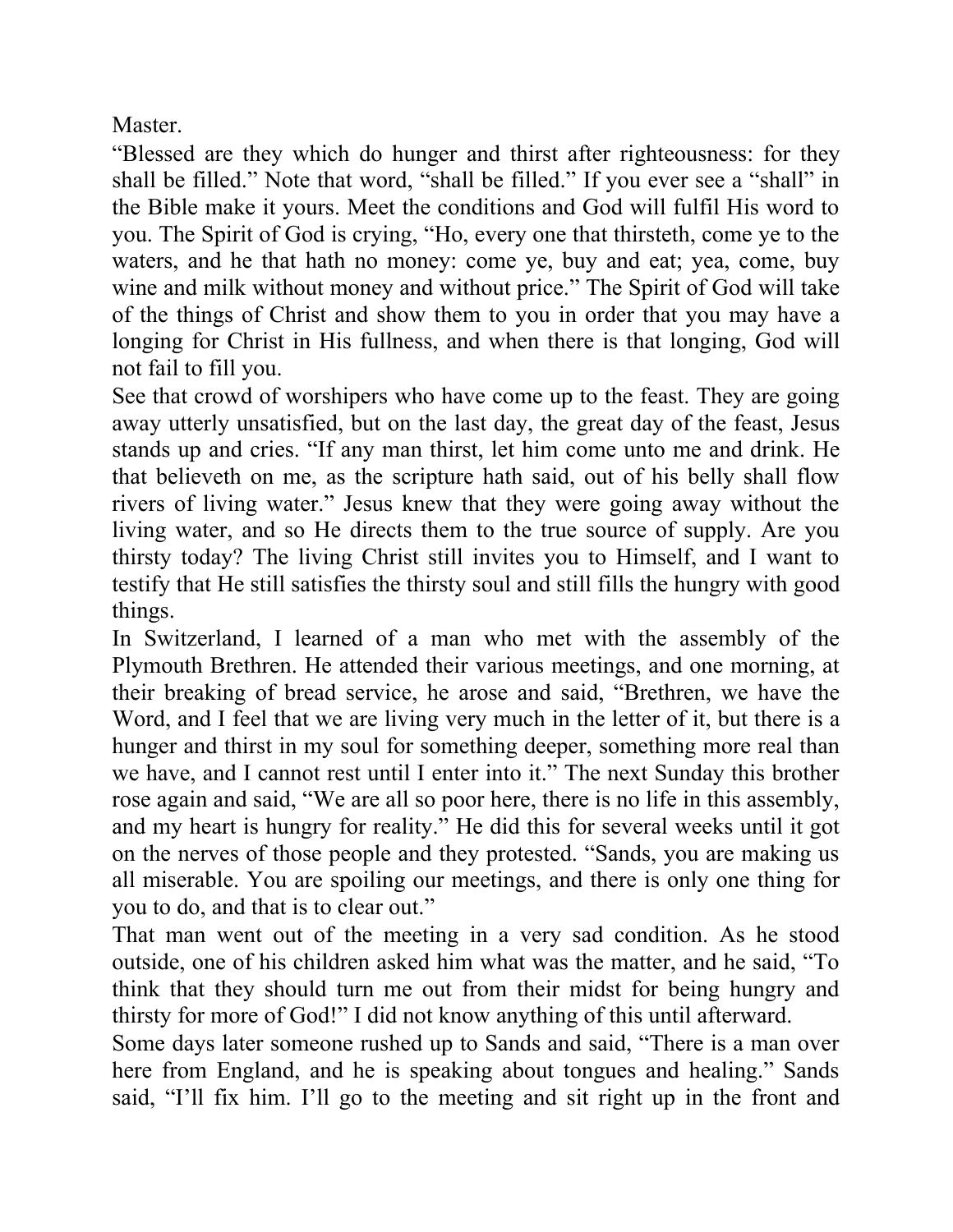Master.

"Blessed are they which do hunger and thirst after righteousness: for they shall be filled." Note that word, "shall be filled." If you ever see a "shall" in the Bible make it yours. Meet the conditions and God will fulfil His word to you. The Spirit of God is crying, "Ho, every one that thirsteth, come ye to the waters, and he that hath no money: come ye, buy and eat; yea, come, buy wine and milk without money and without price." The Spirit of God will take of the things of Christ and show them to you in order that you may have a longing for Christ in His fullness, and when there is that longing, God will not fail to fill you.

See that crowd of worshipers who have come up to the feast. They are going away utterly unsatisfied, but on the last day, the great day of the feast, Jesus stands up and cries. "If any man thirst, let him come unto me and drink. He that believeth on me, as the scripture hath said, out of his belly shall flow rivers of living water." Jesus knew that they were going away without the living water, and so He directs them to the true source of supply. Are you thirsty today? The living Christ still invites you to Himself, and I want to testify that He still satisfies the thirsty soul and still fills the hungry with good things.

In Switzerland, I learned of a man who met with the assembly of the Plymouth Brethren. He attended their various meetings, and one morning, at their breaking of bread service, he arose and said, "Brethren, we have the Word, and I feel that we are living very much in the letter of it, but there is a hunger and thirst in my soul for something deeper, something more real than we have, and I cannot rest until I enter into it." The next Sunday this brother rose again and said, "We are all so poor here, there is no life in this assembly, and my heart is hungry for reality." He did this for several weeks until it got on the nerves of those people and they protested. "Sands, you are making us all miserable. You are spoiling our meetings, and there is only one thing for you to do, and that is to clear out."

That man went out of the meeting in a very sad condition. As he stood outside, one of his children asked him what was the matter, and he said, "To think that they should turn me out from their midst for being hungry and thirsty for more of God!" I did not know anything of this until afterward.

Some days later someone rushed up to Sands and said, "There is a man over here from England, and he is speaking about tongues and healing." Sands said, "I'll fix him. I'll go to the meeting and sit right up in the front and